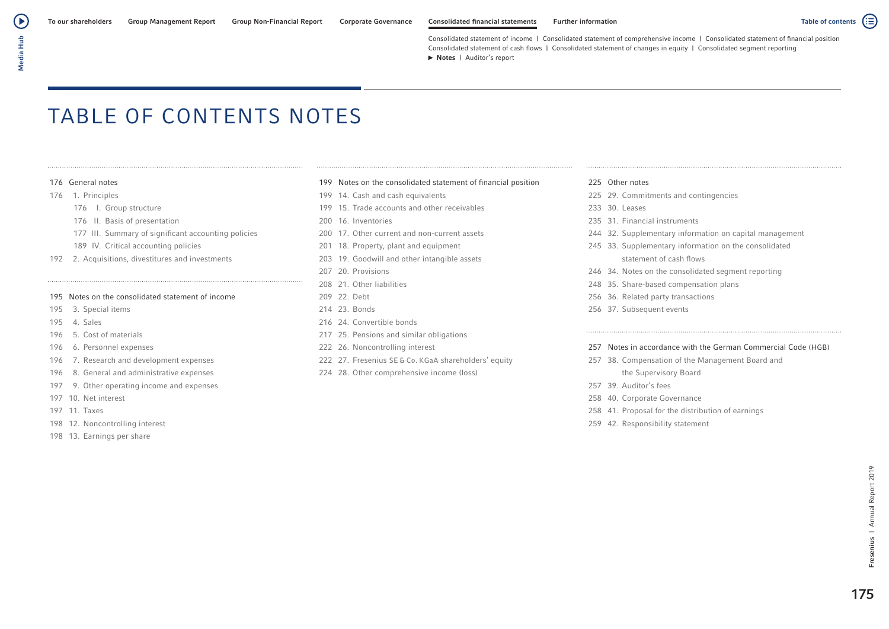Consolidated statement of income | Consolidated statement of comprehensive income | Consolidated statement of financial position Consolidated statement of cash flows | Consolidated statement of changes in equity | Consolidated segment reporting Notes | Auditor's report

# TABLE OF CONTENTS NOTES

#### 176 General notes

- 176 1. Principles
	- 176 I. Group structure
	- 176 II. Basis of presentation
	- 177 III. Summary of significant accounting policies
	- 189 IV. Critical accounting policies
- 192 2. Acquisitions, divestitures and investments

#### 195 Notes on the consolidated statement of income

- 195 3. Special items
- 195 4. Sales
- 196 5. Cost of materials
- 196 6. Personnel expenses
- 196 7. Research and development expenses
- 196 8. General and administrative expenses
- 197 9. Other operating income and expenses
- 197 10. Net interest
- 197 11. Taxes
- 198 12. Noncontrolling interest
- 198 13. Earnings per share

### 199 Notes on the consolidated statement of financial position

- 199 14. Cash and cash equivalents
- 199 15. Trade accounts and other receivables
- 200 16. Inventories
- 200 17. Other current and non-current assets
- 201 18. Property, plant and equipment
- 203 19. Goodwill and other intangible assets
- 207 20. Provisions
- 208 21. Other liabilities
- 209 22. Debt
- 214 23. Bonds
- 216 24. Convertible bonds
- 217 25. Pensions and similar obligations
- 222 26. Noncontrolling interest
- 222 27. Fresenius SE & Co. KGaA shareholders' equity
- 224 28. Other comprehensive income (loss)

#### 225 Other notes

- 225 29. Commitments and contingencies
- 233 30. Leases
- 235 31. Financial instruments
- 244 32. Supplementary information on capital management
- 245 33. Supplementary information on the consolidated statement of cash flows
- 246 34. Notes on the consolidated segment reporting
- 248 35. Share-based compensation plans
- 256 36. Related party transactions
- 256 37. Subsequent events

#### 257 Notes in accordance with the German Commercial Code (HGB)

- 257 38. Compensation of the Management Board and the Supervisory Board
- 257 39. Auditor's fees
- 258 40. Corporate Governance
- 258 41. Proposal for the distribution of earnings
- 259 42. Responsibility statement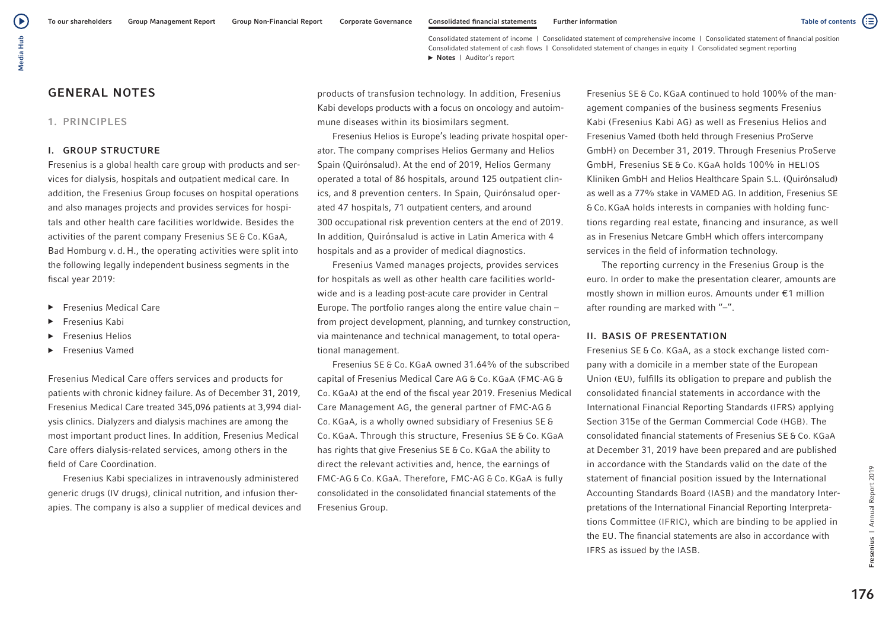Consolidated statement of income | Consolidated statement of comprehensive income | Consolidated statement of financial position Consolidated statement of cash flows | Consolidated statement of changes in equity | Consolidated segment reporting Notes | Auditor's report

# GENERAL NOTES

### 1. PRINCIPLES

### I. GROUP STRUCTURE

Fresenius is a global health care group with products and services for dialysis, hospitals and outpatient medical care. In addition, the Fresenius Group focuses on hospital operations and also manages projects and provides services for hospitals and other health care facilities worldwide. Besides the activities of the parent company Fresenius SE & Co. KGaA, Bad Homburg v. d. H., the operating activities were split into the following legally independent business segments in the fiscal year 2019:

- ▶ Fresenius Medical Care
- ▶ Fresenius Kabi
- ▶ Fresenius Helios
- ▶ Fresenius Vamed

Fresenius Medical Care offers services and products for patients with chronic kidney failure. As of December 31, 2019, Fresenius Medical Care treated 345,096 patients at 3,994 dialysis clinics. Dialyzers and dialysis machines are among the most important product lines. In addition, Fresenius Medical Care offers dialysis-related services, among others in the field of Care Coordination.

Fresenius Kabi specializes in intravenously administered generic drugs (IV drugs), clinical nutrition, and infusion therapies. The company is also a supplier of medical devices and products of transfusion technology. In addition, Fresenius Kabi develops products with a focus on oncology and autoimmune diseases within its biosimilars segment.

Fresenius Helios is Europe's leading private hospital operator. The company comprises Helios Germany and Helios Spain (Quirónsalud). At the end of 2019, Helios Germany operated a total of 86 hospitals, around 125 outpatient clinics, and 8 prevention centers. In Spain, Quirónsalud operated 47 hospitals, 71 outpatient centers, and around 300 occupational risk prevention centers at the end of 2019. In addition, Quirónsalud is active in Latin America with 4 hospitals and as a provider of medical diagnostics.

Fresenius Vamed manages projects, provides services for hospitals as well as other health care facilities worldwide and is a leading post-acute care provider in Central Europe. The portfolio ranges along the entire value chain – from project development, planning, and turnkey construction, via maintenance and technical management, to total operational management.

Fresenius SE & Co. KGaA owned 31.64% of the subscribed capital of Fresenius Medical Care AG & Co. KGaA (FMC-AG & Co. KGaA) at the end of the fiscal year 2019. Fresenius Medical Care Management AG, the general partner of FMC-AG & Co. KGaA, is a wholly owned subsidiary of Fresenius SE & Co. KGaA. Through this structure, Fresenius SE & Co. KGaA has rights that give Fresenius SE & Co. KGaA the ability to direct the relevant activities and, hence, the earnings of FMC-AG & Co. KGaA. Therefore, FMC-AG & Co. KGaA is fully consolidated in the consolidated financial statements of the Fresenius Group.

Fresenius SE & Co. KGaA continued to hold 100% of the management companies of the business segments Fresenius Kabi (Fresenius Kabi AG) as well as Fresenius Helios and Fresenius Vamed (both held through Fresenius ProServe GmbH) on December 31, 2019. Through Fresenius ProServe GmbH, Fresenius SE & Co. KGaA holds 100% in HELIOS Kliniken GmbH and Helios Healthcare Spain S.L. (Quirónsalud) as well as a 77% stake in VAMED AG. In addition, Fresenius SE & Co. KGaA holds interests in companies with holding functions regarding real estate, financing and insurance, as well as in Fresenius Netcare GmbH which offers intercompany services in the field of information technology.

The reporting currency in the Fresenius Group is the euro. In order to make the presentation clearer, amounts are mostly shown in million euros. Amounts under €1 million after rounding are marked with "–".

#### II. BASIS OF PRESENTATION

Fresenius SE & Co. KGaA, as a stock exchange listed company with a domicile in a member state of the European Union (EU), fulfills its obligation to prepare and publish the consolidated financial statements in accordance with the International Financial Reporting Standards (IFRS) applying Section 315e of the German Commercial Code (HGB). The consolidated financial statements of Fresenius SE & Co. KGaA at December 31, 2019 have been prepared and are published in accordance with the Standards valid on the date of the statement of financial position issued by the International Accounting Standards Board (IASB) and the mandatory Interpretations of the International Financial Reporting Interpretations Committee (IFRIC), which are binding to be applied in the EU. The financial statements are also in accordance with IFRS as issued by the IASB.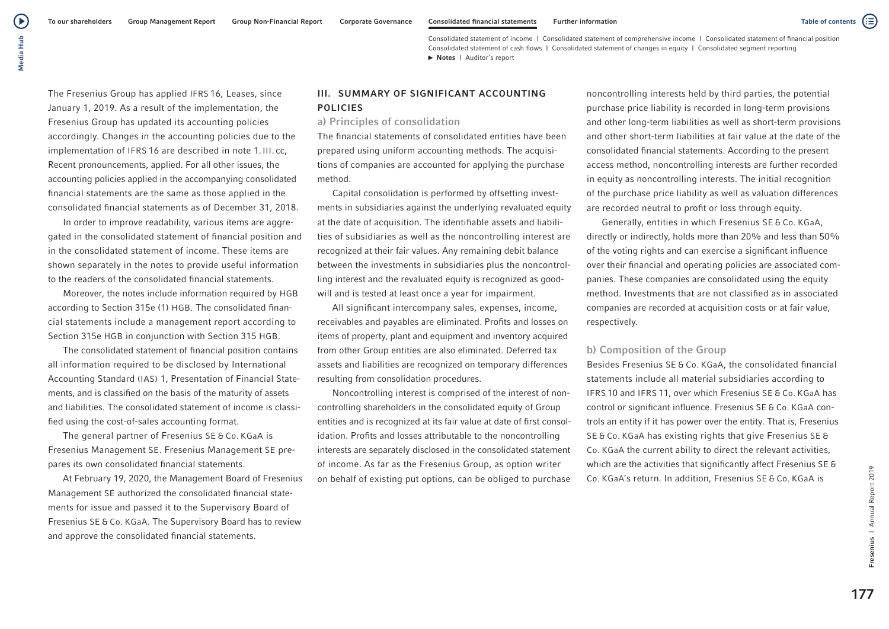(▶

 $(\textbf{m})$ Table of contents

Consolidated statement of income | Consolidated statement of comprehensive income | Consolidated statement of financial position Consolidated statement of cash flows | Consolidated statement of changes in equity | Consolidated segment reporting Notes | Auditor's report

The Fresenius Group has applied IFRS 16, Leases, since January 1, 2019. As a result of the implementation, the Fresenius Group has updated its accounting policies accordingly. Changes in the accounting policies due to the implementation of IFRS 16 are described in note 1.III. cc, Recent pronouncements, applied. For all other issues, the accounting policies applied in the accompanying consolidated financial statements are the same as those applied in the consolidated financial statements as of December 31, 2018.

In order to improve readability, various items are aggregated in the consolidated statement of financial position and in the consolidated statement of income. These items are shown separately in the notes to provide useful information to the readers of the consolidated financial statements.

Moreover, the notes include information required by HGB according to Section 315e (1) HGB. The consolidated financial statements include a management report according to Section 315e HGB in conjunction with Section 315 HGB.

The consolidated statement of financial position contains all information required to be disclosed by International Accounting Standard (IAS) 1, Presentation of Financial Statements, and is classified on the basis of the maturity of assets and liabilities. The consolidated statement of income is classified using the cost-of-sales accounting format.

The general partner of Fresenius SE & Co. KGaA is Fresenius Management SE. Fresenius Management SE prepares its own consolidated financial statements.

At February 19, 2020, the Management Board of Fresenius Management SE authorized the consolidated financial statements for issue and passed it to the Supervisory Board of Fresenius SE & Co. KGaA. The Supervisory Board has to review and approve the consolidated financial statements.

# III. SUMMARY OF SIGNIFICANT ACCOUNTING POLICIES

### a) Principles of consolidation

The financial statements of consolidated entities have been prepared using uniform accounting methods. The acquisitions of companies are accounted for applying the purchase method.

Capital consolidation is performed by offsetting investments in subsidiaries against the underlying revaluated equity at the date of acquisition. The identifiable assets and liabilities of subsidiaries as well as the noncontrolling interest are recognized at their fair values. Any remaining debit balance between the investments in subsidiaries plus the noncontrolling interest and the revaluated equity is recognized as goodwill and is tested at least once a year for impairment.

All significant intercompany sales, expenses, income, receivables and payables are eliminated. Profits and losses on items of property, plant and equipment and inventory acquired from other Group entities are also eliminated. Deferred tax assets and liabilities are recognized on temporary differences resulting from consolidation procedures.

Noncontrolling interest is comprised of the interest of noncontrolling shareholders in the consolidated equity of Group entities and is recognized at its fair value at date of first consolidation. Profits and losses attributable to the noncontrolling interests are separately disclosed in the consolidated statement of income. As far as the Fresenius Group, as option writer on behalf of existing put options, can be obliged to purchase noncontrolling interests held by third parties, the potential purchase price liability is recorded in long-term provisions and other long-term liabilities as well as short-term provisions and other short-term liabilities at fair value at the date of the consolidated financial statements. According to the present access method, noncontrolling interests are further recorded in equity as noncontrolling interests. The initial recognition of the purchase price liability as well as valuation differences are recorded neutral to profit or loss through equity.

Generally, entities in which Fresenius SE & Co. KGaA, directly or indirectly, holds more than 20% and less than 50% of the voting rights and can exercise a significant influence over their financial and operating policies are associated companies. These companies are consolidated using the equity method. Investments that are not classified as in associated companies are recorded at acquisition costs or at fair value, respectively.

#### b) Composition of the Group

Besides Fresenius SE & Co. KGaA, the consolidated financial statements include all material subsidiaries according to IFRS 10 and IFRS 11, over which Fresenius SE & Co. KGaA has control or significant influence. Fresenius SE & Co. KGaA controls an entity if it has power over the entity. That is, Fresenius SE & Co. KGaA has existing rights that give Fresenius SE & Co. KGaA the current ability to direct the relevant activities, which are the activities that significantly affect Fresenius SE & Co. KGaA's return. In addition, Fresenius SE & Co. KGaA is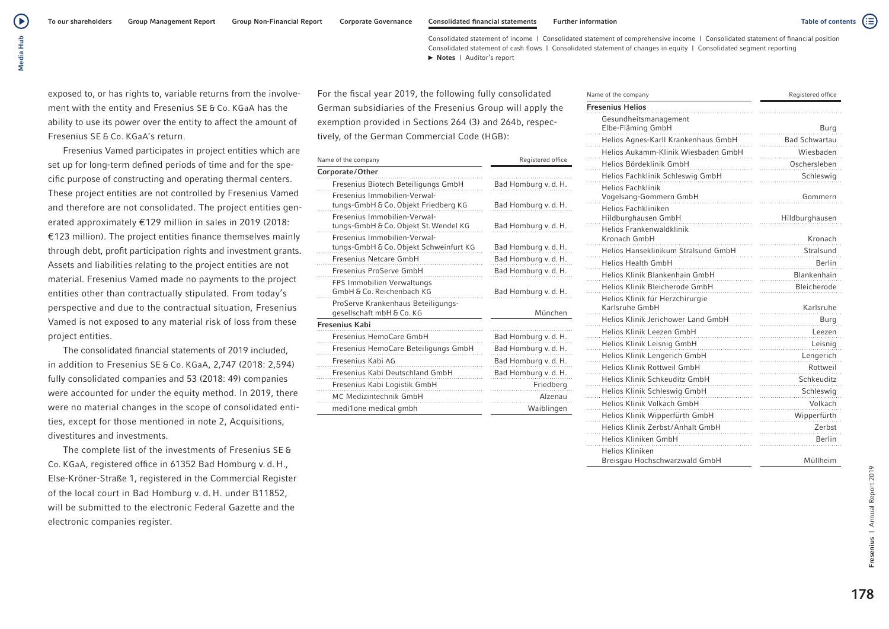(⊟) Table of contents

Consolidated statement of income | Consolidated statement of comprehensive income | Consolidated statement of financial position Consolidated statement of cash flows | Consolidated statement of changes in equity | Consolidated segment reporting Notes | Auditor's report

exposed to, or has rights to, variable returns from the involvement with the entity and Fresenius SE & Co. KGaA has the ability to use its power over the entity to affect the amount of Fresenius SE & Co. KGaA's return.

Media Hub

Media Hub

 $\blacktriangleright$ 

Fresenius Vamed participates in project entities which are set up for long-term defined periods of time and for the specific purpose of constructing and operating thermal centers. These project entities are not controlled by Fresenius Vamed and therefore are not consolidated. The project entities generated approximately €129 million in sales in 2019 (2018: €123 million). The project entities finance themselves mainly through debt, profit participation rights and investment grants. Assets and liabilities relating to the project entities are not material. Fresenius Vamed made no payments to the project entities other than contractually stipulated. From today's perspective and due to the contractual situation, Fresenius Vamed is not exposed to any material risk of loss from these project entities.

The consolidated financial statements of 2019 included, in addition to Fresenius SE & Co. KGaA, 2,747 (2018: 2,594) fully consolidated companies and 53 (2018: 49) companies were accounted for under the equity method. In 2019, there were no material changes in the scope of consolidated entities, except for those mentioned in note 2, Acquisitions, divestitures and investments.

The complete list of the investments of Fresenius SE & Co. KGaA, registered office in 61352 Bad Homburg v. d. H., Else-Kröner-Straße 1, registered in the Commercial Register of the local court in Bad Homburg v. d. H. under B11852, will be submitted to the electronic Federal Gazette and the electronic companies register.

For the fiscal year 2019, the following fully consolidated German subsidiaries of the Fresenius Group will apply the exemption provided in Sections 264 (3) and 264b, respectively, of the German Commercial Code (HGB):

| Name of the company                                                                              | Registered office                            |
|--------------------------------------------------------------------------------------------------|----------------------------------------------|
| Corporate/Other                                                                                  |                                              |
| Fresenius Biotech Beteiligungs GmbH                                                              | Bad Homburg v. d. H.                         |
| Fresenius Immobilien-Verwal-<br>tungs-GmbH & Co. Objekt Friedberg KG                             | Bad Homburg v. d. H.                         |
| Fresenius Immobilien-Verwal-<br>tungs-GmbH & Co. Objekt St. Wendel KG                            | Bad Homburg v. d. H.                         |
| Fresenius Immobilien-Verwal-<br>tungs-GmbH & Co. Objekt Schweinfurt KG<br>Fresenius Netcare GmbH | Bad Homburg v. d. H.<br>Bad Homburg v. d. H. |
| Fresenius ProServe GmbH                                                                          | Bad Homburg v. d. H.                         |
| FPS Immobilien Verwaltungs<br>GmbH & Co. Reichenbach KG                                          | Bad Homburg v. d. H.                         |
| ProServe Krankenhaus Beteiligungs-<br>gesellschaft mbH & Co. KG                                  | München                                      |
| Fresenius Kabi                                                                                   |                                              |
| Fresenius HemoCare GmbH                                                                          | Bad Homburg v. d. H.                         |
| Fresenius HemoCare Beteiligungs GmbH                                                             | Bad Homburg v. d. H.                         |
| Fresenius Kabi AG                                                                                | Bad Homburg v. d. H.                         |
| Fresenius Kabi Deutschland GmbH                                                                  | Bad Homburg v. d. H.                         |
| Fresenius Kabi Logistik GmbH                                                                     | Friedberg                                    |
| MC Medizintechnik GmbH                                                                           | Alzenau                                      |
| medi1one medical gmbh                                                                            | Waiblingen                                   |

| Burg                 |
|----------------------|
| <b>Bad Schwartau</b> |
| Wiesbaden            |
| Oschersleben         |
| Schleswig            |
|                      |
| Gommern              |
|                      |
| Hildburghausen       |
| Kronach              |
| Stralsund            |
| Berlin               |
| Blankenhain          |
| Bleicherode          |
|                      |
| Karlsruhe            |
| Burg                 |
| Leezen               |
| Leisnig              |
| Lengerich            |
| Rottweil             |
| Schkeuditz           |
| Schleswig            |
| Volkach              |
| Wipperfürth          |
| Zerbst               |
|                      |
| Berlin               |
| Müllheim             |
|                      |

178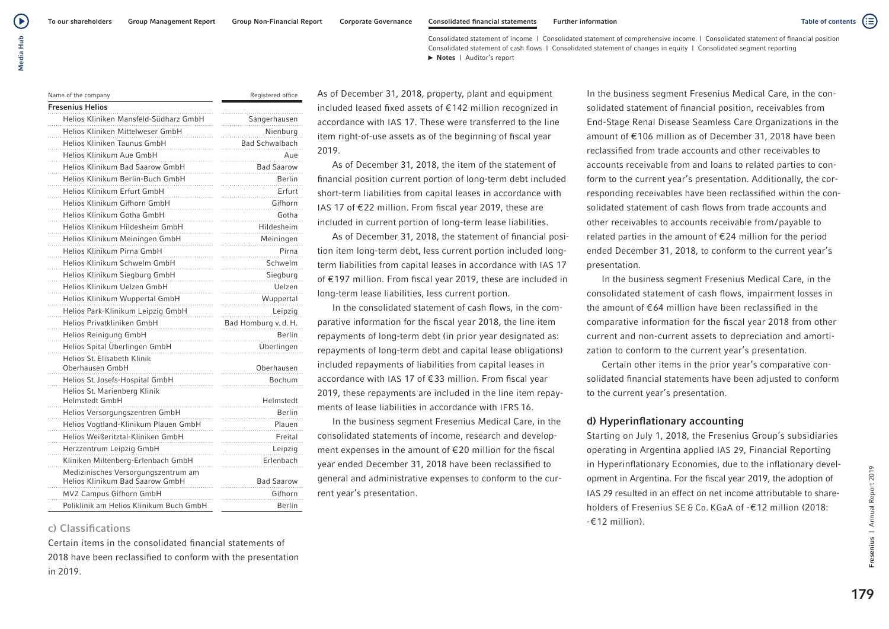⊜ Table of contents

Consolidated statement of income | Consolidated statement of comprehensive income | Consolidated statement of financial position Consolidated statement of cash flows | Consolidated statement of changes in equity | Consolidated segment reporting Notes | Auditor's report

| <b>Fresenius Helios</b><br>Helios Kliniken Mansfeld-Südharz GmbH<br>Sangerhausen<br>Helios Kliniken Mittelweser GmbH<br>Nienburg<br>Helios Kliniken Taunus GmbH<br><b>Bad Schwalbach</b><br>Helios Klinikum Aue GmbH<br>Aue<br>Helios Klinikum Bad Saarow GmbH<br><b>Bad Saarow</b><br>Helios Klinikum Berlin-Buch GmbH<br><b>Berlin</b><br>Helios Klinikum Erfurt GmbH<br>Erfurt<br>Helios Klinikum Gifhorn GmbH<br>Gifhorn<br>Helios Klinikum Gotha GmbH<br>Gotha<br>Helios Klinikum Hildesheim GmbH<br>Hildesheim<br>Helios Klinikum Meiningen GmbH<br>Meiningen<br>Helios Klinikum Pirna GmbH<br>Pirna<br>Helios Klinikum Schwelm GmbH<br>Schwelm<br>Helios Klinikum Siegburg GmbH<br>Siegburg<br>Helios Klinikum Uelzen GmbH<br>Uelzen<br>Helios Klinikum Wuppertal GmbH<br>Wuppertal<br>Helios Park-Klinikum Leipzig GmbH<br>Leipzig<br>Helios Privatkliniken GmbH<br>Bad Homburg v. d. H.<br><b>Berlin</b><br>Helios Reinigung GmbH<br>Helios Spital Überlingen GmbH<br>Überlingen<br>Helios St. Elisabeth Klinik<br>Oberhausen GmbH<br>Oberhausen<br>Helios St. Josefs-Hospital GmbH<br>Bochum<br>Helios St. Marienberg Klinik<br><b>Helmstedt GmbH</b><br>Helmstedt<br>Helios Versorgungszentren GmbH<br><b>Berlin</b><br>Helios Vogtland-Klinikum Plauen GmbH<br>Plauen<br>Helios Weißeritztal-Kliniken GmbH<br>Freital<br>Herzzentrum Leipzig GmbH<br>Leipzig<br>Kliniken Miltenberg-Erlenbach GmbH<br>Erlenbach<br>Medizinisches Versorgungszentrum am<br>Helios Klinikum Bad Saarow GmbH<br><b>Bad Saarow</b> | Name of the company | Registered office |
|----------------------------------------------------------------------------------------------------------------------------------------------------------------------------------------------------------------------------------------------------------------------------------------------------------------------------------------------------------------------------------------------------------------------------------------------------------------------------------------------------------------------------------------------------------------------------------------------------------------------------------------------------------------------------------------------------------------------------------------------------------------------------------------------------------------------------------------------------------------------------------------------------------------------------------------------------------------------------------------------------------------------------------------------------------------------------------------------------------------------------------------------------------------------------------------------------------------------------------------------------------------------------------------------------------------------------------------------------------------------------------------------------------------------------------------------------------------------------------------------------------------------------|---------------------|-------------------|
|                                                                                                                                                                                                                                                                                                                                                                                                                                                                                                                                                                                                                                                                                                                                                                                                                                                                                                                                                                                                                                                                                                                                                                                                                                                                                                                                                                                                                                                                                                                            |                     |                   |
|                                                                                                                                                                                                                                                                                                                                                                                                                                                                                                                                                                                                                                                                                                                                                                                                                                                                                                                                                                                                                                                                                                                                                                                                                                                                                                                                                                                                                                                                                                                            |                     |                   |
|                                                                                                                                                                                                                                                                                                                                                                                                                                                                                                                                                                                                                                                                                                                                                                                                                                                                                                                                                                                                                                                                                                                                                                                                                                                                                                                                                                                                                                                                                                                            |                     |                   |
|                                                                                                                                                                                                                                                                                                                                                                                                                                                                                                                                                                                                                                                                                                                                                                                                                                                                                                                                                                                                                                                                                                                                                                                                                                                                                                                                                                                                                                                                                                                            |                     |                   |
|                                                                                                                                                                                                                                                                                                                                                                                                                                                                                                                                                                                                                                                                                                                                                                                                                                                                                                                                                                                                                                                                                                                                                                                                                                                                                                                                                                                                                                                                                                                            |                     |                   |
|                                                                                                                                                                                                                                                                                                                                                                                                                                                                                                                                                                                                                                                                                                                                                                                                                                                                                                                                                                                                                                                                                                                                                                                                                                                                                                                                                                                                                                                                                                                            |                     |                   |
|                                                                                                                                                                                                                                                                                                                                                                                                                                                                                                                                                                                                                                                                                                                                                                                                                                                                                                                                                                                                                                                                                                                                                                                                                                                                                                                                                                                                                                                                                                                            |                     |                   |
|                                                                                                                                                                                                                                                                                                                                                                                                                                                                                                                                                                                                                                                                                                                                                                                                                                                                                                                                                                                                                                                                                                                                                                                                                                                                                                                                                                                                                                                                                                                            |                     |                   |
|                                                                                                                                                                                                                                                                                                                                                                                                                                                                                                                                                                                                                                                                                                                                                                                                                                                                                                                                                                                                                                                                                                                                                                                                                                                                                                                                                                                                                                                                                                                            |                     |                   |
|                                                                                                                                                                                                                                                                                                                                                                                                                                                                                                                                                                                                                                                                                                                                                                                                                                                                                                                                                                                                                                                                                                                                                                                                                                                                                                                                                                                                                                                                                                                            |                     |                   |
|                                                                                                                                                                                                                                                                                                                                                                                                                                                                                                                                                                                                                                                                                                                                                                                                                                                                                                                                                                                                                                                                                                                                                                                                                                                                                                                                                                                                                                                                                                                            |                     |                   |
|                                                                                                                                                                                                                                                                                                                                                                                                                                                                                                                                                                                                                                                                                                                                                                                                                                                                                                                                                                                                                                                                                                                                                                                                                                                                                                                                                                                                                                                                                                                            |                     |                   |
|                                                                                                                                                                                                                                                                                                                                                                                                                                                                                                                                                                                                                                                                                                                                                                                                                                                                                                                                                                                                                                                                                                                                                                                                                                                                                                                                                                                                                                                                                                                            |                     |                   |
|                                                                                                                                                                                                                                                                                                                                                                                                                                                                                                                                                                                                                                                                                                                                                                                                                                                                                                                                                                                                                                                                                                                                                                                                                                                                                                                                                                                                                                                                                                                            |                     |                   |
|                                                                                                                                                                                                                                                                                                                                                                                                                                                                                                                                                                                                                                                                                                                                                                                                                                                                                                                                                                                                                                                                                                                                                                                                                                                                                                                                                                                                                                                                                                                            |                     |                   |
|                                                                                                                                                                                                                                                                                                                                                                                                                                                                                                                                                                                                                                                                                                                                                                                                                                                                                                                                                                                                                                                                                                                                                                                                                                                                                                                                                                                                                                                                                                                            |                     |                   |
|                                                                                                                                                                                                                                                                                                                                                                                                                                                                                                                                                                                                                                                                                                                                                                                                                                                                                                                                                                                                                                                                                                                                                                                                                                                                                                                                                                                                                                                                                                                            |                     |                   |
|                                                                                                                                                                                                                                                                                                                                                                                                                                                                                                                                                                                                                                                                                                                                                                                                                                                                                                                                                                                                                                                                                                                                                                                                                                                                                                                                                                                                                                                                                                                            |                     |                   |
|                                                                                                                                                                                                                                                                                                                                                                                                                                                                                                                                                                                                                                                                                                                                                                                                                                                                                                                                                                                                                                                                                                                                                                                                                                                                                                                                                                                                                                                                                                                            |                     |                   |
|                                                                                                                                                                                                                                                                                                                                                                                                                                                                                                                                                                                                                                                                                                                                                                                                                                                                                                                                                                                                                                                                                                                                                                                                                                                                                                                                                                                                                                                                                                                            |                     |                   |
|                                                                                                                                                                                                                                                                                                                                                                                                                                                                                                                                                                                                                                                                                                                                                                                                                                                                                                                                                                                                                                                                                                                                                                                                                                                                                                                                                                                                                                                                                                                            |                     |                   |
|                                                                                                                                                                                                                                                                                                                                                                                                                                                                                                                                                                                                                                                                                                                                                                                                                                                                                                                                                                                                                                                                                                                                                                                                                                                                                                                                                                                                                                                                                                                            |                     |                   |
|                                                                                                                                                                                                                                                                                                                                                                                                                                                                                                                                                                                                                                                                                                                                                                                                                                                                                                                                                                                                                                                                                                                                                                                                                                                                                                                                                                                                                                                                                                                            |                     |                   |
|                                                                                                                                                                                                                                                                                                                                                                                                                                                                                                                                                                                                                                                                                                                                                                                                                                                                                                                                                                                                                                                                                                                                                                                                                                                                                                                                                                                                                                                                                                                            |                     |                   |
|                                                                                                                                                                                                                                                                                                                                                                                                                                                                                                                                                                                                                                                                                                                                                                                                                                                                                                                                                                                                                                                                                                                                                                                                                                                                                                                                                                                                                                                                                                                            |                     |                   |
|                                                                                                                                                                                                                                                                                                                                                                                                                                                                                                                                                                                                                                                                                                                                                                                                                                                                                                                                                                                                                                                                                                                                                                                                                                                                                                                                                                                                                                                                                                                            |                     |                   |
|                                                                                                                                                                                                                                                                                                                                                                                                                                                                                                                                                                                                                                                                                                                                                                                                                                                                                                                                                                                                                                                                                                                                                                                                                                                                                                                                                                                                                                                                                                                            |                     |                   |
|                                                                                                                                                                                                                                                                                                                                                                                                                                                                                                                                                                                                                                                                                                                                                                                                                                                                                                                                                                                                                                                                                                                                                                                                                                                                                                                                                                                                                                                                                                                            |                     |                   |
|                                                                                                                                                                                                                                                                                                                                                                                                                                                                                                                                                                                                                                                                                                                                                                                                                                                                                                                                                                                                                                                                                                                                                                                                                                                                                                                                                                                                                                                                                                                            |                     |                   |
|                                                                                                                                                                                                                                                                                                                                                                                                                                                                                                                                                                                                                                                                                                                                                                                                                                                                                                                                                                                                                                                                                                                                                                                                                                                                                                                                                                                                                                                                                                                            |                     |                   |
|                                                                                                                                                                                                                                                                                                                                                                                                                                                                                                                                                                                                                                                                                                                                                                                                                                                                                                                                                                                                                                                                                                                                                                                                                                                                                                                                                                                                                                                                                                                            |                     |                   |
|                                                                                                                                                                                                                                                                                                                                                                                                                                                                                                                                                                                                                                                                                                                                                                                                                                                                                                                                                                                                                                                                                                                                                                                                                                                                                                                                                                                                                                                                                                                            |                     |                   |
| MVZ Campus Gifhorn GmbH<br>Gifhorn                                                                                                                                                                                                                                                                                                                                                                                                                                                                                                                                                                                                                                                                                                                                                                                                                                                                                                                                                                                                                                                                                                                                                                                                                                                                                                                                                                                                                                                                                         |                     |                   |
| Poliklinik am Helios Klinikum Buch GmbH<br>Berlin                                                                                                                                                                                                                                                                                                                                                                                                                                                                                                                                                                                                                                                                                                                                                                                                                                                                                                                                                                                                                                                                                                                                                                                                                                                                                                                                                                                                                                                                          |                     |                   |

As of December 31, 2018, property, plant and equipment included leased fixed assets of €142 million recognized in accordance with IAS 17. These were transferred to the line item right-of-use assets as of the beginning of fiscal year 2019.

As of December 31, 2018, the item of the statement of financial position current portion of long-term debt included short-term liabilities from capital leases in accordance with IAS 17 of €22 million. From fiscal year 2019, these are included in current portion of long-term lease liabilities.

As of December 31, 2018, the statement of financial position item long-term debt, less current portion included longterm liabilities from capital leases in accordance with IAS 17 of €197 million. From fiscal year 2019, these are included in long-term lease liabilities, less current portion.

In the consolidated statement of cash flows, in the comparative information for the fiscal year 2018, the line item repayments of long-term debt (in prior year designated as: repayments of long-term debt and capital lease obligations) included repayments of liabilities from capital leases in accordance with IAS 17 of €33 million. From fiscal year 2019, these repayments are included in the line item repayments of lease liabilities in accordance with IFRS 16.

In the business segment Fresenius Medical Care, in the consolidated statements of income, research and development expenses in the amount of  $E$ 20 million for the fiscal year ended December 31, 2018 have been reclassified to general and administrative expenses to conform to the current year's presentation.

In the business segment Fresenius Medical Care, in the consolidated statement of financial position, receivables from End-Stage Renal Disease Seamless Care Organizations in the amount of €106 million as of December 31, 2018 have been reclassified from trade accounts and other receivables to accounts receivable from and loans to related parties to conform to the current year's presentation. Additionally, the corresponding receivables have been reclassified within the consolidated statement of cash flows from trade accounts and other receivables to accounts receivable from/payable to related parties in the amount of  $E$ 24 million for the period ended December 31, 2018, to conform to the current year's presentation.

In the business segment Fresenius Medical Care, in the consolidated statement of cash flows, impairment losses in the amount of  $\epsilon$ 64 million have been reclassified in the comparative information for the fiscal year 2018 from other current and non-current assets to depreciation and amortization to conform to the current year's presentation.

Certain other items in the prior year's comparative consolidated financial statements have been adjusted to conform to the current year's presentation.

### d) Hyperinflationary accounting

Starting on July 1, 2018, the Fresenius Group's subsidiaries operating in Argentina applied IAS 29, Financial Reporting in Hyperinflationary Economies, due to the inflationary development in Argentina. For the fiscal year 2019, the adoption of IAS 29 resulted in an effect on net income attributable to shareholders of Fresenius SE & Co. KGaA of -€12 million (2018:

# -€12 million). c) Classifications

Certain items in the consolidated financial statements of 2018 have been reclassified to conform with the presentation in 2019.

| Annual Report 2019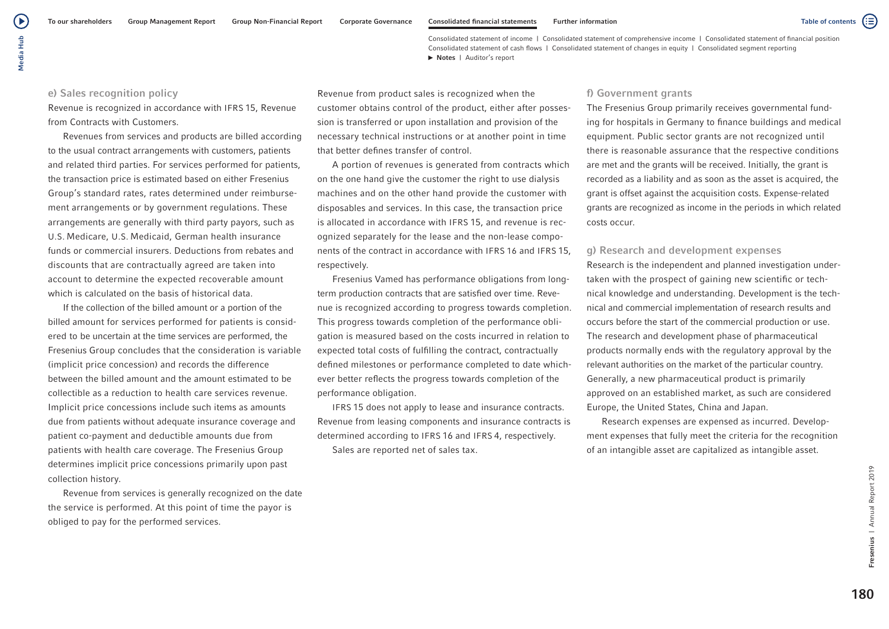Consolidated statement of income | Consolidated statement of comprehensive income | Consolidated statement of financial position Consolidated statement of cash flows | Consolidated statement of changes in equity | Consolidated segment reporting Notes | Auditor's report

### e) Sales recognition policy

Revenue is recognized in accordance with IFRS 15, Revenue from Contracts with Customers.

Revenues from services and products are billed according to the usual contract arrangements with customers, patients and related third parties. For services performed for patients, the transaction price is estimated based on either Fresenius Group's standard rates, rates determined under reimbursement arrangements or by government regulations. These arrangements are generally with third party payors, such as U.S. Medicare, U.S. Medicaid, German health insurance funds or commercial insurers. Deductions from rebates and discounts that are contractually agreed are taken into account to determine the expected recoverable amount which is calculated on the basis of historical data.

If the collection of the billed amount or a portion of the billed amount for services performed for patients is considered to be uncertain at the time services are performed, the Fresenius Group concludes that the consideration is variable (implicit price concession) and records the difference between the billed amount and the amount estimated to be collectible as a reduction to health care services revenue. Implicit price concessions include such items as amounts due from patients without adequate insurance coverage and patient co-payment and deductible amounts due from patients with health care coverage. The Fresenius Group determines implicit price concessions primarily upon past collection history.

Revenue from services is generally recognized on the date the service is performed. At this point of time the payor is obliged to pay for the performed services.

Revenue from product sales is recognized when the customer obtains control of the product, either after possession is transferred or upon installation and provision of the necessary technical instructions or at another point in time that better defines transfer of control.

A portion of revenues is generated from contracts which on the one hand give the customer the right to use dialysis machines and on the other hand provide the customer with disposables and services. In this case, the transaction price is allocated in accordance with IFRS 15, and revenue is recognized separately for the lease and the non-lease components of the contract in accordance with IFRS 16 and IFRS 15, respectively.

Fresenius Vamed has performance obligations from longterm production contracts that are satisfied over time. Revenue is recognized according to progress towards completion. This progress towards completion of the performance obligation is measured based on the costs incurred in relation to expected total costs of fulfilling the contract, contractually defined milestones or performance completed to date whichever better reflects the progress towards completion of the performance obligation.

IFRS 15 does not apply to lease and insurance contracts. Revenue from leasing components and insurance contracts is determined according to IFRS 16 and IFRS 4, respectively. Sales are reported net of sales tax.

### f) Government grants

The Fresenius Group primarily receives governmental funding for hospitals in Germany to finance buildings and medical equipment. Public sector grants are not recognized until there is reasonable assurance that the respective conditions are met and the grants will be received. Initially, the grant is recorded as a liability and as soon as the asset is acquired, the grant is offset against the acquisition costs. Expense-related grants are recognized as income in the periods in which related costs occur.

### g) Research and development expenses

Research is the independent and planned investigation undertaken with the prospect of gaining new scientific or technical knowledge and understanding. Development is the technical and commercial implementation of research results and occurs before the start of the commercial production or use. The research and development phase of pharmaceutical products normally ends with the regulatory approval by the relevant authorities on the market of the particular country. Generally, a new pharmaceutical product is primarily approved on an established market, as such are considered Europe, the United States, China and Japan.

Research expenses are expensed as incurred. Development expenses that fully meet the criteria for the recognition of an intangible asset are capitalized as intangible asset.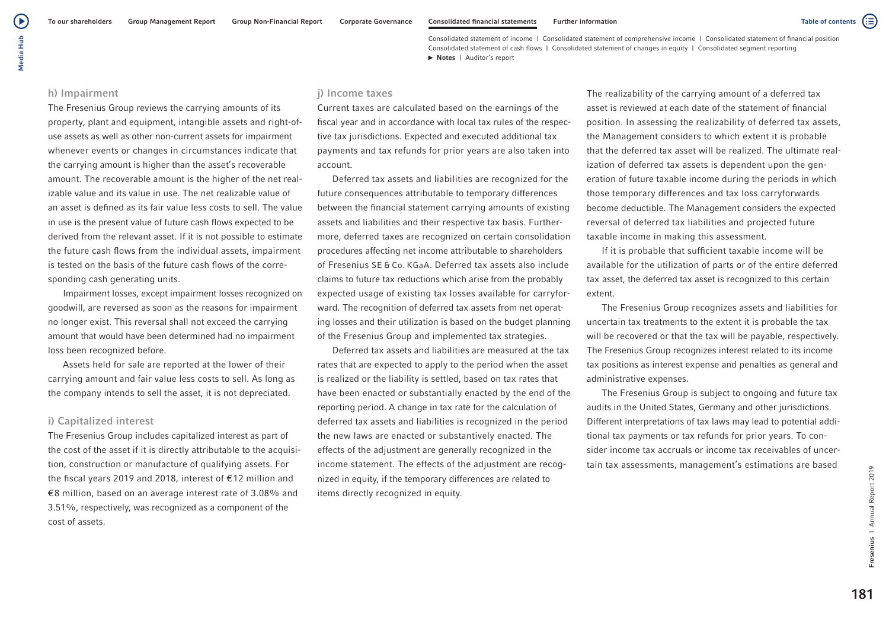Consolidated statement of income | Consolidated statement of comprehensive income | Consolidated statement of financial position Consolidated statement of cash flows | Consolidated statement of changes in equity | Consolidated segment reporting Notes | Auditor's report

### h) Impairment

The Fresenius Group reviews the carrying amounts of its property, plant and equipment, intangible assets and right-ofuse assets as well as other non-current assets for impairment whenever events or changes in circumstances indicate that the carrying amount is higher than the asset's recoverable amount. The recoverable amount is the higher of the net realizable value and its value in use. The net realizable value of an asset is defined as its fair value less costs to sell. The value in use is the present value of future cash flows expected to be derived from the relevant asset. If it is not possible to estimate the future cash flows from the individual assets, impairment is tested on the basis of the future cash flows of the corresponding cash generating units.

Impairment losses, except impairment losses recognized on goodwill, are reversed as soon as the reasons for impairment no longer exist. This reversal shall not exceed the carrying amount that would have been determined had no impairment loss been recognized before.

Assets held for sale are reported at the lower of their carrying amount and fair value less costs to sell. As long as the company intends to sell the asset, it is not depreciated.

### i) Capitalized interest

The Fresenius Group includes capitalized interest as part of the cost of the asset if it is directly attributable to the acquisition, construction or manufacture of qualifying assets. For the fiscal years 2019 and 2018, interest of €12 million and €8 million, based on an average interest rate of 3.08% and 3.51%, respectively, was recognized as a component of the cost of assets.

### j) Income taxes

Current taxes are calculated based on the earnings of the fiscal year and in accordance with local tax rules of the respective tax jurisdictions. Expected and executed additional tax payments and tax refunds for prior years are also taken into account.

Deferred tax assets and liabilities are recognized for the future consequences attributable to temporary differences between the financial statement carrying amounts of existing assets and liabilities and their respective tax basis. Furthermore, deferred taxes are recognized on certain consolidation procedures affecting net income attributable to shareholders of Fresenius SE & Co. KGaA. Deferred tax assets also include claims to future tax reductions which arise from the probably expected usage of existing tax losses available for carryforward. The recognition of deferred tax assets from net operating losses and their utilization is based on the budget planning of the Fresenius Group and implemented tax strategies.

Deferred tax assets and liabilities are measured at the tax rates that are expected to apply to the period when the asset is realized or the liability is settled, based on tax rates that have been enacted or substantially enacted by the end of the reporting period. A change in tax rate for the calculation of deferred tax assets and liabilities is recognized in the period the new laws are enacted or substantively enacted. The effects of the adjustment are generally recognized in the income statement. The effects of the adjustment are recognized in equity, if the temporary differences are related to items directly recognized in equity.

The realizability of the carrying amount of a deferred tax asset is reviewed at each date of the statement of financial position. In assessing the realizability of deferred tax assets, the Management considers to which extent it is probable that the deferred tax asset will be realized. The ultimate realization of deferred tax assets is dependent upon the generation of future taxable income during the periods in which those temporary differences and tax loss carryforwards become deductible. The Management considers the expected reversal of deferred tax liabilities and projected future taxable income in making this assessment.

If it is probable that sufficient taxable income will be available for the utilization of parts or of the entire deferred tax asset, the deferred tax asset is recognized to this certain extent.

The Fresenius Group recognizes assets and liabilities for uncertain tax treatments to the extent it is probable the tax will be recovered or that the tax will be payable, respectively. The Fresenius Group recognizes interest related to its income tax positions as interest expense and penalties as general and administrative expenses.

The Fresenius Group is subject to ongoing and future tax audits in the United States, Germany and other jurisdictions. Different interpretations of tax laws may lead to potential additional tax payments or tax refunds for prior years. To consider income tax accruals or income tax receivables of uncertain tax assessments, management's estimations are based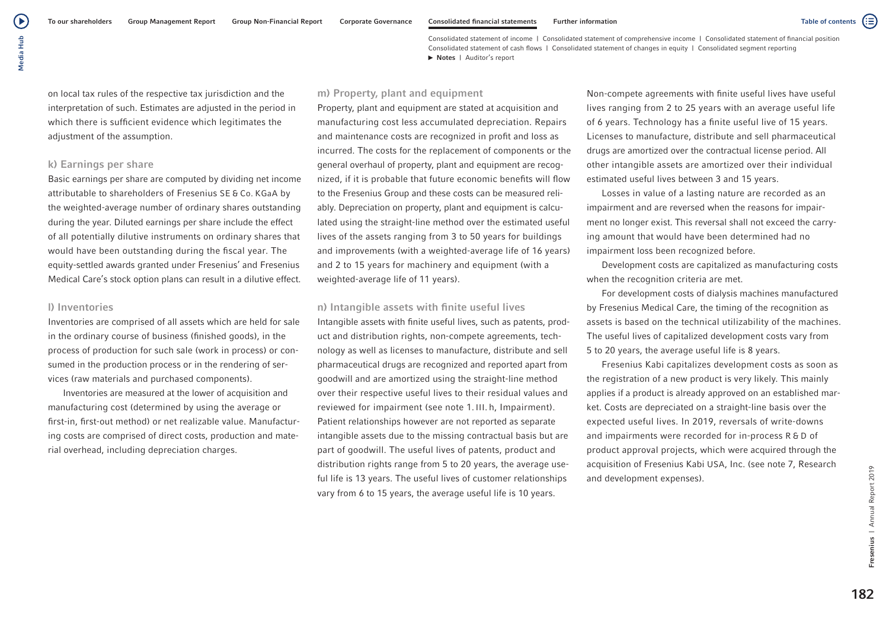Consolidated statement of income | Consolidated statement of comprehensive income | Consolidated statement of financial position Consolidated statement of cash flows | Consolidated statement of changes in equity | Consolidated segment reporting Notes | Auditor's report

on local tax rules of the respective tax jurisdiction and the interpretation of such. Estimates are adjusted in the period in which there is sufficient evidence which legitimates the adjustment of the assumption.

### k) Earnings per share

Basic earnings per share are computed by dividing net income attributable to shareholders of Fresenius SE & Co. KGaA by the weighted-average number of ordinary shares outstanding during the year. Diluted earnings per share include the effect of all potentially dilutive instruments on ordinary shares that would have been outstanding during the fiscal year. The equity-settled awards granted under Fresenius' and Fresenius Medical Care's stock option plans can result in a dilutive effect.

### l) Inventories

Inventories are comprised of all assets which are held for sale in the ordinary course of business (finished goods), in the process of production for such sale (work in process) or consumed in the production process or in the rendering of services (raw materials and purchased components).

Inventories are measured at the lower of acquisition and manufacturing cost (determined by using the average or first-in, first-out method) or net realizable value. Manufacturing costs are comprised of direct costs, production and material overhead, including depreciation charges.

### m) Property, plant and equipment

Property, plant and equipment are stated at acquisition and manufacturing cost less accumulated depreciation. Repairs and maintenance costs are recognized in profit and loss as incurred. The costs for the replacement of components or the general overhaul of property, plant and equipment are recognized, if it is probable that future economic benefits will flow to the Fresenius Group and these costs can be measured reliably. Depreciation on property, plant and equipment is calculated using the straight-line method over the estimated useful lives of the assets ranging from 3 to 50 years for buildings and improvements (with a weighted-average life of 16 years) and 2 to 15 years for machinery and equipment (with a weighted-average life of 11 years).

n) Intangible assets with finite useful lives Intangible assets with finite useful lives, such as patents, product and distribution rights, non-compete agreements, technology as well as licenses to manufacture, distribute and sell pharmaceutical drugs are recognized and reported apart from goodwill and are amortized using the straight-line method over their respective useful lives to their residual values and reviewed for impairment (see note 1. III. h, Impairment). Patient relationships however are not reported as separate intangible assets due to the missing contractual basis but are part of goodwill. The useful lives of patents, product and distribution rights range from 5 to 20 years, the average useful life is 13 years. The useful lives of customer relationships vary from 6 to 15 years, the average useful life is 10 years.

Non-compete agreements with finite useful lives have useful lives ranging from 2 to 25 years with an average useful life of 6 years. Technology has a finite useful live of 15 years. Licenses to manufacture, distribute and sell pharmaceutical drugs are amortized over the contractual license period. All other intangible assets are amortized over their individual estimated useful lives between 3 and 15 years.

Losses in value of a lasting nature are recorded as an impairment and are reversed when the reasons for impairment no longer exist. This reversal shall not exceed the carrying amount that would have been determined had no impairment loss been recognized before.

Development costs are capitalized as manufacturing costs when the recognition criteria are met.

For development costs of dialysis machines manufactured by Fresenius Medical Care, the timing of the recognition as assets is based on the technical utilizability of the machines. The useful lives of capitalized development costs vary from 5 to 20 years, the average useful life is 8 years.

Fresenius Kabi capitalizes development costs as soon as the registration of a new product is very likely. This mainly applies if a product is already approved on an established market. Costs are depreciated on a straight-line basis over the expected useful lives. In 2019, reversals of write-downs and impairments were recorded for in-process R & D of product approval projects, which were acquired through the acquisition of Fresenius Kabi USA, Inc. (see note 7, Research and development expenses).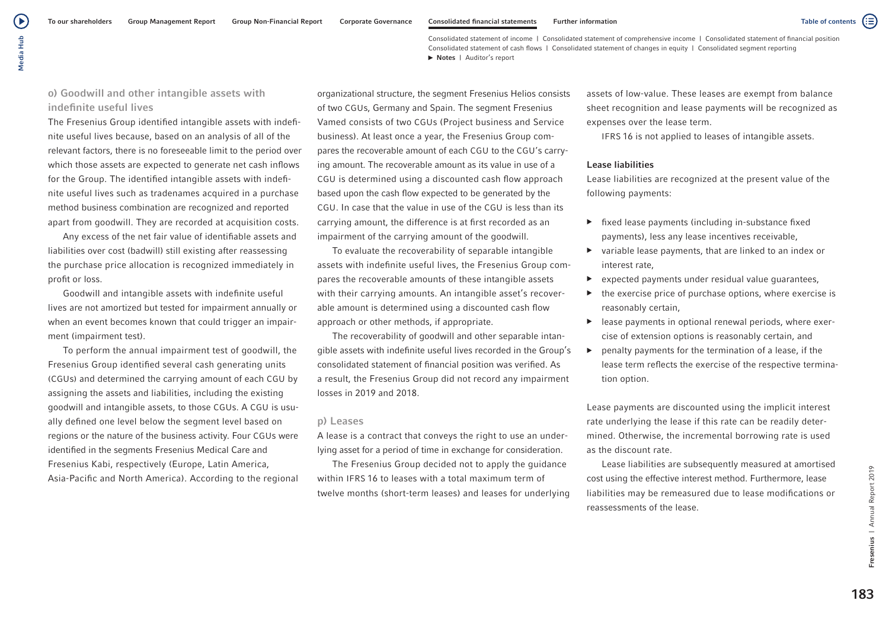Consolidated statement of income | Consolidated statement of comprehensive income | Consolidated statement of financial position Consolidated statement of cash flows | Consolidated statement of changes in equity | Consolidated segment reporting Notes | Auditor's report

# o) Goodwill and other intangible assets with indefinite useful lives

The Fresenius Group identified intangible assets with indefinite useful lives because, based on an analysis of all of the relevant factors, there is no foreseeable limit to the period over which those assets are expected to generate net cash inflows for the Group. The identified intangible assets with indefinite useful lives such as tradenames acquired in a purchase method business combination are recognized and reported apart from goodwill. They are recorded at acquisition costs.

Any excess of the net fair value of identifiable assets and liabilities over cost (badwill) still existing after reassessing the purchase price allocation is recognized immediately in profit or loss.

Goodwill and intangible assets with indefinite useful lives are not amortized but tested for impairment annually or when an event becomes known that could trigger an impairment (impairment test).

To perform the annual impairment test of goodwill, the Fresenius Group identified several cash generating units (CGUs) and determined the carrying amount of each CGU by assigning the assets and liabilities, including the existing goodwill and intangible assets, to those CGUs. A CGU is usually defined one level below the segment level based on regions or the nature of the business activity. Four CGUs were identified in the segments Fresenius Medical Care and Fresenius Kabi, respectively (Europe, Latin America, Asia-Pacific and North America). According to the regional

organizational structure, the segment Fresenius Helios consists of two CGUs, Germany and Spain. The segment Fresenius Vamed consists of two CGUs (Project business and Service business). At least once a year, the Fresenius Group compares the recoverable amount of each CGU to the CGU's carrying amount. The recoverable amount as its value in use of a CGU is determined using a discounted cash flow approach based upon the cash flow expected to be generated by the CGU. In case that the value in use of the CGU is less than its carrying amount, the difference is at first recorded as an impairment of the carrying amount of the goodwill.

To evaluate the recoverability of separable intangible assets with indefinite useful lives, the Fresenius Group compares the recoverable amounts of these intangible assets with their carrying amounts. An intangible asset's recoverable amount is determined using a discounted cash flow approach or other methods, if appropriate.

The recoverability of goodwill and other separable intangible assets with indefinite useful lives recorded in the Group's consolidated statement of financial position was verified. As a result, the Fresenius Group did not record any impairment losses in 2019 and 2018.

### p) Leases

A lease is a contract that conveys the right to use an underlying asset for a period of time in exchange for consideration.

The Fresenius Group decided not to apply the guidance within IFRS 16 to leases with a total maximum term of twelve months (short-term leases) and leases for underlying assets of low-value. These leases are exempt from balance sheet recognition and lease payments will be recognized as expenses over the lease term.

IFRS 16 is not applied to leases of intangible assets.

### Lease liabilities

Lease liabilities are recognized at the present value of the following payments:

- ▶ fixed lease payments (including in-substance fixed payments), less any lease incentives receivable,
- ▶ variable lease payments, that are linked to an index or interest rate,
- ▶ expected payments under residual value guarantees,
- $\blacktriangleright$  the exercise price of purchase options, where exercise is reasonably certain,
- ▶ lease payments in optional renewal periods, where exercise of extension options is reasonably certain, and
- ▶ penalty payments for the termination of a lease, if the lease term reflects the exercise of the respective termination option.

Lease payments are discounted using the implicit interest rate underlying the lease if this rate can be readily determined. Otherwise, the incremental borrowing rate is used as the discount rate.

Lease liabilities are subsequently measured at amortised cost using the effective interest method. Furthermore, lease liabilities may be remeasured due to lease modifications or reassessments of the lease.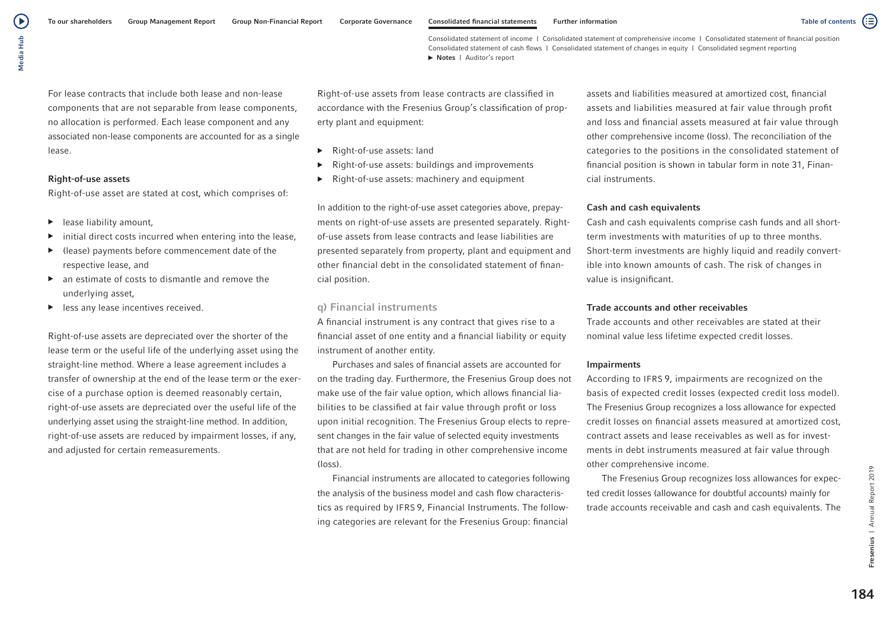Consolidated statement of income | Consolidated statement of comprehensive income | Consolidated statement of financial position Consolidated statement of cash flows | Consolidated statement of changes in equity | Consolidated segment reporting Notes | Auditor's report

For lease contracts that include both lease and non-lease components that are not separable from lease components, no allocation is performed. Each lease component and any associated non-lease components are accounted for as a single lease.

### Right-of-use assets

Right-of-use asset are stated at cost, which comprises of:

- ▶ lease liability amount,
- initial direct costs incurred when entering into the lease,
- ▶ (lease) payments before commencement date of the respective lease, and
- ▶ an estimate of costs to dismantle and remove the underlying asset,
- ▶ less any lease incentives received.

Right-of-use assets are depreciated over the shorter of the lease term or the useful life of the underlying asset using the straight-line method. Where a lease agreement includes a transfer of ownership at the end of the lease term or the exercise of a purchase option is deemed reasonably certain, right-of-use assets are depreciated over the useful life of the underlying asset using the straight-line method. In addition, right-of-use assets are reduced by impairment losses, if any, and adjusted for certain remeasurements.

Right-of-use assets from lease contracts are classified in accordance with the Fresenius Group's classification of property plant and equipment:

- ▶ Right-of-use assets: land
- Right-of-use assets: buildings and improvements
- ▶ Right-of-use assets: machinery and equipment

In addition to the right-of-use asset categories above, prepayments on right-of-use assets are presented separately. Rightof-use assets from lease contracts and lease liabilities are presented separately from property, plant and equipment and other financial debt in the consolidated statement of financial position.

### q) Financial instruments

A financial instrument is any contract that gives rise to a financial asset of one entity and a financial liability or equity instrument of another entity.

Purchases and sales of financial assets are accounted for on the trading day. Furthermore, the Fresenius Group does not make use of the fair value option, which allows financial liabilities to be classified at fair value through profit or loss upon initial recognition. The Fresenius Group elects to represent changes in the fair value of selected equity investments that are not held for trading in other comprehensive income (loss).

Financial instruments are allocated to categories following the analysis of the business model and cash flow characteristics as required by IFRS 9, Financial Instruments. The following categories are relevant for the Fresenius Group: financial

assets and liabilities measured at amortized cost, financial assets and liabilities measured at fair value through profit and loss and financial assets measured at fair value through other comprehensive income (loss). The reconciliation of the categories to the positions in the consolidated statement of financial position is shown in tabular form in note 31, Financial instruments.

### Cash and cash equivalents

Cash and cash equivalents comprise cash funds and all shortterm investments with maturities of up to three months. Short-term investments are highly liquid and readily convertible into known amounts of cash. The risk of changes in value is insignificant.

### Trade accounts and other receivables

Trade accounts and other receivables are stated at their nominal value less lifetime expected credit losses.

### Impairments

According to IFRS 9, impairments are recognized on the basis of expected credit losses (expected credit loss model). The Fresenius Group recognizes a loss allowance for expected credit losses on financial assets measured at amortized cost, contract assets and lease receivables as well as for investments in debt instruments measured at fair value through other comprehensive income.

The Fresenius Group recognizes loss allowances for expected credit losses (allowance for doubtful accounts) mainly for trade accounts receivable and cash and cash equivalents. The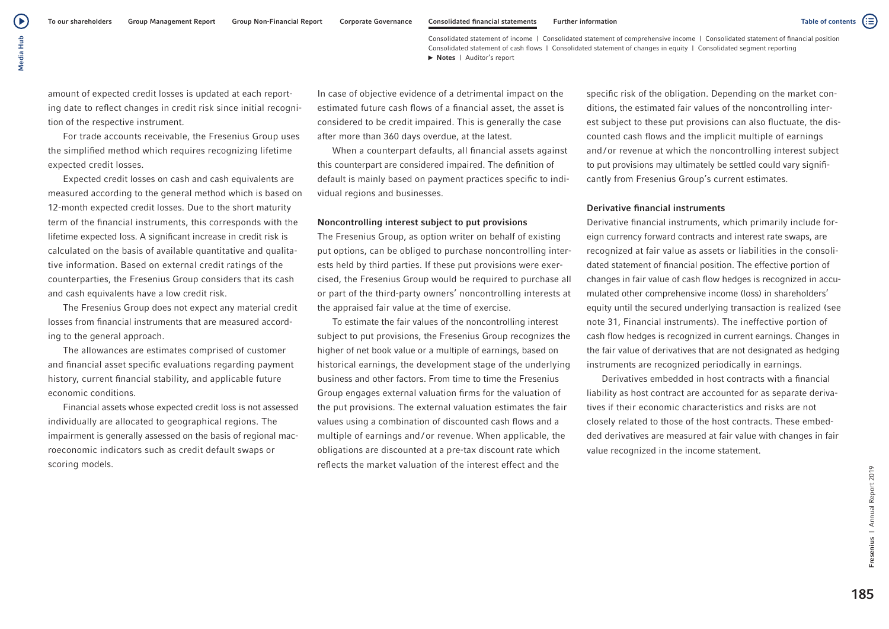Consolidated statement of income | Consolidated statement of comprehensive income | Consolidated statement of financial position Consolidated statement of cash flows | Consolidated statement of changes in equity | Consolidated segment reporting Notes | Auditor's report

amount of expected credit losses is updated at each reporting date to reflect changes in credit risk since initial recognition of the respective instrument.

For trade accounts receivable, the Fresenius Group uses the simplified method which requires recognizing lifetime expected credit losses.

Expected credit losses on cash and cash equivalents are measured according to the general method which is based on 12-month expected credit losses. Due to the short maturity term of the financial instruments, this corresponds with the lifetime expected loss. A significant increase in credit risk is calculated on the basis of available quantitative and qualitative information. Based on external credit ratings of the counterparties, the Fresenius Group considers that its cash and cash equivalents have a low credit risk.

The Fresenius Group does not expect any material credit losses from financial instruments that are measured according to the general approach.

The allowances are estimates comprised of customer and financial asset specific evaluations regarding payment history, current financial stability, and applicable future economic conditions.

Financial assets whose expected credit loss is not assessed individually are allocated to geographical regions. The impairment is generally assessed on the basis of regional macroeconomic indicators such as credit default swaps or scoring models.

In case of objective evidence of a detrimental impact on the estimated future cash flows of a financial asset, the asset is considered to be credit impaired. This is generally the case after more than 360 days overdue, at the latest.

When a counterpart defaults, all financial assets against this counterpart are considered impaired. The definition of default is mainly based on payment practices specific to individual regions and businesses.

#### Noncontrolling interest subject to put provisions

The Fresenius Group, as option writer on behalf of existing put options, can be obliged to purchase noncontrolling interests held by third parties. If these put provisions were exercised, the Fresenius Group would be required to purchase all or part of the third-party owners' noncontrolling interests at the appraised fair value at the time of exercise.

To estimate the fair values of the noncontrolling interest subject to put provisions, the Fresenius Group recognizes the higher of net book value or a multiple of earnings, based on historical earnings, the development stage of the underlying business and other factors. From time to time the Fresenius Group engages external valuation firms for the valuation of the put provisions. The external valuation estimates the fair values using a combination of discounted cash flows and a multiple of earnings and / or revenue. When applicable, the obligations are discounted at a pre-tax discount rate which reflects the market valuation of the interest effect and the

specific risk of the obligation. Depending on the market conditions, the estimated fair values of the noncontrolling interest subject to these put provisions can also fluctuate, the discounted cash flows and the implicit multiple of earnings and/or revenue at which the noncontrolling interest subject to put provisions may ultimately be settled could vary significantly from Fresenius Group's current estimates.

#### Derivative financial instruments

Derivative financial instruments, which primarily include foreign currency forward contracts and interest rate swaps, are recognized at fair value as assets or liabilities in the consolidated statement of financial position. The effective portion of changes in fair value of cash flow hedges is recognized in accumulated other comprehensive income (loss) in shareholders' equity until the secured underlying transaction is realized (see note 31, Financial instruments). The ineffective portion of cash flow hedges is recognized in current earnings. Changes in the fair value of derivatives that are not designated as hedging instruments are recognized periodically in earnings.

Derivatives embedded in host contracts with a financial liability as host contract are accounted for as separate derivatives if their economic characteristics and risks are not closely related to those of the host contracts. These embedded derivatives are measured at fair value with changes in fair value recognized in the income statement.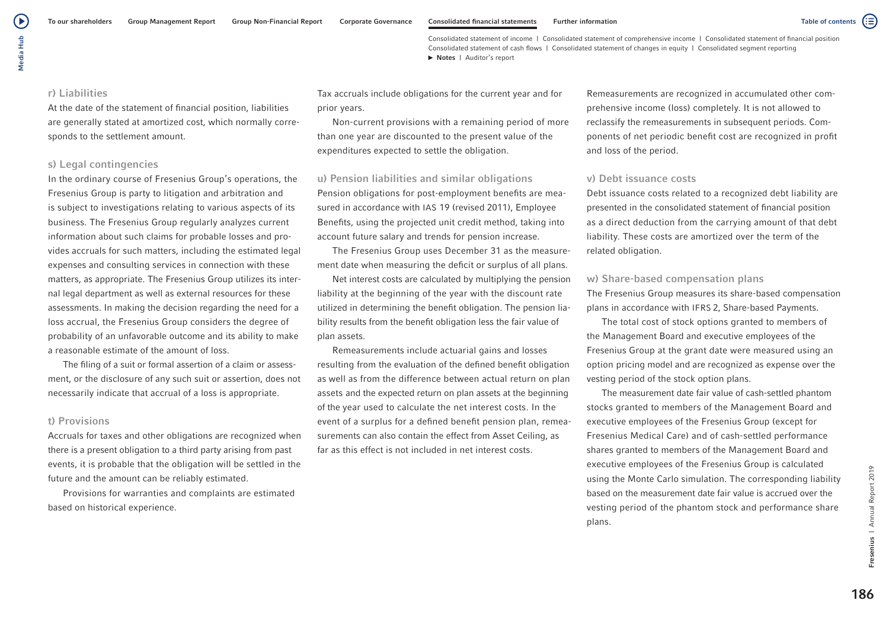Consolidated statement of income | Consolidated statement of comprehensive income | Consolidated statement of financial position Consolidated statement of cash flows | Consolidated statement of changes in equity | Consolidated segment reporting Notes | Auditor's report

### r) Liabilities

At the date of the statement of financial position, liabilities are generally stated at amortized cost, which normally corresponds to the settlement amount.

### s) Legal contingencies

In the ordinary course of Fresenius Group's operations, the Fresenius Group is party to litigation and arbitration and is subject to investigations relating to various aspects of its business. The Fresenius Group regularly analyzes current information about such claims for probable losses and provides accruals for such matters, including the estimated legal expenses and consulting services in connection with these matters, as appropriate. The Fresenius Group utilizes its internal legal department as well as external resources for these assessments. In making the decision regarding the need for a loss accrual, the Fresenius Group considers the degree of probability of an unfavorable outcome and its ability to make a reasonable estimate of the amount of loss.

The filing of a suit or formal assertion of a claim or assessment, or the disclosure of any such suit or assertion, does not necessarily indicate that accrual of a loss is appropriate.

### t) Provisions

Accruals for taxes and other obligations are recognized when there is a present obligation to a third party arising from past events, it is probable that the obligation will be settled in the future and the amount can be reliably estimated.

Provisions for warranties and complaints are estimated based on historical experience.

Tax accruals include obligations for the current year and for prior years.

Non-current provisions with a remaining period of more than one year are discounted to the present value of the expenditures expected to settle the obligation.

### u) Pension liabilities and similar obligations

Pension obligations for post-employment benefits are measured in accordance with IAS 19 (revised 2011), Employee Benefits, using the projected unit credit method, taking into account future salary and trends for pension increase.

The Fresenius Group uses December 31 as the measurement date when measuring the deficit or surplus of all plans.

Net interest costs are calculated by multiplying the pension liability at the beginning of the year with the discount rate utilized in determining the benefit obligation. The pension liability results from the benefit obligation less the fair value of plan assets.

Remeasurements include actuarial gains and losses resulting from the evaluation of the defined benefit obligation as well as from the difference between actual return on plan assets and the expected return on plan assets at the beginning of the year used to calculate the net interest costs. In the event of a surplus for a defined benefit pension plan, remeasurements can also contain the effect from Asset Ceiling, as far as this effect is not included in net interest costs.

Remeasurements are recognized in accumulated other comprehensive income (loss) completely. It is not allowed to reclassify the remeasurements in subsequent periods. Components of net periodic benefit cost are recognized in profit and loss of the period.

### v) Debt issuance costs

Debt issuance costs related to a recognized debt liability are presented in the consolidated statement of financial position as a direct deduction from the carrying amount of that debt liability. These costs are amortized over the term of the related obligation.

#### w) Share-based compensation plans

The Fresenius Group measures its share-based compensation plans in accordance with IFRS 2, Share-based Payments.

The total cost of stock options granted to members of the Management Board and executive employees of the Fresenius Group at the grant date were measured using an option pricing model and are recognized as expense over the vesting period of the stock option plans.

The measurement date fair value of cash-settled phantom stocks granted to members of the Management Board and executive employees of the Fresenius Group (except for Fresenius Medical Care) and of cash-settled performance shares granted to members of the Management Board and executive employees of the Fresenius Group is calculated using the Monte Carlo simulation. The corresponding liability based on the measurement date fair value is accrued over the vesting period of the phantom stock and performance share plans.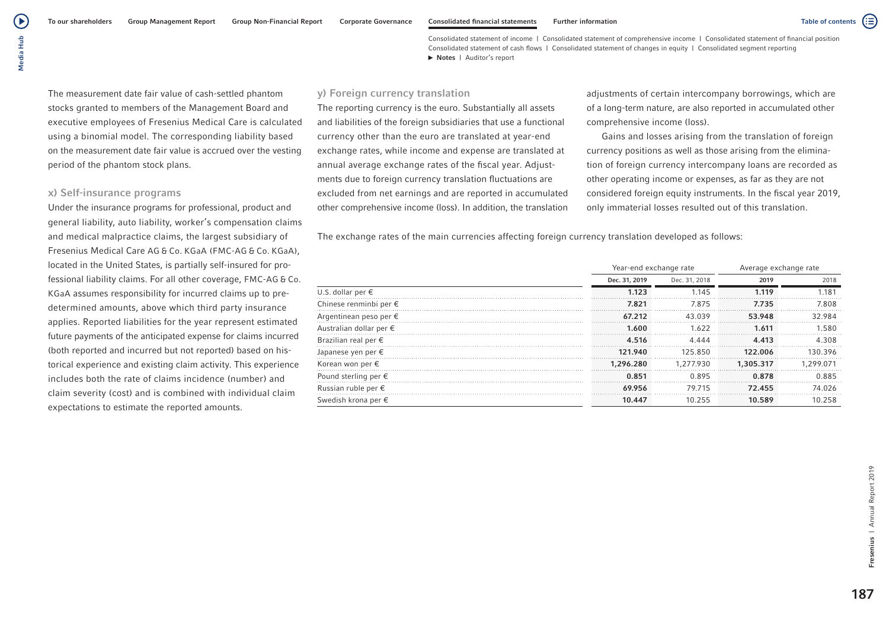⊜ Table of contents

The measurement date fair value of cash-settled phantom stocks granted to members of the Management Board and executive employees of Fresenius Medical Care is calculated using a binomial model. The corresponding liability based on the measurement date fair value is accrued over the vesting period of the phantom stock plans.

### x) Self-insurance programs

Under the insurance programs for professional, product and general liability, auto liability, worker's compensation claims and medical malpractice claims, the largest subsidiary of Fresenius Medical Care AG & Co. KGaA (FMC-AG & Co. KGaA), located in the United States, is partially self-insured for professional liability claims. For all other coverage, FMC-AG & Co. KGaA assumes responsibility for incurred claims up to predetermined amounts, above which third party insurance applies. Reported liabilities for the year represent estimated future payments of the anticipated expense for claims incurred (both reported and incurred but not reported) based on historical experience and existing claim activity. This experience includes both the rate of claims incidence (number) and claim severity (cost) and is combined with individual claim expectations to estimate the reported amounts.

### y) Foreign currency translation

The reporting currency is the euro. Substantially all assets and liabilities of the foreign subsidiaries that use a functional currency other than the euro are translated at year-end exchange rates, while income and expense are translated at annual average exchange rates of the fiscal year. Adjustments due to foreign currency translation fluctuations are excluded from net earnings and are reported in accumulated other comprehensive income (loss). In addition, the translation

Notes | Auditor's report

adjustments of certain intercompany borrowings, which are of a long-term nature, are also reported in accumulated other comprehensive income (loss).

Consolidated statement of income | Consolidated statement of comprehensive income | Consolidated statement of financial position

Consolidated statement of cash flows | Consolidated statement of changes in equity | Consolidated segment reporting

Gains and losses arising from the translation of foreign currency positions as well as those arising from the elimination of foreign currency intercompany loans are recorded as other operating income or expenses, as far as they are not considered foreign equity instruments. In the fiscal year 2019, only immaterial losses resulted out of this translation.

The exchange rates of the main currencies affecting foreign currency translation developed as follows:

|                                  | Year-end exchange rate |               | Average exchange rate |           |
|----------------------------------|------------------------|---------------|-----------------------|-----------|
|                                  | Dec. 31, 2019          | Dec. 31, 2018 | 2019                  | 2018      |
| U.S. dollar per €                | 1.123                  | l 145         | 1.119                 | 181       |
| Chinese renminbi per €           | 7.821                  | 7875          | 7.735                 | 7 808     |
| Argentinean peso per $\epsilon$  | 67.212                 | 43.039        | 53.948                | 32984     |
| Australian dollar per $\epsilon$ | 1.600                  | 1622          | 1.611                 | 1580      |
| Brazilian real per $\epsilon$    | 4.516                  | 4.444         | 4.413                 | 4 308     |
| Japanese yen per $\epsilon$      | 121.940                | 125.850       | 122.006               | 130 396   |
| Korean won per $\epsilon$        | 1,296.280              | 1.277.930     | 1,305.317             | 1 299 በ71 |
| Pound sterling per $\epsilon$    | 0.851                  | 0.895         | 0.878                 | 0.885     |
| Russian ruble per $\epsilon$     | 69.956                 | 79.715        | 72.455                | 74.026    |
| Swedish krona per $\epsilon$     | 10.447                 | 10.255        | 10.589                | 10.258    |

187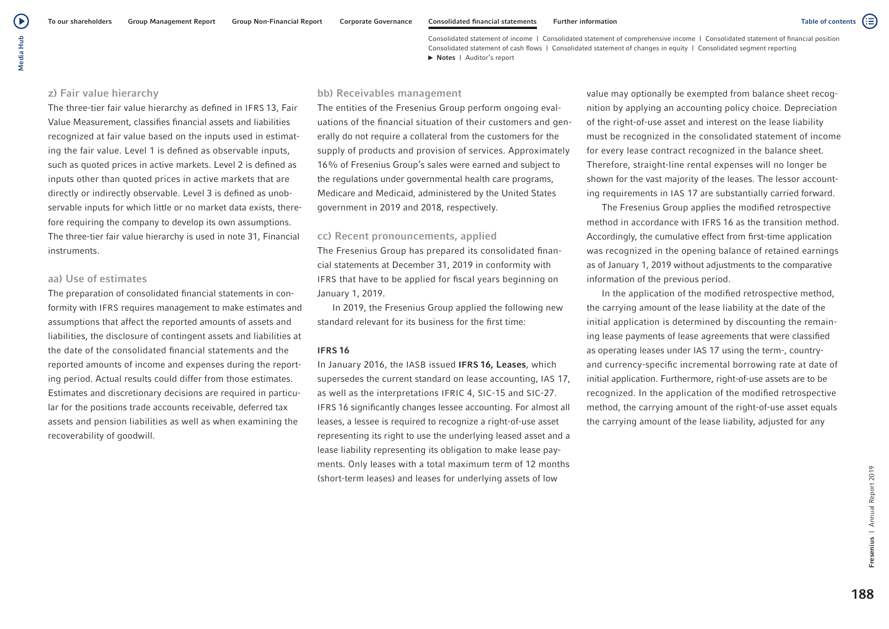Consolidated statement of income | Consolidated statement of comprehensive income | Consolidated statement of financial position Consolidated statement of cash flows | Consolidated statement of changes in equity | Consolidated segment reporting Notes | Auditor's report

### z) Fair value hierarchy

The three-tier fair value hierarchy as defined in IFRS 13, Fair Value Measurement, classifies financial assets and liabilities recognized at fair value based on the inputs used in estimating the fair value. Level 1 is defined as observable inputs, such as quoted prices in active markets. Level 2 is defined as inputs other than quoted prices in active markets that are directly or indirectly observable. Level 3 is defined as unobservable inputs for which little or no market data exists, therefore requiring the company to develop its own assumptions. The three-tier fair value hierarchy is used in note 31, Financial instruments.

### aa) Use of estimates

The preparation of consolidated financial statements in conformity with IFRS requires management to make estimates and assumptions that affect the reported amounts of assets and liabilities, the disclosure of contingent assets and liabilities at the date of the consolidated financial statements and the reported amounts of income and expenses during the reporting period. Actual results could differ from those estimates. Estimates and discretionary decisions are required in particular for the positions trade accounts receivable, deferred tax assets and pension liabilities as well as when examining the recoverability of goodwill.

### bb) Receivables management

The entities of the Fresenius Group perform ongoing evaluations of the financial situation of their customers and generally do not require a collateral from the customers for the supply of products and provision of services. Approximately 16% of Fresenius Group's sales were earned and subject to the regulations under governmental health care programs, Medicare and Medicaid, administered by the United States government in 2019 and 2018, respectively.

### cc) Recent pronouncements, applied

The Fresenius Group has prepared its consolidated financial statements at December 31, 2019 in conformity with IFRS that have to be applied for fiscal years beginning on January 1, 2019.

In 2019, the Fresenius Group applied the following new standard relevant for its business for the first time:

### IFRS 16

In January 2016, the IASB issued IFRS 16, Leases, which supersedes the current standard on lease accounting, IAS 17, as well as the interpretations IFRIC 4, SIC-15 and SIC-27. IFRS 16 significantly changes lessee accounting. For almost all leases, a lessee is required to recognize a right-of-use asset representing its right to use the underlying leased asset and a lease liability representing its obligation to make lease payments. Only leases with a total maximum term of 12 months (short-term leases) and leases for underlying assets of low

value may optionally be exempted from balance sheet recognition by applying an accounting policy choice. Depreciation of the right-of-use asset and interest on the lease liability must be recognized in the consolidated statement of income for every lease contract recognized in the balance sheet. Therefore, straight-line rental expenses will no longer be shown for the vast majority of the leases. The lessor accounting requirements in IAS 17 are substantially carried forward.

The Fresenius Group applies the modified retrospective method in accordance with IFRS 16 as the transition method. Accordingly, the cumulative effect from first-time application was recognized in the opening balance of retained earnings as of January 1, 2019 without adjustments to the comparative information of the previous period.

In the application of the modified retrospective method, the carrying amount of the lease liability at the date of the initial application is determined by discounting the remaining lease payments of lease agreements that were classified as operating leases under IAS 17 using the term-, countryand currency-specific incremental borrowing rate at date of initial application. Furthermore, right-of-use assets are to be recognized. In the application of the modified retrospective method, the carrying amount of the right-of-use asset equals the carrying amount of the lease liability, adjusted for any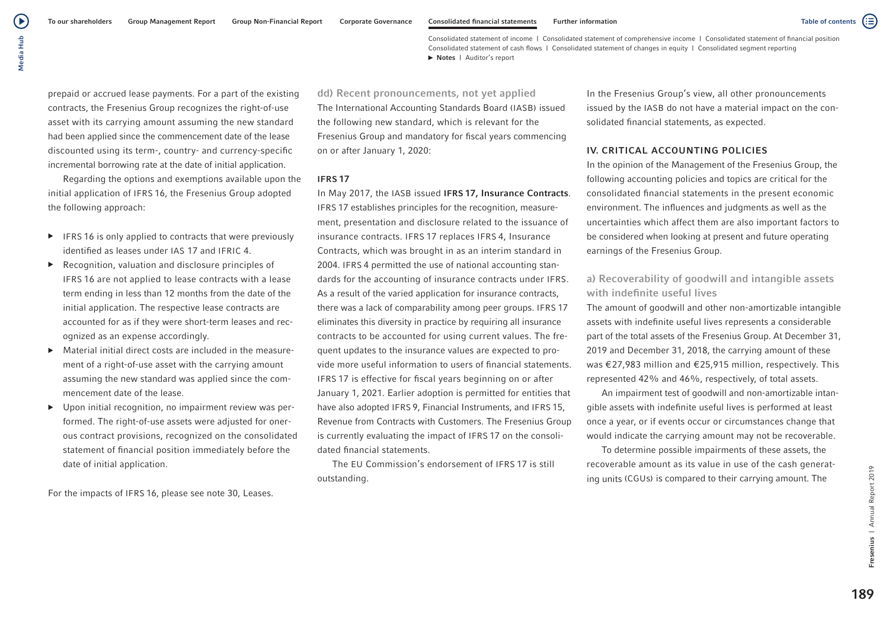Consolidated statement of income | Consolidated statement of comprehensive income | Consolidated statement of financial position Consolidated statement of cash flows | Consolidated statement of changes in equity | Consolidated segment reporting Notes | Auditor's report

prepaid or accrued lease payments. For a part of the existing contracts, the Fresenius Group recognizes the right-of-use asset with its carrying amount assuming the new standard had been applied since the commencement date of the lease discounted using its term-, country- and currency-specific incremental borrowing rate at the date of initial application.

Regarding the options and exemptions available upon the initial application of IFRS 16, the Fresenius Group adopted the following approach:

- ▶ IFRS 16 is only applied to contracts that were previously identified as leases under IAS 17 and IFRIC 4.
- ▶ Recognition, valuation and disclosure principles of IFRS 16 are not applied to lease contracts with a lease term ending in less than 12 months from the date of the initial application. The respective lease contracts are accounted for as if they were short-term leases and recognized as an expense accordingly.
- $\triangleright$  Material initial direct costs are included in the measurement of a right-of-use asset with the carrying amount assuming the new standard was applied since the commencement date of the lease.
- ▶ Upon initial recognition, no impairment review was performed. The right-of-use assets were adjusted for onerous contract provisions, recognized on the consolidated statement of financial position immediately before the date of initial application.

For the impacts of IFRS 16, please see note 30, Leases.

dd) Recent pronouncements, not yet applied The International Accounting Standards Board (IASB) issued the following new standard, which is relevant for the Fresenius Group and mandatory for fiscal years commencing on or after January 1, 2020:

### IFRS 17

In May 2017, the IASB issued IFRS 17, Insurance Contracts. IFRS 17 establishes principles for the recognition, measurement, presentation and disclosure related to the issuance of insurance contracts. IFRS 17 replaces IFRS 4, Insurance Contracts, which was brought in as an interim standard in 2004. IFRS 4 permitted the use of national accounting standards for the accounting of insurance contracts under IFRS. As a result of the varied application for insurance contracts, there was a lack of comparability among peer groups. IFRS 17 eliminates this diversity in practice by requiring all insurance contracts to be accounted for using current values. The frequent updates to the insurance values are expected to provide more useful information to users of financial statements. IFRS 17 is effective for fiscal years beginning on or after January 1, 2021. Earlier adoption is permitted for entities that have also adopted IFRS 9, Financial Instruments, and IFRS 15, Revenue from Contracts with Customers. The Fresenius Group is currently evaluating the impact of IFRS 17 on the consolidated financial statements.

The EU Commission's endorsement of IFRS 17 is still outstanding.

In the Fresenius Group's view, all other pronouncements issued by the IASB do not have a material impact on the consolidated financial statements, as expected.

### IV. CRITICAL ACCOUNTING POLICIES

In the opinion of the Management of the Fresenius Group, the following accounting policies and topics are critical for the consolidated financial statements in the present economic environment. The influences and judgments as well as the uncertainties which affect them are also important factors to be considered when looking at present and future operating earnings of the Fresenius Group.

# a) Recoverability of goodwill and intangible assets with indefinite useful lives

The amount of goodwill and other non-amortizable intangible assets with indefinite useful lives represents a considerable part of the total assets of the Fresenius Group. At December 31, 2019 and December 31, 2018, the carrying amount of these was €27,983 million and €25,915 million, respectively. This represented 42% and 46%, respectively, of total assets.

An impairment test of goodwill and non-amortizable intangible assets with indefinite useful lives is performed at least once a year, or if events occur or circumstances change that would indicate the carrying amount may not be recoverable.

To determine possible impairments of these assets, the recoverable amount as its value in use of the cash generating units (CGUs) is compared to their carrying amount. The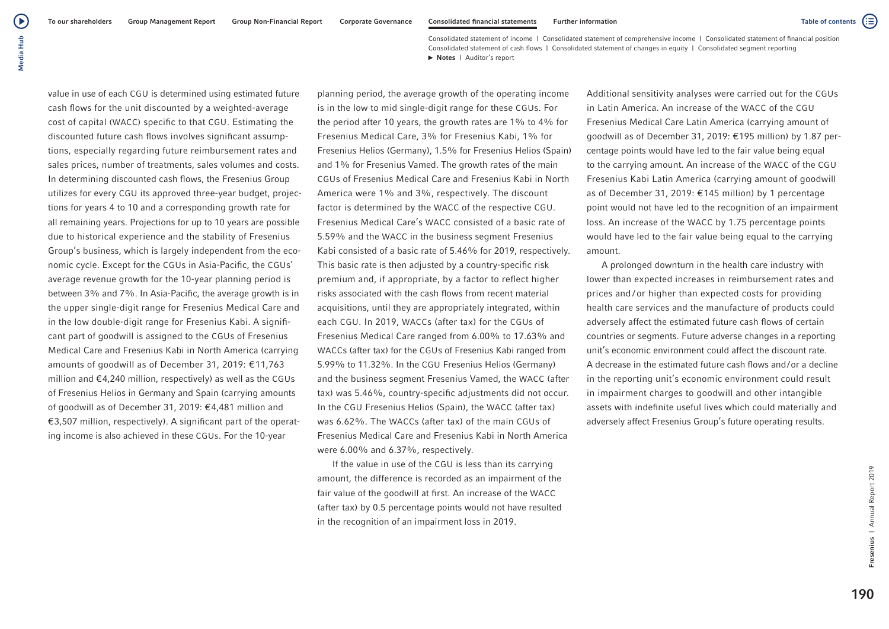Consolidated statement of income | Consolidated statement of comprehensive income | Consolidated statement of financial position

Consolidated statement of cash flows | Consolidated statement of changes in equity | Consolidated segment reporting

 $(\textbf{m})$ Table of contents

Media Hub

Media Hub

(▶

value in use of each CGU is determined using estimated future cash flows for the unit discounted by a weighted-average cost of capital (WACC) specific to that CGU. Estimating the discounted future cash flows involves significant assumptions, especially regarding future reimbursement rates and sales prices, number of treatments, sales volumes and costs. In determining discounted cash flows, the Fresenius Group utilizes for every CGU its approved three-year budget, projections for years 4 to 10 and a corresponding growth rate for all remaining years. Projections for up to 10 years are possible due to historical experience and the stability of Fresenius Group's business, which is largely independent from the economic cycle. Except for the CGUs in Asia-Pacific, the CGUs' average revenue growth for the 10-year planning period is between 3% and 7%. In Asia-Pacific, the average growth is in the upper single-digit range for Fresenius Medical Care and in the low double-digit range for Fresenius Kabi. A significant part of goodwill is assigned to the CGUs of Fresenius Medical Care and Fresenius Kabi in North America (carrying amounts of goodwill as of December 31, 2019: €11,763 million and  $\epsilon$ 4,240 million, respectively) as well as the CGUs of Fresenius Helios in Germany and Spain (carrying amounts of goodwill as of December 31, 2019: €4,481 million and €3,507 million, respectively). A significant part of the operating income is also achieved in these CGUs. For the 10-year

planning period, the average growth of the operating income is in the low to mid single-digit range for these CGUs. For the period after 10 years, the growth rates are 1% to 4% for Fresenius Medical Care, 3% for Fresenius Kabi, 1% for Fresenius Helios (Germany), 1.5% for Fresenius Helios (Spain) and 1% for Fresenius Vamed. The growth rates of the main CGUs of Fresenius Medical Care and Fresenius Kabi in North America were 1% and 3%, respectively. The discount factor is determined by the WACC of the respective CGU. Fresenius Medical Care's WACC consisted of a basic rate of 5.59% and the WACC in the business segment Fresenius Kabi consisted of a basic rate of 5.46% for 2019, respectively. This basic rate is then adjusted by a country-specific risk premium and, if appropriate, by a factor to reflect higher risks associated with the cash flows from recent material acquisitions, until they are appropriately integrated, within each CGU. In 2019, WACCs (after tax) for the CGUs of Fresenius Medical Care ranged from 6.00% to 17.63% and WACCs (after tax) for the CGUs of Fresenius Kabi ranged from 5.99% to 11.32%. In the CGU Fresenius Helios (Germany) and the business segment Fresenius Vamed, the WACC (after tax) was 5.46%, country-specific adjustments did not occur. In the CGU Fresenius Helios (Spain), the WACC (after tax) was 6.62%. The WACCs (after tax) of the main CGUs of Fresenius Medical Care and Fresenius Kabi in North America were 6.00% and 6.37%, respectively.

Notes | Auditor's report

If the value in use of the CGU is less than its carrying amount, the difference is recorded as an impairment of the fair value of the goodwill at first. An increase of the WACC (after tax) by 0.5 percentage points would not have resulted in the recognition of an impairment loss in 2019.

Additional sensitivity analyses were carried out for the CGUs in Latin America. An increase of the WACC of the CGU Fresenius Medical Care Latin America (carrying amount of goodwill as of December 31, 2019: €195 million) by 1.87 percentage points would have led to the fair value being equal to the carrying amount. An increase of the WACC of the CGU Fresenius Kabi Latin America (carrying amount of goodwill as of December 31, 2019: €145 million) by 1 percentage point would not have led to the recognition of an impairment loss. An increase of the WACC by 1.75 percentage points would have led to the fair value being equal to the carrying amount.

A prolonged downturn in the health care industry with lower than expected increases in reimbursement rates and prices and / or higher than expected costs for providing health care services and the manufacture of products could adversely affect the estimated future cash flows of certain countries or segments. Future adverse changes in a reporting unit's economic environment could affect the discount rate. A decrease in the estimated future cash flows and/or a decline in the reporting unit's economic environment could result in impairment charges to goodwill and other intangible assets with indefinite useful lives which could materially and adversely affect Fresenius Group's future operating results.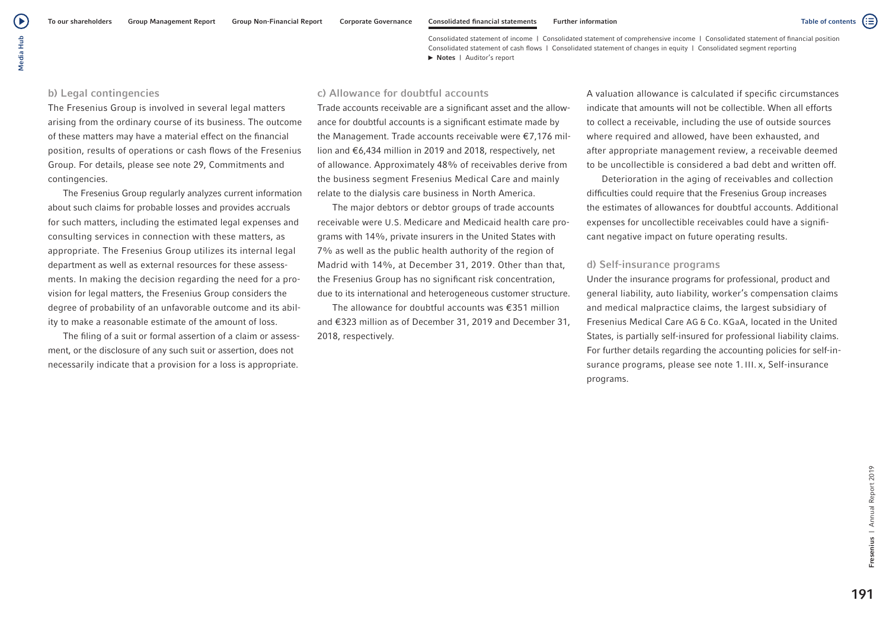(≘) Table of contents

Consolidated statement of income | Consolidated statement of comprehensive income | Consolidated statement of financial position Consolidated statement of cash flows | Consolidated statement of changes in equity | Consolidated segment reporting Notes | Auditor's report

# b) Legal contingencies

The Fresenius Group is involved in several legal matters arising from the ordinary course of its business. The outcome of these matters may have a material effect on the financial position, results of operations or cash flows of the Fresenius Group. For details, please see note 29, Commitments and contingencies.

The Fresenius Group regularly analyzes current information about such claims for probable losses and provides accruals for such matters, including the estimated legal expenses and consulting services in connection with these matters, as appropriate. The Fresenius Group utilizes its internal legal department as well as external resources for these assessments. In making the decision regarding the need for a provision for legal matters, the Fresenius Group considers the degree of probability of an unfavorable outcome and its ability to make a reasonable estimate of the amount of loss.

The filing of a suit or formal assertion of a claim or assessment, or the disclosure of any such suit or assertion, does not necessarily indicate that a provision for a loss is appropriate.

### c) Allowance for doubtful accounts

Trade accounts receivable are a significant asset and the allowance for doubtful accounts is a significant estimate made by the Management. Trade accounts receivable were €7,176 million and €6,434 million in 2019 and 2018, respectively, net of allowance. Approximately 48% of receivables derive from the business segment Fresenius Medical Care and mainly relate to the dialysis care business in North America.

The major debtors or debtor groups of trade accounts receivable were U.S. Medicare and Medicaid health care programs with 14%, private insurers in the United States with 7% as well as the public health authority of the region of Madrid with 14%, at December 31, 2019. Other than that, the Fresenius Group has no significant risk concentration, due to its international and heterogeneous customer structure.

The allowance for doubtful accounts was €351 million and €323 million as of December 31, 2019 and December 31, 2018, respectively.

A valuation allowance is calculated if specific circumstances indicate that amounts will not be collectible. When all efforts to collect a receivable, including the use of outside sources where required and allowed, have been exhausted, and after appropriate management review, a receivable deemed to be uncollectible is considered a bad debt and written off.

Deterioration in the aging of receivables and collection difficulties could require that the Fresenius Group increases the estimates of allowances for doubtful accounts. Additional expenses for uncollectible receivables could have a significant negative impact on future operating results.

### d) Self-insurance programs

Under the insurance programs for professional, product and general liability, auto liability, worker's compensation claims and medical malpractice claims, the largest subsidiary of Fresenius Medical Care AG & Co. KGaA, located in the United States, is partially self-insured for professional liability claims. For further details regarding the accounting policies for self-insurance programs, please see note 1. III. x, Self-insurance programs.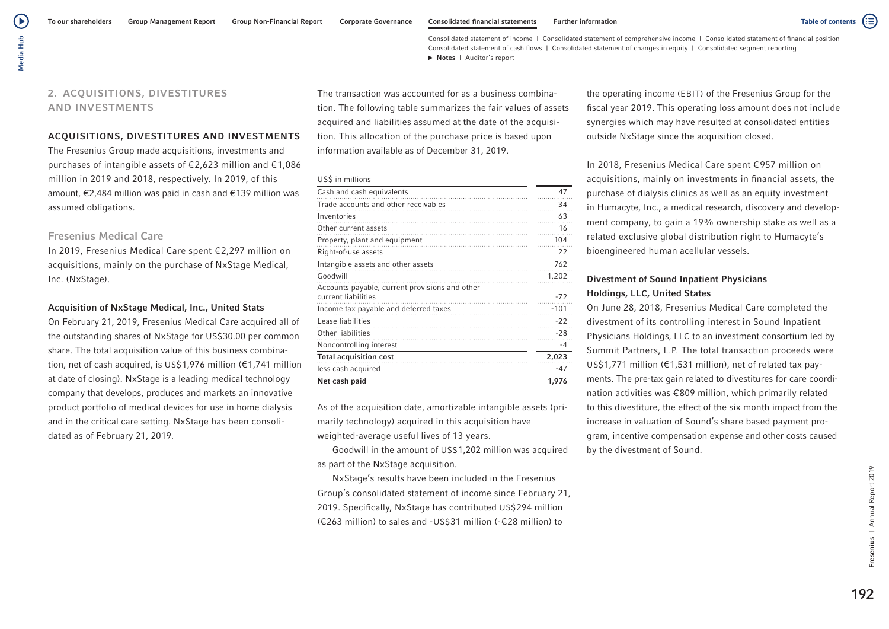(≘) Table of contents

Consolidated statement of income | Consolidated statement of comprehensive income | Consolidated statement of financial position Consolidated statement of cash flows | Consolidated statement of changes in equity | Consolidated segment reporting Notes | Auditor's report

# 2. ACQUISITIONS, DIVESTITURES AND INVESTMENTS

### ACQUISITIONS, DIVESTITURES AND INVESTMENTS

The Fresenius Group made acquisitions, investments and purchases of intangible assets of €2,623 million and €1,086 million in 2019 and 2018, respectively. In 2019, of this amount, €2,484 million was paid in cash and €139 million was assumed obligations.

### Fresenius Medical Care

In 2019, Fresenius Medical Care spent €2,297 million on acquisitions, mainly on the purchase of NxStage Medical, Inc. (NxStage).

### Acquisition of NxStage Medical, Inc., United Stats

On February 21, 2019, Fresenius Medical Care acquired all of the outstanding shares of NxStage for US\$30.00 per common share. The total acquisition value of this business combination, net of cash acquired, is US\$1,976 million (€1,741 million at date of closing). NxStage is a leading medical technology company that develops, produces and markets an innovative product portfolio of medical devices for use in home dialysis and in the critical care setting. NxStage has been consolidated as of February 21, 2019.

The transaction was accounted for as a business combination. The following table summarizes the fair values of assets acquired and liabilities assumed at the date of the acquisition. This allocation of the purchase price is based upon information available as of December 31, 2019.

#### US\$ in millions

| Cash and cash equivalents                                             | 47     |
|-----------------------------------------------------------------------|--------|
| Trade accounts and other receivables                                  | 34     |
| Inventories                                                           | 63     |
| Other current assets                                                  | 16     |
| Property, plant and equipment                                         | 104    |
| Right-of-use assets                                                   | 22     |
| Intangible assets and other assets                                    | 762    |
| Goodwill                                                              | 1,202  |
| Accounts payable, current provisions and other<br>current liabilities | $-72$  |
| Income tax payable and deferred taxes                                 | $-101$ |
| Lease liabilities                                                     | $-22$  |
| Other liabilities                                                     | $-28$  |
| Noncontrolling interest                                               | -4     |
| <b>Total acquisition cost</b>                                         | 2,023  |
| less cash acquired                                                    | $-47$  |
| Net cash paid                                                         | 1,976  |
|                                                                       |        |

As of the acquisition date, amortizable intangible assets (primarily technology) acquired in this acquisition have weighted-average useful lives of 13 years.

Goodwill in the amount of US\$1,202 million was acquired as part of the NxStage acquisition.

NxStage's results have been included in the Fresenius Group's consolidated statement of income since February 21, 2019. Specifically, NxStage has contributed US\$294 million (€263 million) to sales and -US\$31 million (-€28 million) to

the operating income (EBIT) of the Fresenius Group for the fiscal year 2019. This operating loss amount does not include synergies which may have resulted at consolidated entities outside NxStage since the acquisition closed.

In 2018, Fresenius Medical Care spent €957 million on acquisitions, mainly on investments in financial assets, the purchase of dialysis clinics as well as an equity investment in Humacyte, Inc., a medical research, discovery and development company, to gain a 19% ownership stake as well as a related exclusive global distribution right to Humacyte's bioengineered human acellular vessels.

# Divestment of Sound Inpatient Physicians Holdings, LLC, United States

On June 28, 2018, Fresenius Medical Care completed the divestment of its controlling interest in Sound Inpatient Physicians Holdings, LLC to an investment consortium led by Summit Partners, L.P. The total transaction proceeds were US\$1,771 million (€1,531 million), net of related tax payments. The pre-tax gain related to divestitures for care coordination activities was €809 million, which primarily related to this divestiture, the effect of the six month impact from the increase in valuation of Sound's share based payment program, incentive compensation expense and other costs caused by the divestment of Sound.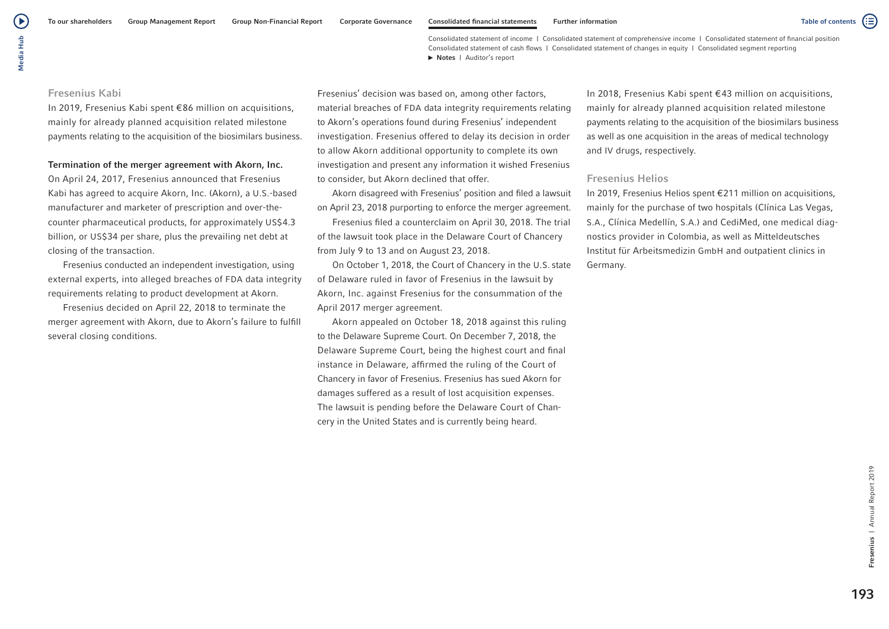Consolidated statement of income | Consolidated statement of comprehensive income | Consolidated statement of financial position Consolidated statement of cash flows | Consolidated statement of changes in equity | Consolidated segment reporting Notes | Auditor's report

### Fresenius Kabi

In 2019, Fresenius Kabi spent €86 million on acquisitions, mainly for already planned acquisition related milestone payments relating to the acquisition of the biosimilars business.

#### Termination of the merger agreement with Akorn, Inc.

On April 24, 2017, Fresenius announced that Fresenius Kabi has agreed to acquire Akorn, Inc. (Akorn), a U.S.-based manufacturer and marketer of prescription and over-thecounter pharmaceutical products, for approximately US\$4.3 billion, or US\$34 per share, plus the prevailing net debt at closing of the transaction.

Fresenius conducted an independent investigation, using external experts, into alleged breaches of FDA data integrity requirements relating to product development at Akorn.

Fresenius decided on April 22, 2018 to terminate the merger agreement with Akorn, due to Akorn's failure to fulfill several closing conditions.

Fresenius' decision was based on, among other factors, material breaches of FDA data integrity requirements relating to Akorn's operations found during Fresenius' independent investigation. Fresenius offered to delay its decision in order to allow Akorn additional opportunity to complete its own investigation and present any information it wished Fresenius to consider, but Akorn declined that offer.

Akorn disagreed with Fresenius' position and filed a lawsuit on April 23, 2018 purporting to enforce the merger agreement.

Fresenius filed a counterclaim on April 30, 2018. The trial of the lawsuit took place in the Delaware Court of Chancery from July 9 to 13 and on August 23, 2018.

On October 1, 2018, the Court of Chancery in the U.S. state of Delaware ruled in favor of Fresenius in the lawsuit by Akorn, Inc. against Fresenius for the consummation of the April 2017 merger agreement.

Akorn appealed on October 18, 2018 against this ruling to the Delaware Supreme Court. On December 7, 2018, the Delaware Supreme Court, being the highest court and final instance in Delaware, affirmed the ruling of the Court of Chancery in favor of Fresenius. Fresenius has sued Akorn for damages suffered as a result of lost acquisition expenses. The lawsuit is pending before the Delaware Court of Chancery in the United States and is currently being heard.

In 2018, Fresenius Kabi spent €43 million on acquisitions, mainly for already planned acquisition related milestone payments relating to the acquisition of the biosimilars business as well as one acquisition in the areas of medical technology and IV drugs, respectively.

### Fresenius Helios

In 2019, Fresenius Helios spent €211 million on acquisitions, mainly for the purchase of two hospitals (Clínica Las Vegas, S.A., Clínica Medellín, S.A.) and CediMed, one medical diagnostics provider in Colombia, as well as Mitteldeutsches Institut für Arbeitsmedizin GmbH and outpatient clinics in Germany.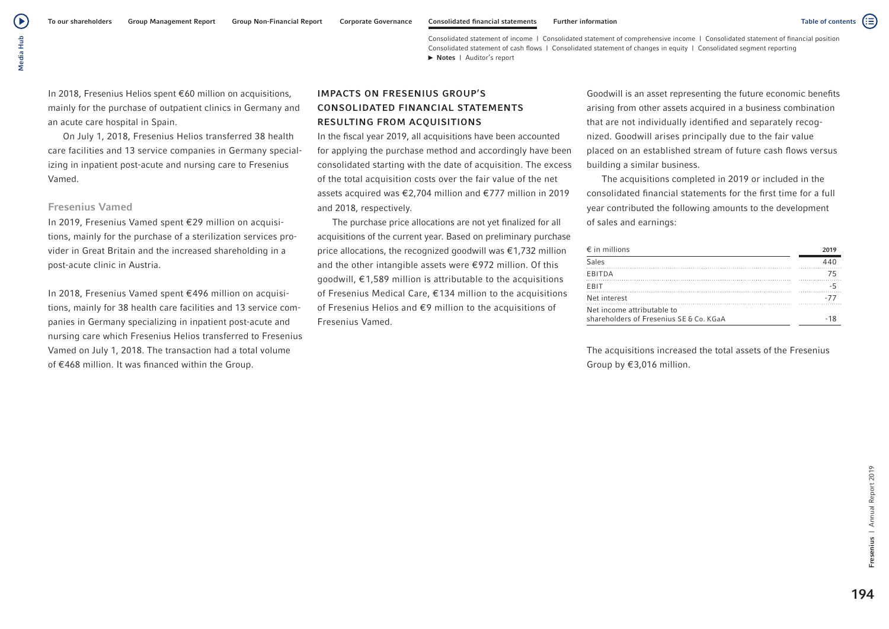Media Hub

Media Hub

 $\blacktriangleright$ 

Consolidated statement of income | Consolidated statement of comprehensive income | Consolidated statement of financial position Consolidated statement of cash flows | Consolidated statement of changes in equity | Consolidated segment reporting Notes | Auditor's report

In 2018, Fresenius Helios spent €60 million on acquisitions, mainly for the purchase of outpatient clinics in Germany and an acute care hospital in Spain.

On July 1, 2018, Fresenius Helios transferred 38 health care facilities and 13 service companies in Germany specializing in inpatient post-acute and nursing care to Fresenius Vamed.

### Fresenius Vamed

In 2019, Fresenius Vamed spent €29 million on acquisitions, mainly for the purchase of a sterilization services provider in Great Britain and the increased shareholding in a post-acute clinic in Austria.

In 2018, Fresenius Vamed spent €496 million on acquisitions, mainly for 38 health care facilities and 13 service companies in Germany specializing in inpatient post-acute and nursing care which Fresenius Helios transferred to Fresenius Vamed on July 1, 2018. The transaction had a total volume of €468 million. It was financed within the Group.

# IMPACTS ON FRESENIUS GROUP'S CONSOLIDATED FINANCIAL STATEMENTS RESULTING FROM ACQUISITIONS

In the fiscal year 2019, all acquisitions have been accounted for applying the purchase method and accordingly have been consolidated starting with the date of acquisition. The excess of the total acquisition costs over the fair value of the net assets acquired was €2,704 million and €777 million in 2019 and 2018, respectively.

The purchase price allocations are not yet finalized for all acquisitions of the current year. Based on preliminary purchase price allocations, the recognized goodwill was €1,732 million and the other intangible assets were €972 million. Of this goodwill,  $\epsilon$ 1,589 million is attributable to the acquisitions of Fresenius Medical Care, €134 million to the acquisitions of Fresenius Helios and €9 million to the acquisitions of Fresenius Vamed.

Goodwill is an asset representing the future economic benefits arising from other assets acquired in a business combination that are not individually identified and separately recognized. Goodwill arises principally due to the fair value placed on an established stream of future cash flows versus building a similar business.

The acquisitions completed in 2019 or included in the consolidated financial statements for the first time for a full year contributed the following amounts to the development of sales and earnings:

| $\epsilon$ in millions                  | 2019 |
|-----------------------------------------|------|
| Sales                                   |      |
| EBITDA                                  |      |
| FRIT                                    |      |
| Net interest                            |      |
| Net income attributable to              |      |
| shareholders of Fresenius SE & Co. KGaA |      |

The acquisitions increased the total assets of the Fresenius Group by €3,016 million.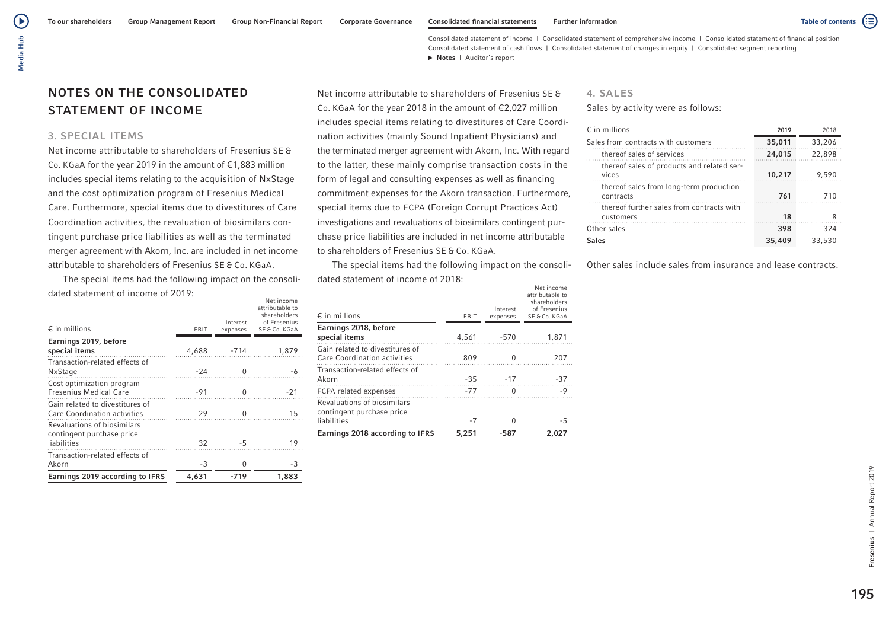Net income

 $(\textbf{m})$ Table of contents

Consolidated statement of income | Consolidated statement of comprehensive income | Consolidated statement of financial position Consolidated statement of cash flows | Consolidated statement of changes in equity | Consolidated segment reporting Notes | Auditor's report

# NOTES ON THE CONSOLIDATED STATEMENT OF INCOME

### 3. SPECIAL ITEMS

Net income attributable to shareholders of Fresenius SE & Co. KGaA for the year 2019 in the amount of €1,883 million includes special items relating to the acquisition of NxStage and the cost optimization program of Fresenius Medical Care. Furthermore, special items due to divestitures of Care Coordination activities, the revaluation of biosimilars contingent purchase price liabilities as well as the terminated merger agreement with Akorn, Inc. are included in net income attributable to shareholders of Fresenius SE & Co. KGaA.

The special items had the following impact on the consolidated statement of income of 2019:

| Akorn<br>Earnings 2019 according to IFRS                                | -3<br>4,631 | U<br>-719            | -3<br>1,883                                                      |
|-------------------------------------------------------------------------|-------------|----------------------|------------------------------------------------------------------|
| Transaction-related effects of                                          |             |                      |                                                                  |
| Revaluations of biosimilars<br>contingent purchase price<br>liabilities | 32          | -5                   | 19                                                               |
| Gain related to divestitures of<br>Care Coordination activities         | 29          | 0                    | 15                                                               |
| Cost optimization program<br><b>Fresenius Medical Care</b>              | $-91$       | 0                    | $-21$                                                            |
| Transaction-related effects of<br><b>NxStage</b>                        | $-24$       | 0                    |                                                                  |
| Earnings 2019, before<br>special items                                  |             | 4,688 -714           | 1,879                                                            |
| $\epsilon$ in millions                                                  | EBIT        | Interest<br>expenses | attributable to<br>shareholders<br>of Fresenius<br>SE & Co. KGaA |

Net income attributable to shareholders of Fresenius SE & Co. KGaA for the year 2018 in the amount of €2,027 million includes special items relating to divestitures of Care Coordination activities (mainly Sound Inpatient Physicians) and the terminated merger agreement with Akorn, Inc. With regard to the latter, these mainly comprise transaction costs in the form of legal and consulting expenses as well as financing commitment expenses for the Akorn transaction. Furthermore, special items due to FCPA (Foreign Corrupt Practices Act) investigations and revaluations of biosimilars contingent purchase price liabilities are included in net income attributable to shareholders of Fresenius SE & Co. KGaA.

The special items had the following impact on the consolidated statement of income of 2018: Net income

| Earnings 2018 according to IFRS                                         | 5,251 | -587                 | 2.027                                                            |
|-------------------------------------------------------------------------|-------|----------------------|------------------------------------------------------------------|
| Revaluations of biosimilars<br>contingent purchase price<br>liabilities | $-7$  |                      | -5                                                               |
| FCPA related expenses                                                   | $-77$ | $\cap$               | $-9$                                                             |
| Transaction-related effects of<br>Akorn                                 | -35   | $-17$                | -37                                                              |
| Gain related to divestitures of<br>Care Coordination activities         | 809   | O                    | 207                                                              |
| Earnings 2018, before<br>special items                                  | 4,561 | -570                 | 1,871                                                            |
| $\epsilon$ in millions                                                  | EBIT  | Interest<br>expenses | attributable to<br>shareholders<br>of Fresenius<br>SE & Co. KGaA |

### 4. SALES

Sales by activity were as follows:

| $\epsilon$ in millions                                 | 2019   | 2018   |
|--------------------------------------------------------|--------|--------|
| Sales from contracts with customers                    | 35,011 | 33,206 |
| thereof sales of services                              | 24,015 | 22,898 |
| thereof sales of products and related ser-<br>vices    | 10,217 | 9.590  |
| thereof sales from long-term production<br>contracts   | 761    | 710    |
| thereof further sales from contracts with<br>customers | 18     |        |
| Other sales                                            | 398    | 324    |
| <b>Sales</b>                                           | 35,409 | 33.530 |
|                                                        |        |        |

Other sales include sales from insurance and lease contracts.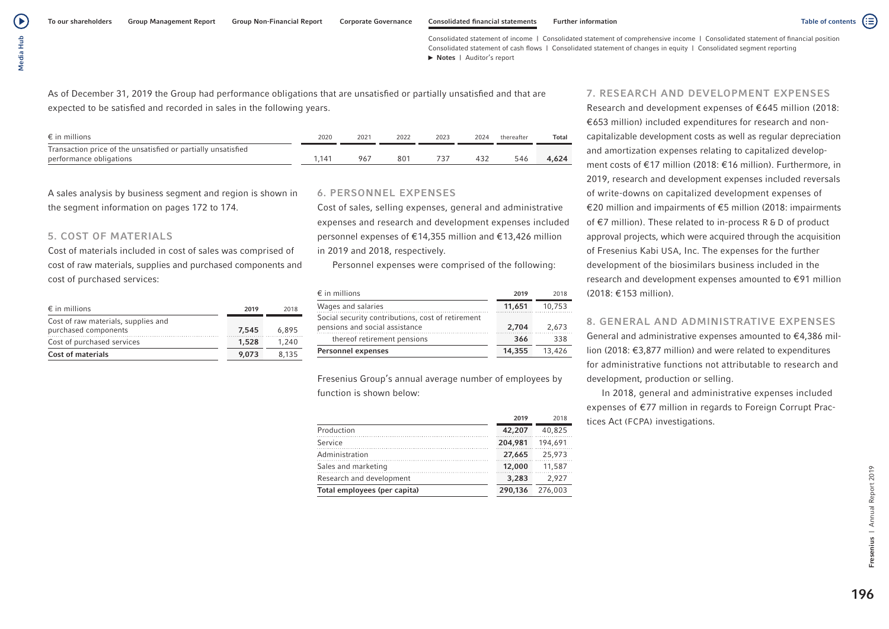Consolidated statement of income | Consolidated statement of comprehensive income | Consolidated statement of financial position Consolidated statement of cash flows | Consolidated statement of changes in equity | Consolidated segment reporting Notes | Auditor's report

As of December 31, 2019 the Group had performance obligations that are unsatisfied or partially unsatisfied and that are expected to be satisfied and recorded in sales in the following years.

| $\epsilon$ in millions                                                                   | 2020            | 2021 | 2022         | 2023 | 2024 | thereafter | Total |
|------------------------------------------------------------------------------------------|-----------------|------|--------------|------|------|------------|-------|
| Transaction price of the unsatisfied or partially unsatisfied<br>performance obligations | 11 <sup>1</sup> | 967  | $80^{\circ}$ |      | 432  | 546        | 4.624 |
|                                                                                          |                 |      |              |      |      |            |       |

A sales analysis by business segment and region is shown in the segment information on pages 172 to 174.

### 5. COST OF MATERIALS

Cost of materials included in cost of sales was comprised of cost of raw materials, supplies and purchased components and cost of purchased services:

| $\epsilon$ in millions                                      | 2019  | 2018  |
|-------------------------------------------------------------|-------|-------|
| Cost of raw materials, supplies and<br>purchased components | 7,545 | 6.895 |
| Cost of purchased services                                  | 1,528 | 1.240 |
| <b>Cost of materials</b>                                    | 9.073 | 8.135 |

# 6. PERSONNEL EXPENSES

Cost of sales, selling expenses, general and administrative expenses and research and development expenses included personnel expenses of €14,355 million and €13,426 million in 2019 and 2018, respectively.

Personnel expenses were comprised of the following:

| $\epsilon$ in millions                                                              | 2019   | 2018   |
|-------------------------------------------------------------------------------------|--------|--------|
| Wages and salaries                                                                  | 11,651 | 10.753 |
| Social security contributions, cost of retirement<br>pensions and social assistance | 2.704  | 2.673  |
| thereof retirement pensions                                                         | 366    | 338    |
| <b>Personnel expenses</b>                                                           | 14,355 | 13,426 |

Fresenius Group's annual average number of employees by function is shown below:

|                              | 2019    | 2018    |
|------------------------------|---------|---------|
| Production                   | 42,207  | 40.825  |
| Service                      | 204,981 | 194.691 |
| Administration               | 27.665  | 25,973  |
| Sales and marketing          | 12,000  | 11,587  |
| Research and development     | 3,283   | 2.927   |
| Total employees (per capita) | 290.136 | 276.003 |

### 7. RESEARCH AND DEVELOPMENT EXPENSES

Research and development expenses of €645 million (2018: €653 million) included expenditures for research and non-capitalizable development costs as well as regular depreciation and amortization expenses relating to capitalized development costs of €17 million (2018: €16 million). Furthermore, in 2019, research and development expenses included reversals of write-downs on capitalized development expenses of €20 million and impairments of €5 million (2018: impairments of €7 million). These related to in-process R & D of product approval projects, which were acquired through the acquisition of Fresenius Kabi USA, Inc. The expenses for the further development of the biosimilars business included in the research and development expenses amounted to €91 million (2018: €153 million).

### 8. GENERAL AND ADMINISTRATIVE EXPENSES

General and administrative expenses amounted to €4,386 million (2018: €3,877 million) and were related to expenditures for administrative functions not attributable to research and development, production or selling.

In 2018, general and administrative expenses included expenses of €77 million in regards to Foreign Corrupt Practices Act (FCPA) investigations.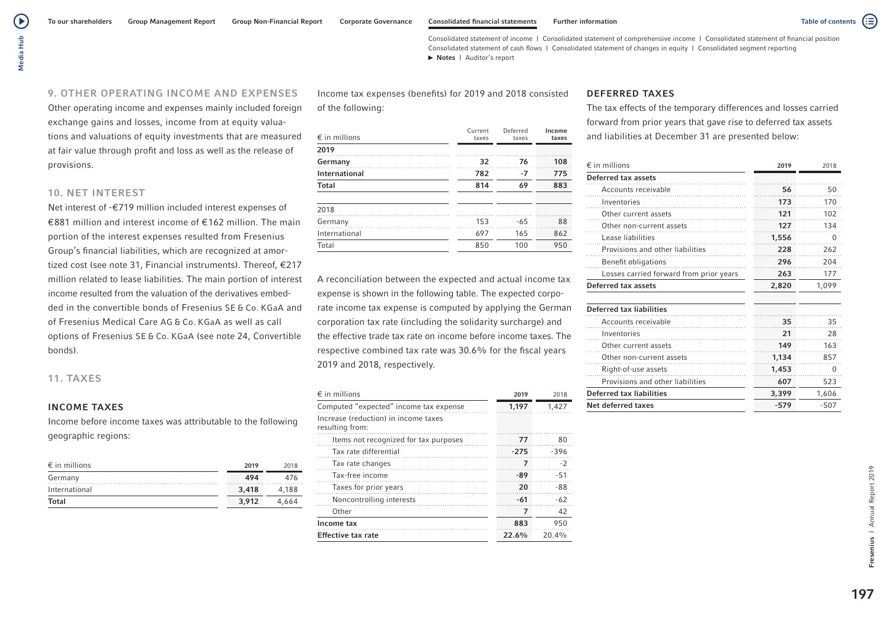of the following:

(⊟) Table of contents

Consolidated statement of income | Consolidated statement of comprehensive income | Consolidated statement of financial position Consolidated statement of cash flows | Consolidated statement of changes in equity | Consolidated segment reporting Notes | Auditor's report

### 9. OTHER OPERATING INCOME AND EXPENSES

Other operating income and expenses mainly included foreign exchange gains and losses, income from at equity valuations and valuations of equity investments that are measured at fair value through profit and loss as well as the release of provisions.

### 10. NET INTEREST

Net interest of -€719 million included interest expenses of €881 million and interest income of €162 million. The main portion of the interest expenses resulted from Fresenius Group's financial liabilities, which are recognized at amortized cost (see note 31, Financial instruments). Thereof, €217 million related to lease liabilities. The main portion of interest income resulted from the valuation of the derivatives embedded in the convertible bonds of Fresenius SE & Co. KGaA and of Fresenius Medical Care AG & Co. KGaA as well as call options of Fresenius SE & Co. KGaA (see note 24, Convertible bonds).

### 11. TAXES

#### INCOME TAXES

Income before income taxes was attributable to the following geographic regions:

| $\epsilon$ in millions | 2019  | 2018  |
|------------------------|-------|-------|
| Germany                | 494   | 476   |
| International          | 3,418 | 4.188 |
| Total                  | 3,912 | 4.664 |

| $\epsilon$ in millions | Current<br>taxes | Deferred<br>taxes | Income<br>taxes |
|------------------------|------------------|-------------------|-----------------|
| 2019                   |                  |                   |                 |
| Germany                | 32               | 76                | 108             |
| International          | 782              | -7                | 775             |
| <b>Total</b>           | 814              | 69                | 883             |
| 2018                   |                  |                   |                 |
| Germany                | 153              | $-65$             | 88              |
| International          | 697              | 165               | 862             |

Total 850 100 950

Income tax expenses (benefits) for 2019 and 2018 consisted

A reconciliation between the expected and actual income tax expense is shown in the following table. The expected corporate income tax expense is computed by applying the German corporation tax rate (including the solidarity surcharge) and the effective trade tax rate on income before income taxes. The respective combined tax rate was 30.6% for the fiscal years 2019 and 2018, respectively.

| $\epsilon$ in millions                                                                            | 2019   | 2018  |
|---------------------------------------------------------------------------------------------------|--------|-------|
| Computed "expected" income tax expense<br>Increase (reduction) in income taxes<br>resulting from: | 1,197  | 1,427 |
| Items not recognized for tax purposes                                                             | 77     | 80    |
| Tax rate differential                                                                             | $-275$ | -396  |
| Tax rate changes                                                                                  |        | -2    |
| Tax-free income                                                                                   | -89    | $-51$ |
| Taxes for prior years                                                                             | 20     | $-88$ |
| Noncontrolling interests                                                                          | $-61$  | $-62$ |
| Other                                                                                             | 7      | 42    |
| Income tax                                                                                        | 883    | 950   |
| Effective tax rate                                                                                | 22.6%  | 204%  |

### DEFERRED TAXES

The tax effects of the temporary differences and losses carried forward from prior years that gave rise to deferred tax assets and liabilities at December 31 are presented below:

| $\epsilon$ in millions                  | 2019   | 2018     |
|-----------------------------------------|--------|----------|
| Deferred tax assets                     |        |          |
| Accounts receivable                     | 56     | 50       |
| Inventories                             | 173    | 170      |
| Other current assets                    | 121    | 102      |
| Other non-current assets                | 127    | 134      |
| Lease liabilities                       | 1,556  | $\Omega$ |
| Provisions and other liabilities        | 228    | 262      |
| Benefit obligations                     | 296    | 204      |
| Losses carried forward from prior years | 263    | 177      |
| Deferred tax assets                     | 2,820  | 1,099    |
| <b>Deferred tax liabilities</b>         |        |          |
| Accounts receivable                     | 35     | 35       |
| Inventories                             | 21     | 28       |
| Other current assets                    | 149    | 163      |
| Other non-current assets                | 1,134  | 857      |
| Right-of-use assets                     | 1,453  | $\Omega$ |
| Provisions and other liabilities        | 607    | 523      |
| Deferred tax liabilities                | 3,399  | 1,606    |
| Net deferred taxes                      | $-579$ | $-507$   |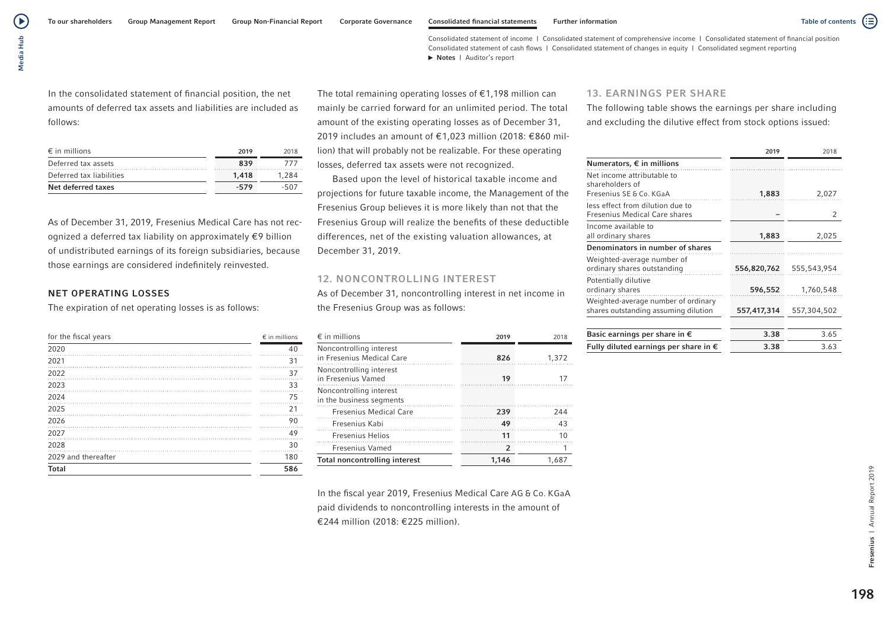Consolidated statement of income | Consolidated statement of comprehensive income | Consolidated statement of financial position Consolidated statement of cash flows | Consolidated statement of changes in equity | Consolidated segment reporting Notes | Auditor's report

In the consolidated statement of financial position, the net amounts of deferred tax assets and liabilities are included as follows:

| Net deferred taxes       | -579  | -507  |
|--------------------------|-------|-------|
| Deferred tax liabilities | 1,418 | 1.284 |
| Deferred tax assets      | 839   | 777   |
| $\epsilon$ in millions   | 2019  | 2018  |

As of December 31, 2019, Fresenius Medical Care has not recognized a deferred tax liability on approximately €9 billion of undistributed earnings of its foreign subsidiaries, because those earnings are considered indefinitely reinvested.

### NET OPERATING LOSSES

The expiration of net operating losses is as follows:

| for the fiscal years | $\epsilon$ in millions |
|----------------------|------------------------|
| 2020                 | 40                     |
| 2021                 | 31                     |
| 2022                 | 37                     |
| 2023                 | 33                     |
| 2024                 | 75                     |
| 2025                 | 21                     |
| 2026                 | 90                     |
| 2027                 | 49                     |
| 2028                 | 30                     |
| 2029 and thereafter  | 180                    |
| Total                | 586                    |

The total remaining operating losses of €1,198 million can mainly be carried forward for an unlimited period. The total amount of the existing operating losses as of December 31, 2019 includes an amount of €1,023 million (2018: €860 million) that will probably not be realizable. For these operating losses, deferred tax assets were not recognized.

Based upon the level of historical taxable income and projections for future taxable income, the Management of the Fresenius Group believes it is more likely than not that the Fresenius Group will realize the benefits of these deductible differences, net of the existing valuation allowances, at December 31, 2019.

### 12. NONCONTROLLING INTEREST

As of December 31, noncontrolling interest in net income in the Fresenius Group was as follows:

| $\epsilon$ in millions                               | 2019  | 2018  |
|------------------------------------------------------|-------|-------|
| Noncontrolling interest<br>in Fresenius Medical Care | 826   | 1.372 |
| Noncontrolling interest<br>in Fresenius Vamed        | 19    |       |
| Noncontrolling interest<br>in the business segments  |       |       |
| <b>Fresenius Medical Care</b>                        | 239   | 244   |
| Fresenius Kabi                                       | 49    | 43    |
| <b>Fresenius Helios</b>                              |       |       |
| <b>Fresenius Vamed</b>                               | 2     |       |
| <b>Total noncontrolling interest</b>                 | 1.146 | 1.687 |

In the fiscal year 2019, Fresenius Medical Care AG & Co. KGaA paid dividends to noncontrolling interests in the amount of €244 million (2018: €225 million).

### 13. EARNINGS PER SHARE

The following table shows the earnings per share including and excluding the dilutive effect from stock options issued:

|                                                                             | 2019        | 2018        |
|-----------------------------------------------------------------------------|-------------|-------------|
| Numerators, $\epsilon$ in millions                                          |             |             |
| Net income attributable to<br>shareholders of<br>Fresenius SE & Co. KGaA    | 1,883       | 2,027       |
| less effect from dilution due to<br><b>Fresenius Medical Care shares</b>    |             | 2           |
| Income available to<br>all ordinary shares                                  | 1,883       | 2,025       |
| Denominators in number of shares                                            |             |             |
| Weighted-average number of<br>ordinary shares outstanding                   | 556,820,762 | 555,543,954 |
| Potentially dilutive<br>ordinary shares                                     | 596,552     | 1,760,548   |
| Weighted-average number of ordinary<br>shares outstanding assuming dilution | 557,417,314 | 557,304,502 |
|                                                                             |             |             |
| Basic earnings per share in $\epsilon$                                      | 3.38        | 3.65        |
| Fully diluted earnings per share in $\epsilon$                              | 3.38        | 3.63        |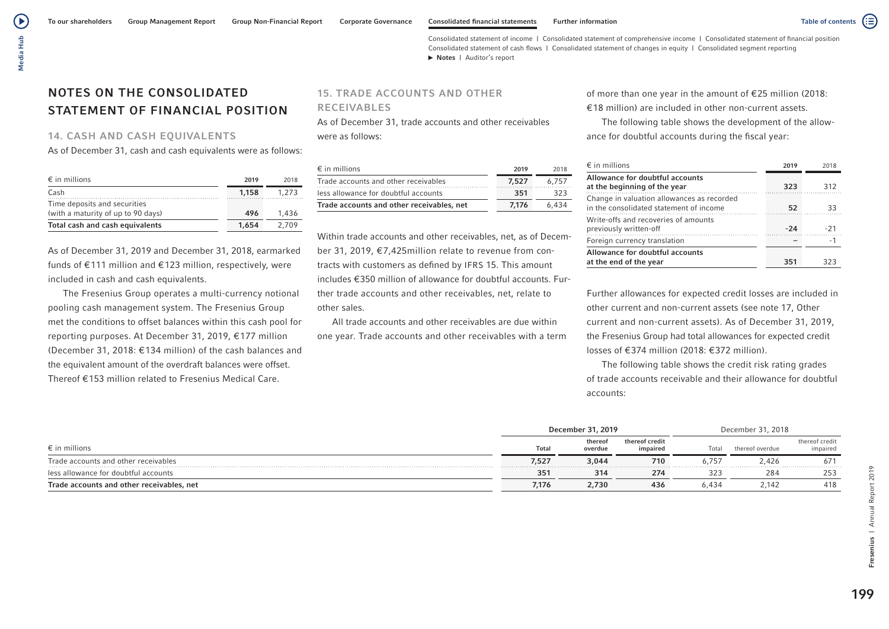Consolidated statement of income | Consolidated statement of comprehensive income | Consolidated statement of financial position Consolidated statement of cash flows | Consolidated statement of changes in equity | Consolidated segment reporting Notes | Auditor's report

# NOTES ON THE CONSOLIDATED STATEMENT OF FINANCIAL POSITION

# 14. CASH AND CASH EQUIVALENTS

As of December 31, cash and cash equivalents were as follows:

| $\epsilon$ in millions             | 2019  | 2018  |
|------------------------------------|-------|-------|
| Cash                               | 1,158 | 1.273 |
| Time deposits and securities       |       |       |
| (with a maturity of up to 90 days) | 496   | 1.436 |
| Total cash and cash equivalents    | 1,654 | 2.709 |

As of December 31, 2019 and December 31, 2018, earmarked funds of €111 million and €123 million, respectively, were included in cash and cash equivalents.

The Fresenius Group operates a multi-currency notional pooling cash management system. The Fresenius Group met the conditions to offset balances within this cash pool for reporting purposes. At December 31, 2019, €177 million (December 31, 2018: €134 million) of the cash balances and the equivalent amount of the overdraft balances were offset. Thereof €153 million related to Fresenius Medical Care.

# 15. TRADE ACCOUNTS AND OTHER

RECEIVABLES

As of December 31, trade accounts and other receivables were as follows:

| Trade accounts and other receivables, net | 7.176 | 6.434 |
|-------------------------------------------|-------|-------|
| less allowance for doubtful accounts      | 351   | 323   |
| Trade accounts and other receivables      | 7.527 | 6.757 |
| $\epsilon$ in millions                    | 2019  | 2018  |

Within trade accounts and other receivables, net, as of December 31, 2019, €7,425million relate to revenue from contracts with customers as defined by IFRS 15. This amount includes €350 million of allowance for doubtful accounts. Further trade accounts and other receivables, net, relate to other sales.

All trade accounts and other receivables are due within one year. Trade accounts and other receivables with a term of more than one year in the amount of €25 million (2018: €18 million) are included in other non-current assets.

The following table shows the development of the allowance for doubtful accounts during the fiscal year:

| $\epsilon$ in millions                                                                | 2019  | 2018 |
|---------------------------------------------------------------------------------------|-------|------|
| Allowance for doubtful accounts<br>at the beginning of the year                       | 323   | 312  |
| Change in valuation allowances as recorded<br>in the consolidated statement of income | 52    | 33   |
| Write-offs and recoveries of amounts<br>previously written-off                        | $-24$ | -21  |
| Foreign currency translation                                                          |       | ۰ï   |
| Allowance for doubtful accounts                                                       |       |      |
| at the end of the year                                                                | 351   |      |

Further allowances for expected credit losses are included in other current and non-current assets (see note 17, Other current and non-current assets). As of December 31, 2019, the Fresenius Group had total allowances for expected credit losses of €374 million (2018: €372 million).

The following table shows the credit risk rating grades of trade accounts receivable and their allowance for doubtful accounts:

|                                           |       | December 31, 2019  |                            | December 31, 2018 |                 |                            |  |
|-------------------------------------------|-------|--------------------|----------------------------|-------------------|-----------------|----------------------------|--|
| $\epsilon$ in millions                    | Total | thereof<br>overdue | thereof credit<br>impaired | Tota              | thereof overdue | thereof credit<br>impaired |  |
| Trade accounts and other receivables      | 7,527 | 3.044              | 710                        | 6.757             | 2,426           | 671                        |  |
| less allowance for doubtful accounts      | 351   | 314                | 274                        | 323               | 284             | 253                        |  |
| Trade accounts and other receivables, net | 7.176 | 2.730              | 436                        | 6,434             | 2,142           | 418                        |  |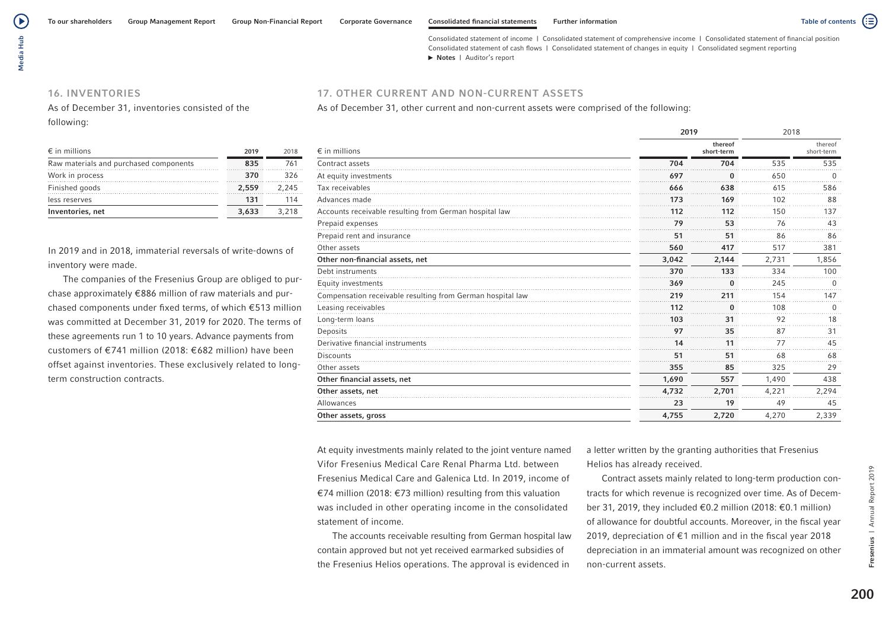(⊟) Table of contents

Consolidated statement of income | Consolidated statement of comprehensive income | Consolidated statement of financial position Consolidated statement of cash flows | Consolidated statement of changes in equity | Consolidated segment reporting Notes | Auditor's report

### 16. INVENTORIES

# 17. OTHER CURRENT AND NON-CURRENT ASSETS

As of December 31, inventories consisted of the following:

| Inventories, net                       | 3,633 | 3.218 |
|----------------------------------------|-------|-------|
| less reserves                          | 131   | 114   |
| Finished goods                         | 2.559 | 2.245 |
| Work in process                        | 370   | 326   |
| Raw materials and purchased components | 835   | 761   |
| $\epsilon$ in millions                 | 2019  | 2018  |

In 2019 and in 2018, immaterial reversals of write-downs of inventory were made.

The companies of the Fresenius Group are obliged to purchase approximately €886 million of raw materials and purchased components under fixed terms, of which €513 million was committed at December 31, 2019 for 2020. The terms of these agreements run 1 to 10 years. Advance payments from customers of €741 million (2018: €682 million) have been offset against inventories. These exclusively related to longterm construction contracts.

| As of December 31, other current and non-current assets were comprised of the following: |  |
|------------------------------------------------------------------------------------------|--|
|                                                                                          |  |

|                                                            | 2019  |                       | 2018  |                       |  |
|------------------------------------------------------------|-------|-----------------------|-------|-----------------------|--|
| $\epsilon$ in millions                                     |       | thereof<br>short-term |       | thereof<br>short-term |  |
| Contract assets                                            | 704   | 704                   | 535   | 535                   |  |
| At equity investments                                      | 697   | $\bf{0}$              | 650   | $\Omega$              |  |
| Tax receivables                                            | 666   | 638                   | 615   | 586                   |  |
| Advances made                                              | 173   | 169                   | 102   | 88                    |  |
| Accounts receivable resulting from German hospital law     | 112   | 112                   | 150   | 137                   |  |
| Prepaid expenses                                           | 79    | 53                    | 76    | 43                    |  |
| Prepaid rent and insurance                                 | 51    | 51                    | 86    | 86                    |  |
| Other assets                                               | 560   | 417                   | 517   | 381                   |  |
| Other non-financial assets, net                            | 3,042 | 2,144                 | 2,731 | 1,856                 |  |
| Debt instruments                                           | 370   | 133                   | 334   | 100                   |  |
| Equity investments                                         | 369   |                       | 245   | <sup>n</sup>          |  |
| Compensation receivable resulting from German hospital law | 219   | 211                   | 154   | 147                   |  |
| Leasing receivables                                        | 112   |                       | 108   | <sup>n</sup>          |  |
| Long-term loans                                            | 103   | 31                    | 92    | 18                    |  |
| Deposits                                                   | 97    | 35                    | 87    | 31                    |  |
| Derivative financial instruments                           | 14    | 11                    | 77    | 45                    |  |
| Discounts                                                  | 51    | 51                    | 68    | 68                    |  |
| Other assets                                               | 355   | 85                    | 325   | 29                    |  |
| Other financial assets, net                                | 1,690 | 557                   | 1,490 | 438                   |  |
| Other assets, net                                          | 4,732 | 2,701                 | 4,221 | 2,294                 |  |
| Allowances                                                 | 23    | 19                    | 49    | 45                    |  |
| Other assets, gross                                        | 4,755 | 2,720                 | 4,270 | 2,339                 |  |

At equity investments mainly related to the joint venture named Vifor Fresenius Medical Care Renal Pharma Ltd. between Fresenius Medical Care and Galenica Ltd. In 2019, income of €74 million (2018: €73 million) resulting from this valuation was included in other operating income in the consolidated statement of income.

The accounts receivable resulting from German hospital law contain approved but not yet received earmarked subsidies of the Fresenius Helios operations. The approval is evidenced in

a letter written by the granting authorities that Fresenius Helios has already received.

Contract assets mainly related to long-term production contracts for which revenue is recognized over time. As of December 31, 2019, they included €0.2 million (2018: €0.1 million) of allowance for doubtful accounts. Moreover, in the fiscal year 2019, depreciation of €1 million and in the fiscal year 2018 depreciation in an immaterial amount was recognized on other non-current assets.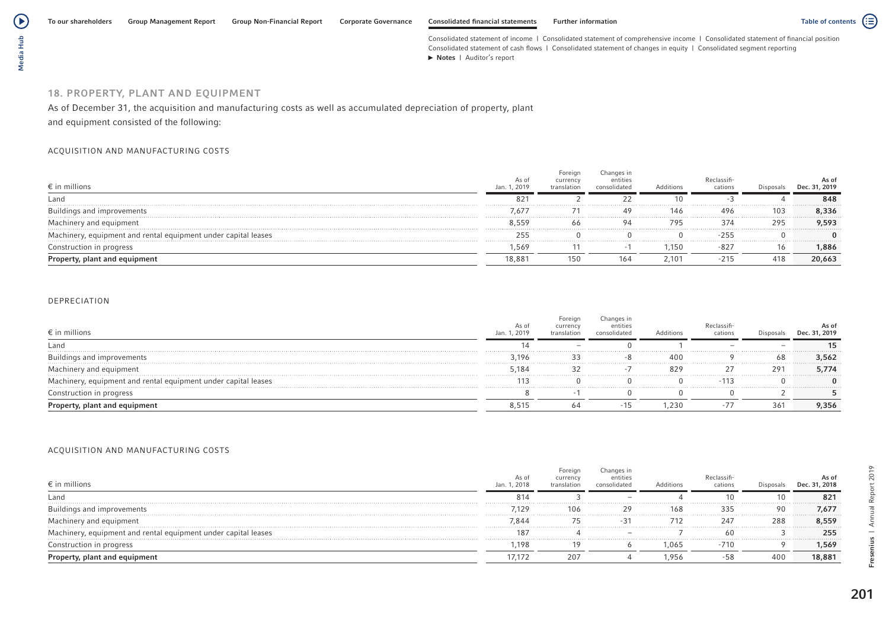Consolidated statement of income | Consolidated statement of comprehensive income | Consolidated statement of financial position Consolidated statement of cash flows | Consolidated statement of changes in equity | Consolidated segment reporting Notes | Auditor's report

### 18. PROPERTY, PLANT AND EQUIPMENT

As of December 31, the acquisition and manufacturing costs as well as accumulated depreciation of property, plant and equipment consisted of the following:

### ACQUISITION AND MANUFACTURING COSTS

| $\epsilon$ in millions                                         | As o<br>, 2019<br>Jan | currency<br>translation | entities<br>consolidated | Additions | Reclassifi-<br>cations | Disposals | As of<br>Dec. 31, 2019 |
|----------------------------------------------------------------|-----------------------|-------------------------|--------------------------|-----------|------------------------|-----------|------------------------|
| Land                                                           | 82                    |                         |                          |           |                        |           | 848                    |
| Buildings and improvements                                     | 7 67.                 |                         | 49                       | 146       | 496                    | 103       | 8,336                  |
| Machinery and equipment                                        | 8.559                 | 66                      |                          | 795       | 374                    | 295       | 9,593                  |
| Machinery, equipment and rental equipment under capital leases | $\cap$<br>255         |                         |                          |           |                        |           |                        |
| Construction in progress                                       | .569                  |                         |                          | .15C      | -827                   |           | 1,886                  |
| Property, plant and equipment                                  | 18,881                | 150                     | 164                      | 2.101     |                        | 418       | 20,663                 |

### DEPRECIATION

| $\epsilon$ in millions                              | As o<br>2019 | currenc | entities | Additions | Reclassif<br>cations | Disposa | As of<br>1.2019 |
|-----------------------------------------------------|--------------|---------|----------|-----------|----------------------|---------|-----------------|
| Land                                                |              |         |          |           |                      |         |                 |
| .                                                   | .196         |         |          | 400       |                      |         | 3,562<br>.      |
| eauipment                                           | .184         |         |          | 829<br>.  |                      | 291     | 5.774           |
| equipment and rental equipment under capital leases |              |         |          |           |                      |         |                 |
|                                                     |              |         |          |           |                      |         |                 |
|                                                     |              | 64      | - 11     | .230      | $-1$                 | 361     | 1.356           |

#### ACQUISITION AND MANUFACTURING COSTS

| $\epsilon$ in millions                                         | As of<br>1,2018<br>Jan. | Foreig<br>currenc<br>trans | Changes ir<br>entities<br>consolidated | <b>Additions</b> | Reclassifi-<br>cations | Disposals | As o       |
|----------------------------------------------------------------|-------------------------|----------------------------|----------------------------------------|------------------|------------------------|-----------|------------|
| Land                                                           | 814                     |                            | $\overline{\phantom{a}}$               |                  |                        | .         | 821<br>.   |
| Buildings and improvements                                     | 7.129                   | 106                        | 29                                     | 168              | 335                    | .         | 7.677<br>. |
| Machinery<br>' and equipment                                   | /.844                   |                            | $-3^{\circ}$                           |                  | 247                    | 288       | 8.559      |
| Machinery, equipment and rental equipment under capital leases | 187                     |                            | $\overline{\phantom{a}}$               |                  | 60                     |           | 255<br>.   |
| Construction in progress                                       | .198                    |                            |                                        | .065             | $-710$                 |           | .569       |
| equipment                                                      | 17.172                  | 207                        |                                        | .956             | -58                    | 400       |            |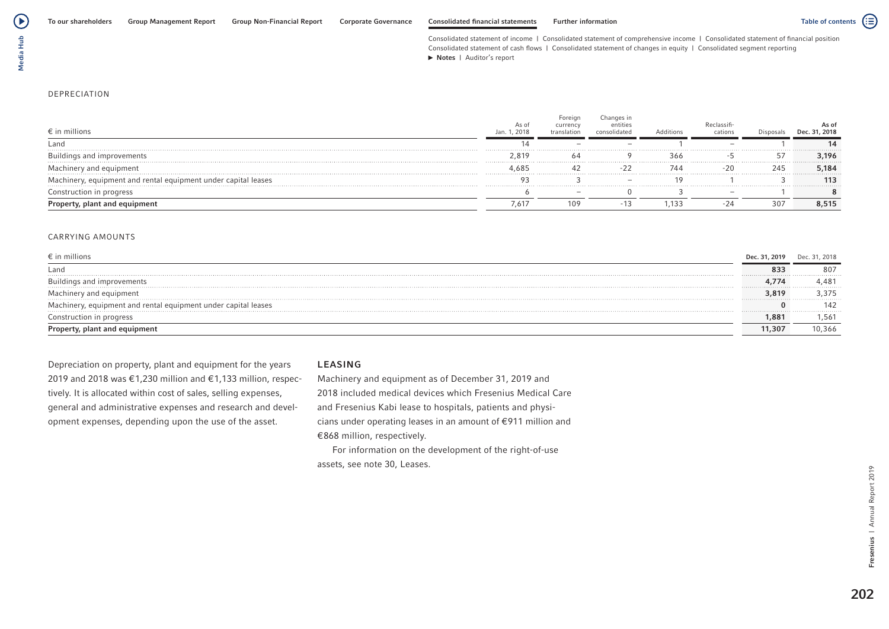Consolidated statement of income | Consolidated statement of comprehensive income | Consolidated statement of financial position Consolidated statement of cash flows | Consolidated statement of changes in equity | Consolidated segment reporting Notes | Auditor's report

#### DEPRECIATION

| $\epsilon$ in millions                                    | As c<br>2018 | currenc | entities<br>dated<br>ronsol | Additions | Reclassifi-<br>cations | Disposal | As of<br>2018 |
|-----------------------------------------------------------|--------------|---------|-----------------------------|-----------|------------------------|----------|---------------|
| Land                                                      |              |         |                             |           |                        |          |               |
| Buildir                                                   | 4.819        |         |                             | 366       |                        |          | 3.196         |
| Machinery and                                             | 4.685        |         | -24                         | 744       | $-70$                  | 245<br>. | 5,184         |
| Machine<br>under capital leases :<br>and rental equipment |              |         | $\overline{\phantom{a}}$    | 19        |                        |          | 113           |
| Construction in progress                                  |              |         |                             |           |                        |          |               |
| Propert<br>pment                                          | .61          | 109     |                             | .133      | $\mathcal{L}^{\omega}$ | 307      | 8.515         |

#### CARRYING AMOUNTS

| $\epsilon$ in millions                      | Dec. 31, 2019  | . 31, 2018    |
|---------------------------------------------|----------------|---------------|
| Land<br>.                                   |                | 807           |
| Buildinc<br>.                               | 4.774          | $.48^{\circ}$ |
| Machinery<br>and equipment<br>.             | 3,819          | .375          |
| t and rental equipment under capital leases |                |               |
| Construction in progress                    | $1.88^{\circ}$ | 561,          |
| Property, plant and equipment               | 1.307          | 0.366         |

Depreciation on property, plant and equipment for the years 2019 and 2018 was €1,230 million and €1,133 million, respectively. It is allocated within cost of sales, selling expenses, general and administrative expenses and research and development expenses, depending upon the use of the asset.

### LEASING

Machinery and equipment as of December 31, 2019 and 2018 included medical devices which Fresenius Medical Care and Fresenius Kabi lease to hospitals, patients and physicians under operating leases in an amount of €911 million and €868 million, respectively.

For information on the development of the right-of-use assets, see note 30, Leases.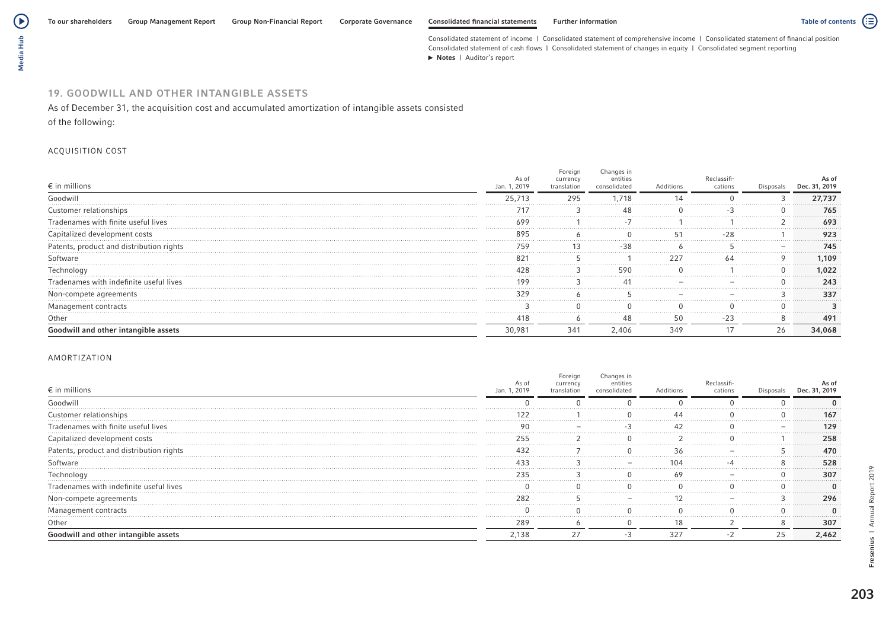Consolidated statement of income | Consolidated statement of comprehensive income | Consolidated statement of financial position Consolidated statement of cash flows | Consolidated statement of changes in equity | Consolidated segment reporting Notes | Auditor's report

### 19. GOODWILL AND OTHER INTANGIBLE ASSETS

As of December 31, the acquisition cost and accumulated amortization of intangible assets consisted of the following:

### ACQUISITION COST

|                                          | .2019 | Foreign<br>currency<br>translation |     | <b>Additions</b> | Reclassif<br>cations | Disposals |           |
|------------------------------------------|-------|------------------------------------|-----|------------------|----------------------|-----------|-----------|
|                                          |       | 295                                |     |                  |                      |           |           |
| Lustomer relationships                   |       |                                    |     |                  |                      |           | 765<br>.  |
| radenames with finite useful             | 699   |                                    |     |                  |                      |           | 693<br>.  |
|                                          |       |                                    |     |                  |                      |           | 923<br>.  |
| Patents, product and distribution rights | 759   |                                    | -38 |                  |                      |           |           |
| ttwar                                    |       |                                    |     |                  |                      |           | 109       |
|                                          |       |                                    |     |                  |                      |           | .022<br>. |
| radenames with indefinite usetul lives   |       |                                    |     |                  |                      |           | 243<br>.  |
|                                          |       |                                    |     |                  |                      |           |           |
|                                          |       |                                    |     |                  |                      |           | .         |
| Othe                                     | 418   |                                    |     | 50               |                      |           |           |
| Goodwill and other intangible assets     |       | 341                                |     | 349              |                      |           |           |

#### AMORTIZATION

|                                                      |     | translation |     | Reclassifi-<br>cations | Disposal: |          |
|------------------------------------------------------|-----|-------------|-----|------------------------|-----------|----------|
| Goodwil                                              |     |             |     |                        |           |          |
|                                                      |     |             |     |                        |           |          |
|                                                      |     |             |     |                        |           | 129      |
|                                                      |     |             |     |                        |           | 258      |
| atents, product and distribution rights <sup>2</sup> |     |             |     |                        |           | 470      |
|                                                      |     |             |     |                        |           | 528<br>. |
|                                                      |     |             | 69  |                        |           | 307      |
| esuil luteau atında hazar dtuv zamar                 |     |             |     |                        |           |          |
|                                                      |     |             |     |                        |           | 296      |
|                                                      |     |             |     |                        |           |          |
| ()ther                                               | 289 |             |     |                        |           | 307      |
| and other intangible assets                          |     |             | 327 |                        |           | : 462    |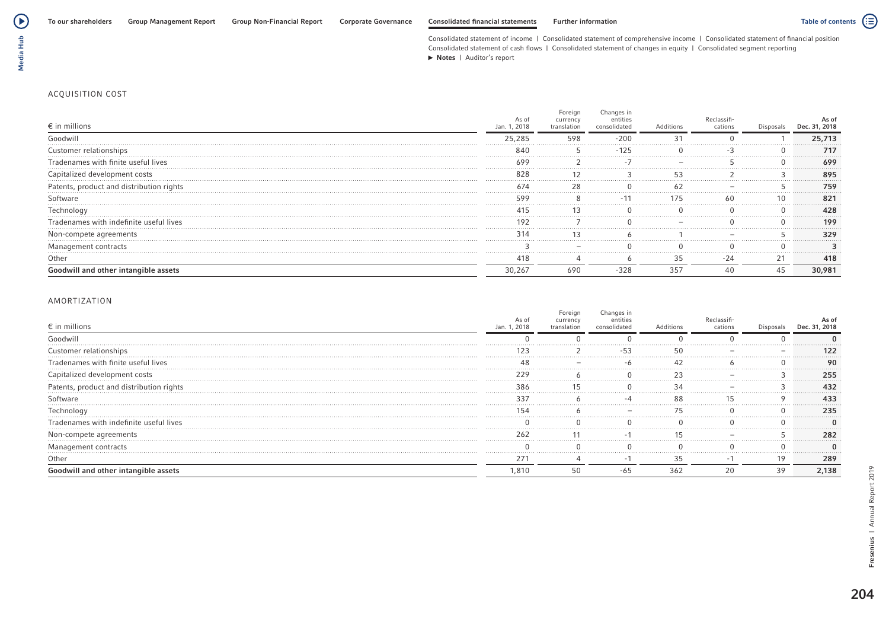Consolidated statement of income | Consolidated statement of comprehensive income | Consolidated statement of financial position Consolidated statement of cash flows | Consolidated statement of changes in equity | Consolidated segment reporting Notes | Auditor's report

### ACQUISITION COST

| $\epsilon$ in millions               |        | Foreigr<br>currenc<br>translation |      | Additions | cations | Disposa |          |
|--------------------------------------|--------|-----------------------------------|------|-----------|---------|---------|----------|
|                                      | 25 285 | 598                               |      |           |         |         |          |
|                                      | 840    |                                   | -125 |           |         |         |          |
| Tradenames with finite useful lives  |        |                                   |      |           |         |         |          |
| iitalized development                |        |                                   |      |           |         |         | 895<br>. |
|                                      |        |                                   |      |           |         |         | 759      |
| Softwar                              |        |                                   |      | 175       |         |         | .        |
|                                      |        |                                   |      |           |         |         |          |
|                                      |        |                                   |      |           |         |         |          |
| Non-compete agreements               |        |                                   |      |           |         |         | 329      |
| Management contracts                 |        |                                   |      |           |         |         |          |
| Other                                |        |                                   |      |           |         |         | 418      |
| Goodwill and other intangible assets |        |                                   |      | 357       |         |         | 0.981;   |

#### AMORTIZATION

|                                          | , 2018 | Foreign<br>translation | consolidated | <b>Additions</b> | 'eclassifi<br>cations | Disposals |          |
|------------------------------------------|--------|------------------------|--------------|------------------|-----------------------|-----------|----------|
|                                          |        |                        |              |                  |                       |           |          |
| Lustomer relationships                   |        |                        | -53          | 50               |                       |           |          |
| radenames with finite useful lives       |        |                        |              |                  |                       |           | .        |
|                                          |        |                        |              |                  |                       |           | 255<br>. |
| Patents, product and distribution rights |        |                        |              |                  |                       |           | .        |
| ttwar                                    |        |                        |              | 88               |                       |           | 433<br>. |
|                                          |        |                        |              |                  |                       |           | 235      |
|                                          |        |                        |              |                  |                       |           |          |
|                                          |        |                        |              |                  |                       |           |          |
|                                          |        |                        |              |                  |                       |           |          |
| Othe <sup>®</sup>                        |        |                        |              |                  |                       |           | 289      |
| l and other intangible assets            |        | 50                     |              | 362              |                       |           | 2.138    |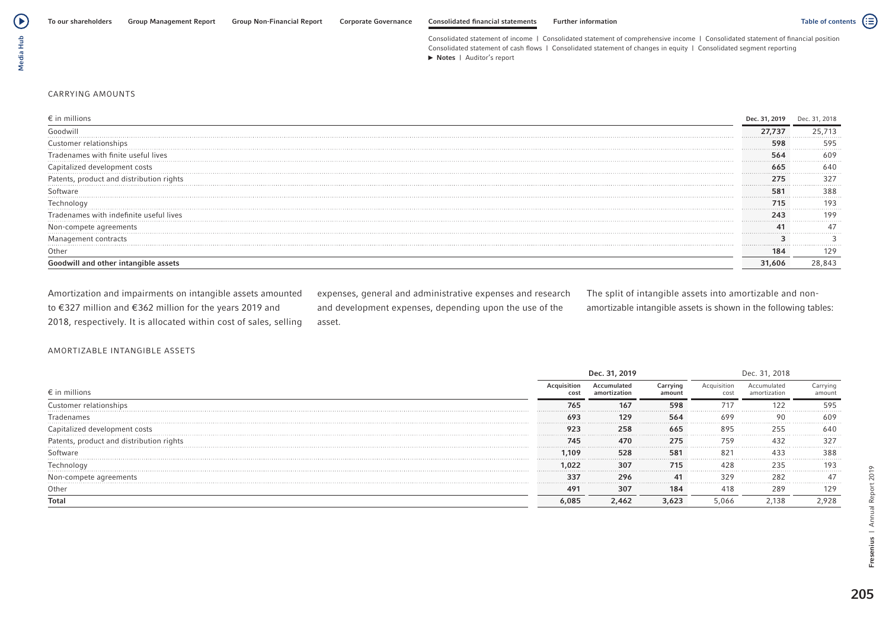Consolidated statement of income | Consolidated statement of comprehensive income | Consolidated statement of financial position Consolidated statement of cash flows | Consolidated statement of changes in equity | Consolidated segment reporting Notes | Auditor's report

#### CARRYING AMOUNTS

|                                        | 598<br>.      | 595      |
|----------------------------------------|---------------|----------|
|                                        | 564           | 609<br>. |
|                                        | . <b></b> .   | 640<br>. |
|                                        | 275<br>.<br>. | 327<br>. |
| Software                               | 581           | 388<br>. |
|                                        | 715           | .        |
| radenames with indefinite useful lives |               |          |
| วท-compete agreen                      |               |          |
|                                        |               | .        |
| Other                                  | 184           | 129      |
| Goodwill and other intangible assets   |               |          |

Amortization and impairments on intangible assets amounted to €327 million and €362 million for the years 2019 and 2018, respectively. It is allocated within cost of sales, selling

expenses, general and administrative expenses and research and development expenses, depending upon the use of the asset.

The split of intangible assets into amortizable and non-amortizable intangible assets is shown in the following tables:

#### AMORTIZABLE INTANGIBLE ASSETS

|                                          | Dec. 31, 2019   |                   |          | 2018<br>Dec.                             |          |        |  |
|------------------------------------------|-----------------|-------------------|----------|------------------------------------------|----------|--------|--|
| $\epsilon$ in millions                   | COS             |                   | amount   | Acauisition                              |          | amount |  |
|                                          | 765             | 167               | 598<br>. |                                          | .        | 595    |  |
| Tradenames                               | 693             | 129<br>. <b>.</b> | 564<br>. | 699                                      |          | 609    |  |
| Capitalized development costs            | 923             | 258<br>.          | 665<br>. | 895<br>                                  |          | 640    |  |
| Patents, product and distribution rights | 745             | 470<br>.          | 275<br>. | 759                                      | 432      | 327    |  |
| Software                                 | 1.109           | 528               | 581<br>. | $82^{\circ}$                             | 433      | 388    |  |
|                                          | .022            | 307               | 715      | 178<br>************************ ******** | .        |        |  |
| Non-compete agreements                   | 337             | 296               | 41       | 329                                      | 282<br>. |        |  |
| Other                                    | 49 <sup>°</sup> | 307               | 184      |                                          | 289      | 129    |  |
| Tota                                     | 6.085           | 2.462             | 3,623    | 5.066                                    |          | 2.928  |  |

Fresenius | Annual Report 2019 205<br>Fresenius | Annual Report 2019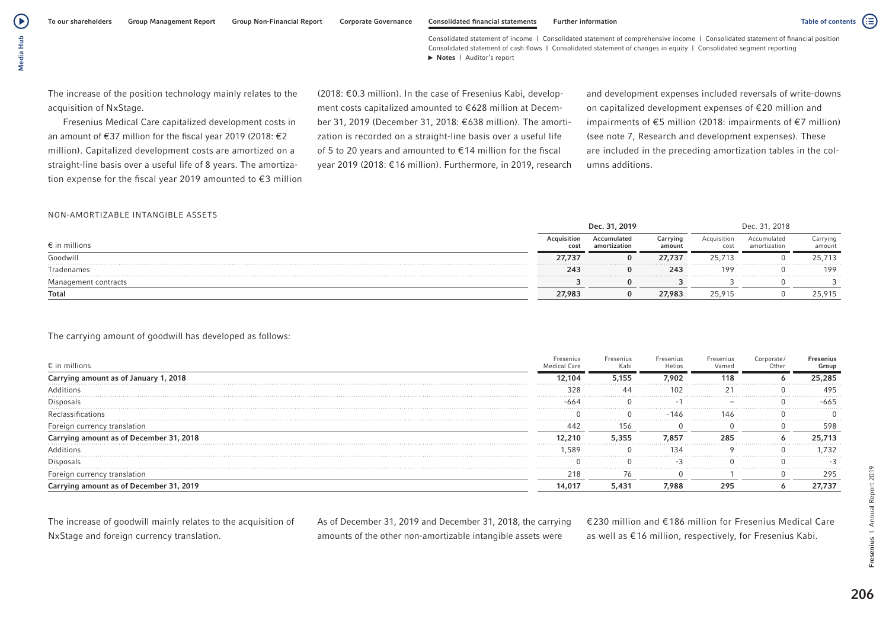Consolidated statement of income | Consolidated statement of comprehensive income | Consolidated statement of financial position Consolidated statement of cash flows | Consolidated statement of changes in equity | Consolidated segment reporting Notes | Auditor's report

The increase of the position technology mainly relates to the acquisition of NxStage.

Fresenius Medical Care capitalized development costs in an amount of €37 million for the fiscal year 2019 (2018: €2 million). Capitalized development costs are amortized on a straight-line basis over a useful life of 8 years. The amortization expense for the fiscal year 2019 amounted to €3 million (2018: €0.3 million). In the case of Fresenius Kabi, development costs capitalized amounted to €628 million at December 31, 2019 (December 31, 2018: €638 million). The amortization is recorded on a straight-line basis over a useful life of 5 to 20 years and amounted to €14 million for the fiscal year 2019 (2018: €16 million). Furthermore, in 2019, research and development expenses included reversals of write-downs on capitalized development expenses of €20 million and impairments of €5 million (2018: impairments of €7 million) (see note 7, Research and development expenses). These are included in the preceding amortization tables in the columns additions.

#### NON-AMORTIZABLE INTANGIBLE ASSETS

|                                                  |                     | Dec. 31, 2019               |                    |                     | 2018                        |                    |  |
|--------------------------------------------------|---------------------|-----------------------------|--------------------|---------------------|-----------------------------|--------------------|--|
| $\mathop{\varepsilon}\nolimits$ in millions $\,$ | Acquisition<br>COS1 | Accumulated<br>amortization | Carrying<br>amount | Acquisition<br>cost | Accumulated<br>amortization | Carrying<br>amount |  |
| Goodwill                                         | 27,737              |                             | 27,737             | 25,713              |                             |                    |  |
| Tradenames                                       | 243                 |                             | 243                | 199.                |                             | 199                |  |
| Management                                       |                     |                             |                    |                     |                             |                    |  |
| Total                                            | 27,983              |                             | 27,983             | 25.91F              |                             | 25.915             |  |

The carrying amount of goodwill has developed as follows:

|                                         |        | Fresenius<br>Kab | Fresenius<br><b>Helios</b> | Fresenius<br>Vamed | Corporate/ | Fresenius<br>Group |
|-----------------------------------------|--------|------------------|----------------------------|--------------------|------------|--------------------|
| Carrying amount as of January 1, 2018   | 12.104 | 5.155            | 7.902                      |                    |            | !5.285             |
| Additions                               | 328    |                  | 102                        |                    |            | 495<br>.           |
| Disposals                               | -664   |                  |                            |                    |            |                    |
|                                         |        |                  | $-146$                     |                    |            |                    |
| urrency translation:                    | 442    | 156              |                            |                    |            | 598                |
| Carrying amount as of December 31, 2018 | 12.210 | 5,355            | 7.857<br>.                 | 285                |            | 25.713             |
| Additions                               | .589   |                  | 134                        |                    |            |                    |
| Disposal                                |        |                  |                            |                    |            |                    |
| Foreign<br>/ translation<br>currency    | 218    |                  |                            |                    |            | 295                |
| Carrying amount as of December 31, 2019 | 14,017 | 5,431            | 7.988                      | 295                |            | 27.737             |

The increase of goodwill mainly relates to the acquisition of NxStage and foreign currency translation.

As of December 31, 2019 and December 31, 2018, the carrying amounts of the other non-amortizable intangible assets were

€230 million and €186 million for Fresenius Medical Care as well as €16 million, respectively, for Fresenius Kabi.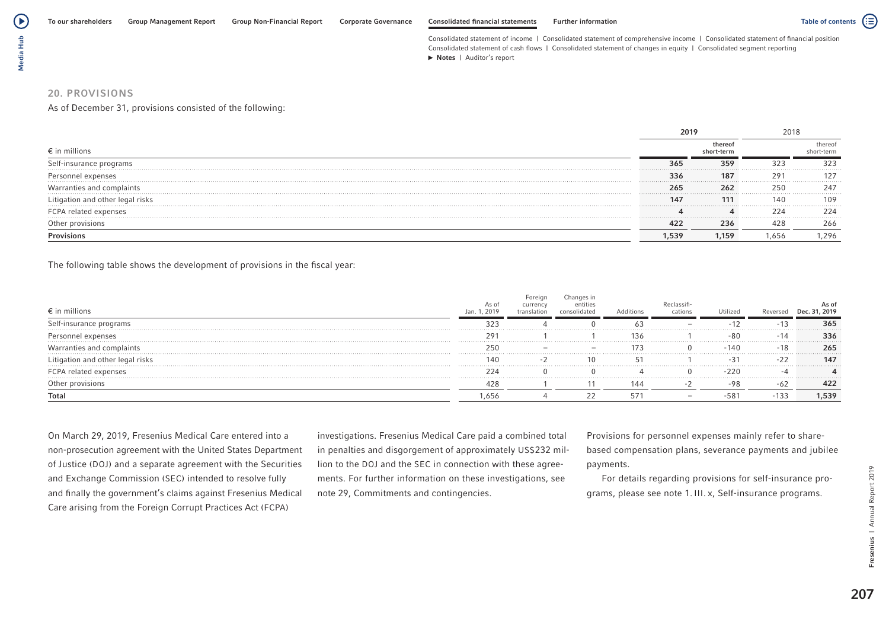Consolidated statement of income | Consolidated statement of comprehensive income | Consolidated statement of financial position Consolidated statement of cash flows | Consolidated statement of changes in equity | Consolidated segment reporting ▶ Notes | Auditor's report

### 20. PROVISIONS

As of December 31, provisions consisted of the following:

|                                      | 2019     |                       | 2018              |                       |
|--------------------------------------|----------|-----------------------|-------------------|-----------------------|
| $\epsilon$ in millions               |          | thereof<br>short-term |                   | thereof<br>short-term |
| Self-insurance programs              | 365<br>. | 359<br>.              |                   | 323                   |
| Personnel expenses                   | 336      | 187<br>.              | 291<br>.          | 127                   |
| Warran<br>ties and complaints        | 265      | 262                   | 250               | 247                   |
| Litidati<br>risks<br>and other legal | 147      | . <b>.</b> .<br>111   | . <b>.</b><br>140 |                       |
| FCPA related expenses                |          |                       | 224               | 224                   |
| Other provisions                     | 422      | 236                   | 428               | 266                   |
| <b>Provisions</b>                    | .539     | 1,159                 | 1,656             | ,296                  |

The following table shows the development of provisions in the fiscal year:

|                                            | As c<br>. 2019<br>Jan. 1 | currenc <sup>®</sup><br>ranslation |                               | anoitibh 4 | Reclassifi-<br>cations   | Utilized     | Reversed | As of<br>.2019 |
|--------------------------------------------|--------------------------|------------------------------------|-------------------------------|------------|--------------------------|--------------|----------|----------------|
| Self-insurance programs                    |                          |                                    |                               |            | $\sim$                   |              | .        | 365<br>.       |
|                                            |                          |                                    |                               | 36         |                          | $-80$<br>.   | .        | 336<br>.       |
| Warranties and complaints                  | 250                      |                                    | $\overline{\phantom{0}}$<br>. | 173        |                          | $-140$       | $-18$    | 265            |
| <b>risks</b><br>Litigation and other legal | 14()                     |                                    |                               |            |                          |              | $-27$    | 147            |
| FCPA related expenses                      | つつ4                      |                                    |                               |            |                          | $-22($       |          |                |
|                                            |                          |                                    |                               | 144        | <b>CONTINUES</b>         | $-95$        | $-h$     | 422            |
| Tota                                       |                          |                                    |                               | 571        | $\overline{\phantom{a}}$ | $58^{\circ}$ |          | .539           |

On March 29, 2019, Fresenius Medical Care entered into a non-prosecution agreement with the United States Department of Justice (DOJ) and a separate agreement with the Securities and Exchange Commission (SEC) intended to resolve fully and finally the government's claims against Fresenius Medical Care arising from the Foreign Corrupt Practices Act (FCPA)

investigations. Fresenius Medical Care paid a combined total in penalties and disgorgement of approximately US\$232 million to the DOJ and the SEC in connection with these agreements. For further information on these investigations, see note 29, Commitments and contingencies.

Provisions for personnel expenses mainly refer to sharebased compensation plans, severance payments and jubilee payments.

For details regarding provisions for self-insurance programs, please see note 1. III. x, Self-insurance programs.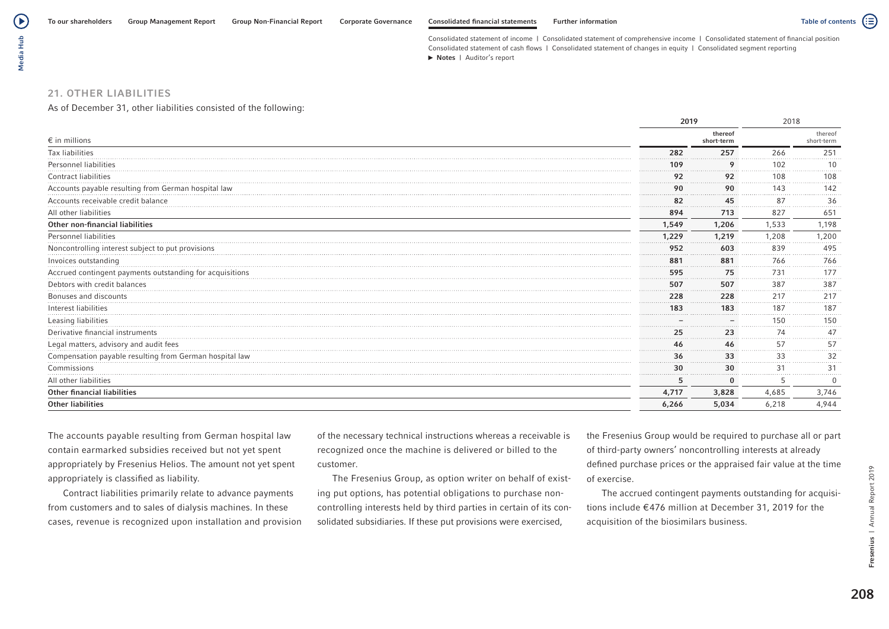Consolidated statement of income | Consolidated statement of comprehensive income | Consolidated statement of financial position Consolidated statement of cash flows | Consolidated statement of changes in equity | Consolidated segment reporting Notes | Auditor's report

### 21. OTHER LIABILITIES

### As of December 31, other liabilities consisted of the following:

|                                                          | 2019    |                       | 2018       |                       |  |
|----------------------------------------------------------|---------|-----------------------|------------|-----------------------|--|
| $\epsilon$ in millions                                   |         | thereof<br>short-term |            | thereof<br>short-term |  |
| <b>Tax liabilities</b>                                   | 282     | 257                   | 266        | 251                   |  |
| <b>Personnel liabilities</b>                             | 109     | 9                     | 102        | 10                    |  |
| Contract liabilities                                     | 92<br>. | 92<br>.               | .<br>108   | 108                   |  |
| Accounts payable resulting from German hospital law      | 90      | 90                    | 143        | 142<br>.              |  |
| Accounts receivable credit balance                       | 82      | 45                    | 87         | 36                    |  |
| All other liabilities                                    | 894     | 713                   | 827        | 651                   |  |
| Other non-financial liabilities                          | 1,549   | 1,206                 | 1,533      | 1,198                 |  |
| <b>Personnel liabilities</b>                             | 1,229   | 1.219                 | 1.208<br>. | 1,200<br>.            |  |
| Noncontrolling interest subject to put provisions        | 952     | 603<br>.              | 839<br>.   | 495<br>.              |  |
| Invoices outstanding                                     | 881     | 881                   | 766<br>.   | 766<br>.              |  |
| Accrued contingent payments outstanding for acquisitions | 595     | 75<br>. <i>.</i>      | 731<br>.   | 177<br>.              |  |
| Debtors with credit balances                             | 507     | 507                   | 387<br>.   | 387<br>.              |  |
| Bonuses and discounts                                    | 228     | 228<br>. <i>.</i> .   | 217<br>.   | 217                   |  |
| Interest liabilities                                     | 183     | 183                   | 187<br>.   | 187                   |  |
| Leasing liabilities                                      |         |                       | 150        | 150                   |  |
| Derivative financial instruments                         | 25      | 23                    | 74         |                       |  |
| Legal matters, advisory and audit fees                   |         | 46                    | 57         |                       |  |
| Compensation payable resulting from German hospital law  | 36<br>. | 33<br>.               | 33         | 32                    |  |
| Commissions                                              | 30      | 30<br>.               | 31         |                       |  |
| All other liabilities                                    |         | $\bf{0}$              |            | $\Omega$              |  |
| <b>Other financial liabilities</b>                       | 4,717   | 3,828                 | 4,685      | 3,746                 |  |
| <b>Other liabilities</b>                                 | 6,266   | 5,034                 | 6,218      | 4,944                 |  |

The accounts payable resulting from German hospital law contain earmarked subsidies received but not yet spent appropriately by Fresenius Helios. The amount not yet spent appropriately is classified as liability.

Contract liabilities primarily relate to advance payments from customers and to sales of dialysis machines. In these cases, revenue is recognized upon installation and provision of the necessary technical instructions whereas a receivable is recognized once the machine is delivered or billed to the customer.

The Fresenius Group, as option writer on behalf of existing put options, has potential obligations to purchase noncontrolling interests held by third parties in certain of its consolidated subsidiaries. If these put provisions were exercised,

the Fresenius Group would be required to purchase all or part of third-party owners' noncontrolling interests at already defined purchase prices or the appraised fair value at the time of exercise.

The accrued contingent payments outstanding for acquisitions include €476 million at December 31, 2019 for the acquisition of the biosimilars business.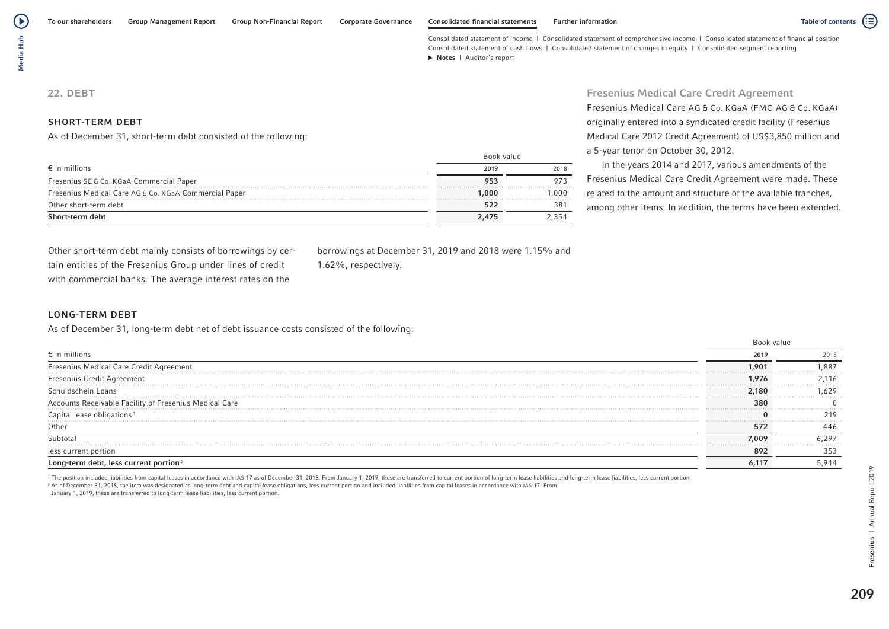⊜ Table of contents

Consolidated statement of income | Consolidated statement of comprehensive income | Consolidated statement of financial position Consolidated statement of cash flows | Consolidated statement of changes in equity | Consolidated segment reporting Notes | Auditor's report

### 22. DEBT

### SHORT-TERM DEBT

As of December 31, short-term debt consisted of the following:

|                                                       | Book value |                 |  |  |
|-------------------------------------------------------|------------|-----------------|--|--|
| $\epsilon$ in millions                                | 2019       | 2018            |  |  |
| Fresenius SE & Co. KGaA Commercial Paper              | 953        |                 |  |  |
| Fresenius Medical Care AG & Co. KGaA Commercial Paper | 1.000      | .000            |  |  |
| Other short-term debt                                 | 522        | 38 <sup>°</sup> |  |  |
| Short-term debt                                       | 2.475      | 2.354           |  |  |

Fresenius Medical Care Credit Agreement Fresenius Medical Care AG & Co. KGaA (FMC-AG & Co. KGaA) originally entered into a syndicated credit facility (Fresenius Medical Care 2012 Credit Agreement) of US\$3,850 million and a 5-year tenor on October 30, 2012.

In the years 2014 and 2017, various amendments of the Fresenius Medical Care Credit Agreement were made. These related to the amount and structure of the available tranches, among other items. In addition, the terms have been extended.

Other short-term debt mainly consists of borrowings by certain entities of the Fresenius Group under lines of credit with commercial banks. The average interest rates on the

borrowings at December 31, 2019 and 2018 were 1.15% and 1.62%, respectively.

### LONG-TERM DEBT

As of December 31, long-term debt net of debt issuance costs consisted of the following:

|                                         |                 | 2018       |
|-----------------------------------------|-----------------|------------|
| Fresenius Medical Care Credit Agreement | 1.901           | .887       |
|                                         | .976            | .116       |
| Schuldschein Loans                      | 2.180           | .629       |
| Care                                    | 380             |            |
| Capital lease obligations               |                 | 219<br>.   |
| Other                                   | 572             | 446        |
| Subtota                                 | 7.009<br>.<br>. | 6.297<br>. |
|                                         | 892             | 353        |
| Long-term debt, less current portion    | 6.11            | .944       |

<sup>1</sup> The position included liabilities from capital leases in accordance with IAS 17 as of December 31, 2018. From January 1, 2019, these are transferred to current portion of long-term lease liabilities and long-term lease <sup>2</sup> As of December 31, 2018, the item was designated as long-term debt and capital lease obligations, less current portion and included liabilities from capital leases in accordance with IAS 17. From

January 1, 2019, these are transferred to long-term lease liabilities, less current portion.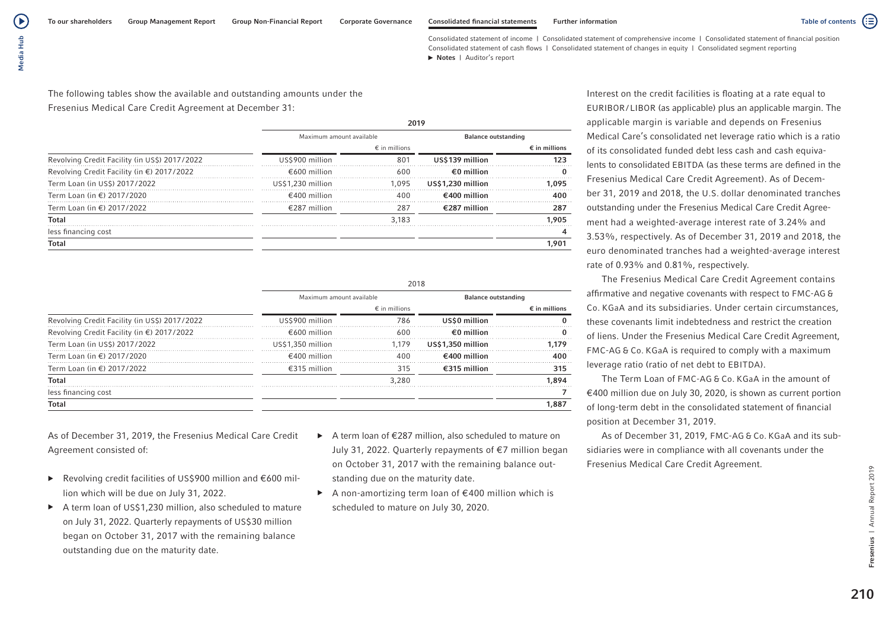⊜ Table of contents

Consolidated statement of income | Consolidated statement of comprehensive income | Consolidated statement of financial position Consolidated statement of cash flows | Consolidated statement of changes in equity | Consolidated segment reporting Notes | Auditor's report

The following tables show the available and outstanding amounts under the Fresenius Medical Care Credit Agreement at December 31:

| 2019              |                        |                          |                            |  |  |  |
|-------------------|------------------------|--------------------------|----------------------------|--|--|--|
|                   |                        |                          |                            |  |  |  |
|                   | $\epsilon$ in millions |                          | $\epsilon$ in millions     |  |  |  |
| US\$900 million   | 801                    | US\$139 million          |                            |  |  |  |
| €600 million      | 600                    | $\epsilon$ 0 million     |                            |  |  |  |
| US\$1,230 million | 1.095                  | US\$1,230 million        | 1.095                      |  |  |  |
| €400 million      | 400                    | €400 million             | 400                        |  |  |  |
| €287 million      | 287                    | €287 million             | 287                        |  |  |  |
|                   | 3.183                  |                          | 1.905                      |  |  |  |
|                   |                        |                          |                            |  |  |  |
|                   |                        |                          | 1.901                      |  |  |  |
|                   |                        | Maximum amount available | <b>Balance outstanding</b> |  |  |  |

|                                               | 2018                     |                        |                            |                        |  |  |  |
|-----------------------------------------------|--------------------------|------------------------|----------------------------|------------------------|--|--|--|
|                                               | Maximum amount available |                        | <b>Balance outstanding</b> |                        |  |  |  |
|                                               |                          | $\epsilon$ in millions |                            | $\epsilon$ in millions |  |  |  |
| Revolving Credit Facility (in US\$) 2017/2022 | US\$900 million          | 786                    | US\$0 million              |                        |  |  |  |
| Revolving Credit Facility (in €) 2017/2022    | €600 million             | 600                    | €0 million                 |                        |  |  |  |
| Term Loan (in US\$) 2017/2022                 | US\$1,350 million        | 1.179                  | US\$1,350 million          | 1.179                  |  |  |  |
| Term Loan (in €) 2017/2020                    | €400 million             | 400                    | €400 million               | 400                    |  |  |  |
| Term Loan (in €) 2017/2022                    | €315 million             | 315                    | €315 million               | 315                    |  |  |  |
| <b>Total</b>                                  |                          | 3.280                  |                            | 894.                   |  |  |  |
| less financing cost                           |                          |                        |                            |                        |  |  |  |
| Total                                         |                          |                        |                            |                        |  |  |  |

As of December 31, 2019, the Fresenius Medical Care Credit Agreement consisted of:

- ▶ Revolving credit facilities of US\$900 million and €600 million which will be due on July 31, 2022.
- ▶ A term loan of US\$1,230 million, also scheduled to mature on July 31, 2022. Quarterly repayments of US\$30 million began on October 31, 2017 with the remaining balance outstanding due on the maturity date.
- ▶ A term loan of €287 million, also scheduled to mature on July 31, 2022. Quarterly repayments of €7 million began on October 31, 2017 with the remaining balance outstanding due on the maturity date.
- ▶ A non-amortizing term loan of €400 million which is scheduled to mature on July 30, 2020.

Interest on the credit facilities is floating at a rate equal to EURIBOR/ LIBOR (as applicable) plus an applicable margin. The applicable margin is variable and depends on Fresenius Medical Care's consolidated net leverage ratio which is a ratio of its consolidated funded debt less cash and cash equivalents to consolidated EBITDA (as these terms are defined in the Fresenius Medical Care Credit Agreement). As of December 31, 2019 and 2018, the U.S. dollar denominated tranches outstanding under the Fresenius Medical Care Credit Agreement had a weighted-average interest rate of 3.24% and 3.53%, respectively. As of December 31, 2019 and 2018, the euro denominated tranches had a weighted-average interest rate of 0.93% and 0.81%, respectively.

The Fresenius Medical Care Credit Agreement contains affirmative and negative covenants with respect to FMC-AG & Co. KGaA and its subsidiaries. Under certain circumstances, these covenants limit indebtedness and restrict the creation of liens. Under the Fresenius Medical Care Credit Agreement, FMC-AG & Co. KGaA is required to comply with a maximum leverage ratio (ratio of net debt to EBITDA).

The Term Loan of FMC-AG & Co. KGaA in the amount of €400 million due on July 30, 2020, is shown as current portion of long-term debt in the consolidated statement of financial position at December 31, 2019.

As of December 31, 2019, FMC-AG & Co. KGaA and its subsidiaries were in compliance with all covenants under the Fresenius Medical Care Credit Agreement.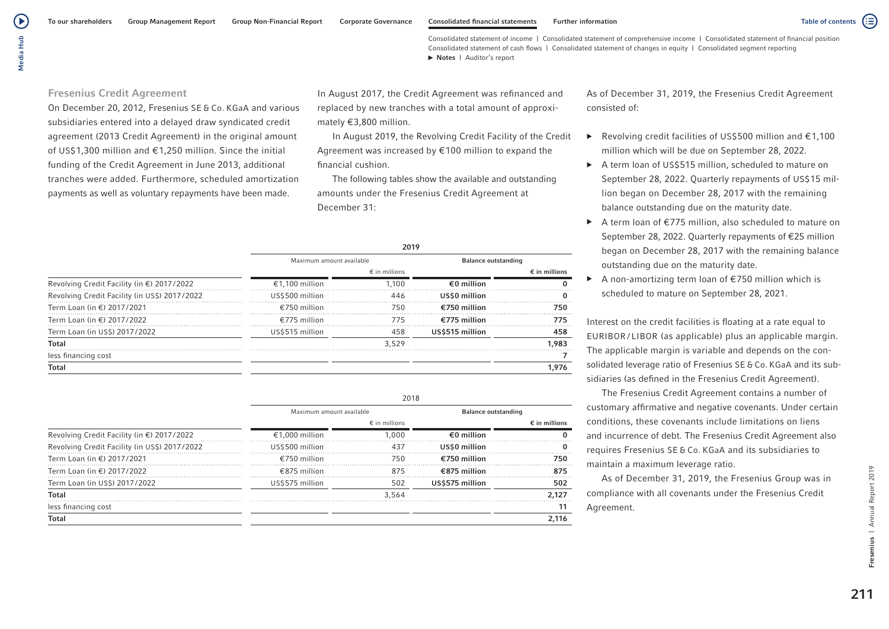## Fresenius Credit Agreement

On December 20, 2012, Fresenius SE & Co. KGaA and various subsidiaries entered into a delayed draw syndicated credit agreement (2013 Credit Agreement) in the original amount of US\$1,300 million and €1,250 million. Since the initial funding of the Credit Agreement in June 2013, additional tranches were added. Furthermore, scheduled amortization payments as well as voluntary repayments have been made.

In August 2017, the Credit Agreement was refinanced and replaced by new tranches with a total amount of approximately €3,800 million.

In August 2019, the Revolving Credit Facility of the Credit Agreement was increased by €100 million to expand the financial cushion.

The following tables show the available and outstanding amounts under the Fresenius Credit Agreement at December 31:

|                                               | 2019                     |                        |                            |                        |  |
|-----------------------------------------------|--------------------------|------------------------|----------------------------|------------------------|--|
|                                               | Maximum amount available |                        | <b>Balance outstanding</b> |                        |  |
|                                               |                          | $\epsilon$ in millions |                            | $\epsilon$ in millions |  |
| Revolving Credit Facility (in €) 2017/2022    | €1.100 million           | 1.100                  | $\epsilon$ 0 million       |                        |  |
| Revolving Credit Facility (in US\$) 2017/2022 | US\$500 million          | 446                    | US\$0 million              |                        |  |
| Term Loan (in €) 2017/2021                    | €750 million             | 750                    | €750 million               | 750                    |  |
| Term Loan (in €) 2017/2022                    | €775 million             | 775                    | $€775$ million             | 775                    |  |
| Term Loan (in US\$) 2017/2022                 | US\$515 million          | 458                    | US\$515 million            | 458                    |  |
| Total                                         |                          | 3.529                  |                            | .983                   |  |
| less financing cost                           |                          |                        |                            |                        |  |
| Total                                         |                          |                        |                            |                        |  |

|                 | 2018                   |                            |                        |
|-----------------|------------------------|----------------------------|------------------------|
|                 |                        | <b>Balance outstanding</b> |                        |
|                 | $\epsilon$ in millions |                            | $\epsilon$ in millions |
| €1.000 million  | 1.000                  | €0 million                 |                        |
| US\$500 million | 437                    | US\$0 million              |                        |
| €750 million    | 750                    | €750 million               | 750                    |
| €875 million    | 875                    | $€875$ million             | 875                    |
| US\$575 million | 502                    | US\$575 million            | 502                    |
|                 | 3.564                  |                            | 2.127                  |
|                 |                        |                            |                        |
|                 |                        |                            |                        |
|                 |                        | Maximum amount available   |                        |

As of December 31, 2019, the Fresenius Credit Agreement consisted of:

- ▶ Revolving credit facilities of US\$500 million and €1,100 million which will be due on September 28, 2022.
- ▶ A term loan of US\$515 million, scheduled to mature on September 28, 2022. Quarterly repayments of US\$15 million began on December 28, 2017 with the remaining balance outstanding due on the maturity date.
- ▶ A term loan of €775 million, also scheduled to mature on September 28, 2022. Quarterly repayments of €25 million began on December 28, 2017 with the remaining balance outstanding due on the maturity date.
- ▶ A non-amortizing term loan of €750 million which is scheduled to mature on September 28, 2021.

Interest on the credit facilities is floating at a rate equal to EURIBOR/LIBOR (as applicable) plus an applicable margin. The applicable margin is variable and depends on the consolidated leverage ratio of Fresenius SE & Co. KGaA and its subsidiaries (as defined in the Fresenius Credit Agreement).

The Fresenius Credit Agreement contains a number of customary affirmative and negative covenants. Under certain conditions, these covenants include limitations on liens and incurrence of debt. The Fresenius Credit Agreement also requires Fresenius SE & Co. KGaA and its subsidiaries to maintain a maximum leverage ratio.

As of December 31, 2019, the Fresenius Group was in compliance with all covenants under the Fresenius Credit Agreement.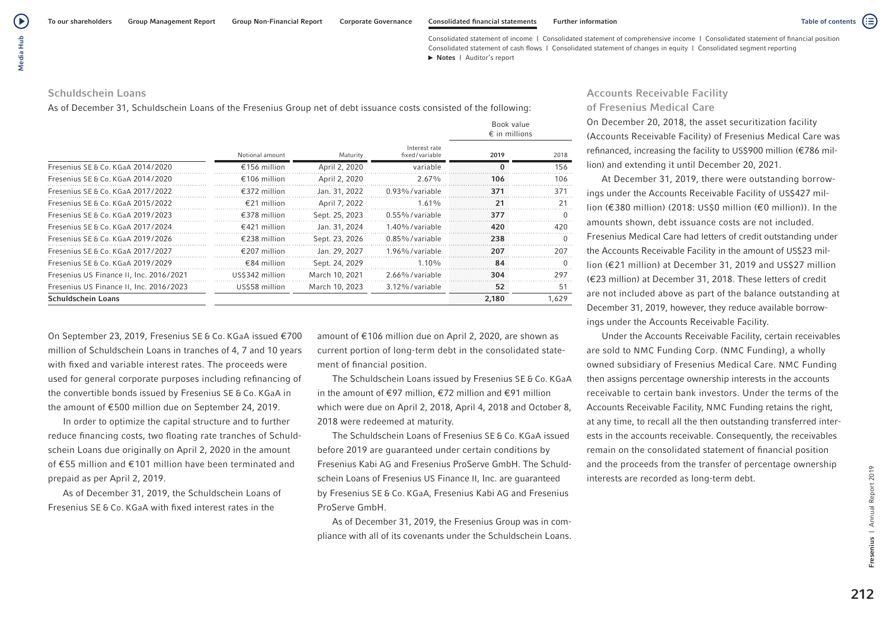⊜ Table of contents

Consolidated statement of income | Consolidated statement of comprehensive income | Consolidated statement of financial position Consolidated statement of cash flows | Consolidated statement of changes in equity | Consolidated segment reporting Notes | Auditor's report

## Schuldschein Loans

As of December 31, Schuldschein Loans of the Fresenius Group net of debt issuance costs consisted of the following:

|                                         |                 |                |                                 | Book value<br>$\epsilon$ in millions |       |
|-----------------------------------------|-----------------|----------------|---------------------------------|--------------------------------------|-------|
|                                         | Notional amount | Maturity       | Interest rate<br>fixed/variable | 2019                                 | 2018  |
| Fresenius SE & Co. KGaA 2014/2020       | €156 million    | April 2, 2020  | variable                        | $\Omega$                             | 156   |
| Fresenius SE & Co. KGaA 2014/2020       | €106 million    | April 2, 2020  | 2.67%                           | 106                                  | 106   |
| Fresenius SE & Co. KGaA 2017/2022       | €372 million    | Jan. 31, 2022  | 0.93%/variable                  | 371                                  | 371   |
| Fresenius SE & Co. KGaA 2015/2022       | €21 million     | April 7, 2022  | 1.61%                           | 21                                   | 21    |
| Fresenius SE & Co. KGaA 2019/2023       | €378 million    | Sept. 25, 2023 | 0.55%/variable                  | 377                                  |       |
| Fresenius SE & Co. KGaA 2017/2024       | €421 million    | Jan. 31, 2024  | 1.40%/variable                  | 420                                  | 420   |
| Fresenius SE & Co. KGaA 2019/2026       | €238 million    | Sept. 23, 2026 | $0.85\%$ /variable              | 238                                  |       |
| Fresenius SE & Co. KGaA 2017/2027       | €207 million    | Jan. 29, 2027  | 1.96%/variable                  | 207                                  | 207   |
| Fresenius SE & Co. KGaA 2019/2029       | €84 million     | Sept. 24, 2029 | 110%                            | 84                                   |       |
| Fresenius US Finance II, Inc. 2016/2021 | US\$342 million | March 10, 2021 | 2.66%/variable                  | 304                                  | 297   |
| Fresenius US Finance II, Inc. 2016/2023 | US\$58 million  | March 10, 2023 | 3.12%/variable                  | 52                                   | 51    |
| <b>Schuldschein Loans</b>               |                 |                |                                 | 2,180                                | 1,629 |

On September 23, 2019, Fresenius SE & Co. KGaA issued €700 million of Schuldschein Loans in tranches of 4, 7 and 10 years with fixed and variable interest rates. The proceeds were used for general corporate purposes including refinancing of the convertible bonds issued by Fresenius SE & Co. KGaA in the amount of €500 million due on September 24, 2019.

In order to optimize the capital structure and to further reduce financing costs, two floating rate tranches of Schuldschein Loans due originally on April 2, 2020 in the amount of €55 million and €101 million have been terminated and prepaid as per April 2, 2019.

As of December 31, 2019, the Schuldschein Loans of Fresenius SE & Co. KGaA with fixed interest rates in the

amount of €106 million due on April 2, 2020, are shown as current portion of long-term debt in the consolidated statement of financial position.

The Schuldschein Loans issued by Fresenius SE & Co. KGaA in the amount of €97 million, €72 million and €91 million which were due on April 2, 2018, April 4, 2018 and October 8, 2018 were redeemed at maturity.

The Schuldschein Loans of Fresenius SE & Co. KGaA issued before 2019 are guaranteed under certain conditions by Fresenius Kabi AG and Fresenius ProServe GmbH. The Schuldschein Loans of Fresenius US Finance II, Inc. are guaranteed by Fresenius SE & Co. KGaA, Fresenius Kabi AG and Fresenius ProServe GmbH.

As of December 31, 2019, the Fresenius Group was in compliance with all of its covenants under the Schuldschein Loans.

# Accounts Receivable Facility of Fresenius Medical Care

On December 20, 2018, the asset securitization facility (Accounts Receivable Facility) of Fresenius Medical Care was refinanced, increasing the facility to US\$900 million (€786 million) and extending it until December 20, 2021.

At December 31, 2019, there were outstanding borrowings under the Accounts Receivable Facility of US\$427 million (€380 million) (2018: US\$0 million (€0 million)). In the amounts shown, debt issuance costs are not included. Fresenius Medical Care had letters of credit outstanding under the Accounts Receivable Facility in the amount of US\$23 million (€21 million) at December 31, 2019 and US\$27 million (€23 million) at December 31, 2018. These letters of credit are not included above as part of the balance outstanding at December 31, 2019, however, they reduce available borrowings under the Accounts Receivable Facility.

Under the Accounts Receivable Facility, certain receivables are sold to NMC Funding Corp. (NMC Funding), a wholly owned subsidiary of Fresenius Medical Care. NMC Funding then assigns percentage ownership interests in the accounts receivable to certain bank investors. Under the terms of the Accounts Receivable Facility, NMC Funding retains the right, at any time, to recall all the then outstanding transferred interests in the accounts receivable. Consequently, the receivables remain on the consolidated statement of financial position and the proceeds from the transfer of percentage ownership interests are recorded as long-term debt.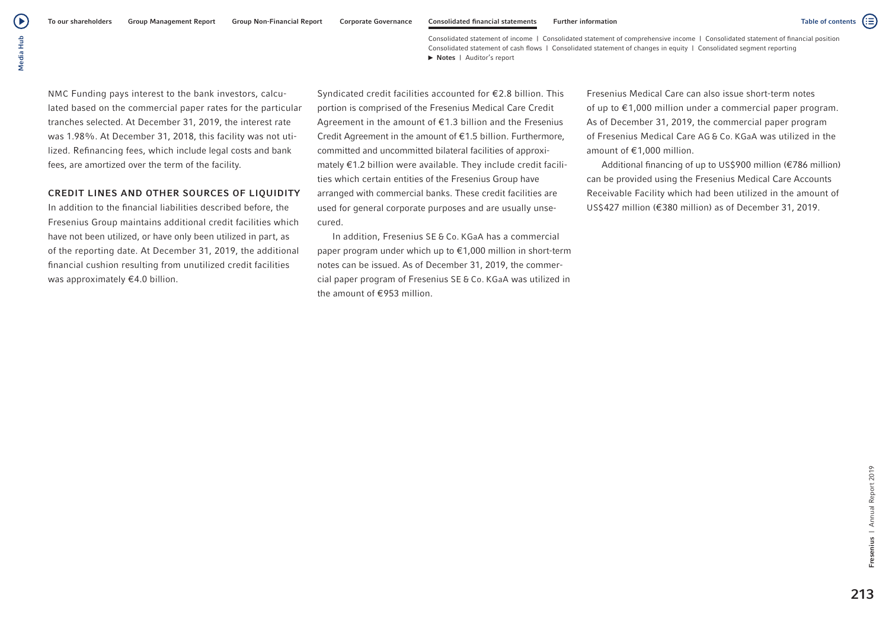(⊟) Table of contents

Consolidated statement of income | Consolidated statement of comprehensive income | Consolidated statement of financial position Consolidated statement of cash flows | Consolidated statement of changes in equity | Consolidated segment reporting Notes | Auditor's report

NMC Funding pays interest to the bank investors, calculated based on the commercial paper rates for the particular tranches selected. At December 31, 2019, the interest rate was 1.98%. At December 31, 2018, this facility was not utilized. Refinancing fees, which include legal costs and bank fees, are amortized over the term of the facility.

#### CREDIT LINES AND OTHER SOURCES OF LIQUIDITY

In addition to the financial liabilities described before, the Fresenius Group maintains additional credit facilities which have not been utilized, or have only been utilized in part, as of the reporting date. At December 31, 2019, the additional financial cushion resulting from unutilized credit facilities was approximately €4.0 billion.

Syndicated credit facilities accounted for €2.8 billion. This portion is comprised of the Fresenius Medical Care Credit Agreement in the amount of  $\epsilon$ 1.3 billion and the Fresenius Credit Agreement in the amount of €1.5 billion. Furthermore, committed and uncommitted bilateral facilities of approximately €1.2 billion were available. They include credit facilities which certain entities of the Fresenius Group have arranged with commercial banks. These credit facilities are used for general corporate purposes and are usually unsecured.

In addition, Fresenius SE & Co. KGaA has a commercial paper program under which up to €1,000 million in short-term notes can be issued. As of December 31, 2019, the commercial paper program of Fresenius SE & Co. KGaA was utilized in the amount of €953 million.

Fresenius Medical Care can also issue short-term notes of up to €1,000 million under a commercial paper program. As of December 31, 2019, the commercial paper program of Fresenius Medical Care AG & Co. KGaA was utilized in the amount of €1,000 million.

Additional financing of up to US\$900 million (€786 million) can be provided using the Fresenius Medical Care Accounts Receivable Facility which had been utilized in the amount of US\$427 million (€380 million) as of December 31, 2019.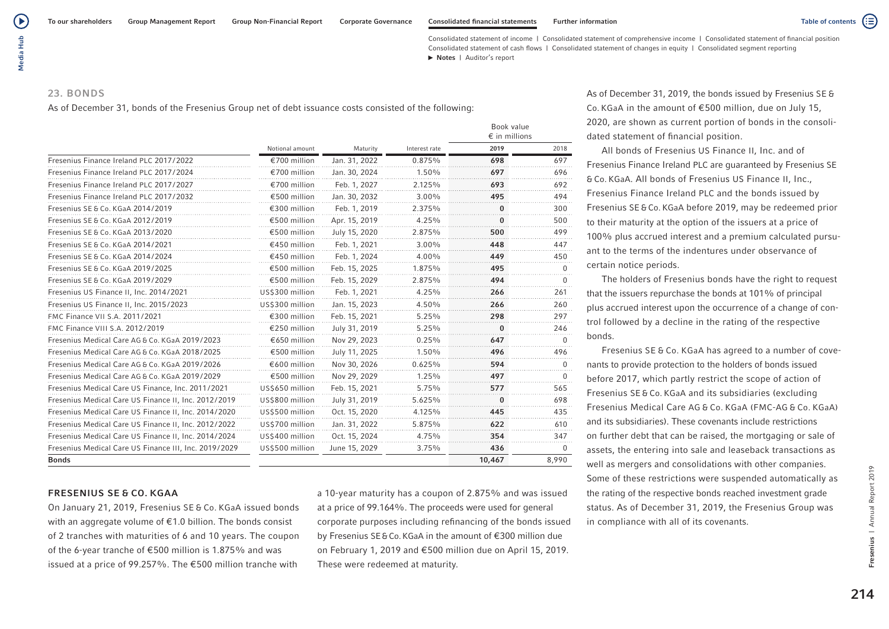#### 23. BONDS

As of December 31, bonds of the Fresenius Group net of debt issuance costs consisted of the following:

|                                                       |                 |               |               | Book value<br>$\epsilon$ in millions |          |  |
|-------------------------------------------------------|-----------------|---------------|---------------|--------------------------------------|----------|--|
|                                                       | Notional amount | Maturity      | Interest rate | 2019                                 | 2018     |  |
| Fresenius Finance Ireland PLC 2017/2022               | €700 million    | Jan. 31, 2022 | 0.875%        | 698                                  | 697      |  |
| Fresenius Finance Ireland PLC 2017/2024               | €700 million    | Jan. 30, 2024 | 1.50%         | 697                                  | 696      |  |
| Fresenius Finance Ireland PLC 2017/2027               | €700 million    | Feb. 1, 2027  | 2.125%        | 693                                  | 692      |  |
| Fresenius Finance Ireland PLC 2017/2032               | €500 million    | Jan. 30, 2032 | $3.00\%$      | 495                                  | 494      |  |
| Fresenius SE & Co. KGaA 2014/2019                     | €300 million    | Feb. 1, 2019  | 2.375%        | U                                    | 300      |  |
| Fresenius SE & Co. KGaA 2012/2019                     | €500 million    | Apr. 15, 2019 | 4.25%         | $\Omega$                             | 500      |  |
| Fresenius SE & Co. KGaA 2013/2020                     | €500 million    | July 15, 2020 | 2.875%        | 500                                  | 499      |  |
| Fresenius SE & Co. KGaA 2014/2021                     | €450 million    | Feb. 1, 2021  | $3.00\%$      | 448                                  | 447      |  |
| Fresenius SE & Co. KGaA 2014/2024                     | €450 million    | Feb. 1, 2024  | 4.00%         | 449                                  | 450      |  |
| Fresenius SE & Co. KGaA 2019/2025                     | €500 million    | Feb. 15, 2025 | 1.875%        | 495                                  | 0        |  |
| Fresenius SE & Co. KGaA 2019/2029                     | €500 million    | Feb. 15, 2029 | 2.875%        | 494                                  | $\Omega$ |  |
| Fresenius US Finance II, Inc. 2014/2021               | US\$300 million | Feb. 1, 2021  | 4.25%         | 266                                  | 261      |  |
| Fresenius US Finance II, Inc. 2015/2023               | US\$300 million | Jan. 15, 2023 | 4.50%         | 266                                  | 260      |  |
| FMC Finance VII S.A. 2011/2021                        | €300 million    | Feb. 15, 2021 | 5.25%         | 298                                  | 297      |  |
| FMC Finance VIII S.A. 2012/2019                       | €250 million    | July 31, 2019 | 5.25%         | U                                    | 246      |  |
| Fresenius Medical Care AG & Co. KGaA 2019/2023        | €650 million    | Nov 29, 2023  | 0.25%         | 647                                  | $\Omega$ |  |
| Fresenius Medical Care AG & Co. KGaA 2018/2025        | €500 million    | July 11, 2025 | 1.50%         | 496                                  | 496      |  |
| Fresenius Medical Care AG & Co. KGaA 2019/2026        | €600 million    | Nov 30, 2026  | 0.625%        | 594                                  | 0        |  |
| Fresenius Medical Care AG & Co. KGaA 2019/2029        | €500 million    | Nov 29, 2029  | 1.25%         | 497                                  | $\Omega$ |  |
| Fresenius Medical Care US Finance, Inc. 2011/2021     | US\$650 million | Feb. 15, 2021 | 5.75%         | 577                                  | 565      |  |
| Fresenius Medical Care US Finance II, Inc. 2012/2019  | US\$800 million | July 31, 2019 | 5.625%        | U                                    | 698      |  |
| Fresenius Medical Care US Finance II, Inc. 2014/2020  | US\$500 million | Oct. 15, 2020 | 4.125%        | 445                                  | 435      |  |
| Fresenius Medical Care US Finance II, Inc. 2012/2022  | US\$700 million | Jan. 31, 2022 | 5.875%        | 622                                  | 610      |  |
| Fresenius Medical Care US Finance II, Inc. 2014/2024  | US\$400 million | Oct. 15, 2024 | 4.75%         | 354                                  | 347      |  |
| Fresenius Medical Care US Finance III, Inc. 2019/2029 | US\$500 million | June 15, 2029 | 3.75%         | 436                                  | $\Omega$ |  |
| <b>Bonds</b>                                          |                 |               |               | 10,467                               | 8,990    |  |

#### FRESENIUS SE & CO. KGAA

On January 21, 2019, Fresenius SE & Co. KGaA issued bonds with an aggregate volume of €1.0 billion. The bonds consist of 2 tranches with maturities of 6 and 10 years. The coupon of the 6-year tranche of €500 million is 1.875% and was issued at a price of 99.257%. The €500 million tranche with

a 10-year maturity has a coupon of 2.875% and was issued at a price of 99.164%. The proceeds were used for general corporate purposes including refinancing of the bonds issued by Fresenius SE&Co.KGaA in the amount of €300 million due on February 1, 2019 and €500 million due on April 15, 2019. These were redeemed at maturity.

As of December 31, 2019, the bonds issued by Fresenius SE & Co. KGaA in the amount of €500 million, due on July 15, 2020, are shown as current portion of bonds in the consolidated statement of financial position.

All bonds of Fresenius US Finance II, Inc. and of Fresenius Finance Ireland PLC are guaranteed by Fresenius SE & Co. KGaA. All bonds of Fresenius US Finance II, Inc., Fresenius Finance Ireland PLC and the bonds issued by Fresenius SE&Co. KGaA before 2019, may be redeemed prior to their maturity at the option of the issuers at a price of 100% plus accrued interest and a premium calculated pursuant to the terms of the indentures under observance of certain notice periods.

The holders of Fresenius bonds have the right to request that the issuers repurchase the bonds at 101% of principal plus accrued interest upon the occurrence of a change of control followed by a decline in the rating of the respective bonds.

Fresenius SE & Co. KGaA has agreed to a number of covenants to provide protection to the holders of bonds issued before 2017, which partly restrict the scope of action of Fresenius SE & Co. KGaA and its subsidiaries (excluding Fresenius Medical Care AG & Co. KGaA (FMC-AG & Co. KGaA) and its subsidiaries). These covenants include restrictions on further debt that can be raised, the mortgaging or sale of assets, the entering into sale and leaseback transactions as well as mergers and consolidations with other companies. Some of these restrictions were suspended automatically as the rating of the respective bonds reached investment grade status. As of December 31, 2019, the Fresenius Group was in compliance with all of its covenants.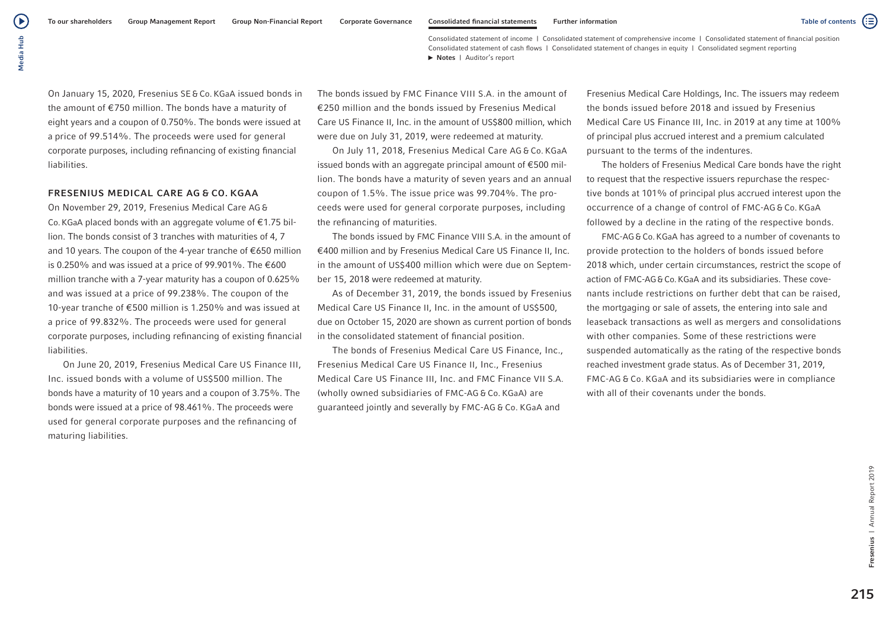Media Hub

Media Hub

(▶

Consolidated statement of income | Consolidated statement of comprehensive income | Consolidated statement of financial position Consolidated statement of cash flows | Consolidated statement of changes in equity | Consolidated segment reporting Notes | Auditor's report

On January 15, 2020, Fresenius SE&Co. KGaA issued bonds in the amount of €750 million. The bonds have a maturity of eight years and a coupon of 0.750%. The bonds were issued at a price of 99.514%. The proceeds were used for general corporate purposes, including refinancing of existing financial liabilities.

### FRESENIUS MEDICAL CARE AG & CO. KGAA

On November 29, 2019, Fresenius Medical Care AG & Co.KGaA placed bonds with an aggregate volume of €1.75 billion. The bonds consist of 3 tranches with maturities of 4, 7 and 10 years. The coupon of the 4-year tranche of €650 million is 0.250% and was issued at a price of 99.901%. The €600 million tranche with a 7-year maturity has a coupon of 0.625% and was issued at a price of 99.238%. The coupon of the 10-year tranche of €500 million is 1.250% and was issued at a price of 99.832%. The proceeds were used for general corporate purposes, including refinancing of existing financial liabilities.

On June 20, 2019, Fresenius Medical Care US Finance III, Inc. issued bonds with a volume of US\$500 million. The bonds have a maturity of 10 years and a coupon of 3.75%. The bonds were issued at a price of 98.461%. The proceeds were used for general corporate purposes and the refinancing of maturing liabilities.

The bonds issued by FMC Finance VIII S.A. in the amount of €250 million and the bonds issued by Fresenius Medical Care US Finance II, Inc. in the amount of US\$800 million, which were due on July 31, 2019, were redeemed at maturity.

On July 11, 2018, Fresenius Medical Care AG & Co. KGaA issued bonds with an aggregate principal amount of €500 million. The bonds have a maturity of seven years and an annual coupon of 1.5%. The issue price was 99.704%. The proceeds were used for general corporate purposes, including the refinancing of maturities.

The bonds issued by FMC Finance VIII S.A. in the amount of €400 million and by Fresenius Medical Care US Finance II, Inc. in the amount of US\$400 million which were due on September 15, 2018 were redeemed at maturity.

As of December 31, 2019, the bonds issued by Fresenius Medical Care US Finance II, Inc. in the amount of US\$500, due on October 15, 2020 are shown as current portion of bonds in the consolidated statement of financial position.

The bonds of Fresenius Medical Care US Finance, Inc., Fresenius Medical Care US Finance II, Inc., Fresenius Medical Care US Finance III, Inc. and FMC Finance VII S.A. (wholly owned subsidiaries of FMC-AG & Co. KGaA) are guaranteed jointly and severally by FMC-AG & Co. KGaA and

Fresenius Medical Care Holdings, Inc. The issuers may redeem the bonds issued before 2018 and issued by Fresenius Medical Care US Finance III, Inc. in 2019 at any time at 100% of principal plus accrued interest and a premium calculated pursuant to the terms of the indentures.

The holders of Fresenius Medical Care bonds have the right to request that the respective issuers repurchase the respective bonds at 101% of principal plus accrued interest upon the occurrence of a change of control of FMC-AG & Co. KGaA followed by a decline in the rating of the respective bonds.

FMC-AG & Co. KGaA has agreed to a number of covenants to provide protection to the holders of bonds issued before 2018 which, under certain circumstances, restrict the scope of action of FMC-AG&Co. KGaA and its subsidiaries. These covenants include restrictions on further debt that can be raised, the mortgaging or sale of assets, the entering into sale and leaseback transactions as well as mergers and consolidations with other companies. Some of these restrictions were suspended automatically as the rating of the respective bonds reached investment grade status. As of December 31, 2019, FMC-AG & Co. KGaA and its subsidiaries were in compliance with all of their covenants under the bonds.

215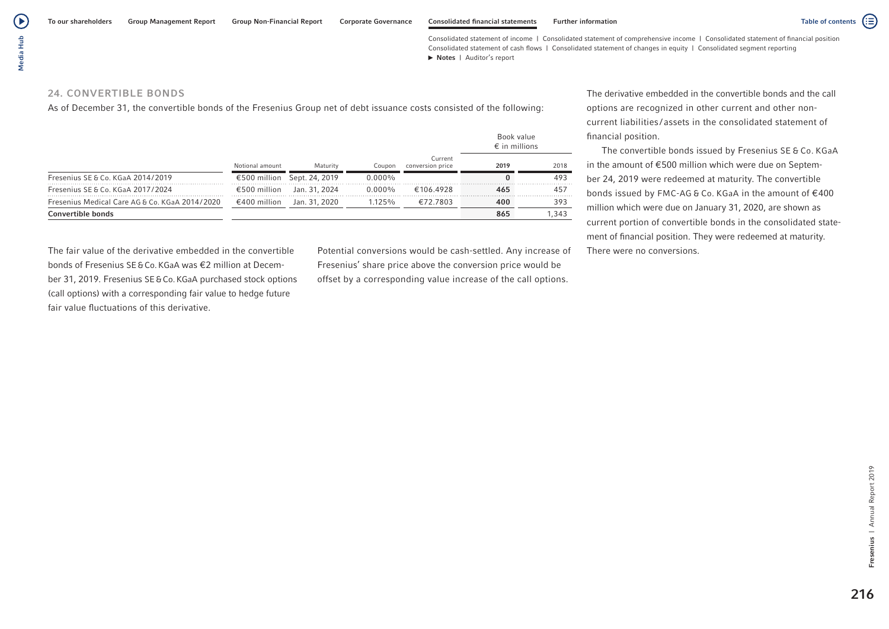#### 24. CONVERTIBLE BONDS

As of December 31, the convertible bonds of the Fresenius Group net of debt issuance costs consisted of the following:

|                                                |                 |                |           |                             |      | Book value<br>$\epsilon$ in millions |  |
|------------------------------------------------|-----------------|----------------|-----------|-----------------------------|------|--------------------------------------|--|
|                                                | Notional amount | Maturity       | Coupon    | Current<br>conversion price | 2019 | 2018                                 |  |
| Fresenius SE & Co. KGaA 2014/2019              | €500 million    | Sept. 24, 2019 | $0.000\%$ |                             |      | 493                                  |  |
| Fresenius SE & Co. KGaA 2017/2024              | €500 million    | Jan. 31, 2024  | 0.000%    | €106.4928                   |      | 457                                  |  |
| Fresenius Medical Care AG & Co. KGaA 2014/2020 | €400 million    | Jan. 31, 2020  | 1.125%    | €72.7803                    | 400  | 393                                  |  |
| Convertible bonds                              |                 |                |           |                             | 865  | 1.343                                |  |

bonds of Fresenius SE&Co.KGaA was €2 million at December 31, 2019. Fresenius SE & Co. KGaA purchased stock options (call options) with a corresponding fair value to hedge future fair value fluctuations of this derivative.

The fair value of the derivative embedded in the convertible Potential conversions would be cash-settled. Any increase of There were no conversions. Fresenius' share price above the conversion price would be offset by a corresponding value increase of the call options.

The derivative embedded in the convertible bonds and the call options are recognized in other current and other noncurrent liabilities / assets in the consolidated statement of financial position.

The convertible bonds issued by Fresenius SE & Co. KGaA in the amount of €500 million which were due on September 24, 2019 were redeemed at maturity. The convertible bonds issued by FMC-AG & Co. KGaA in the amount of €400 million which were due on January 31, 2020, are shown as current portion of convertible bonds in the consolidated statement of financial position. They were redeemed at maturity.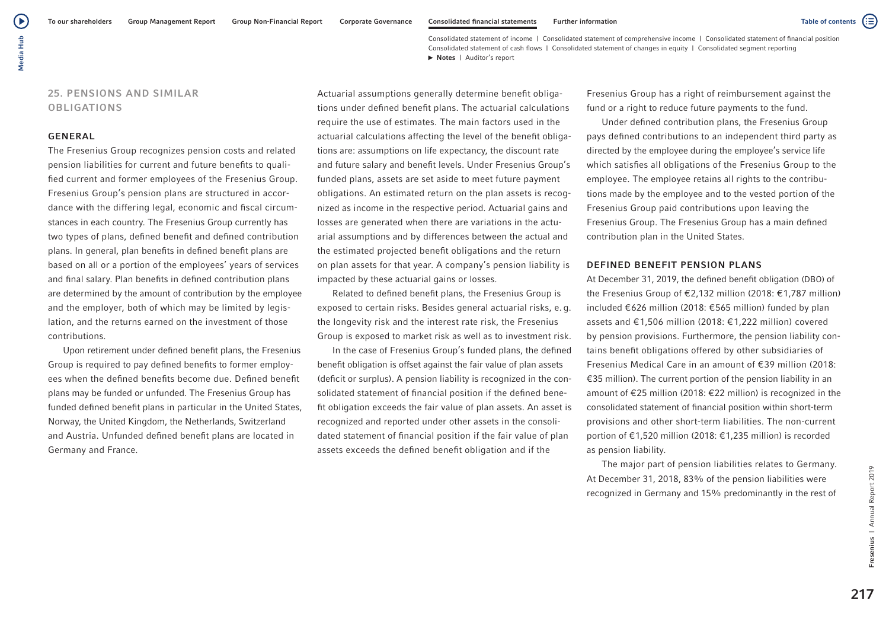Consolidated statement of income | Consolidated statement of comprehensive income | Consolidated statement of financial position Consolidated statement of cash flows | Consolidated statement of changes in equity | Consolidated segment reporting Notes | Auditor's report

## 25. PENSIONS AND SIMILAR OBLIGATIONS

#### GENERAL

The Fresenius Group recognizes pension costs and related pension liabilities for current and future benefits to qualified current and former employees of the Fresenius Group. Fresenius Group's pension plans are structured in accordance with the differing legal, economic and fiscal circumstances in each country. The Fresenius Group currently has two types of plans, defined benefit and defined contribution plans. In general, plan benefits in defined benefit plans are based on all or a portion of the employees' years of services and final salary. Plan benefits in defined contribution plans are determined by the amount of contribution by the employee and the employer, both of which may be limited by legislation, and the returns earned on the investment of those contributions.

Upon retirement under defined benefit plans, the Fresenius Group is required to pay defined benefits to former employees when the defined benefits become due. Defined benefit plans may be funded or unfunded. The Fresenius Group has funded defined benefit plans in particular in the United States, Norway, the United Kingdom, the Netherlands, Switzerland and Austria. Unfunded defined benefit plans are located in Germany and France.

Actuarial assumptions generally determine benefit obligations under defined benefit plans. The actuarial calculations require the use of estimates. The main factors used in the actuarial calculations affecting the level of the benefit obligations are: assumptions on life expectancy, the discount rate and future salary and benefit levels. Under Fresenius Group's funded plans, assets are set aside to meet future payment obligations. An estimated return on the plan assets is recognized as income in the respective period. Actuarial gains and losses are generated when there are variations in the actuarial assumptions and by differences between the actual and the estimated projected benefit obligations and the return on plan assets for that year. A company's pension liability is impacted by these actuarial gains or losses.

Related to defined benefit plans, the Fresenius Group is exposed to certain risks. Besides general actuarial risks, e. g. the longevity risk and the interest rate risk, the Fresenius Group is exposed to market risk as well as to investment risk.

In the case of Fresenius Group's funded plans, the defined benefit obligation is offset against the fair value of plan assets (deficit or surplus). A pension liability is recognized in the consolidated statement of financial position if the defined benefit obligation exceeds the fair value of plan assets. An asset is recognized and reported under other assets in the consolidated statement of financial position if the fair value of plan assets exceeds the defined benefit obligation and if the

Fresenius Group has a right of reimbursement against the fund or a right to reduce future payments to the fund.

Under defined contribution plans, the Fresenius Group pays defined contributions to an independent third party as directed by the employee during the employee's service life which satisfies all obligations of the Fresenius Group to the employee. The employee retains all rights to the contributions made by the employee and to the vested portion of the Fresenius Group paid contributions upon leaving the Fresenius Group. The Fresenius Group has a main defined contribution plan in the United States.

#### DEFINED BENEFIT PENSION PLANS

At December 31, 2019, the defined benefit obligation (DBO) of the Fresenius Group of €2,132 million (2018: €1,787 million) included €626 million (2018: €565 million) funded by plan assets and €1,506 million (2018: €1,222 million) covered by pension provisions. Furthermore, the pension liability contains benefit obligations offered by other subsidiaries of Fresenius Medical Care in an amount of €39 million (2018: €35 million). The current portion of the pension liability in an amount of €25 million (2018: €22 million) is recognized in the consolidated statement of financial position within short-term provisions and other short-term liabilities. The non-current portion of €1,520 million (2018: €1,235 million) is recorded as pension liability.

The major part of pension liabilities relates to Germany. At December 31, 2018, 83% of the pension liabilities were recognized in Germany and 15% predominantly in the rest of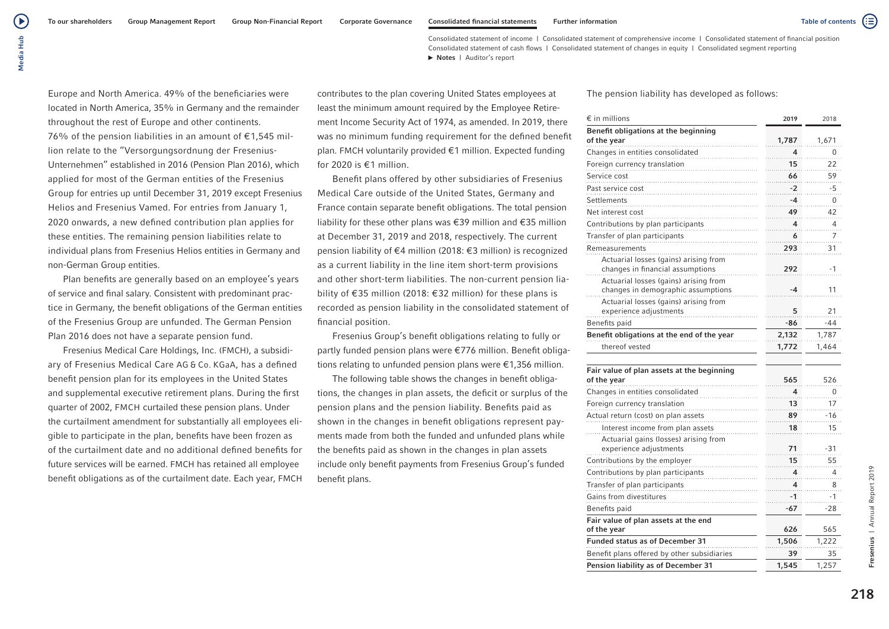Media Hub

Media Hub

(▶

(⊟) Table of contents

Consolidated statement of income | Consolidated statement of comprehensive income | Consolidated statement of financial position Consolidated statement of cash flows | Consolidated statement of changes in equity | Consolidated segment reporting Notes | Auditor's report

Europe and North America. 49% of the beneficiaries were located in North America, 35% in Germany and the remainder throughout the rest of Europe and other continents. 76% of the pension liabilities in an amount of  $£1,545$  million relate to the "Versorgungsordnung der Fresenius--Unternehmen" established in 2016 (Pension Plan 2016), which applied for most of the German entities of the Fresenius Group for entries up until December 31, 2019 except Fresenius Helios and Fresenius Vamed. For entries from January 1, 2020 onwards, a new defined contribution plan applies for these entities. The remaining pension liabilities relate to individual plans from Fresenius Helios entities in Germany and non-German Group entities.

Plan benefits are generally based on an employee's years of service and final salary. Consistent with predominant practice in Germany, the benefit obligations of the German entities of the Fresenius Group are unfunded. The German Pension Plan 2016 does not have a separate pension fund.

Fresenius Medical Care Holdings, Inc. (FMCH), a subsidiary of Fresenius Medical Care AG & Co. KGaA, has a defined benefit pension plan for its employees in the United States and supplemental executive retirement plans. During the first quarter of 2002, FMCH curtailed these pension plans. Under the curtailment amendment for substantially all employees eligible to participate in the plan, benefits have been frozen as of the curtailment date and no additional defined benefits for future services will be earned. FMCH has retained all employee benefit obligations as of the curtailment date. Each year, FMCH contributes to the plan covering United States employees at least the minimum amount required by the Employee Retirement Income Security Act of 1974, as amended. In 2019, there was no minimum funding requirement for the defined benefit plan. FMCH voluntarily provided €1 million. Expected funding for 2020 is €1 million.

Benefit plans offered by other subsidiaries of Fresenius Medical Care outside of the United States, Germany and France contain separate benefit obligations. The total pension liability for these other plans was €39 million and €35 million at December 31, 2019 and 2018, respectively. The current pension liability of €4 million (2018: €3 million) is recognized as a current liability in the line item short-term provisions and other short-term liabilities. The non-current pension liability of €35 million (2018: €32 million) for these plans is recorded as pension liability in the consolidated statement of financial position.

Fresenius Group's benefit obligations relating to fully or partly funded pension plans were €776 million. Benefit obligations relating to unfunded pension plans were €1,356 million.

The following table shows the changes in benefit obligations, the changes in plan assets, the deficit or surplus of the pension plans and the pension liability. Benefits paid as shown in the changes in benefit obligations represent payments made from both the funded and unfunded plans while the benefits paid as shown in the changes in plan assets include only benefit payments from Fresenius Group's funded benefit plans.

The pension liability has developed as follows:

| $\epsilon$ in millions                                          | 2019             | 2018  |
|-----------------------------------------------------------------|------------------|-------|
| Benefit obligations at the beginning<br>of the year             | 1,787            | 1,671 |
| Changes in entities consolidated                                | 4                | 0     |
| Foreign currency translation                                    | 15               | 22    |
| Service cost                                                    | 66               | 59    |
| Past service cost                                               | $-2$             | -5    |
| Settlements                                                     | $-4$             | 0     |
| Net interest cost                                               | 49               | 42    |
| Contributions by plan participants                              | $\boldsymbol{A}$ | 4     |
| Transfer of plan participants                                   | 6                | 7     |
| Remeasurements                                                  | 293              | 31    |
| Actuarial losses (gains) arising from                           |                  |       |
| changes in financial assumptions                                | 292              | -1    |
| Actuarial losses (gains) arising from                           |                  |       |
| changes in demographic assumptions                              | $-4$             | 11    |
| Actuarial losses (gains) arising from                           |                  |       |
| experience adjustments                                          | 5                | 21    |
| Benefits paid                                                   | -86              | -44   |
| Benefit obligations at the end of the year                      | 2,132            | 1,787 |
| thereof vested                                                  | 1,772            | 1,464 |
| Fair value of plan assets at the beginning                      |                  |       |
| of the year                                                     | 565              | 526   |
| Changes in entities consolidated                                | 4                | 0     |
| Foreign currency translation                                    | 13               | 17    |
| Actual return (cost) on plan assets                             | 89               | -16   |
| Interest income from plan assets                                | 18               | 15    |
| Actuarial gains (losses) arising from<br>experience adjustments | 71               | $-31$ |
| Contributions by the employer                                   | 15               | 55    |
| Contributions by plan participants                              | 4                | 4     |
| Transfer of plan participants                                   | 4                | 8     |
| Gains from divestitures                                         | $-1$             | -1    |
| Benefits paid                                                   | -67              | -28   |
| Fair value of plan assets at the end                            |                  |       |
| of the year                                                     | 626              | 565   |
| <b>Funded status as of December 31</b>                          | 1,506            | 1,222 |
| Benefit plans offered by other subsidiaries                     | 39               | 35    |
| Pension liability as of December 31                             | 1,545            | 1,257 |

Fresenius | Annual Report 2019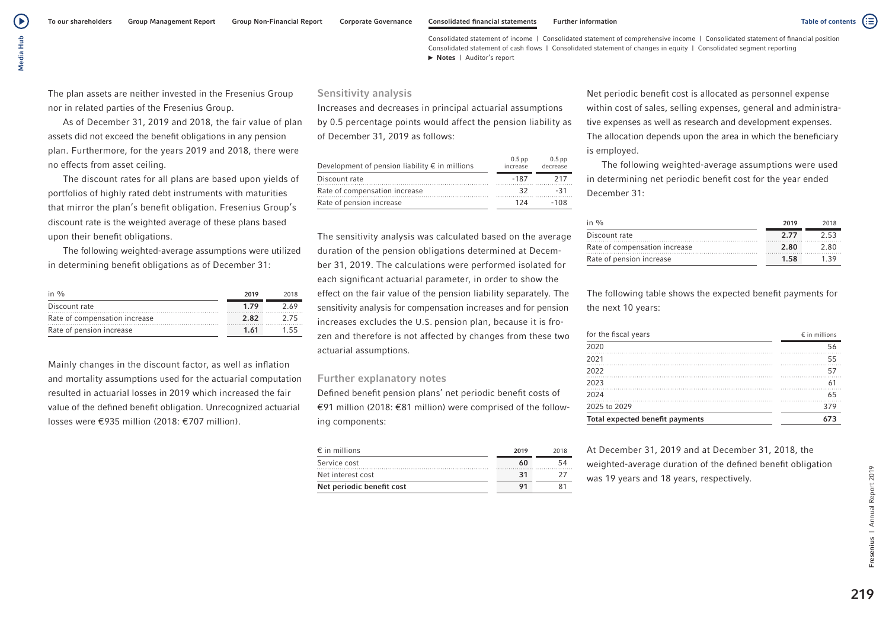⊜ Table of contents

Consolidated statement of income | Consolidated statement of comprehensive income | Consolidated statement of financial position Consolidated statement of cash flows | Consolidated statement of changes in equity | Consolidated segment reporting Notes | Auditor's report

The plan assets are neither invested in the Fresenius Group nor in related parties of the Fresenius Group.

As of December 31, 2019 and 2018, the fair value of plan assets did not exceed the benefit obligations in any pension plan. Furthermore, for the years 2019 and 2018, there were no effects from asset ceiling.

The discount rates for all plans are based upon yields of portfolios of highly rated debt instruments with maturities that mirror the plan's benefit obligation. Fresenius Group's discount rate is the weighted average of these plans based upon their benefit obligations.

The following weighted-average assumptions were utilized in determining benefit obligations as of December 31:

| in $\frac{0}{n}$              | 2019 | 2018 |
|-------------------------------|------|------|
| Discount rate                 | 1.79 | 2.69 |
| Rate of compensation increase | 282  | 2.75 |
| Rate of pension increase      | 1.61 | 155  |

Mainly changes in the discount factor, as well as inflation and mortality assumptions used for the actuarial computation resulted in actuarial losses in 2019 which increased the fair value of the defined benefit obligation. Unrecognized actuarial losses were €935 million (2018: €707 million).

## Sensitivity analysis

Increases and decreases in principal actuarial assumptions by 0.5 percentage points would affect the pension liability as of December 31, 2019 as follows:

| Development of pension liability $\epsilon$ in millions | 0.5 <sub>pp</sub><br>increase | 0.5 <sub>pp</sub><br>decrease |
|---------------------------------------------------------|-------------------------------|-------------------------------|
| Discount rate                                           | $-187$                        | 217                           |
| Rate of compensation increase                           | っつ                            | -31                           |
| Rate of pension increase                                | 124                           | $-108$                        |

The sensitivity analysis was calculated based on the average duration of the pension obligations determined at December 31, 2019. The calculations were performed isolated for each significant actuarial parameter, in order to show the effect on the fair value of the pension liability separately. The sensitivity analysis for compensation increases and for pension increases excludes the U.S. pension plan, because it is frozen and therefore is not affected by changes from these two actuarial assumptions.

#### Further explanatory notes

Defined benefit pension plans' net periodic benefit costs of €91 million (2018: €81 million) were comprised of the following components:

| $\epsilon$ in millions    | 2019      | 2018 |
|---------------------------|-----------|------|
| Service cost              | 60        |      |
| Net interest cost         | -31       |      |
| Net periodic benefit cost | <b>Q1</b> |      |

Net periodic benefit cost is allocated as personnel expense within cost of sales, selling expenses, general and administrative expenses as well as research and development expenses. The allocation depends upon the area in which the beneficiary is employed.

The following weighted-average assumptions were used in determining net periodic benefit cost for the year ended December 31:

| in $\frac{0}{n}$              | 2019 | 2018            |
|-------------------------------|------|-----------------|
| Discount rate                 | 2.77 | 253             |
| Rate of compensation increase | 2.80 | <sup>2</sup> 80 |
| Rate of pension increase      | 158  |                 |

The following table shows the expected benefit payments for the next 10 years:

| for the fiscal years            | $\epsilon$ in millions |
|---------------------------------|------------------------|
| 2020                            | 56                     |
| 2021                            | 55                     |
| 2022                            | 57                     |
| 2023                            |                        |
| 2024                            | 65                     |
| 2025 to 2029                    | 379                    |
| Total expected benefit payments |                        |

At December 31, 2019 and at December 31, 2018, the weighted-average duration of the defined benefit obligation was 19 years and 18 years, respectively.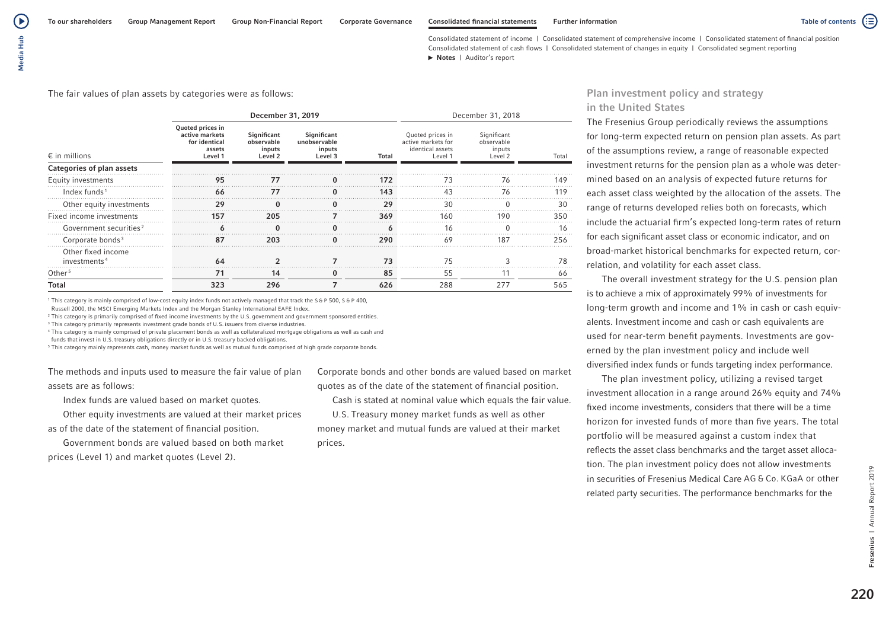#### The fair values of plan assets by categories were as follows:

|                                                |                                                                          | December 31, 2019                              |                                                  |       |                                                                       | December 31, 2018                              |       |
|------------------------------------------------|--------------------------------------------------------------------------|------------------------------------------------|--------------------------------------------------|-------|-----------------------------------------------------------------------|------------------------------------------------|-------|
| $\epsilon$ in millions                         | Quoted prices in<br>active markets<br>for identical<br>assets<br>Level 1 | Significant<br>observable<br>inputs<br>Level 2 | Significant<br>unobservable<br>inputs<br>Level 3 | Total | Quoted prices in<br>active markets for<br>identical assets<br>Level 1 | Significant<br>observable<br>inputs<br>Level 2 | Total |
| Categories of plan assets                      |                                                                          |                                                |                                                  |       |                                                                       |                                                |       |
| Equity investments                             | 95                                                                       |                                                |                                                  | 172   | 73                                                                    | 76                                             | 149   |
| Index funds <sup>1</sup>                       | 66                                                                       |                                                |                                                  | 143   | 43                                                                    | 76                                             |       |
| Other equity investments                       | 29                                                                       |                                                |                                                  | 29    | 30                                                                    |                                                | 30    |
| Fixed income investments                       | 157                                                                      | 205                                            |                                                  | 369   | 160                                                                   | 190                                            | 350   |
| Government securities <sup>2</sup>             |                                                                          |                                                |                                                  |       | 16                                                                    |                                                |       |
| Corporate bonds <sup>3</sup>                   |                                                                          | 203                                            |                                                  | 290   | 69                                                                    | 187                                            | 256   |
| Other fixed income<br>investments <sup>4</sup> |                                                                          |                                                |                                                  |       | 75                                                                    |                                                |       |
| Other $5$                                      | 71                                                                       | 14                                             | $\mathbf{0}$                                     | 85    | 55                                                                    | 11                                             | 66    |
| Total                                          | 323                                                                      | 296                                            |                                                  | 626   | 288                                                                   | 277                                            | 565   |

<sup>1</sup> This category is mainly comprised of low-cost equity index funds not actively managed that track the S & P 500, S & P 400,

Russell 2000, the MSCI Emerging Markets Index and the Morgan Stanley International EAFE Index.

2 This category is primarily comprised of fixed income investments by the U.S. government and government sponsored entities.

3 This category primarily represents investment grade bonds of U.S. issuers from diverse industries.

<sup>4</sup> This category is mainly comprised of private placement bonds as well as collateralized mortgage obligations as well as cash and

funds that invest in U.S. treasury obligations directly or in U.S. treasury backed obligations.

5 This category mainly represents cash, money market funds as well as mutual funds comprised of high grade corporate bonds.

The methods and inputs used to measure the fair value of plan assets are as follows:

Index funds are valued based on market quotes.

Other equity investments are valued at their market prices as of the date of the statement of financial position.

Government bonds are valued based on both market prices (Level 1) and market quotes (Level 2).

Corporate bonds and other bonds are valued based on market quotes as of the date of the statement of financial position.

Cash is stated at nominal value which equals the fair value. U.S. Treasury money market funds as well as other money market and mutual funds are valued at their market prices.

## Plan investment policy and strategy in the United States

The Fresenius Group periodically reviews the assumptions for long-term expected return on pension plan assets. As part of the assumptions review, a range of reasonable expected investment returns for the pension plan as a whole was determined based on an analysis of expected future returns for each asset class weighted by the allocation of the assets. The range of returns developed relies both on forecasts, which include the actuarial firm's expected long-term rates of return for each significant asset class or economic indicator, and on broad-market historical benchmarks for expected return, correlation, and volatility for each asset class.

The overall investment strategy for the U.S. pension plan is to achieve a mix of approximately 99% of investments for long-term growth and income and 1% in cash or cash equivalents. Investment income and cash or cash equivalents are used for near-term benefit payments. Investments are governed by the plan investment policy and include well diversified index funds or funds targeting index performance.

The plan investment policy, utilizing a revised target investment allocation in a range around 26% equity and 74% fixed income investments, considers that there will be a time horizon for invested funds of more than five years. The total portfolio will be measured against a custom index that reflects the asset class benchmarks and the target asset allocation. The plan investment policy does not allow investments in securities of Fresenius Medical Care AG & Co. KGaA or other related party securities. The performance benchmarks for the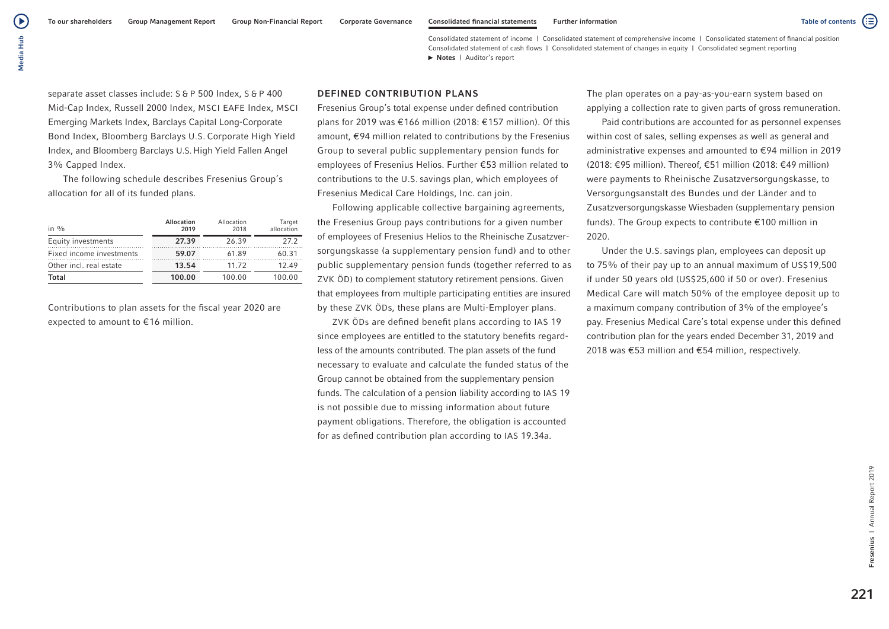separate asset classes include: S & P 500 Index, S & P 400 Mid-Cap Index, Russell 2000 Index, MSCI EAFE Index, MSCI Emerging Markets Index, Barclays Capital Long-Corporate Bond Index, Bloomberg Barclays U.S. Corporate High Yield Index, and Bloomberg Barclays U.S.High Yield Fallen Angel 3% Capped Index.

The following schedule describes Fresenius Group's allocation for all of its funded plans.

| in $\frac{0}{n}$         | Allocation<br>2019 | Allocation<br>2018 | Target<br>allocation |
|--------------------------|--------------------|--------------------|----------------------|
| Equity investments       | 27.39              | 26.39              | 27 2                 |
| Fixed income investments | 59.07              | 6189               | 60.31                |
| Other incl. real estate  | 13.54              | 11 72              | 12 49                |
| Total                    | 100.00             | 100.00             | .0000                |

Contributions to plan assets for the fiscal year 2020 are expected to amount to €16 million.

#### DEFINED CONTRIBUTION PLANS

Fresenius Group's total expense under defined contribution plans for 2019 was €166 million (2018: €157 million). Of this amount, €94 million related to contributions by the Fresenius Group to several public supplementary pension funds for employees of Fresenius Helios. Further €53 million related to contributions to the U.S. savings plan, which employees of Fresenius Medical Care Holdings, Inc. can join.

Following applicable collective bargaining agreements, the Fresenius Group pays contributions for a given number of employees of Fresenius Helios to the Rheinische Zusatzversorgungskasse (a supplementary pension fund) and to other public supplementary pension funds (together referred to as ZVK ÖD) to complement statutory retirement pensions. Given that employees from multiple participating entities are insured by these ZVK ÖDs, these plans are Multi-Employer plans.

ZVK ÖDs are defined benefit plans according to IAS 19 since employees are entitled to the statutory benefits regardless of the amounts contributed. The plan assets of the fund necessary to evaluate and calculate the funded status of the Group cannot be obtained from the supplementary pension funds. The calculation of a pension liability according to IAS 19 is not possible due to missing information about future payment obligations. Therefore, the obligation is accounted for as defined contribution plan according to IAS 19.34a.

The plan operates on a pay-as-you-earn system based on applying a collection rate to given parts of gross remuneration.

Paid contributions are accounted for as personnel expenses within cost of sales, selling expenses as well as general and administrative expenses and amounted to €94 million in 2019 (2018: €95 million). Thereof, €51 million (2018: €49 million) were payments to Rheinische Zusatzversorgungskasse, to Versorgungsanstalt des Bundes und der Länder and to Zusatzversorgungskasse Wiesbaden (supplementary pension funds). The Group expects to contribute €100 million in 2020.

Under the U.S. savings plan, employees can deposit up to 75% of their pay up to an annual maximum of US\$19,500 if under 50 years old (US\$25,600 if 50 or over). Fresenius Medical Care will match 50% of the employee deposit up to a maximum company contribution of 3% of the employee's pay. Fresenius Medical Care's total expense under this defined contribution plan for the years ended December 31, 2019 and 2018 was €53 million and €54 million, respectively.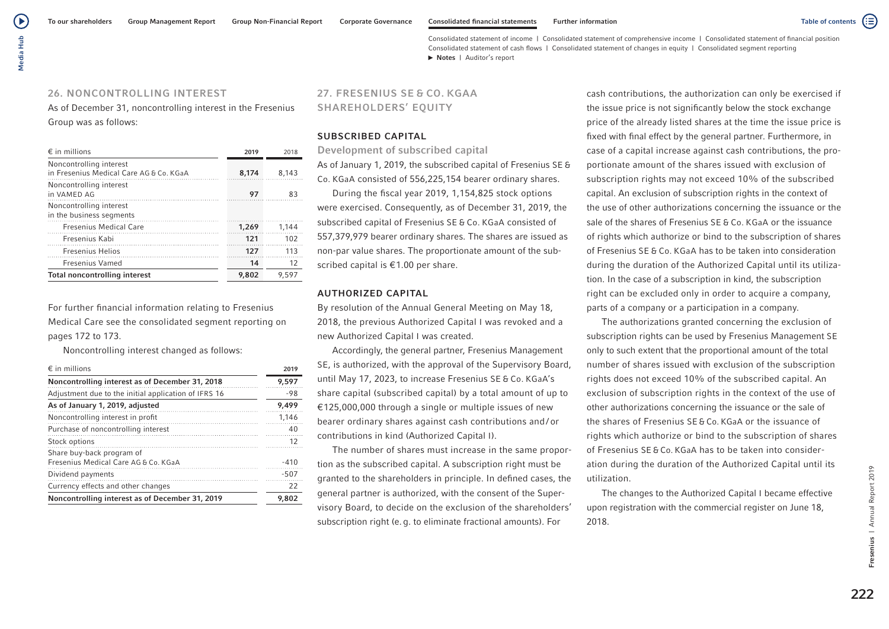Table of contents

 $(\textbf{m})$ 

Consolidated statement of income | Consolidated statement of comprehensive income | Consolidated statement of financial position Consolidated statement of cash flows | Consolidated statement of changes in equity | Consolidated segment reporting Notes | Auditor's report

#### 26. NONCONTROLLING INTEREST

As of December 31, noncontrolling interest in the Fresenius Group was as follows:

| $\epsilon$ in millions                                             | 2019  | 2018  |
|--------------------------------------------------------------------|-------|-------|
| Noncontrolling interest<br>in Fresenius Medical Care AG & Co. KGaA | 8,174 | 8.143 |
| Noncontrolling interest<br>in VAMED AG                             | 97    | 83    |
| Noncontrolling interest<br>in the business segments                |       |       |
| <b>Fresenius Medical Care</b>                                      | 1,269 | 1.144 |
| Fresenius Kabi                                                     | 121   | 102   |
| <b>Fresenius Helios</b>                                            | 127   | 113   |
| <b>Fresenius Vamed</b>                                             | 14    | 12    |
| Total noncontrolling interest                                      | 9,802 | 9.597 |

For further financial information relating to Fresenius Medical Care see the consolidated segment reporting on pages 172 to 173.

Noncontrolling interest changed as follows:

| $\epsilon$ in millions                               | 2019   |
|------------------------------------------------------|--------|
| Noncontrolling interest as of December 31, 2018      | 9,597  |
| Adjustment due to the initial application of IFRS 16 | $-98$  |
| As of January 1, 2019, adjusted                      | 9,499  |
| Noncontrolling interest in profit                    | 1,146  |
| Purchase of noncontrolling interest                  | 40     |
| Stock options                                        | 12     |
| Share buy-back program of                            |        |
| Fresenius Medical Care AG & Co. KGaA                 | $-410$ |
| Dividend payments                                    | $-507$ |
| Currency effects and other changes                   | 22     |
| Noncontrolling interest as of December 31, 2019      | 9,802  |

# 27. FRESENIUS SE & CO. KGAA SHAREHOLDERS' EQUITY

#### SUBSCRIBED CAPITAL

Development of subscribed capital As of January 1, 2019, the subscribed capital of Fresenius SE & Co. KGaA consisted of 556,225,154 bearer ordinary shares.

During the fiscal year 2019, 1,154,825 stock options were exercised. Consequently, as of December 31, 2019, the subscribed capital of Fresenius SE & Co. KGaA consisted of 557,379,979 bearer ordinary shares. The shares are issued as non-par value shares. The proportionate amount of the subscribed capital is  $€1.00$  per share.

#### AUTHORIZED CAPITAL

By resolution of the Annual General Meeting on May 18, 2018, the previous Authorized Capital I was revoked and a new Authorized Capital I was created.

Accordingly, the general partner, Fresenius Management SE, is authorized, with the approval of the Supervisory Board, until May 17, 2023, to increase Fresenius SE & Co. KGaA's share capital (subscribed capital) by a total amount of up to €125,000,000 through a single or multiple issues of new bearer ordinary shares against cash contributions and / or contributions in kind (Authorized Capital I).

The number of shares must increase in the same proportion as the subscribed capital. A subscription right must be granted to the shareholders in principle. In defined cases, the general partner is authorized, with the consent of the Supervisory Board, to decide on the exclusion of the shareholders' subscription right (e. g. to eliminate fractional amounts). For

cash contributions, the authorization can only be exercised if the issue price is not significantly below the stock exchange price of the already listed shares at the time the issue price is fixed with final effect by the general partner. Furthermore, in case of a capital increase against cash contributions, the proportionate amount of the shares issued with exclusion of subscription rights may not exceed 10% of the subscribed capital. An exclusion of subscription rights in the context of the use of other authorizations concerning the issuance or the sale of the shares of Fresenius SE & Co. KGaA or the issuance of rights which authorize or bind to the subscription of shares of Fresenius SE & Co. KGaA has to be taken into consideration during the duration of the Authorized Capital until its utilization. In the case of a subscription in kind, the subscription right can be excluded only in order to acquire a company, parts of a company or a participation in a company.

The authorizations granted concerning the exclusion of subscription rights can be used by Fresenius Management SE only to such extent that the proportional amount of the total number of shares issued with exclusion of the subscription rights does not exceed 10% of the subscribed capital. An exclusion of subscription rights in the context of the use of other authorizations concerning the issuance or the sale of the shares of Fresenius SE & Co. KGaA or the issuance of rights which authorize or bind to the subscription of shares of Fresenius SE & Co. KGaA has to be taken into consideration during the duration of the Authorized Capital until its utilization.

The changes to the Authorized Capital I became effective upon registration with the commercial register on June 18, 2018.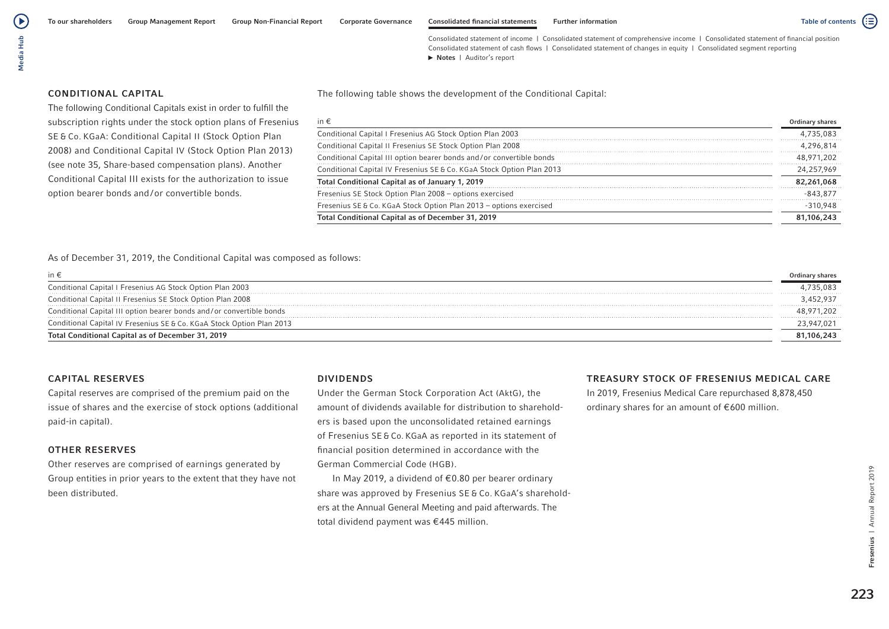Table of contents

Consolidated statement of income | Consolidated statement of comprehensive income | Consolidated statement of financial position Consolidated statement of cash flows | Consolidated statement of changes in equity | Consolidated segment reporting Notes | Auditor's report

#### CONDITIONAL CAPITAL

The following table shows the development of the Conditional Capital:

The following Conditional Capitals exist in order to fulfill the subscription rights under the stock option plans of Fresenius SE & Co. KGaA: Conditional Capital II (Stock Option Plan 2008) and Conditional Capital IV (Stock Option Plan 2013) (see note 35, Share-based compensation plans). Another Conditional Capital III exists for the authorization to issue option bearer bonds and/or convertible bonds.

| in €                                                                  | Ordinary shares |
|-----------------------------------------------------------------------|-----------------|
| Conditional Capital I Fresenius AG Stock Option Plan 2003             | 4.735.083       |
| Conditional Capital II Fresenius SE Stock Option Plan 2008            | 4.296.814       |
| Conditional Capital III option bearer bonds and/or convertible bonds  | 48.971.202      |
| Conditional Capital IV Fresenius SE & Co. KGaA Stock Option Plan 2013 | 24,257,969      |
| Total Conditional Capital as of January 1, 2019                       | 82,261,068      |
| Fresenius SE Stock Option Plan 2008 - options exercised               | -843.877        |
| Fresenius SE & Co. KGaA Stock Option Plan 2013 - options exercised    | $-310,948$      |
| Total Conditional Capital as of December 31, 2019                     | 81,106,243      |

## As of December 31, 2019, the Conditional Capital was composed as follows:

| in €                                                                  |            |
|-----------------------------------------------------------------------|------------|
| Conditional Capital I Fresenius AG Stock Option Plan 2003             | 4,735,083  |
| Conditional Capital II Fresenius SE Stock Option Plan 2008            | 3.452.937  |
| Conditional Capital III option bearer bonds and/or convertible bonds  | 48,971,202 |
| Conditional Capital IV Fresenius SE & Co. KGaA Stock Option Plan 2013 | 23,947,021 |
| Total Conditional Capital as of December 31, 2019                     | 81.106.243 |

#### CAPITAL RESERVES

Capital reserves are comprised of the premium paid on the issue of shares and the exercise of stock options (additional paid-in capital).

#### OTHER RESERVES

Other reserves are comprised of earnings generated by Group entities in prior years to the extent that they have not been distributed.

## DIVIDENDS

Under the German Stock Corporation Act (AktG), the amount of dividends available for distribution to shareholders is based upon the unconsolidated retained earnings of Fresenius SE & Co. KGaA as reported in its statement of financial position determined in accordance with the German Commercial Code (HGB).

In May 2019, a dividend of €0.80 per bearer ordinary share was approved by Fresenius SE & Co. KGaA's shareholders at the Annual General Meeting and paid afterwards. The total dividend payment was €445 million.

#### TREASURY STOCK OF FRESENIUS MEDICAL CARE

In 2019, Fresenius Medical Care repurchased 8,878,450 ordinary shares for an amount of €600 million.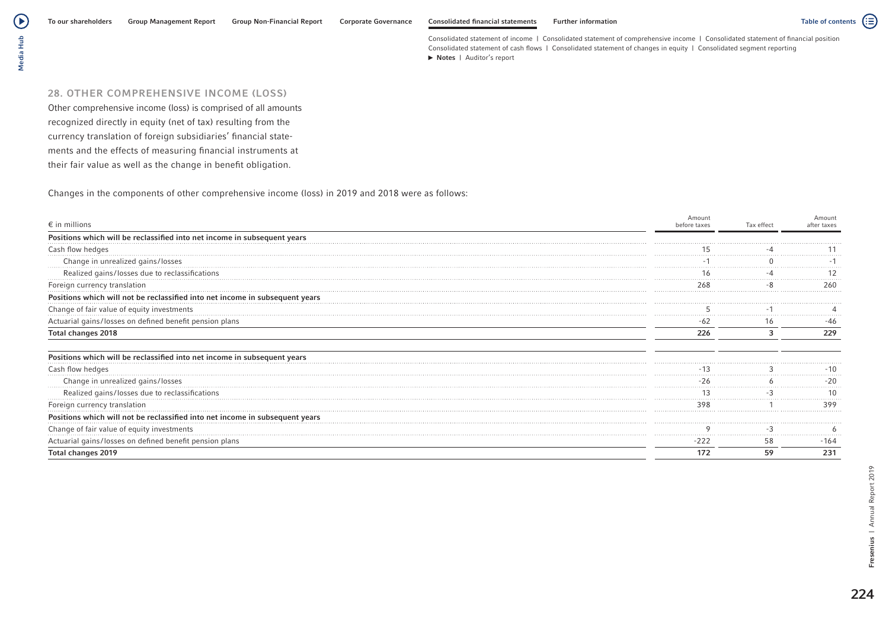

#### 28. OTHER COMPREHENSIVE INCOME (LOSS)

Other comprehensive income (loss) is comprised of all amounts recognized directly in equity (net of tax) resulting from the currency translation of foreign subsidiaries' financial statements and the effects of measuring financial instruments at their fair value as well as the change in benefit obligation.

Changes in the components of other comprehensive income (loss) in 2019 and 2018 were as follows:

| $\epsilon$ in millions                                                       | before taxes | Tax effect | Amount<br>fter taxes |
|------------------------------------------------------------------------------|--------------|------------|----------------------|
| Positions which will be reclassified into net income in subsequent years     |              |            |                      |
| Cash flow hedges                                                             |              |            |                      |
| Change in unrealized gains/losses                                            |              |            |                      |
| Realized gains/losses due to reclassifications                               |              |            |                      |
| Foreign currency translation                                                 | 268          |            | 260                  |
| Positions which will not be reclassified into net income in subsequent years |              |            |                      |
| Change of fair value of equity investments                                   |              |            |                      |
| Actuarial gains/losses on defined benefit pension plans                      |              |            |                      |
| Total changes 2018                                                           | 226          |            | 229                  |
| Positions which will be reclassified into net income in subsequent years     |              |            |                      |
| Cash flow hedges                                                             |              |            |                      |
| Change in unrealized gains/losses                                            |              |            |                      |
| Realized gains/losses due to reclassifications                               |              |            |                      |
| Foreign currency translation                                                 | 398          |            |                      |
| Positions which will not be reclassified into net income in subsequent years |              |            |                      |
| Change of fair value of equity investments                                   |              | -3         |                      |
| Actuarial gains/losses on defined benefit pension plans                      | $-222$       | 58         | $-164$               |
| <b>Total changes 2019</b>                                                    | 172          | 59         | 231                  |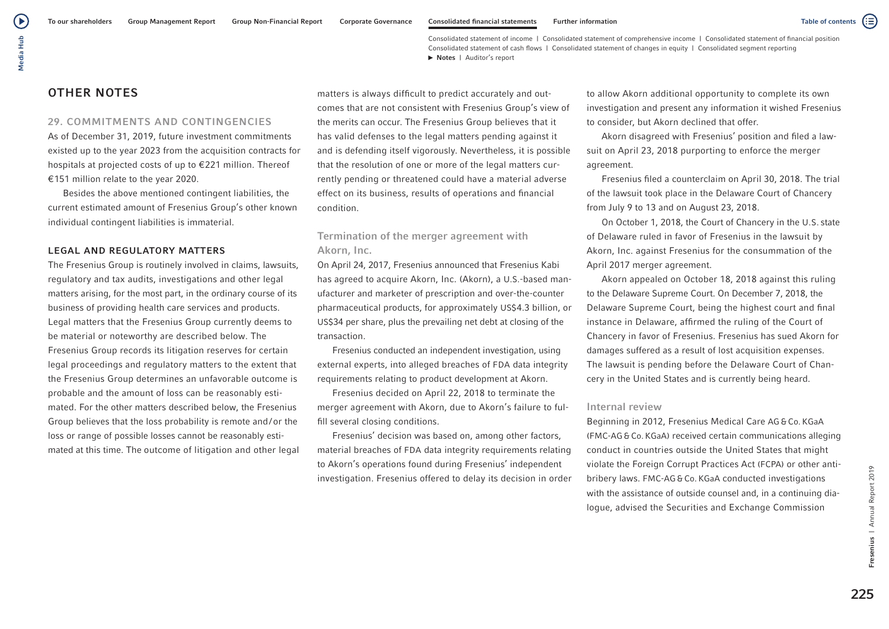Consolidated statement of income | Consolidated statement of comprehensive income | Consolidated statement of financial position Consolidated statement of cash flows | Consolidated statement of changes in equity | Consolidated segment reporting Notes | Auditor's report

# OTHER NOTES

### 29. COMMITMENTS AND CONTINGENCIES

As of December 31, 2019, future investment commitments existed up to the year 2023 from the acquisition contracts for hospitals at projected costs of up to €221 million. Thereof €151 million relate to the year 2020.

Besides the above mentioned contingent liabilities, the current estimated amount of Fresenius Group's other known individual contingent liabilities is immaterial.

#### LEGAL AND REGULATORY MATTERS

The Fresenius Group is routinely involved in claims, lawsuits, regulatory and tax audits, investigations and other legal matters arising, for the most part, in the ordinary course of its business of providing health care services and products. Legal matters that the Fresenius Group currently deems to be material or noteworthy are described below. The Fresenius Group records its litigation reserves for certain legal proceedings and regulatory matters to the extent that the Fresenius Group determines an unfavorable outcome is probable and the amount of loss can be reasonably estimated. For the other matters described below, the Fresenius Group believes that the loss probability is remote and/or the loss or range of possible losses cannot be reasonably estimated at this time. The outcome of litigation and other legal matters is always difficult to predict accurately and outcomes that are not consistent with Fresenius Group's view of the merits can occur. The Fresenius Group believes that it has valid defenses to the legal matters pending against it and is defending itself vigorously. Nevertheless, it is possible that the resolution of one or more of the legal matters currently pending or threatened could have a material adverse effect on its business, results of operations and financial condition.

# Termination of the merger agreement with Akorn, Inc.

On April 24, 2017, Fresenius announced that Fresenius Kabi has agreed to acquire Akorn, Inc. (Akorn), a U.S.-based manufacturer and marketer of prescription and over-the-counter pharmaceutical products, for approximately US\$4.3 billion, or US\$34 per share, plus the prevailing net debt at closing of the transaction.

Fresenius conducted an independent investigation, using external experts, into alleged breaches of FDA data integrity requirements relating to product development at Akorn.

Fresenius decided on April 22, 2018 to terminate the merger agreement with Akorn, due to Akorn's failure to fulfill several closing conditions.

Fresenius' decision was based on, among other factors, material breaches of FDA data integrity requirements relating to Akorn's operations found during Fresenius' independent investigation. Fresenius offered to delay its decision in order to allow Akorn additional opportunity to complete its own investigation and present any information it wished Fresenius to consider, but Akorn declined that offer.

Akorn disagreed with Fresenius' position and filed a lawsuit on April 23, 2018 purporting to enforce the merger agreement.

Fresenius filed a counterclaim on April 30, 2018. The trial of the lawsuit took place in the Delaware Court of Chancery from July 9 to 13 and on August 23, 2018.

On October 1, 2018, the Court of Chancery in the U.S. state of Delaware ruled in favor of Fresenius in the lawsuit by Akorn, Inc. against Fresenius for the consummation of the April 2017 merger agreement.

Akorn appealed on October 18, 2018 against this ruling to the Delaware Supreme Court. On December 7, 2018, the Delaware Supreme Court, being the highest court and final instance in Delaware, affirmed the ruling of the Court of Chancery in favor of Fresenius. Fresenius has sued Akorn for damages suffered as a result of lost acquisition expenses. The lawsuit is pending before the Delaware Court of Chancery in the United States and is currently being heard.

### Internal review

Beginning in 2012, Fresenius Medical Care AG & Co. KGaA (FMC-AG &Co. KGaA) received certain communications alleging conduct in countries outside the United States that might violate the Foreign Corrupt Practices Act (FCPA) or other antibribery laws. FMC-AG & Co. KGaA conducted investigations with the assistance of outside counsel and, in a continuing dialogue, advised the Securities and Exchange Commission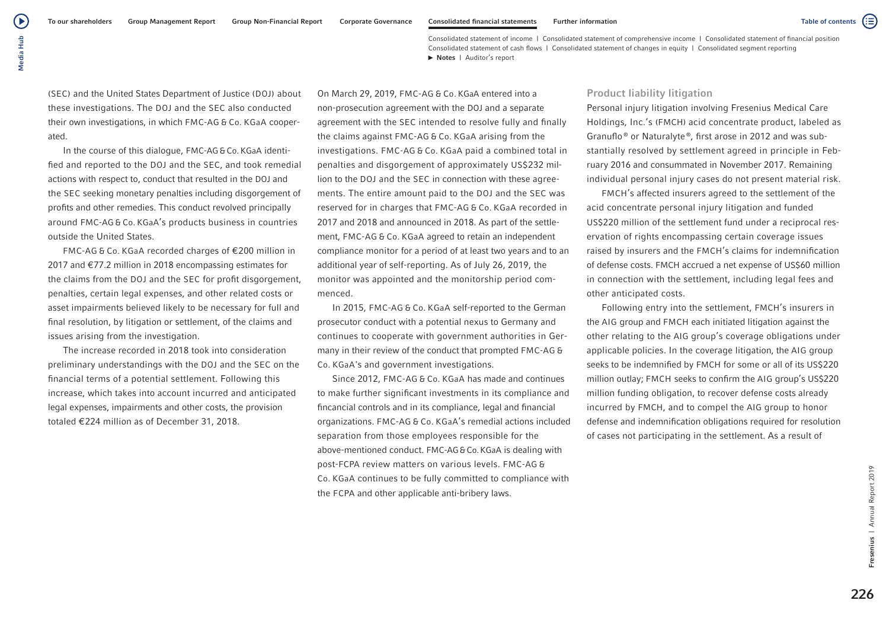Consolidated statement of income | Consolidated statement of comprehensive income | Consolidated statement of financial position Consolidated statement of cash flows | Consolidated statement of changes in equity | Consolidated segment reporting Notes | Auditor's report

(SEC) and the United States Department of Justice (DOJ) about these investigations. The DOJ and the SEC also conducted their own investigations, in which FMC-AG & Co. KGaA cooperated.

In the course of this dialogue, FMC-AG & Co. KGaA identified and reported to the DOJ and the SEC, and took remedial actions with respect to, conduct that resulted in the DOJ and the SEC seeking monetary penalties including disgorgement of profits and other remedies. This conduct revolved principally around FMC-AG & Co. KGaA's products business in countries outside the United States.

FMC-AG & Co. KGaA recorded charges of €200 million in 2017 and €77.2 million in 2018 encompassing estimates for the claims from the DOJ and the SEC for profit disgorgement, penalties, certain legal expenses, and other related costs or asset impairments believed likely to be necessary for full and final resolution, by litigation or settlement, of the claims and issues arising from the investigation.

The increase recorded in 2018 took into consideration preliminary understandings with the DOJ and the SEC on the financial terms of a potential settlement. Following this increase, which takes into account incurred and anticipated legal expenses, impairments and other costs, the provision totaled €224 million as of December 31, 2018.

On March 29, 2019, FMC-AG & Co. KGaA entered into a non-prosecution agreement with the DOJ and a separate agreement with the SEC intended to resolve fully and finally the claims against FMC-AG & Co. KGaA arising from the investigations. FMC-AG & Co. KGaA paid a combined total in penalties and disgorgement of approximately US\$232 million to the DOJ and the SEC in connection with these agreements. The entire amount paid to the DOJ and the SEC was reserved for in charges that FMC-AG & Co. KGaA recorded in 2017 and 2018 and announced in 2018. As part of the settlement, FMC-AG & Co. KGaA agreed to retain an independent compliance monitor for a period of at least two years and to an additional year of self-reporting. As of July 26, 2019, the monitor was appointed and the monitorship period commenced.

In 2015, FMC-AG & Co. KGaA self-reported to the German prosecutor conduct with a potential nexus to Germany and continues to cooperate with government authorities in Germany in their review of the conduct that prompted FMC-AG & Co. KGaA's and government investigations.

Since 2012, FMC-AG & Co. KGaA has made and continues to make further significant investments in its compliance and fincancial controls and in its compliance, legal and financial organizations. FMC-AG & Co. KGaA's remedial actions included separation from those employees responsible for the above-mentioned conduct. FMC-AG&Co. KGaA is dealing with post-FCPA review matters on various levels. FMC-AG & Co. KGaA continues to be fully committed to compliance with the FCPA and other applicable anti-bribery laws.

## Product liability litigation

Personal injury litigation involving Fresenius Medical Care Holdings, Inc.'s (FMCH) acid concentrate product, labeled as Granuflo ® or Naturalyte ®, first arose in 2012 and was substantially resolved by settlement agreed in principle in February 2016 and consummated in November 2017. Remaining individual personal injury cases do not present material risk.

FMCH's affected insurers agreed to the settlement of the acid concentrate personal injury litigation and funded US\$220 million of the settlement fund under a reciprocal reservation of rights encompassing certain coverage issues raised by insurers and the FMCH's claims for indemnification of defense costs. FMCH accrued a net expense of US\$60 million in connection with the settlement, including legal fees and other anticipated costs.

Following entry into the settlement, FMCH's insurers in the AIG group and FMCH each initiated litigation against the other relating to the AIG group's coverage obligations under applicable policies. In the coverage litigation, the AIG group seeks to be indemnified by FMCH for some or all of its US\$220 million outlay; FMCH seeks to confirm the AIG group's US\$220 million funding obligation, to recover defense costs already incurred by FMCH, and to compel the AIG group to honor defense and indemnification obligations required for resolution of cases not participating in the settlement. As a result of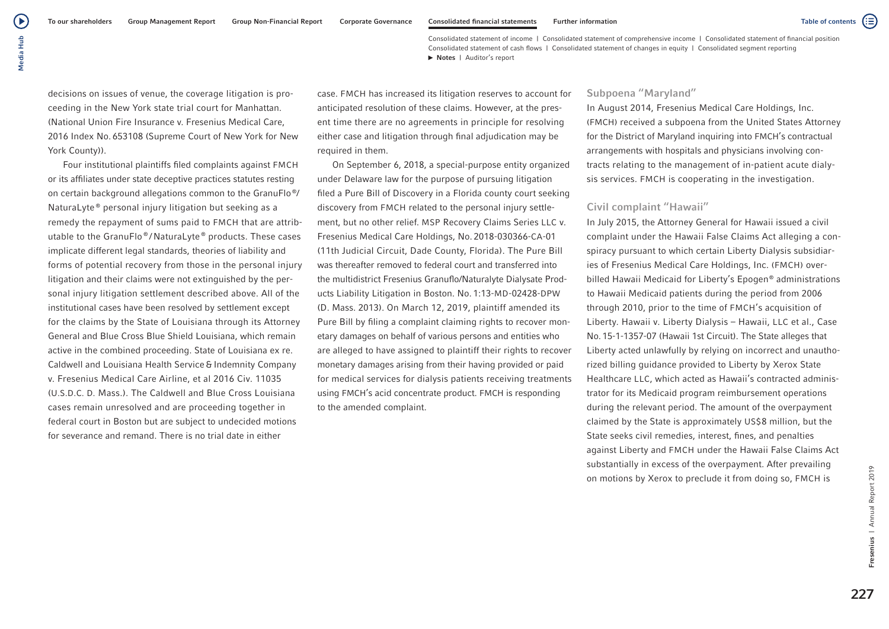Consolidated statement of income | Consolidated statement of comprehensive income | Consolidated statement of financial position Consolidated statement of cash flows | Consolidated statement of changes in equity | Consolidated segment reporting Notes | Auditor's report

decisions on issues of venue, the coverage litigation is proceeding in the New York state trial court for Manhattan. (National Union Fire Insurance v. Fresenius Medical Care, 2016 Index No. 653108 (Supreme Court of New York for New York County)).

Four institutional plaintiffs filed complaints against FMCH or its affiliates under state deceptive practices statutes resting on certain background allegations common to the GranuFlo ®/ NaturaLyte ® personal injury litigation but seeking as a remedy the repayment of sums paid to FMCH that are attributable to the GranuFlo ® /NaturaLyte ® products. These cases implicate different legal standards, theories of liability and forms of potential recovery from those in the personal injury litigation and their claims were not extinguished by the personal injury litigation settlement described above. All of the institutional cases have been resolved by settlement except for the claims by the State of Louisiana through its Attorney General and Blue Cross Blue Shield Louisiana, which remain active in the combined proceeding. State of Louisiana ex re. Caldwell and Louisiana Health Service & Indemnity Company v. Fresenius Medical Care Airline, et al 2016 Civ. 11035 (U.S.D.C. D. Mass.). The Caldwell and Blue Cross Louisiana cases remain unresolved and are proceeding together in federal court in Boston but are subject to undecided motions for severance and remand. There is no trial date in either

case. FMCH has increased its litigation reserves to account for anticipated resolution of these claims. However, at the present time there are no agreements in principle for resolving either case and litigation through final adjudication may be required in them.

On September 6, 2018, a special-purpose entity organized under Delaware law for the purpose of pursuing litigation filed a Pure Bill of Discovery in a Florida county court seeking discovery from FMCH related to the personal injury settlement, but no other relief. MSP Recovery Claims Series LLC v. Fresenius Medical Care Holdings, No. 2018-030366-CA-01 (11th Judicial Circuit, Dade County, Florida). The Pure Bill was thereafter removed to federal court and transferred into the multidistrict Fresenius Granuflo/Naturalyte Dialysate Products Liability Litigation in Boston. No. 1:13-MD-02428-DPW (D. Mass. 2013). On March 12, 2019, plaintiff amended its Pure Bill by filing a complaint claiming rights to recover monetary damages on behalf of various persons and entities who are alleged to have assigned to plaintiff their rights to recover monetary damages arising from their having provided or paid for medical services for dialysis patients receiving treatments using FMCH's acid concentrate product. FMCH is responding to the amended complaint.

## Subpoena "Maryland"

In August 2014, Fresenius Medical Care Holdings, Inc. (FMCH) received a subpoena from the United States Attorney for the District of Maryland inquiring into FMCH's contractual arrangements with hospitals and physicians involving contracts relating to the management of in-patient acute dialysis services. FMCH is cooperating in the investigation.

# Civil complaint "Hawaii"

In July 2015, the Attorney General for Hawaii issued a civil complaint under the Hawaii False Claims Act alleging a conspiracy pursuant to which certain Liberty Dialysis subsidiaries of Fresenius Medical Care Holdings, Inc. (FMCH) overbilled Hawaii Medicaid for Liberty's Epogen® administrations to Hawaii Medicaid patients during the period from 2006 through 2010, prior to the time of FMCH's acquisition of Liberty. Hawaii v. Liberty Dialysis – Hawaii, LLC et al., Case No.15-1-1357-07 (Hawaii 1st Circuit). The State alleges that Liberty acted unlawfully by relying on incorrect and unauthorized billing guidance provided to Liberty by Xerox State Healthcare LLC, which acted as Hawaii's contracted administrator for its Medicaid program reimbursement operations during the relevant period. The amount of the overpayment claimed by the State is approximately US\$8 million, but the State seeks civil remedies, interest, fines, and penalties against Liberty and FMCH under the Hawaii False Claims Act substantially in excess of the overpayment. After prevailing on motions by Xerox to preclude it from doing so, FMCH is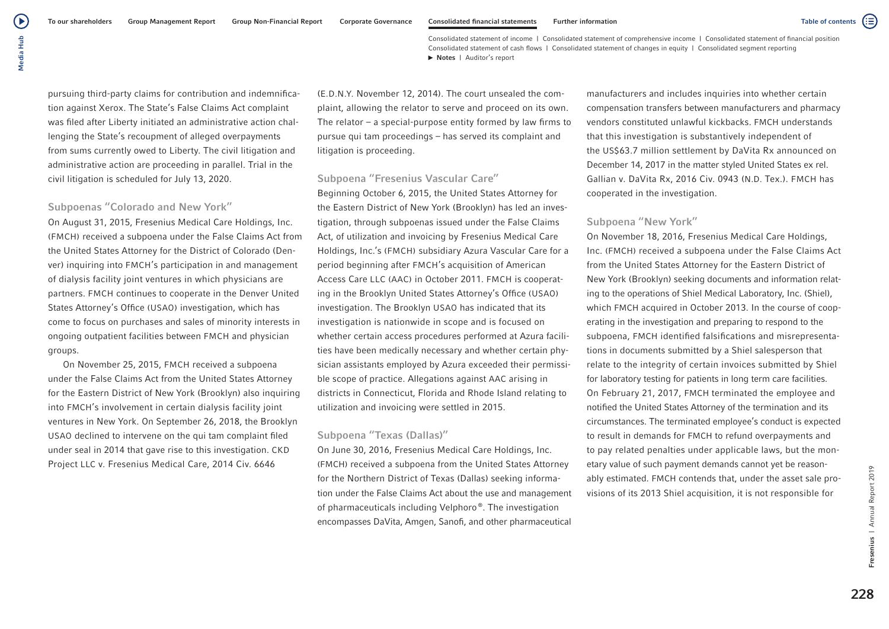Media Hub

Media Hub

 $\left( \blacktriangleright \right)$ 

 $(\textbf{m})$ Table of contents

Consolidated statement of income | Consolidated statement of comprehensive income | Consolidated statement of financial position Consolidated statement of cash flows | Consolidated statement of changes in equity | Consolidated segment reporting Notes | Auditor's report

pursuing third-party claims for contribution and indemnification against Xerox. The State's False Claims Act complaint was filed after Liberty initiated an administrative action challenging the State's recoupment of alleged overpayments from sums currently owed to Liberty. The civil litigation and administrative action are proceeding in parallel. Trial in the civil litigation is scheduled for July 13, 2020.

#### Subpoenas "Colorado and New York"

On August 31, 2015, Fresenius Medical Care Holdings, Inc. (FMCH) received a subpoena under the False Claims Act from the United States Attorney for the District of Colorado (Denver) inquiring into FMCH's participation in and management of dialysis facility joint ventures in which physicians are partners. FMCH continues to cooperate in the Denver United States Attorney's Office (USAO) investigation, which has come to focus on purchases and sales of minority interests in ongoing outpatient facilities between FMCH and physician groups.

On November 25, 2015, FMCH received a subpoena under the False Claims Act from the United States Attorney for the Eastern District of New York (Brooklyn) also inquiring into FMCH's involvement in certain dialysis facility joint ventures in New York. On September 26, 2018, the Brooklyn USAO declined to intervene on the qui tam complaint filed under seal in 2014 that gave rise to this investigation. CKD Project LLC v. Fresenius Medical Care, 2014 Civ. 6646

(E.D.N.Y. November 12, 2014). The court unsealed the complaint, allowing the relator to serve and proceed on its own. The relator  $-$  a special-purpose entity formed by law firms to pursue qui tam proceedings – has served its complaint and litigation is proceeding.

### Subpoena "Fresenius Vascular Care"

Beginning October 6, 2015, the United States Attorney for the Eastern District of New York (Brooklyn) has led an investigation, through subpoenas issued under the False Claims Act, of utilization and invoicing by Fresenius Medical Care Holdings, Inc.'s (FMCH) subsidiary Azura Vascular Care for a period beginning after FMCH's acquisition of American Access Care LLC (AAC) in October 2011. FMCH is cooperating in the Brooklyn United States Attorney's Office (USAO) investigation. The Brooklyn USAO has indicated that its investigation is nationwide in scope and is focused on whether certain access procedures performed at Azura facilities have been medically necessary and whether certain physician assistants employed by Azura exceeded their permissible scope of practice. Allegations against AAC arising in districts in Connecticut, Florida and Rhode Island relating to utilization and invoicing were settled in 2015.

## Subpoena "Texas (Dallas)"

On June 30, 2016, Fresenius Medical Care Holdings, Inc. (FMCH) received a subpoena from the United States Attorney for the Northern District of Texas (Dallas) seeking information under the False Claims Act about the use and management of pharmaceuticals including Velphoro ®. The investigation encompasses DaVita, Amgen, Sanofi, and other pharmaceutical manufacturers and includes inquiries into whether certain compensation transfers between manufacturers and pharmacy vendors constituted unlawful kickbacks. FMCH understands that this investigation is substantively independent of the US\$63.7 million settlement by DaVita Rx announced on December 14, 2017 in the matter styled United States ex rel. Gallian v. DaVita Rx, 2016 Civ. 0943 (N.D. Tex.). FMCH has cooperated in the investigation.

## Subpoena "New York"

On November 18, 2016, Fresenius Medical Care Holdings, Inc. (FMCH) received a subpoena under the False Claims Act from the United States Attorney for the Eastern District of New York (Brooklyn) seeking documents and information relating to the operations of Shiel Medical Laboratory, Inc. (Shiel), which FMCH acquired in October 2013. In the course of cooperating in the investigation and preparing to respond to the subpoena, FMCH identified falsifications and misrepresentations in documents submitted by a Shiel salesperson that relate to the integrity of certain invoices submitted by Shiel for laboratory testing for patients in long term care facilities. On February 21, 2017, FMCH terminated the employee and notified the United States Attorney of the termination and its circumstances. The terminated employee's conduct is expected to result in demands for FMCH to refund overpayments and to pay related penalties under applicable laws, but the monetary value of such payment demands cannot yet be reasonably estimated. FMCH contends that, under the asset sale provisions of its 2013 Shiel acquisition, it is not responsible for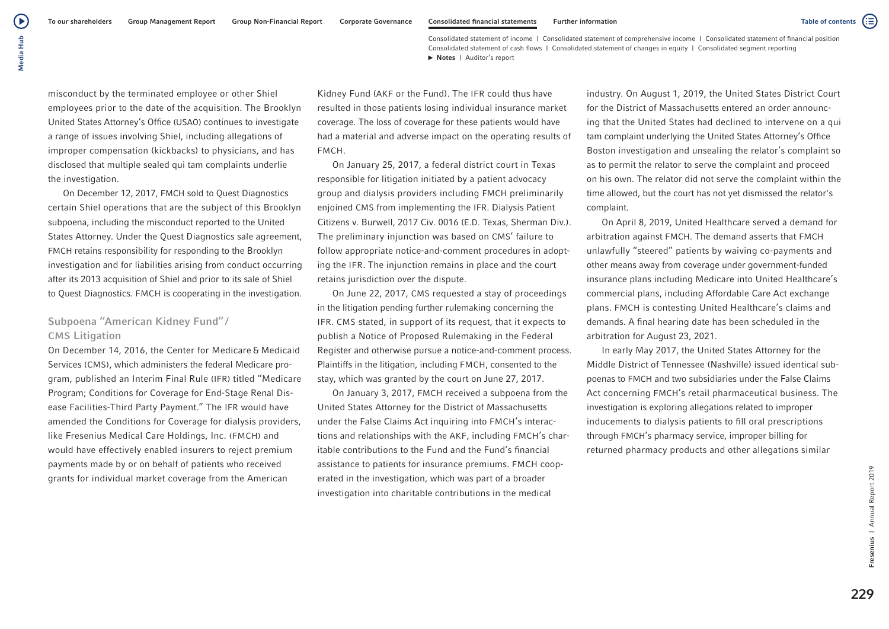misconduct by the terminated employee or other Shiel employees prior to the date of the acquisition. The Brooklyn United States Attorney's Office (USAO) continues to investigate a range of issues involving Shiel, including allegations of improper compensation (kickbacks) to physicians, and has disclosed that multiple sealed qui tam complaints underlie the investigation.

Media Hub

Media Hub

(▶

On December 12, 2017, FMCH sold to Quest Diagnostics certain Shiel operations that are the subject of this Brooklyn subpoena, including the misconduct reported to the United States Attorney. Under the Quest Diagnostics sale agreement, FMCH retains responsibility for responding to the Brooklyn investigation and for liabilities arising from conduct occurring after its 2013 acquisition of Shiel and prior to its sale of Shiel to Quest Diagnostics. FMCH is cooperating in the investigation.

# Subpoena "American Kidney Fund"/ CMS Litigation

On December 14, 2016, the Center for Medicare & Medicaid Services (CMS), which administers the federal Medicare program, published an Interim Final Rule (IFR) titled "Medicare Program; Conditions for Coverage for End-Stage Renal Disease Facilities-Third Party Payment." The IFR would have amended the Conditions for Coverage for dialysis providers, like Fresenius Medical Care Holdings, Inc. (FMCH) and would have effectively enabled insurers to reject premium payments made by or on behalf of patients who received grants for individual market coverage from the American

Kidney Fund (AKF or the Fund). The IFR could thus have resulted in those patients losing individual insurance market coverage. The loss of coverage for these patients would have had a material and adverse impact on the operating results of FMCH.

On January 25, 2017, a federal district court in Texas responsible for litigation initiated by a patient advocacy group and dialysis providers including FMCH preliminarily enjoined CMS from implementing the IFR. Dialysis Patient Citizens v. Burwell, 2017 Civ. 0016 (E.D. Texas, Sherman Div.). The preliminary injunction was based on CMS' failure to follow appropriate notice-and-comment procedures in adopting the IFR. The injunction remains in place and the court retains jurisdiction over the dispute.

On June 22, 2017, CMS requested a stay of proceedings in the litigation pending further rulemaking concerning the IFR. CMS stated, in support of its request, that it expects to publish a Notice of Proposed Rulemaking in the Federal Register and otherwise pursue a notice-and-comment process. Plaintiffs in the litigation, including FMCH, consented to the stay, which was granted by the court on June 27, 2017.

On January 3, 2017, FMCH received a subpoena from the United States Attorney for the District of Massachusetts under the False Claims Act inquiring into FMCH's interactions and relationships with the AKF, including FMCH's charitable contributions to the Fund and the Fund's financial assistance to patients for insurance premiums. FMCH cooperated in the investigation, which was part of a broader investigation into charitable contributions in the medical

industry. On August 1, 2019, the United States District Court for the District of Massachusetts entered an order announcing that the United States had declined to intervene on a qui tam complaint underlying the United States Attorney's Office Boston investigation and unsealing the relator's complaint so as to permit the relator to serve the complaint and proceed on his own. The relator did not serve the complaint within the time allowed, but the court has not yet dismissed the relator's complaint.

On April 8, 2019, United Healthcare served a demand for arbitration against FMCH. The demand asserts that FMCH unlawfully "steered" patients by waiving co-payments and other means away from coverage under government-funded insurance plans including Medicare into United Healthcare's commercial plans, including Affordable Care Act exchange plans. FMCH is contesting United Healthcare's claims and demands. A final hearing date has been scheduled in the arbitration for August 23, 2021.

In early May 2017, the United States Attorney for the Middle District of Tennessee (Nashville) issued identical subpoenas to FMCH and two subsidiaries under the False Claims Act concerning FMCH's retail pharmaceutical business. The investigation is exploring allegations related to improper inducements to dialysis patients to fill oral prescriptions through FMCH's pharmacy service, improper billing for returned pharmacy products and other allegations similar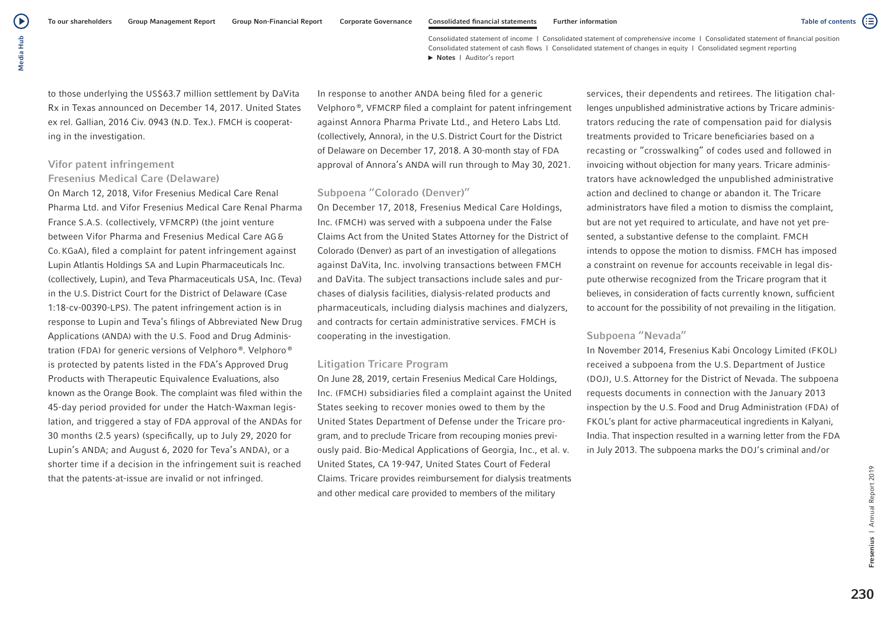Consolidated statement of income | Consolidated statement of comprehensive income | Consolidated statement of financial position Consolidated statement of cash flows | Consolidated statement of changes in equity | Consolidated segment reporting Notes | Auditor's report

to those underlying the US\$63.7 million settlement by DaVita Rx in Texas announced on December 14, 2017. United States ex rel. Gallian, 2016 Civ. 0943 (N.D. Tex.). FMCH is cooperating in the investigation.

### Vifor patent infringement

Fresenius Medical Care (Delaware)

On March 12, 2018, Vifor Fresenius Medical Care Renal Pharma Ltd. and Vifor Fresenius Medical Care Renal Pharma France S.A.S. (collectively, VFMCRP) (the joint venture between Vifor Pharma and Fresenius Medical Care AG & Co. KGaA), filed a complaint for patent infringement against Lupin Atlantis Holdings SA and Lupin Pharmaceuticals Inc. (collectively, Lupin), and Teva Pharmaceuticals USA, Inc. (Teva) in the U.S. District Court for the District of Delaware (Case 1:18-cv-00390-LPS). The patent infringement action is in response to Lupin and Teva's filings of Abbreviated New Drug Applications (ANDA) with the U.S. Food and Drug Administration (FDA) for generic versions of Velphoro ®. Velphoro ® is protected by patents listed in the FDA's Approved Drug Products with Therapeutic Equivalence Evaluations, also known as the Orange Book. The complaint was filed within the 45-day period provided for under the Hatch-Waxman legislation, and triggered a stay of FDA approval of the ANDAs for 30 months (2.5 years) (specifically, up to July 29, 2020 for Lupin's ANDA; and August 6, 2020 for Teva's ANDA), or a shorter time if a decision in the infringement suit is reached that the patents-at-issue are invalid or not infringed.

In response to another ANDA being filed for a generic Velphoro ®, VFMCRP filed a complaint for patent infringement against Annora Pharma Private Ltd., and Hetero Labs Ltd. (collectively, Annora), in the U.S.District Court for the District of Delaware on December 17, 2018. A 30-month stay of FDA approval of Annora's ANDA will run through to May 30, 2021.

### Subpoena "Colorado (Denver)"

On December 17, 2018, Fresenius Medical Care Holdings, Inc. (FMCH) was served with a subpoena under the False Claims Act from the United States Attorney for the District of Colorado (Denver) as part of an investigation of allegations against DaVita, Inc. involving transactions between FMCH and DaVita. The subject transactions include sales and purchases of dialysis facilities, dialysis-related products and pharmaceuticals, including dialysis machines and dialyzers, and contracts for certain administrative services. FMCH is cooperating in the investigation.

## Litigation Tricare Program

On June 28, 2019, certain Fresenius Medical Care Holdings, Inc. (FMCH) subsidiaries filed a complaint against the United States seeking to recover monies owed to them by the United States Department of Defense under the Tricare program, and to preclude Tricare from recouping monies previously paid. Bio-Medical Applications of Georgia, Inc., et al. v. United States, CA 19-947, United States Court of Federal Claims. Tricare provides reimbursement for dialysis treatments and other medical care provided to members of the military

services, their dependents and retirees. The litigation challenges unpublished administrative actions by Tricare administrators reducing the rate of compensation paid for dialysis treatments provided to Tricare beneficiaries based on a recasting or "crosswalking" of codes used and followed in invoicing without objection for many years. Tricare administrators have acknowledged the unpublished administrative action and declined to change or abandon it. The Tricare administrators have filed a motion to dismiss the complaint, but are not yet required to articulate, and have not yet presented, a substantive defense to the complaint. FMCH intends to oppose the motion to dismiss. FMCH has imposed a constraint on revenue for accounts receivable in legal dispute otherwise recognized from the Tricare program that it believes, in consideration of facts currently known, sufficient to account for the possibility of not prevailing in the litigation.

## Subpoena "Nevada"

In November 2014, Fresenius Kabi Oncology Limited (FKOL) received a subpoena from the U.S. Department of Justice (DOJ), U.S. Attorney for the District of Nevada. The subpoena requests documents in connection with the January 2013 inspection by the U.S. Food and Drug Administration (FDA) of FKOL's plant for active pharmaceutical ingredients in Kalyani, India. That inspection resulted in a warning letter from the FDA in July 2013. The subpoena marks the DOJ's criminal and/or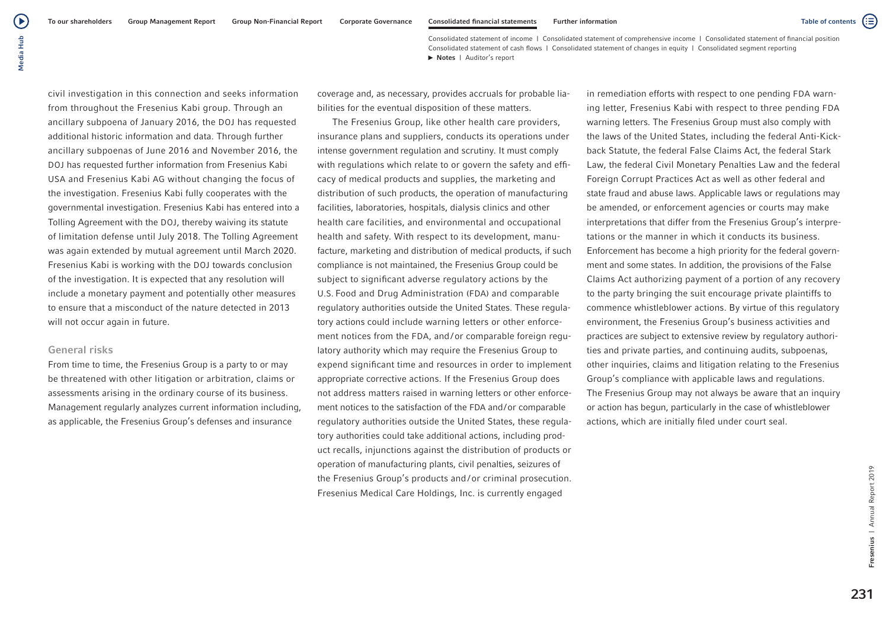Consolidated statement of income | Consolidated statement of comprehensive income | Consolidated statement of financial position Consolidated statement of cash flows | Consolidated statement of changes in equity | Consolidated segment reporting Notes | Auditor's report

civil investigation in this connection and seeks information from throughout the Fresenius Kabi group. Through an ancillary subpoena of January 2016, the DOJ has requested additional historic information and data. Through further ancillary subpoenas of June 2016 and November 2016, the DOJ has requested further information from Fresenius Kabi USA and Fresenius Kabi AG without changing the focus of the investigation. Fresenius Kabi fully cooperates with the governmental investigation. Fresenius Kabi has entered into a Tolling Agreement with the DOJ, thereby waiving its statute of limitation defense until July 2018. The Tolling Agreement was again extended by mutual agreement until March 2020. Fresenius Kabi is working with the DOJ towards conclusion of the investigation. It is expected that any resolution will include a monetary payment and potentially other measures to ensure that a misconduct of the nature detected in 2013 will not occur again in future.

#### General risks

From time to time, the Fresenius Group is a party to or may be threatened with other litigation or arbitration, claims or assessments arising in the ordinary course of its business. Management regularly analyzes current information including, as applicable, the Fresenius Group's defenses and insurance

coverage and, as necessary, provides accruals for probable liabilities for the eventual disposition of these matters.

The Fresenius Group, like other health care providers, insurance plans and suppliers, conducts its operations under intense government regulation and scrutiny. It must comply with regulations which relate to or govern the safety and efficacy of medical products and supplies, the marketing and distribution of such products, the operation of manufacturing facilities, laboratories, hospitals, dialysis clinics and other health care facilities, and environmental and occupational health and safety. With respect to its development, manufacture, marketing and distribution of medical products, if such compliance is not maintained, the Fresenius Group could be subject to significant adverse regulatory actions by the U.S. Food and Drug Administration (FDA) and comparable regulatory authorities outside the United States. These regulatory actions could include warning letters or other enforcement notices from the FDA, and/or comparable foreign regulatory authority which may require the Fresenius Group to expend significant time and resources in order to implement appropriate corrective actions. If the Fresenius Group does not address matters raised in warning letters or other enforcement notices to the satisfaction of the FDA and/or comparable regulatory authorities outside the United States, these regulatory authorities could take additional actions, including product recalls, injunctions against the distribution of products or operation of manufacturing plants, civil penalties, seizures of the Fresenius Group's products and/or criminal prosecution. Fresenius Medical Care Holdings, Inc. is currently engaged

in remediation efforts with respect to one pending FDA warning letter, Fresenius Kabi with respect to three pending FDA warning letters. The Fresenius Group must also comply with the laws of the United States, including the federal Anti-Kickback Statute, the federal False Claims Act, the federal Stark Law, the federal Civil Monetary Penalties Law and the federal Foreign Corrupt Practices Act as well as other federal and state fraud and abuse laws. Applicable laws or regulations may be amended, or enforcement agencies or courts may make interpretations that differ from the Fresenius Group's interpretations or the manner in which it conducts its business. Enforcement has become a high priority for the federal government and some states. In addition, the provisions of the False Claims Act authorizing payment of a portion of any recovery to the party bringing the suit encourage private plaintiffs to commence whistleblower actions. By virtue of this regulatory environment, the Fresenius Group's business activities and practices are subject to extensive review by regulatory authorities and private parties, and continuing audits, subpoenas, other inquiries, claims and litigation relating to the Fresenius Group's compliance with applicable laws and regulations. The Fresenius Group may not always be aware that an inquiry or action has begun, particularly in the case of whistleblower actions, which are initially filed under court seal.

Media Hub

Media Hub

(▶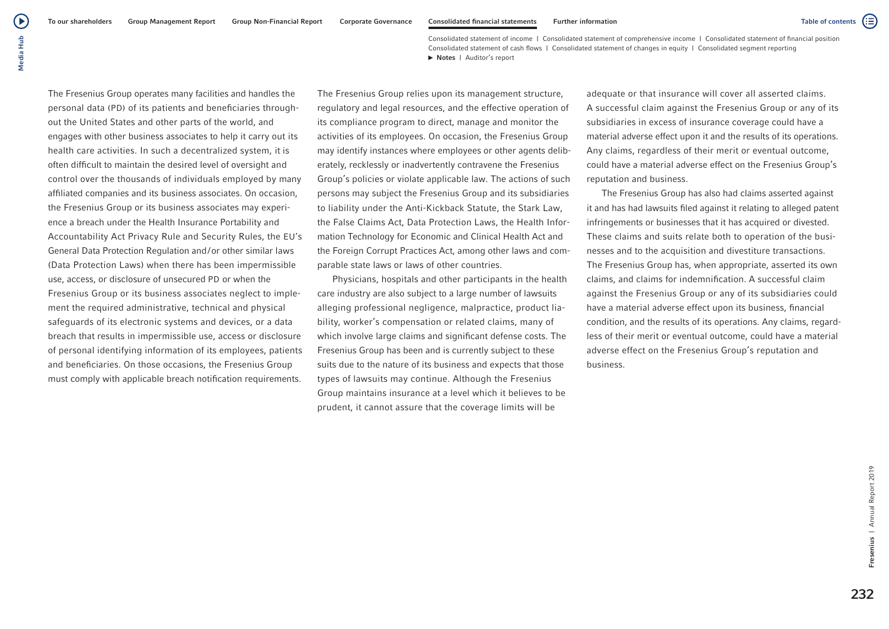(≘) Table of contents

Consolidated statement of income | Consolidated statement of comprehensive income | Consolidated statement of financial position Consolidated statement of cash flows | Consolidated statement of changes in equity | Consolidated segment reporting Notes | Auditor's report

The Fresenius Group operates many facilities and handles the personal data (PD) of its patients and beneficiaries throughout the United States and other parts of the world, and engages with other business associates to help it carry out its health care activities. In such a decentralized system, it is often difficult to maintain the desired level of oversight and control over the thousands of individuals employed by many affiliated companies and its business associates. On occasion, the Fresenius Group or its business associates may experience a breach under the Health Insurance Portability and Accountability Act Privacy Rule and Security Rules, the EU's General Data Protection Regulation and/or other similar laws (Data Protection Laws) when there has been impermissible use, access, or disclosure of unsecured PD or when the Fresenius Group or its business associates neglect to implement the required administrative, technical and physical safeguards of its electronic systems and devices, or a data breach that results in impermissible use, access or disclosure of personal identifying information of its employees, patients and beneficiaries. On those occasions, the Fresenius Group must comply with applicable breach notification requirements.

The Fresenius Group relies upon its management structure, regulatory and legal resources, and the effective operation of its compliance program to direct, manage and monitor the activities of its employees. On occasion, the Fresenius Group may identify instances where employees or other agents deliberately, recklessly or inadvertently contravene the Fresenius Group's policies or violate applicable law. The actions of such persons may subject the Fresenius Group and its subsidiaries to liability under the Anti-Kickback Statute, the Stark Law, the False Claims Act, Data Protection Laws, the Health Information Technology for Economic and Clinical Health Act and the Foreign Corrupt Practices Act, among other laws and comparable state laws or laws of other countries.

Physicians, hospitals and other participants in the health care industry are also subject to a large number of lawsuits alleging professional negligence, malpractice, product liability, worker's compensation or related claims, many of which involve large claims and significant defense costs. The Fresenius Group has been and is currently subject to these suits due to the nature of its business and expects that those types of lawsuits may continue. Although the Fresenius Group maintains insurance at a level which it believes to be prudent, it cannot assure that the coverage limits will be

adequate or that insurance will cover all asserted claims. A successful claim against the Fresenius Group or any of its subsidiaries in excess of insurance coverage could have a material adverse effect upon it and the results of its operations. Any claims, regardless of their merit or eventual outcome, could have a material adverse effect on the Fresenius Group's reputation and business.

The Fresenius Group has also had claims asserted against it and has had lawsuits filed against it relating to alleged patent infringements or businesses that it has acquired or divested. These claims and suits relate both to operation of the businesses and to the acquisition and divestiture transactions. The Fresenius Group has, when appropriate, asserted its own claims, and claims for indemnification. A successful claim against the Fresenius Group or any of its subsidiaries could have a material adverse effect upon its business, financial condition, and the results of its operations. Any claims, regardless of their merit or eventual outcome, could have a material adverse effect on the Fresenius Group's reputation and business.

232<br>232 Fresenius | Annual Report 2019 232

Fresenius | Annual Report 2019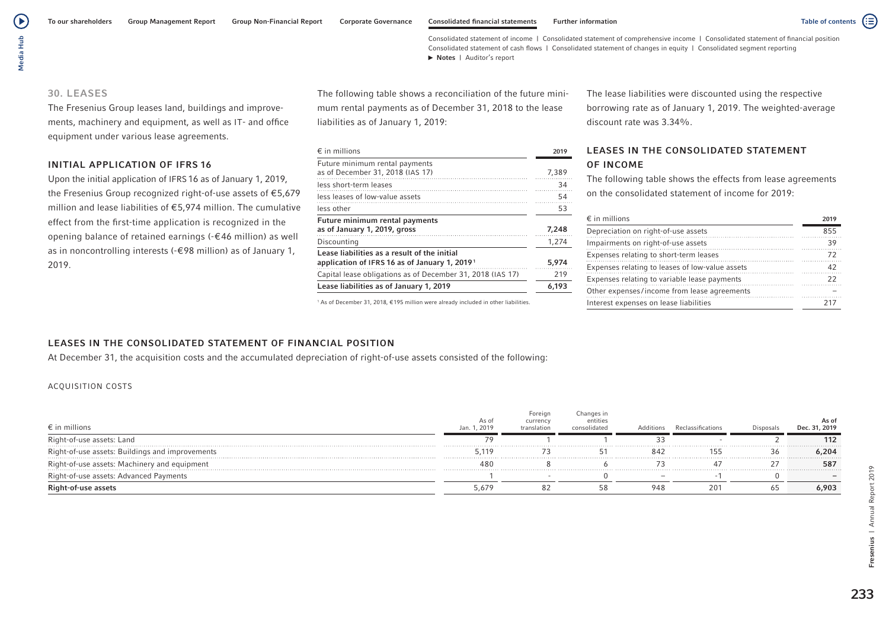Consolidated statement of income | Consolidated statement of comprehensive income | Consolidated statement of financial position Consolidated statement of cash flows | Consolidated statement of changes in equity | Consolidated segment reporting Notes | Auditor's report

### 30. LEASES

The Fresenius Group leases land, buildings and improvements, machinery and equipment, as well as IT- and office equipment under various lease agreements.

### INITIAL APPLICATION OF IFRS 16

Upon the initial application of IFRS 16 as of January 1, 2019, the Fresenius Group recognized right-of-use assets of €5,679 million and lease liabilities of €5,974 million. The cumulative effect from the first-time application is recognized in the opening balance of retained earnings (-€46 million) as well as in noncontrolling interests (-€98 million) as of January 1, 2019.

The following table shows a reconciliation of the future minimum rental payments as of December 31, 2018 to the lease liabilities as of January 1, 2019:

| $\epsilon$ in millions                                                                                    | 2019  |
|-----------------------------------------------------------------------------------------------------------|-------|
| Future minimum rental payments<br>as of December 31, 2018 (IAS 17)                                        | 7,389 |
| less short-term leases                                                                                    | 34    |
| less leases of low-value assets                                                                           | 54    |
| less other                                                                                                | 53    |
| Future minimum rental payments<br>as of January 1, 2019, gross                                            | 7,248 |
| Discounting                                                                                               | 1,274 |
| Lease liabilities as a result of the initial<br>application of IFRS 16 as of January 1, 2019 <sup>1</sup> | 5,974 |
| Capital lease obligations as of December 31, 2018 (IAS 17)                                                | 219   |
| Lease liabilities as of January 1, 2019                                                                   | 6.193 |

The lease liabilities were discounted using the respective borrowing rate as of January 1, 2019. The weighted-average discount rate was 3.34%.

# LEASES IN THE CONSOLIDATED STATEMENT OF INCOME

The following table shows the effects from lease agreements on the consolidated statement of income for 2019:

| $\epsilon$ in millions                          |     |
|-------------------------------------------------|-----|
| Depreciation on right-of-use assets             | 855 |
| Impairments on right-of-use assets              |     |
| Expenses relating to short-term leases          |     |
| Expenses relating to leases of low-value assets |     |
| Expenses relating to variable lease payments    |     |
| Other expenses/income from lease agreements     |     |
| Interest expenses on lease liabilities          |     |
|                                                 |     |

1 As of December 31, 2018, €195 million were already included in other liabilities.

## LEASES IN THE CONSOLIDATED STATEMENT OF FINANCIAL POSITION

At December 31, the acquisition costs and the accumulated depreciation of right-of-use assets consisted of the following:

#### ACQUISITION COSTS

| $\epsilon$ in millions                          | As of<br>Jan. 1, 2019 | Foreign<br>currency<br>translation | Changes iı<br>entities<br>consolidated |     | Additions Reclassifications | Disposals | As of<br>Dec. 31, 2019 |
|-------------------------------------------------|-----------------------|------------------------------------|----------------------------------------|-----|-----------------------------|-----------|------------------------|
| Right-of-use assets: Land                       |                       |                                    |                                        |     |                             |           |                        |
| Right-of-use assets: Buildings and improvements | 119                   |                                    |                                        | 842 |                             |           | 6,204                  |
| Right-of-use assets: Machinery and equipment    | 480                   |                                    |                                        |     |                             |           | 587                    |
| Right-of-use assets: Advanced Payments          |                       |                                    |                                        |     |                             |           |                        |
| <b>Right-of-use assets</b>                      | 5.679                 |                                    |                                        | 948 | 20٬                         |           | 6,903                  |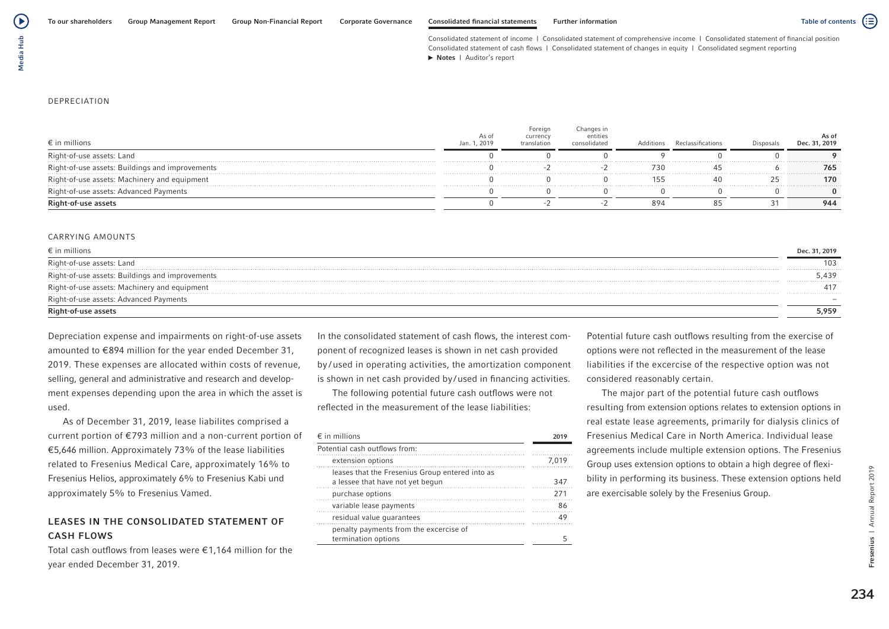(⊟) Table of contents

Consolidated statement of income | Consolidated statement of comprehensive income | Consolidated statement of financial position Consolidated statement of cash flows | Consolidated statement of changes in equity | Consolidated segment reporting Notes | Auditor's report

#### DEPRECIATION

| $\epsilon$ in millions                       | As of<br>Jan. 1, 2019 | Foreign<br>currency<br>translation | entities<br>consolidated | Additions | Disposals | As of<br>Dec. 31, 2019 |
|----------------------------------------------|-----------------------|------------------------------------|--------------------------|-----------|-----------|------------------------|
| use assets: Land                             |                       |                                    |                          |           |           |                        |
| f-use assets: Buildings and improvements     |                       |                                    |                          | 730       |           | 765                    |
| Right-of-use assets: Machinery and equipment |                       |                                    |                          |           |           | 170                    |
| of-use assets: Advanced Payments             |                       |                                    |                          |           |           |                        |
|                                              |                       |                                    |                          | 894       |           | 944                    |

#### CARRYING AMOUNTS

| $\epsilon$ in millions                          | Dec. 31, 2019 |
|-------------------------------------------------|---------------|
| Right-of-use assets: Land                       | 103           |
| Right-of-use assets: Buildings and improvements | 5.439         |
| Right-of-use assets: Machinery and equipment    |               |
| Right-of-use assets: Advanced Payments          |               |
| Right-of-use assets                             | 5,959         |

Depreciation expense and impairments on right-of-use assets amounted to €894 million for the year ended December 31, 2019. These expenses are allocated within costs of revenue, selling, general and administrative and research and development expenses depending upon the area in which the asset is used.

As of December 31, 2019, lease liabilites comprised a current portion of €793 million and a non-current portion of €5,646 million. Approximately 73% of the lease liabilities related to Fresenius Medical Care, approximately 16% to Fresenius Helios, approximately 6% to Fresenius Kabi und approximately 5% to Fresenius Vamed.

# LEASES IN THE CONSOLIDATED STATEMENT OF CASH FLOWS

Total cash outflows from leases were €1,164 million for the year ended December 31, 2019.

In the consolidated statement of cash flows, the interest component of recognized leases is shown in net cash provided by / used in operating activities, the amortization component is shown in net cash provided by/used in financing activities.

The following potential future cash outflows were not reflected in the measurement of the lease liabilities:

| $\epsilon$ in millions                          | 201  |  |  |
|-------------------------------------------------|------|--|--|
| Potential cash outflows from:                   |      |  |  |
| extension options                               | 7019 |  |  |
| leases that the Fresenius Group entered into as |      |  |  |
| a lessee that have not yet begun                | 347  |  |  |
| purchase options                                | 271  |  |  |
| variable lease payments                         |      |  |  |
| residual value quarantees                       |      |  |  |
| penalty payments from the excercise of          |      |  |  |
| termination options                             |      |  |  |

Potential future cash outflows resulting from the exercise of options were not reflected in the measurement of the lease liabilities if the excercise of the respective option was not considered reasonably certain.

The major part of the potential future cash outflows resulting from extension options relates to extension options in real estate lease agreements, primarily for dialysis clinics of Fresenius Medical Care in North America. Individual lease agreements include multiple extension options. The Fresenius Group uses extension options to obtain a high degree of flexibility in performing its business. These extension options held are exercisable solely by the Fresenius Group.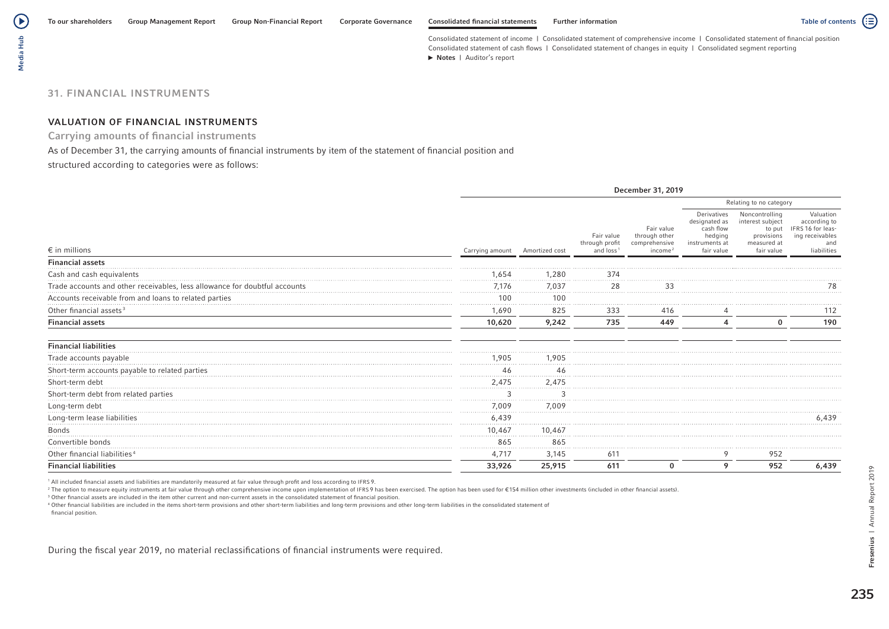Consolidated statement of income | Consolidated statement of comprehensive income | Consolidated statement of financial position Consolidated statement of cash flows | Consolidated statement of changes in equity | Consolidated segment reporting Notes | Auditor's report

### 31. FINANCIAL INSTRUMENTS

## VALUATION OF FINANCIAL INSTRUMENTS

Carrying amounts of financial instruments

As of December 31, the carrying amounts of financial instruments by item of the statement of financial position and

structured according to categories were as follows:

| Relating to no category<br>Derivatives<br>Noncontrolling<br>designated as<br>interest subject<br>cash flow<br>to put<br>Fair value<br>hedging<br>Fair value<br>through other<br>provisions<br>through profit<br>comprehensive<br>instruments at<br>measured at<br>$\epsilon$ in millions<br>and loss <sup>1</sup><br>Carrying amount Amortized cost<br>income <sup>2</sup><br>fair value<br>fair value<br><b>Financial assets</b><br>374<br>1,280<br>Cash and cash equivalents<br>.654<br>7,176<br>7,037<br>28<br>Trade accounts and other receivables, less allowance for doubtful accounts<br>33<br>100<br>100<br>Accounts receivable from and loans to related parties<br>Other financial assets <sup>3</sup><br>825<br>333<br>1.690<br>416<br><b>Financial assets</b><br>10,620<br>9,242<br>735<br>449<br><b>Financial liabilities</b><br>1.905<br>Trade accounts payable<br>1,905<br>46<br>Short-term accounts payable to related parties<br>46<br>2,475<br>2,475<br>Short-term debt<br>3<br>Short-term debt from related parties<br>7,009<br>7,009<br>Long-term debt<br>6.439<br>Long-term lease liabilities<br>10.467<br>10.467<br>Bonds<br>865<br>865<br>Convertible bonds<br>952<br>Other financial liabilities <sup>4</sup><br>4,717<br>3,145<br>611<br><b>Financial liabilities</b><br>33,926<br>25,915<br>952<br>611<br>$\Omega$<br>9 | December 31, 2019 |  |  |  |  |  |                                                                                         |
|---------------------------------------------------------------------------------------------------------------------------------------------------------------------------------------------------------------------------------------------------------------------------------------------------------------------------------------------------------------------------------------------------------------------------------------------------------------------------------------------------------------------------------------------------------------------------------------------------------------------------------------------------------------------------------------------------------------------------------------------------------------------------------------------------------------------------------------------------------------------------------------------------------------------------------------------------------------------------------------------------------------------------------------------------------------------------------------------------------------------------------------------------------------------------------------------------------------------------------------------------------------------------------------------------------------------------------------------------|-------------------|--|--|--|--|--|-----------------------------------------------------------------------------------------|
|                                                                                                                                                                                                                                                                                                                                                                                                                                                                                                                                                                                                                                                                                                                                                                                                                                                                                                                                                                                                                                                                                                                                                                                                                                                                                                                                                   |                   |  |  |  |  |  |                                                                                         |
|                                                                                                                                                                                                                                                                                                                                                                                                                                                                                                                                                                                                                                                                                                                                                                                                                                                                                                                                                                                                                                                                                                                                                                                                                                                                                                                                                   |                   |  |  |  |  |  | Valuation<br>according to<br>IFRS 16 for leas-<br>ing receivables<br>and<br>liabilities |
|                                                                                                                                                                                                                                                                                                                                                                                                                                                                                                                                                                                                                                                                                                                                                                                                                                                                                                                                                                                                                                                                                                                                                                                                                                                                                                                                                   |                   |  |  |  |  |  |                                                                                         |
|                                                                                                                                                                                                                                                                                                                                                                                                                                                                                                                                                                                                                                                                                                                                                                                                                                                                                                                                                                                                                                                                                                                                                                                                                                                                                                                                                   |                   |  |  |  |  |  |                                                                                         |
|                                                                                                                                                                                                                                                                                                                                                                                                                                                                                                                                                                                                                                                                                                                                                                                                                                                                                                                                                                                                                                                                                                                                                                                                                                                                                                                                                   |                   |  |  |  |  |  | 78                                                                                      |
|                                                                                                                                                                                                                                                                                                                                                                                                                                                                                                                                                                                                                                                                                                                                                                                                                                                                                                                                                                                                                                                                                                                                                                                                                                                                                                                                                   |                   |  |  |  |  |  |                                                                                         |
|                                                                                                                                                                                                                                                                                                                                                                                                                                                                                                                                                                                                                                                                                                                                                                                                                                                                                                                                                                                                                                                                                                                                                                                                                                                                                                                                                   |                   |  |  |  |  |  | 112                                                                                     |
|                                                                                                                                                                                                                                                                                                                                                                                                                                                                                                                                                                                                                                                                                                                                                                                                                                                                                                                                                                                                                                                                                                                                                                                                                                                                                                                                                   |                   |  |  |  |  |  | 190                                                                                     |
|                                                                                                                                                                                                                                                                                                                                                                                                                                                                                                                                                                                                                                                                                                                                                                                                                                                                                                                                                                                                                                                                                                                                                                                                                                                                                                                                                   |                   |  |  |  |  |  |                                                                                         |
|                                                                                                                                                                                                                                                                                                                                                                                                                                                                                                                                                                                                                                                                                                                                                                                                                                                                                                                                                                                                                                                                                                                                                                                                                                                                                                                                                   |                   |  |  |  |  |  |                                                                                         |
|                                                                                                                                                                                                                                                                                                                                                                                                                                                                                                                                                                                                                                                                                                                                                                                                                                                                                                                                                                                                                                                                                                                                                                                                                                                                                                                                                   |                   |  |  |  |  |  |                                                                                         |
|                                                                                                                                                                                                                                                                                                                                                                                                                                                                                                                                                                                                                                                                                                                                                                                                                                                                                                                                                                                                                                                                                                                                                                                                                                                                                                                                                   |                   |  |  |  |  |  |                                                                                         |
|                                                                                                                                                                                                                                                                                                                                                                                                                                                                                                                                                                                                                                                                                                                                                                                                                                                                                                                                                                                                                                                                                                                                                                                                                                                                                                                                                   |                   |  |  |  |  |  |                                                                                         |
|                                                                                                                                                                                                                                                                                                                                                                                                                                                                                                                                                                                                                                                                                                                                                                                                                                                                                                                                                                                                                                                                                                                                                                                                                                                                                                                                                   |                   |  |  |  |  |  |                                                                                         |
|                                                                                                                                                                                                                                                                                                                                                                                                                                                                                                                                                                                                                                                                                                                                                                                                                                                                                                                                                                                                                                                                                                                                                                                                                                                                                                                                                   |                   |  |  |  |  |  | 6.439                                                                                   |
|                                                                                                                                                                                                                                                                                                                                                                                                                                                                                                                                                                                                                                                                                                                                                                                                                                                                                                                                                                                                                                                                                                                                                                                                                                                                                                                                                   |                   |  |  |  |  |  |                                                                                         |
|                                                                                                                                                                                                                                                                                                                                                                                                                                                                                                                                                                                                                                                                                                                                                                                                                                                                                                                                                                                                                                                                                                                                                                                                                                                                                                                                                   |                   |  |  |  |  |  |                                                                                         |
|                                                                                                                                                                                                                                                                                                                                                                                                                                                                                                                                                                                                                                                                                                                                                                                                                                                                                                                                                                                                                                                                                                                                                                                                                                                                                                                                                   |                   |  |  |  |  |  |                                                                                         |
|                                                                                                                                                                                                                                                                                                                                                                                                                                                                                                                                                                                                                                                                                                                                                                                                                                                                                                                                                                                                                                                                                                                                                                                                                                                                                                                                                   |                   |  |  |  |  |  | 6,439                                                                                   |

<sup>1</sup> All included financial assets and liabilities are mandatorily measured at fair value through profit and loss according to IFRS 9.

<sup>2</sup> The option to measure equity instruments at fair value through other comprehensive income upon implementation of IFRS 9 has been exercised. The option has been used for €154 million other investments (included in othe

3 Other financial assets are included in the item other current and non-current assets in the consolidated statement of financial position.

<sup>4</sup> Other financial liabilities are included in the items short-term provisions and other short-term liabilities and long-term provisions and other long-term liabilities in the consolidated statement of financial position.

During the fiscal year 2019, no material reclassifications of financial instruments were required.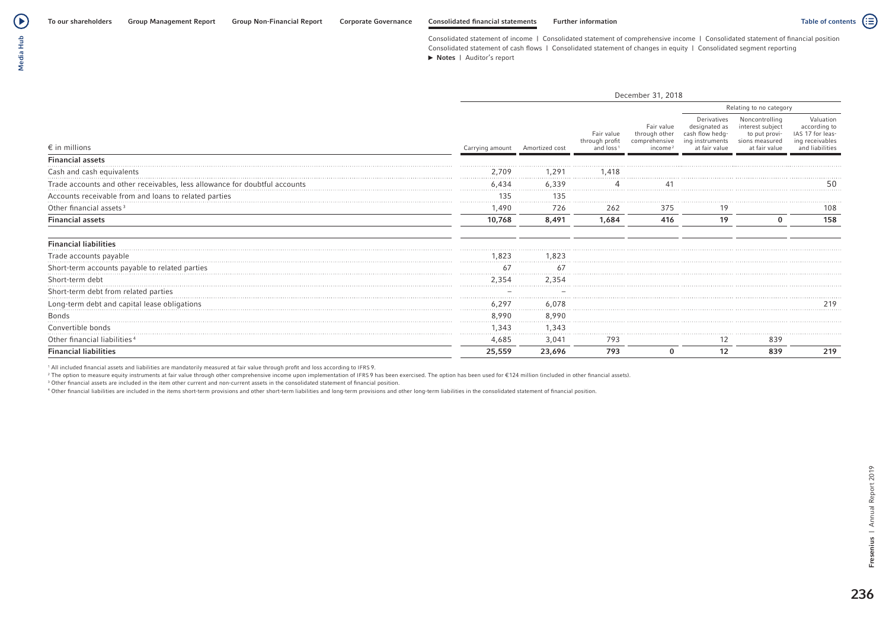Consolidated statement of income | Consolidated statement of comprehensive income | Consolidated statement of financial position Consolidated statement of cash flows | Consolidated statement of changes in equity | Consolidated segment reporting Notes | Auditor's report

December 31, 2018

|                                                                                            | DECETTINEL 31, ZUTO            |        |                                             |                                                                     |                                                                                     |                                                                                        |                                                                                     |
|--------------------------------------------------------------------------------------------|--------------------------------|--------|---------------------------------------------|---------------------------------------------------------------------|-------------------------------------------------------------------------------------|----------------------------------------------------------------------------------------|-------------------------------------------------------------------------------------|
|                                                                                            |                                |        |                                             |                                                                     | Relating to no category                                                             |                                                                                        |                                                                                     |
| $\epsilon$ in millions                                                                     | Carrying amount Amortized cost |        | Fair value<br>through profit<br>and $loss1$ | Fair value<br>through other<br>comprehensive<br>income <sup>2</sup> | Derivatives<br>designated as<br>cash flow hedg-<br>ing instruments<br>at fair value | Noncontrolling<br>interest subject<br>to put provi-<br>sions measured<br>at fair value | Valuation<br>according to<br>IAS 17 for leas-<br>ing receivables<br>and liabilities |
| <b>Financial assets</b>                                                                    |                                |        |                                             |                                                                     |                                                                                     |                                                                                        |                                                                                     |
| Cash and cash equivalents                                                                  | 2,709                          | 1,291  | 1,418                                       |                                                                     |                                                                                     |                                                                                        |                                                                                     |
| Trade accounts and other receivables, less allowance for doubtful accounts 6,434 6,339 4 1 |                                |        |                                             |                                                                     |                                                                                     |                                                                                        | 50                                                                                  |
| Accounts receivable from and loans to related parties                                      | 135                            | 135    |                                             |                                                                     |                                                                                     |                                                                                        |                                                                                     |
| Other financial assets <sup>3</sup>                                                        | 1,490                          | 726    | 262                                         | 375                                                                 | 19                                                                                  |                                                                                        | 108                                                                                 |
| <b>Financial assets</b>                                                                    | 10,768                         | 8,491  | 1,684                                       | 416                                                                 | 19                                                                                  | 0                                                                                      | 158                                                                                 |
| <b>Financial liabilities</b>                                                               |                                |        |                                             |                                                                     |                                                                                     |                                                                                        |                                                                                     |
| Trade accounts payable                                                                     | .823                           | 1.823  |                                             |                                                                     |                                                                                     |                                                                                        |                                                                                     |
| Short-term accounts payable to related parties                                             | 67                             | 67     |                                             |                                                                     |                                                                                     |                                                                                        |                                                                                     |
| Short-term debt                                                                            | 2,354                          | 2,354  |                                             |                                                                     |                                                                                     |                                                                                        |                                                                                     |
| Short-term debt from related parties                                                       |                                |        |                                             |                                                                     |                                                                                     |                                                                                        |                                                                                     |
| Long-term debt and capital lease obligations                                               | 6,297                          | 6,078  |                                             |                                                                     |                                                                                     |                                                                                        | 219                                                                                 |
| <b>Bonds</b>                                                                               | 8.990                          | 8.990  |                                             |                                                                     |                                                                                     |                                                                                        |                                                                                     |
| Convertible bonds                                                                          | .343                           | .343   |                                             |                                                                     |                                                                                     |                                                                                        |                                                                                     |
| Other financial liabilities <sup>4</sup>                                                   | 4,685                          | 3,041  | 793                                         |                                                                     | 12.                                                                                 | 839                                                                                    |                                                                                     |
| <b>Financial liabilities</b>                                                               | 25,559                         | 23,696 | 793                                         |                                                                     | 12                                                                                  | 839                                                                                    | 219                                                                                 |

<sup>1</sup> All included financial assets and liabilities are mandatorily measured at fair value through profit and loss according to IFRS 9.

<sup>2</sup> The option to measure equity instruments at fair value through other comprehensive income upon implementation of IFRS 9 has been exercised. The option has been used for €124 million (included in other financial assets

<sup>3</sup> Other financial assets are included in the item other current and non-current assets in the consolidated statement of financial position.

<sup>4</sup> Other financial liabilities are included in the items short-term provisions and other short-term liabilities and long-term provisions and other long-term liabilities in the consolidated statement of financial position.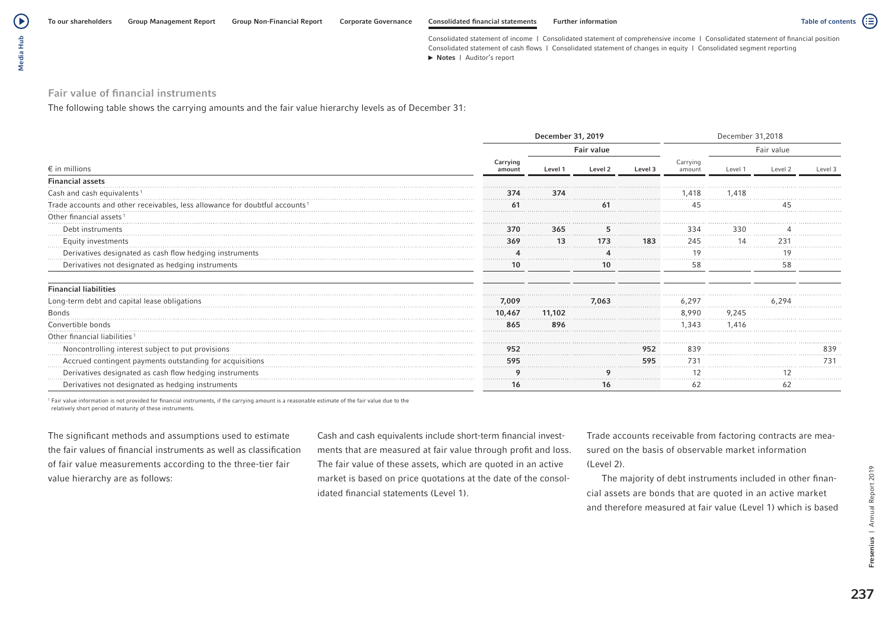Consolidated statement of income | Consolidated statement of comprehensive income | Consolidated statement of financial position Consolidated statement of cash flows | Consolidated statement of changes in equity | Consolidated segment reporting ▶ Notes | Auditor's report

### Fair value of financial instruments

The following table shows the carrying amounts and the fair value hierarchy levels as of December 31:

|                                                                                                                                                                                                                                |                    | December 31, 2019 |            |         | December 31,2018    |            |         |  |
|--------------------------------------------------------------------------------------------------------------------------------------------------------------------------------------------------------------------------------|--------------------|-------------------|------------|---------|---------------------|------------|---------|--|
|                                                                                                                                                                                                                                |                    |                   | Fair value |         | Fair value          |            |         |  |
| $\epsilon$ in millions                                                                                                                                                                                                         | Carrying<br>amount | Level 1           | Level 2    | Level 3 | Carrying<br>amount  | Level 1    | Level 2 |  |
| <b>Financial assets</b>                                                                                                                                                                                                        |                    |                   |            |         |                     |            |         |  |
| Cash and cash equivalents                                                                                                                                                                                                      | 374                | 374               |            |         | -418                | 1.418      |         |  |
| Trade accounts and other receivables. less allowance for doubtful accounts                                                                                                                                                     | 61                 |                   | O          |         |                     |            |         |  |
| Other financial assets                                                                                                                                                                                                         |                    |                   |            |         |                     |            |         |  |
| Debt instruments                                                                                                                                                                                                               | 370                | 365               |            |         | 334                 | 330        |         |  |
| Equity investments                                                                                                                                                                                                             | 369                | 13                | 173        | 183     | 245                 | 14         | 231     |  |
| Derivatives designated as cash flow hedging instruments                                                                                                                                                                        |                    |                   |            |         |                     |            |         |  |
| Derivatives not designated as hedging instruments                                                                                                                                                                              | 10                 |                   |            |         | 58                  |            | 58      |  |
| <b>Financial liabilities</b>                                                                                                                                                                                                   |                    |                   |            |         |                     |            |         |  |
| Long-term debt and capital lease obligations                                                                                                                                                                                   | 7,009              |                   | 7.063      |         | 6,297               |            | 6.294   |  |
| Bond                                                                                                                                                                                                                           | 10,467             | 11.102            |            |         | 8,990               | 9,245      |         |  |
| Convertible bonds                                                                                                                                                                                                              | 865                | 896               |            |         | . <b>.</b><br>1.343 | .<br>1 416 | .       |  |
| Other financial liabilities                                                                                                                                                                                                    |                    |                   |            |         |                     |            |         |  |
| Moncontrolling interest subject to put provisions 839 and the set of the controlling interest subject to put provisions 839 and the set of the set of the set of the set of the set of the set of the set of the set of the se |                    |                   |            |         |                     |            |         |  |
| Accrued contingent payments outstanding for acquisitions 595 and the state of the state of the state of the state of the state of the state of the state of the state of the state of the state of the state of the state of t |                    |                   |            | 595     |                     |            |         |  |
| Derivatives designated as cash flow hedging instruments                                                                                                                                                                        |                    |                   |            |         |                     |            |         |  |
| Derivatives not designated as hedging instruments                                                                                                                                                                              | 16                 |                   |            |         |                     |            | 62      |  |

<sup>1</sup> Fair value information is not provided for financial instruments, if the carrying amount is a reasonable estimate of the fair value due to the relatively short period of maturity of these instruments.

The significant methods and assumptions used to estimate the fair values of financial instruments as well as classification of fair value measurements according to the three-tier fair value hierarchy are as follows:

Cash and cash equivalents include short-term financial investments that are measured at fair value through profit and loss. The fair value of these assets, which are quoted in an active market is based on price quotations at the date of the consolidated financial statements (Level 1).

Trade accounts receivable from factoring contracts are measured on the basis of observable market information (Level 2).

The majority of debt instruments included in other financial assets are bonds that are quoted in an active market and therefore measured at fair value (Level 1) which is based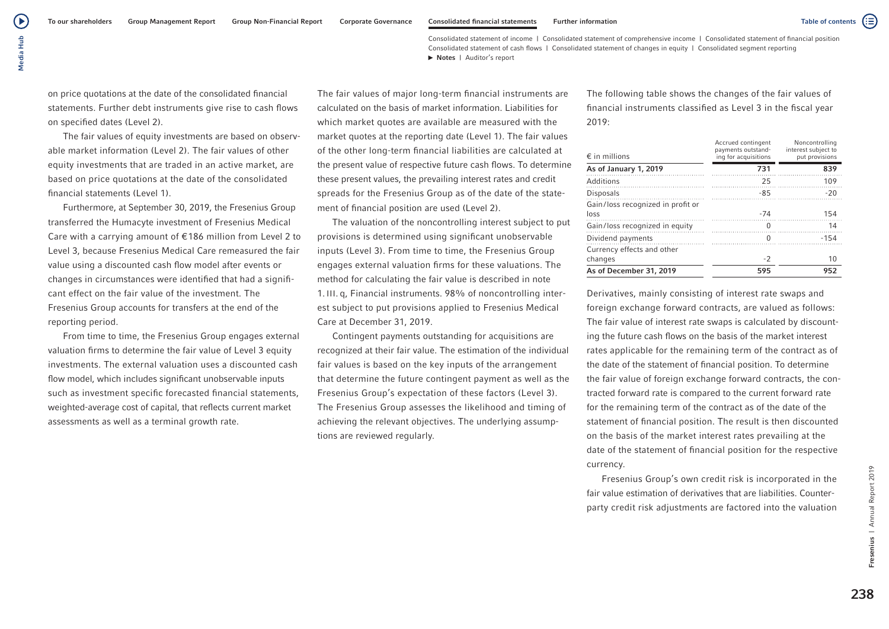on price quotations at the date of the consolidated financial statements. Further debt instruments give rise to cash flows on specified dates (Level 2).

The fair values of equity investments are based on observable market information (Level 2). The fair values of other equity investments that are traded in an active market, are based on price quotations at the date of the consolidated financial statements (Level 1).

Furthermore, at September 30, 2019, the Fresenius Group transferred the Humacyte investment of Fresenius Medical Care with a carrying amount of €186 million from Level 2 to Level 3, because Fresenius Medical Care remeasured the fair value using a discounted cash flow model after events or changes in circumstances were identified that had a significant effect on the fair value of the investment. The Fresenius Group accounts for transfers at the end of the reporting period.

From time to time, the Fresenius Group engages external valuation firms to determine the fair value of Level 3 equity investments. The external valuation uses a discounted cash flow model, which includes significant unobservable inputs such as investment specific forecasted financial statements, weighted-average cost of capital, that reflects current market assessments as well as a terminal growth rate.

The fair values of major long-term financial instruments are calculated on the basis of market information. Liabilities for which market quotes are available are measured with the market quotes at the reporting date (Level 1). The fair values of the other long-term financial liabilities are calculated at the present value of respective future cash flows. To determine these present values, the prevailing interest rates and credit spreads for the Fresenius Group as of the date of the statement of financial position are used (Level 2).

The valuation of the noncontrolling interest subject to put provisions is determined using significant unobservable inputs (Level 3). From time to time, the Fresenius Group engages external valuation firms for these valuations. The method for calculating the fair value is described in note 1. III. q, Financial instruments. 98% of noncontrolling interest subject to put provisions applied to Fresenius Medical Care at December 31, 2019.

Contingent payments outstanding for acquisitions are recognized at their fair value. The estimation of the individual fair values is based on the key inputs of the arrangement that determine the future contingent payment as well as the Fresenius Group's expectation of these factors (Level 3). The Fresenius Group assesses the likelihood and timing of achieving the relevant objectives. The underlying assumptions are reviewed regularly.

The following table shows the changes of the fair values of financial instruments classified as Level 3 in the fiscal year 2019:

| $\epsilon$ in millions                    | Accrued contingent<br>payments outstand-<br>ing for acquisitions | Noncontrolling<br>interest subject to<br>put provisions |
|-------------------------------------------|------------------------------------------------------------------|---------------------------------------------------------|
| As of January 1, 2019                     | 731                                                              | 839                                                     |
| Additions                                 | 25                                                               | 109                                                     |
| <b>Disposals</b>                          | $-85$                                                            | $-20$                                                   |
| Gain/loss recognized in profit or<br>loss | $-74$                                                            | 154                                                     |
| Gain/loss recognized in equity            |                                                                  | 14                                                      |
| Dividend payments                         | n                                                                | $-154$                                                  |
| Currency effects and other                |                                                                  |                                                         |
| changes                                   | $-2$                                                             | 10                                                      |
| As of December 31, 2019                   | 595                                                              | 952                                                     |

Derivatives, mainly consisting of interest rate swaps and foreign exchange forward contracts, are valued as follows: The fair value of interest rate swaps is calculated by discounting the future cash flows on the basis of the market interest rates applicable for the remaining term of the contract as of the date of the statement of financial position. To determine the fair value of foreign exchange forward contracts, the contracted forward rate is compared to the current forward rate for the remaining term of the contract as of the date of the statement of financial position. The result is then discounted on the basis of the market interest rates prevailing at the date of the statement of financial position for the respective currency.

Fresenius Group's own credit risk is incorporated in the fair value estimation of derivatives that are liabilities. Counterparty credit risk adjustments are factored into the valuation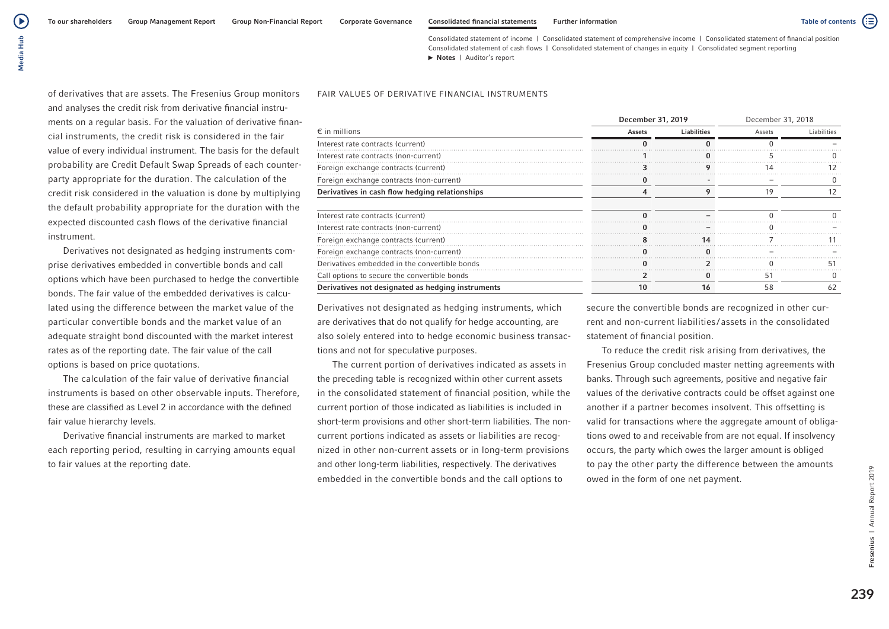Consolidated statement of income | Consolidated statement of comprehensive income | Consolidated statement of financial position Consolidated statement of cash flows | Consolidated statement of changes in equity | Consolidated segment reporting Notes | Auditor's report

of derivatives that are assets. The Fresenius Group monitors and analyses the credit risk from derivative financial instruments on a regular basis. For the valuation of derivative financial instruments, the credit risk is considered in the fair value of every individual instrument. The basis for the default probability are Credit Default Swap Spreads of each counterparty appropriate for the duration. The calculation of the credit risk considered in the valuation is done by multiplying the default probability appropriate for the duration with the expected discounted cash flows of the derivative financial instrument.

Derivatives not designated as hedging instruments comprise derivatives embedded in convertible bonds and call options which have been purchased to hedge the convertible bonds. The fair value of the embedded derivatives is calculated using the difference between the market value of the particular convertible bonds and the market value of an adequate straight bond discounted with the market interest rates as of the reporting date. The fair value of the call options is based on price quotations.

The calculation of the fair value of derivative financial instruments is based on other observable inputs. Therefore, these are classified as Level 2 in accordance with the defined fair value hierarchy levels.

Derivative financial instruments are marked to market each reporting period, resulting in carrying amounts equal to fair values at the reporting date.

#### FAIR VALUES OF DERIVATIVE FINANCIAL INSTRUMENTS

|                                                   | December 31, 2019 |             | December 31, 2018 |             |  |
|---------------------------------------------------|-------------------|-------------|-------------------|-------------|--|
| $\epsilon$ in millions                            | Assets            | Liabilities | Assets            | Liabilities |  |
| Interest rate contracts (current)                 |                   |             |                   |             |  |
| Interest rate contracts (non-current)             |                   |             |                   |             |  |
| Foreign exchange contracts (current)              |                   |             |                   |             |  |
| Foreign exchange contracts (non-current)          |                   |             |                   |             |  |
| Derivatives in cash flow hedging relationships    |                   |             | 19                |             |  |
| Interest rate contracts (current)                 |                   |             |                   |             |  |
| Interest rate contracts (non-current)             |                   |             |                   |             |  |
| Foreign exchange contracts (current)              |                   | 14          |                   |             |  |
| Foreign exchange contracts (non-current)          |                   |             |                   |             |  |
| Derivatives embedded in the convertible bonds     |                   |             |                   |             |  |
| Call options to secure the convertible bonds      |                   |             | 51                |             |  |
| Derivatives not designated as hedging instruments |                   |             | 58                |             |  |

Derivatives not designated as hedging instruments, which are derivatives that do not qualify for hedge accounting, are also solely entered into to hedge economic business transactions and not for speculative purposes.

The current portion of derivatives indicated as assets in the preceding table is recognized within other current assets in the consolidated statement of financial position, while the current portion of those indicated as liabilities is included in short-term provisions and other short-term liabilities. The noncurrent portions indicated as assets or liabilities are recognized in other non-current assets or in long-term provisions and other long-term liabilities, respectively. The derivatives embedded in the convertible bonds and the call options to

secure the convertible bonds are recognized in other current and non-current liabilities / assets in the consolidated statement of financial position.

To reduce the credit risk arising from derivatives, the Fresenius Group concluded master netting agreements with banks. Through such agreements, positive and negative fair values of the derivative contracts could be offset against one another if a partner becomes insolvent. This offsetting is valid for transactions where the aggregate amount of obligations owed to and receivable from are not equal. If insolvency occurs, the party which owes the larger amount is obliged to pay the other party the difference between the amounts owed in the form of one net payment.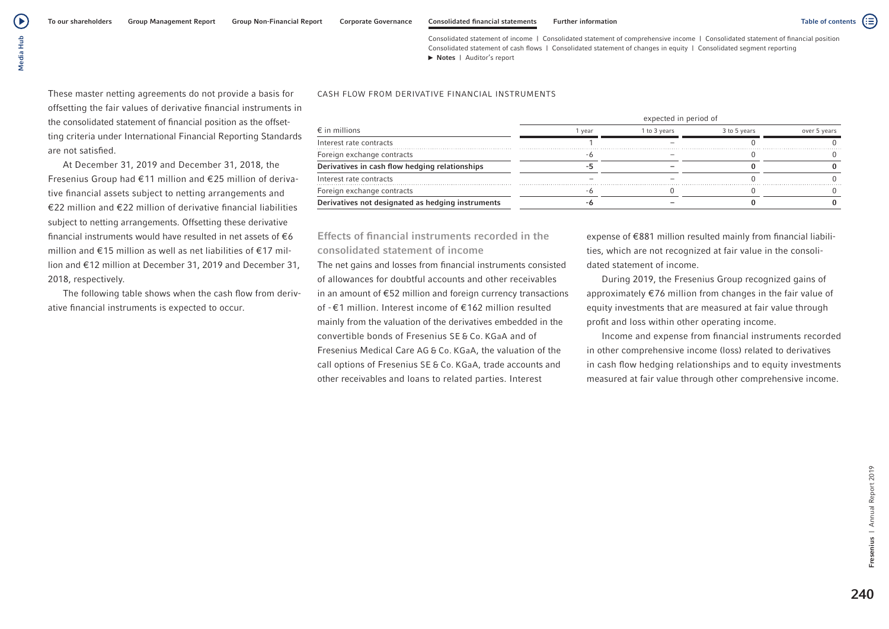(⊟) Table of contents

Consolidated statement of income | Consolidated statement of comprehensive income | Consolidated statement of financial position Consolidated statement of cash flows | Consolidated statement of changes in equity | Consolidated segment reporting Notes | Auditor's report

#### CASH FLOW FROM DERIVATIVE FINANCIAL INSTRUMENTS

These master netting agreements do not provide a basis for offsetting the fair values of derivative financial instruments in the consolidated statement of financial position as the offsetting criteria under International Financial Reporting Standards are not satisfied.

At December 31, 2019 and December 31, 2018, the Fresenius Group had €11 million and €25 million of derivative financial assets subject to netting arrangements and €22 million and €22 million of derivative financial liabilities subject to netting arrangements. Offsetting these derivative financial instruments would have resulted in net assets of  $\epsilon$ 6 million and €15 million as well as net liabilities of €17 million and €12 million at December 31, 2019 and December 31, 2018, respectively.

The following table shows when the cash flow from derivative financial instruments is expected to occur.

|                                                   | expected in period of |              |              |              |  |  |  |  |
|---------------------------------------------------|-----------------------|--------------|--------------|--------------|--|--|--|--|
| $\epsilon$ in millions                            | year                  | 1 to 3 years | 3 to 5 years | over 5 years |  |  |  |  |
| Interest rate contracts                           |                       |              |              |              |  |  |  |  |
| Foreign exchange contracts                        |                       |              |              |              |  |  |  |  |
| Derivatives in cash flow hedging relationships    |                       |              |              |              |  |  |  |  |
| Interest rate contracts                           |                       |              |              |              |  |  |  |  |
| Foreign exchange contracts                        |                       |              |              |              |  |  |  |  |
| Derivatives not designated as hedging instruments |                       |              |              |              |  |  |  |  |
|                                                   |                       |              |              |              |  |  |  |  |

# Effects of financial instruments recorded in the consolidated statement of income

The net gains and losses from financial instruments consisted of allowances for doubtful accounts and other receivables in an amount of €52 million and foreign currency transactions of -€1 million. Interest income of €162 million resulted mainly from the valuation of the derivatives embedded in the convertible bonds of Fresenius SE & Co. KGaA and of Fresenius Medical Care AG & Co. KGaA, the valuation of the call options of Fresenius SE & Co. KGaA, trade accounts and other receivables and loans to related parties. Interest

expense of €881 million resulted mainly from financial liabilities, which are not recognized at fair value in the consolidated statement of income.

During 2019, the Fresenius Group recognized gains of approximately €76 million from changes in the fair value of equity investments that are measured at fair value through profit and loss within other operating income.

Income and expense from financial instruments recorded in other comprehensive income (loss) related to derivatives in cash flow hedging relationships and to equity investments measured at fair value through other comprehensive income.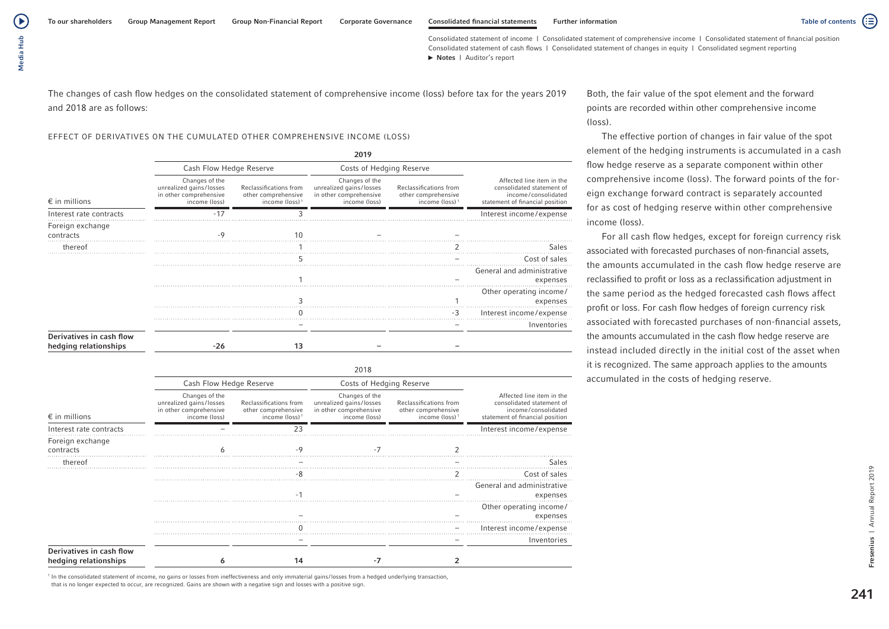(≘) Table of contents

Consolidated statement of income | Consolidated statement of comprehensive income | Consolidated statement of financial position Consolidated statement of cash flows | Consolidated statement of changes in equity | Consolidated segment reporting Notes | Auditor's report

The changes of cash flow hedges on the consolidated statement of comprehensive income (loss) before tax for the years 2019 and 2018 are as follows:

#### EFFECT OF DERIVATIVES ON THE CUMULATED OTHER COMPREHENSIVE INCOME (LOSS)

|                                                   |                                                                                      |                                                                             | 2019                                                                                 |                                                                             |                                                                                                                  |
|---------------------------------------------------|--------------------------------------------------------------------------------------|-----------------------------------------------------------------------------|--------------------------------------------------------------------------------------|-----------------------------------------------------------------------------|------------------------------------------------------------------------------------------------------------------|
|                                                   | Cash Flow Hedge Reserve                                                              |                                                                             | Costs of Hedging Reserve                                                             |                                                                             |                                                                                                                  |
| $\epsilon$ in millions                            | Changes of the<br>unrealized gains/losses<br>in other comprehensive<br>income (loss) | Reclassifications from<br>other comprehensive<br>income (loss) <sup>1</sup> | Changes of the<br>unrealized gains/losses<br>in other comprehensive<br>income (loss) | Reclassifications from<br>other comprehensive<br>income (loss) <sup>1</sup> | Affected line item in the<br>consolidated statement of<br>income/consolidated<br>statement of financial position |
| Interest rate contracts                           | $-17$                                                                                |                                                                             |                                                                                      |                                                                             | Interest income/expense                                                                                          |
| Foreign exchange<br>contracts                     |                                                                                      |                                                                             |                                                                                      |                                                                             |                                                                                                                  |
| thereof                                           |                                                                                      |                                                                             |                                                                                      |                                                                             | Sales                                                                                                            |
|                                                   |                                                                                      |                                                                             |                                                                                      |                                                                             | Cost of sales                                                                                                    |
|                                                   |                                                                                      |                                                                             |                                                                                      |                                                                             | General and administrative<br>expenses                                                                           |
|                                                   |                                                                                      |                                                                             |                                                                                      |                                                                             | Other operating income/<br>expenses                                                                              |
|                                                   |                                                                                      |                                                                             |                                                                                      | -3                                                                          | Interest income/expense                                                                                          |
|                                                   |                                                                                      |                                                                             |                                                                                      |                                                                             | Inventories                                                                                                      |
| Derivatives in cash flow<br>hedging relationships | $-26$                                                                                | 13                                                                          |                                                                                      |                                                                             |                                                                                                                  |

Both, the fair value of the spot element and the forward points are recorded within other comprehensive income (loss).

The effective portion of changes in fair value of the spot element of the hedging instruments is accumulated in a cash flow hedge reserve as a separate component within other comprehensive income (loss). The forward points of the foreign exchange forward contract is separately accounted for as cost of hedging reserve within other comprehensive income (loss).

For all cash flow hedges, except for foreign currency risk associated with forecasted purchases of non-financial assets, the amounts accumulated in the cash flow hedge reserve are reclassified to profit or loss as a reclassification adjustment in the same period as the hedged forecasted cash flows affect profit or loss. For cash flow hedges of foreign currency risk associated with forecasted purchases of non-financial assets, the amounts accumulated in the cash flow hedge reserve are instead included directly in the initial cost of the asset when it is recognized. The same approach applies to the amounts accumulated in the costs of hedging reserve.

|                                                   |                                                                                      |                                                                             | 2018                                                                                 |                                                                             |                                                                                                                  |
|---------------------------------------------------|--------------------------------------------------------------------------------------|-----------------------------------------------------------------------------|--------------------------------------------------------------------------------------|-----------------------------------------------------------------------------|------------------------------------------------------------------------------------------------------------------|
|                                                   | Cash Flow Hedge Reserve                                                              |                                                                             | Costs of Hedging Reserve                                                             |                                                                             |                                                                                                                  |
| $\epsilon$ in millions                            | Changes of the<br>unrealized gains/losses<br>in other comprehensive<br>income (loss) | Reclassifications from<br>other comprehensive<br>income (loss) <sup>1</sup> | Changes of the<br>unrealized gains/losses<br>in other comprehensive<br>income (loss) | Reclassifications from<br>other comprehensive<br>income (loss) <sup>1</sup> | Affected line item in the<br>consolidated statement of<br>income/consolidated<br>statement of financial position |
| Interest rate contracts                           |                                                                                      |                                                                             |                                                                                      |                                                                             | Interest income/expense                                                                                          |
| Foreign exchange<br>contracts                     |                                                                                      |                                                                             |                                                                                      |                                                                             |                                                                                                                  |
| thereof                                           |                                                                                      |                                                                             |                                                                                      |                                                                             | Sales                                                                                                            |
|                                                   |                                                                                      |                                                                             |                                                                                      |                                                                             | Cost of sales                                                                                                    |
|                                                   |                                                                                      |                                                                             |                                                                                      |                                                                             | General and administrative<br>expenses                                                                           |
|                                                   |                                                                                      |                                                                             |                                                                                      |                                                                             | Other operating income/<br>expenses                                                                              |
|                                                   |                                                                                      |                                                                             |                                                                                      |                                                                             | Interest income/expense                                                                                          |
|                                                   |                                                                                      |                                                                             |                                                                                      |                                                                             | Inventories                                                                                                      |
| Derivatives in cash flow<br>hedging relationships |                                                                                      |                                                                             |                                                                                      |                                                                             |                                                                                                                  |

<sup>1</sup> In the consolidated statement of income, no gains or losses from ineffectiveness and only immaterial gains/losses from a hedged underlying transaction, that is no longer expected to occur, are recognized. Gains are shown with a negative sign and losses with a positive sign.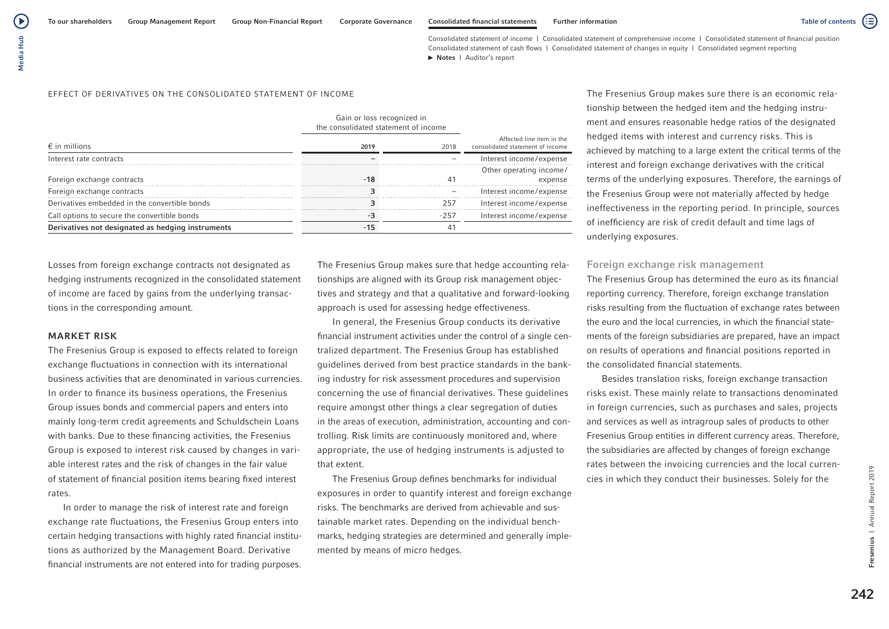⊜ Table of contents

Consolidated statement of income | Consolidated statement of comprehensive income | Consolidated statement of financial position Consolidated statement of cash flows | Consolidated statement of changes in equity | Consolidated segment reporting Notes | Auditor's report

#### EFFECT OF DERIVATIVES ON THE CONSOLIDATED STATEMENT OF INCOME

|                                                   | Gain or loss recognized in<br>the consolidated statement of income |        |                                                               |
|---------------------------------------------------|--------------------------------------------------------------------|--------|---------------------------------------------------------------|
| $\epsilon$ in millions                            | 2019                                                               | 2018   | Affected line item in the<br>consolidated statement of income |
| Interest rate contracts                           |                                                                    |        | Interest income/expense                                       |
| Foreign exchange contracts                        | -18                                                                | 4      | Other operating income/<br>expense                            |
| Foreign exchange contracts                        |                                                                    |        | Interest income/expense                                       |
| Derivatives embedded in the convertible bonds     |                                                                    | 257    | Interest income/expense                                       |
| Call options to secure the convertible bonds      |                                                                    | $-257$ | Interest income/expense                                       |
| Derivatives not designated as hedging instruments | $-15$                                                              | 41     |                                                               |

Losses from foreign exchange contracts not designated as hedging instruments recognized in the consolidated statement of income are faced by gains from the underlying transactions in the corresponding amount.

#### MARKET RISK

The Fresenius Group is exposed to effects related to foreign exchange fluctuations in connection with its international business activities that are denominated in various currencies. In order to finance its business operations, the Fresenius Group issues bonds and commercial papers and enters into mainly long-term credit agreements and Schuldschein Loans with banks. Due to these financing activities, the Fresenius Group is exposed to interest risk caused by changes in variable interest rates and the risk of changes in the fair value of statement of financial position items bearing fixed interest rates.

In order to manage the risk of interest rate and foreign exchange rate fluctuations, the Fresenius Group enters into certain hedging transactions with highly rated financial institutions as authorized by the Management Board. Derivative financial instruments are not entered into for trading purposes. The Fresenius Group makes sure that hedge accounting relationships are aligned with its Group risk management objectives and strategy and that a qualitative and forward-looking approach is used for assessing hedge effectiveness.

In general, the Fresenius Group conducts its derivative financial instrument activities under the control of a single centralized department. The Fresenius Group has established guidelines derived from best practice standards in the banking industry for risk assessment procedures and supervision concerning the use of financial derivatives. These guidelines require amongst other things a clear segregation of duties in the areas of execution, administration, accounting and controlling. Risk limits are continuously monitored and, where appropriate, the use of hedging instruments is adjusted to that extent.

The Fresenius Group defines benchmarks for individual exposures in order to quantify interest and foreign exchange risks. The benchmarks are derived from achievable and sustainable market rates. Depending on the individual benchmarks, hedging strategies are determined and generally implemented by means of micro hedges.

The Fresenius Group makes sure there is an economic relationship between the hedged item and the hedging instrument and ensures reasonable hedge ratios of the designated hedged items with interest and currency risks. This is achieved by matching to a large extent the critical terms of the interest and foreign exchange derivatives with the critical terms of the underlying exposures. Therefore, the earnings of the Fresenius Group were not materially affected by hedge ineffectiveness in the reporting period. In principle, sources of inefficiency are risk of credit default and time lags of underlying exposures.

## Foreign exchange risk management

The Fresenius Group has determined the euro as its financial reporting currency. Therefore, foreign exchange translation risks resulting from the fluctuation of exchange rates between the euro and the local currencies, in which the financial statements of the foreign subsidiaries are prepared, have an impact on results of operations and financial positions reported in the consolidated financial statements.

Besides translation risks, foreign exchange transaction risks exist. These mainly relate to transactions denominated in foreign currencies, such as purchases and sales, projects and services as well as intragroup sales of products to other Fresenius Group entities in different currency areas. Therefore, the subsidiaries are affected by changes of foreign exchange rates between the invoicing currencies and the local currencies in which they conduct their businesses. Solely for the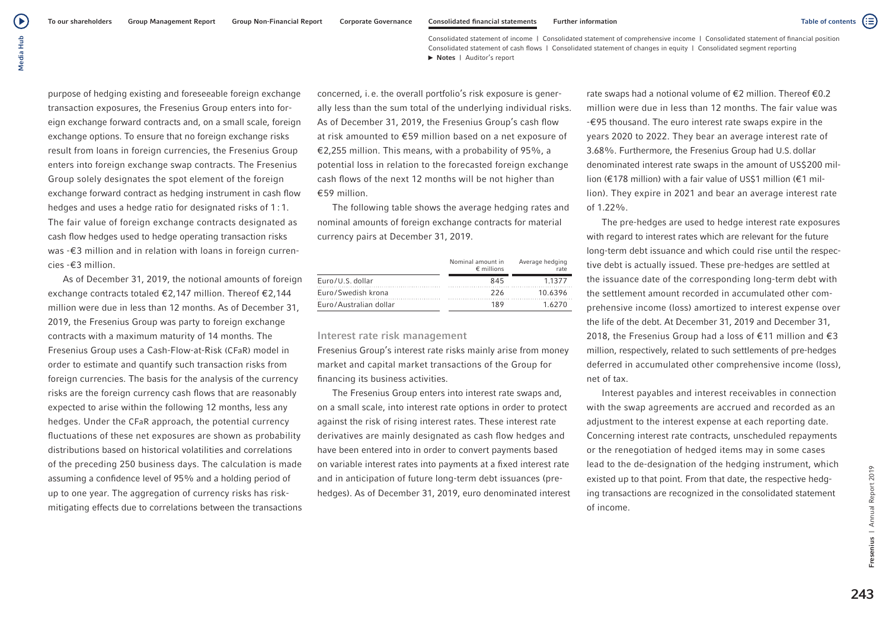Media Hub

Media Hub

(▶

 $(\textbf{m})$ Table of contents

Consolidated statement of income | Consolidated statement of comprehensive income | Consolidated statement of financial position Consolidated statement of cash flows | Consolidated statement of changes in equity | Consolidated segment reporting Notes | Auditor's report

purpose of hedging existing and foreseeable foreign exchange transaction exposures, the Fresenius Group enters into foreign exchange forward contracts and, on a small scale, foreign exchange options. To ensure that no foreign exchange risks result from loans in foreign currencies, the Fresenius Group enters into foreign exchange swap contracts. The Fresenius Group solely designates the spot element of the foreign exchange forward contract as hedging instrument in cash flow hedges and uses a hedge ratio for designated risks of 1 : 1. The fair value of foreign exchange contracts designated as cash flow hedges used to hedge operating transaction risks was -€3 million and in relation with loans in foreign currencies -€3 million.

As of December 31, 2019, the notional amounts of foreign exchange contracts totaled €2,147 million. Thereof €2,144 million were due in less than 12 months. As of December 31, 2019, the Fresenius Group was party to foreign exchange contracts with a maximum maturity of 14 months. The Fresenius Group uses a Cash-Flow-at-Risk (CFaR) model in order to estimate and quantify such transaction risks from foreign currencies. The basis for the analysis of the currency risks are the foreign currency cash flows that are reasonably expected to arise within the following 12 months, less any hedges. Under the CFaR approach, the potential currency fluctuations of these net exposures are shown as probability distributions based on historical volatilities and correlations of the preceding 250 business days. The calculation is made assuming a confidence level of 95% and a holding period of up to one year. The aggregation of currency risks has riskmitigating effects due to correlations between the transactions

concerned, i. e. the overall portfolio's risk exposure is generally less than the sum total of the underlying individual risks. As of December 31, 2019, the Fresenius Group's cash flow at risk amounted to €59 million based on a net exposure of €2,255 million. This means, with a probability of 95%, a potential loss in relation to the forecasted foreign exchange cash flows of the next 12 months will be not higher than €59 million.

The following table shows the average hedging rates and nominal amounts of foreign exchange contracts for material currency pairs at December 31, 2019.

|                        | Nominal amount in<br>$\epsilon$ millions | Average hedging<br>rate |
|------------------------|------------------------------------------|-------------------------|
| Euro/U.S. dollar       | 845                                      | 11377                   |
| Euro/Swedish krona     | 226                                      | 10.6396                 |
| Euro/Australian dollar | 189                                      | 16270                   |

## Interest rate risk management

Fresenius Group's interest rate risks mainly arise from money market and capital market transactions of the Group for financing its business activities.

The Fresenius Group enters into interest rate swaps and, on a small scale, into interest rate options in order to protect against the risk of rising interest rates. These interest rate derivatives are mainly designated as cash flow hedges and have been entered into in order to convert payments based on variable interest rates into payments at a fixed interest rate and in anticipation of future long-term debt issuances (prehedges). As of December 31, 2019, euro denominated interest rate swaps had a notional volume of €2 million. Thereof €0.2 million were due in less than 12 months. The fair value was -€95 thousand. The euro interest rate swaps expire in the years 2020 to 2022. They bear an average interest rate of 3.68%. Furthermore, the Fresenius Group had U.S.dollar denominated interest rate swaps in the amount of US\$200 million (€178 million) with a fair value of US\$1 million (€1 million). They expire in 2021 and bear an average interest rate of 1.22%.

The pre-hedges are used to hedge interest rate exposures with regard to interest rates which are relevant for the future long-term debt issuance and which could rise until the respective debt is actually issued. These pre-hedges are settled at the issuance date of the corresponding long-term debt with the settlement amount recorded in accumulated other comprehensive income (loss) amortized to interest expense over the life of the debt. At December 31, 2019 and December 31, 2018, the Fresenius Group had a loss of €11 million and  $€3$ million, respectively, related to such settlements of pre-hedges deferred in accumulated other comprehensive income (loss), net of tax.

Interest payables and interest receivables in connection with the swap agreements are accrued and recorded as an adjustment to the interest expense at each reporting date. Concerning interest rate contracts, unscheduled repayments or the renegotiation of hedged items may in some cases lead to the de-designation of the hedging instrument, which existed up to that point. From that date, the respective hedging transactions are recognized in the consolidated statement of income.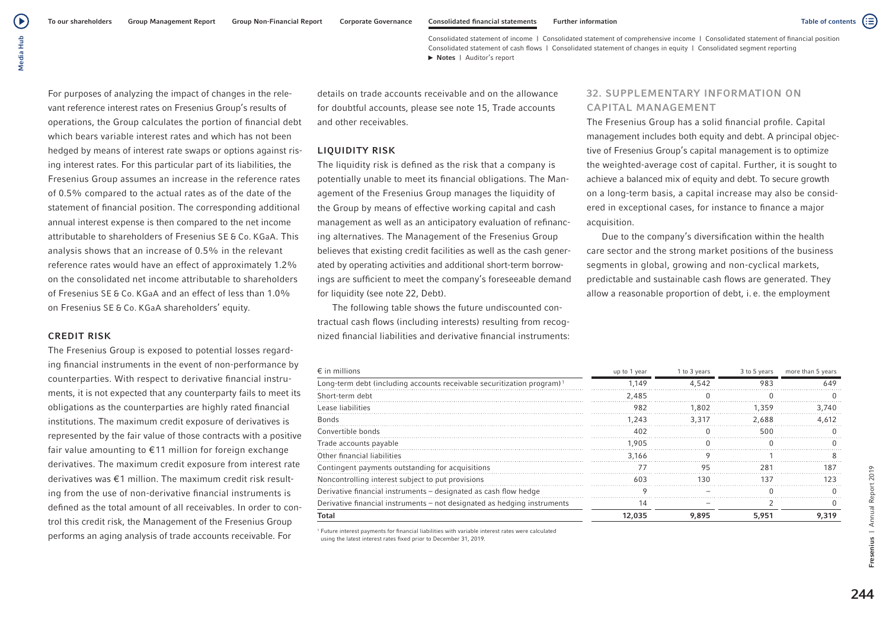Consolidated statement of income | Consolidated statement of comprehensive income | Consolidated statement of financial position Consolidated statement of cash flows | Consolidated statement of changes in equity | Consolidated segment reporting Notes | Auditor's report

For purposes of analyzing the impact of changes in the relevant reference interest rates on Fresenius Group's results of operations, the Group calculates the portion of financial debt which bears variable interest rates and which has not been hedged by means of interest rate swaps or options against rising interest rates. For this particular part of its liabilities, the Fresenius Group assumes an increase in the reference rates of 0.5% compared to the actual rates as of the date of the statement of financial position. The corresponding additional annual interest expense is then compared to the net income attributable to shareholders of Fresenius SE & Co. KGaA. This analysis shows that an increase of 0.5% in the relevant reference rates would have an effect of approximately 1.2% on the consolidated net income attributable to shareholders of Fresenius SE & Co. KGaA and an effect of less than 1.0% on Fresenius SE & Co. KGaA shareholders' equity.

#### CREDIT RISK

The Fresenius Group is exposed to potential losses regarding financial instruments in the event of non-performance by counterparties. With respect to derivative financial instruments, it is not expected that any counterparty fails to meet its obligations as the counterparties are highly rated financial institutions. The maximum credit exposure of derivatives is represented by the fair value of those contracts with a positive fair value amounting to  $\epsilon$ 11 million for foreign exchange derivatives. The maximum credit exposure from interest rate derivatives was €1 million. The maximum credit risk resulting from the use of non-derivative financial instruments is defined as the total amount of all receivables. In order to control this credit risk, the Management of the Fresenius Group performs an aging analysis of trade accounts receivable. For

details on trade accounts receivable and on the allowance for doubtful accounts, please see note 15, Trade accounts and other receivables.

#### LIQUIDITY RISK

The liquidity risk is defined as the risk that a company is potentially unable to meet its financial obligations. The Management of the Fresenius Group manages the liquidity of the Group by means of effective working capital and cash management as well as an anticipatory evaluation of refinancing alternatives. The Management of the Fresenius Group believes that existing credit facilities as well as the cash generated by operating activities and additional short-term borrowings are sufficient to meet the company's foreseeable demand for liquidity (see note 22, Debt).

The following table shows the future undiscounted contractual cash flows (including interests) resulting from recognized financial liabilities and derivative financial instruments:

| $\epsilon$ in millions                                                             | up to 1 year | 1 to 3 years | 3 to 5 years | more than 5 years |
|------------------------------------------------------------------------------------|--------------|--------------|--------------|-------------------|
| Long-term debt (including accounts receivable securitization program) <sup>1</sup> | 1.149        | 4.542        | 983          | 649               |
| Short-term debt                                                                    | 2.485        |              |              |                   |
| Lease liabilities                                                                  | 982          | 1.802        | 1.359        | 3.740             |
| <b>Bonds</b>                                                                       | 1.243        | 3.317        | 2.688        | 4.612             |
| Convertible bonds                                                                  | 402          |              | 500          |                   |
| Trade accounts payable                                                             | 1.905        |              |              |                   |
| Other financial liabilities                                                        | 3.166        |              |              |                   |
| Contingent payments outstanding for acquisitions                                   |              |              | 28٬          |                   |
| Noncontrolling interest subject to put provisions                                  | 603          | 130          | 137          |                   |
| Derivative financial instruments - designated as cash flow hedge                   |              |              |              |                   |
| Derivative financial instruments – not designated as hedging instruments           | 14           |              |              |                   |
| Total                                                                              | 12.035       |              | 5.951        | 2.319             |

<sup>1</sup> Future interest payments for financial liabilities with variable interest rates were calculated using the latest interest rates fixed prior to December 31, 2019.

# 32. SUPPLEMENTARY INFORMATION ON CAPITAL MANAGEMENT

The Fresenius Group has a solid financial profile. Capital management includes both equity and debt. A principal objective of Fresenius Group's capital management is to optimize the weighted-average cost of capital. Further, it is sought to achieve a balanced mix of equity and debt. To secure growth on a long-term basis, a capital increase may also be considered in exceptional cases, for instance to finance a major acquisition.

Due to the company's diversification within the health care sector and the strong market positions of the business segments in global, growing and non-cyclical markets, predictable and sustainable cash flows are generated. They allow a reasonable proportion of debt, i. e. the employment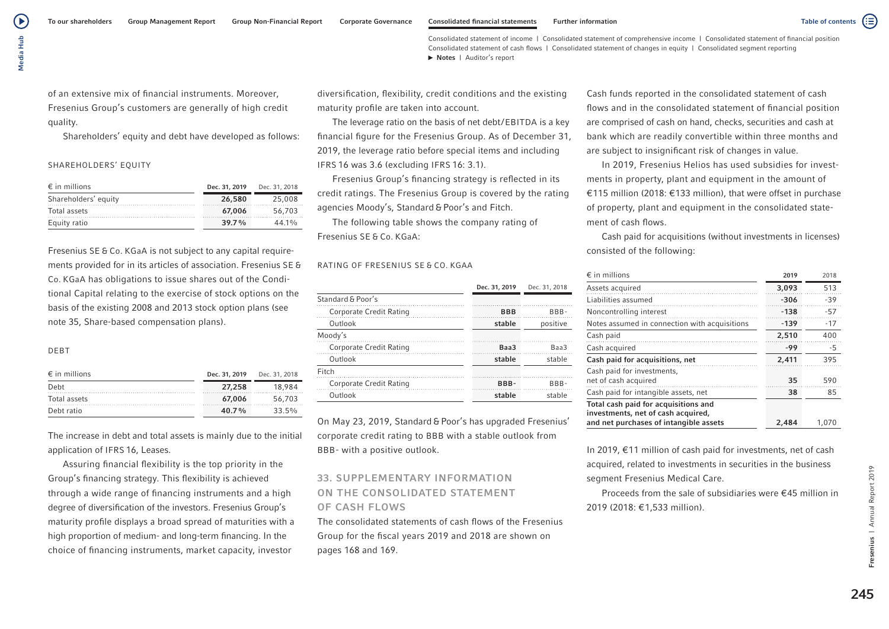⊜ Table of contents

Consolidated statement of income | Consolidated statement of comprehensive income | Consolidated statement of financial position Consolidated statement of cash flows | Consolidated statement of changes in equity | Consolidated segment reporting Notes | Auditor's report

of an extensive mix of financial instruments. Moreover, Fresenius Group's customers are generally of high credit quality.

Shareholders' equity and debt have developed as follows:

#### SHAREHOLDERS' EQUITY

| $\epsilon$ in millions | Dec. 31, 2019 | Dec. 31, 2018 |
|------------------------|---------------|---------------|
| Shareholders' equity   | 26,580        | 25,008        |
| Total assets           | 67.006        | 56,703        |
| Equity ratio           | $39.7\%$      | 44 1%         |

Fresenius SE & Co. KGaA is not subject to any capital requirements provided for in its articles of association. Fresenius SE & Co. KGaA has obligations to issue shares out of the Conditional Capital relating to the exercise of stock options on the basis of the existing 2008 and 2013 stock option plans (see note 35, Share-based compensation plans).

#### DEBT

| $\epsilon$ in millions | Dec. 31, 2019 | Dec. 31, 2018 |
|------------------------|---------------|---------------|
| Debt                   | 27,258        | 18.984        |
| Total assets           | 67.006        | 56.703        |
| Debt ratio             | $40.7\%$      | 33.5%         |

The increase in debt and total assets is mainly due to the initial application of IFRS 16, Leases.

Assuring financial flexibility is the top priority in the Group's financing strategy. This flexibility is achieved through a wide range of financing instruments and a high degree of diversification of the investors. Fresenius Group's maturity profile displays a broad spread of maturities with a high proportion of medium- and long-term financing. In the choice of financing instruments, market capacity, investor

diversification, flexibility, credit conditions and the existing maturity profile are taken into account.

The leverage ratio on the basis of net debt/EBITDA is a key financial figure for the Fresenius Group. As of December 31, 2019, the leverage ratio before special items and including IFRS 16 was 3.6 (excluding IFRS 16: 3.1).

Fresenius Group's financing strategy is reflected in its credit ratings. The Fresenius Group is covered by the rating agencies Moody's, Standard & Poor's and Fitch.

The following table shows the company rating of Fresenius SE & Co. KGaA:

#### RATING OF FRESENIUS SE & CO. KGAA

|                         | Dec. 31, 2019 | Dec. 31, 2018 |
|-------------------------|---------------|---------------|
| Standard & Poor's       |               |               |
| Corporate Credit Rating | <b>BBB</b>    | RRR-          |
| Outlook                 | stable        | positive      |
| Moody's                 |               |               |
| Corporate Credit Rating | Baa3          | Baa3          |
| Outlook                 | stable        | stable        |
| Fitch                   |               |               |
| Corporate Credit Rating | <b>BBB-</b>   | RRR-          |
| Outlook                 | stable        | stable        |

On May 23, 2019, Standard & Poor's has upgraded Fresenius' corporate credit rating to BBB with a stable outlook from BBB- with a positive outlook.

# 33. SUPPLEMENTARY INFORMATION ON THE CONSOLIDATED STATEMENT OF CASH FLOWS

The consolidated statements of cash flows of the Fresenius Group for the fiscal years 2019 and 2018 are shown on pages 168 and 169.

Cash funds reported in the consolidated statement of cash flows and in the consolidated statement of financial position are comprised of cash on hand, checks, securities and cash at bank which are readily convertible within three months and are subject to insignificant risk of changes in value.

In 2019, Fresenius Helios has used subsidies for investments in property, plant and equipment in the amount of €115 million (2018: €133 million), that were offset in purchase of property, plant and equipment in the consolidated statement of cash flows.

Cash paid for acquisitions (without investments in licenses) consisted of the following:

| $\epsilon$ in millions                                                                                               | 2019   | 2018  |
|----------------------------------------------------------------------------------------------------------------------|--------|-------|
| Assets acquired                                                                                                      | 3,093  | 513   |
| Liabilities assumed                                                                                                  | $-306$ | $-39$ |
| Noncontrolling interest                                                                                              | $-138$ | $-57$ |
| Notes assumed in connection with acquisitions                                                                        | -139   | $-17$ |
| Cash paid                                                                                                            | 2,510  | 400   |
| Cash acquired                                                                                                        | -99    | $-5$  |
| Cash paid for acquisitions, net                                                                                      | 2,411  | 395   |
| Cash paid for investments,<br>net of cash acquired                                                                   | 35     | 590   |
| Cash paid for intangible assets, net                                                                                 | 38     | 85    |
| Total cash paid for acquisitions and<br>investments, net of cash acquired,<br>and net purchases of intangible assets | 2,484  | 1.070 |

In 2019, €11 million of cash paid for investments, net of cash acquired, related to investments in securities in the business segment Fresenius Medical Care.

Proceeds from the sale of subsidiaries were €45 million in 2019 (2018: €1,533 million).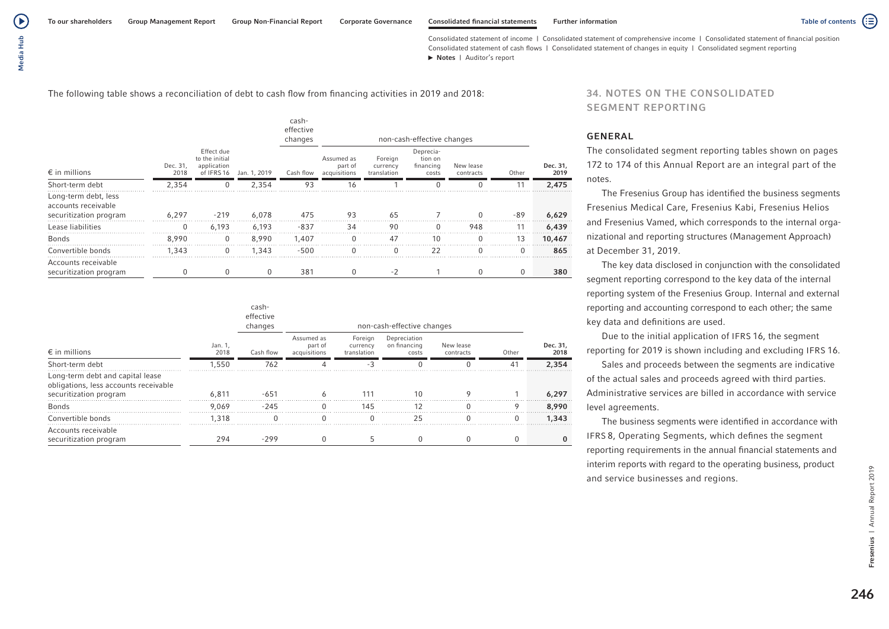Consolidated statement of income | Consolidated statement of comprehensive income | Consolidated statement of financial position Consolidated statement of cash flows | Consolidated statement of changes in equity | Consolidated segment reporting Notes | Auditor's report

The following table shows a reconciliation of debt to cash flow from financing activities in 2019 and 2018:

| $\epsilon$ in millions                                                |                  | Effect due<br>to the initial<br>application<br>of IFRS 16 | Jan. 1, 2019 | cash-<br>effective<br>changes | non-cash-effective changes            |                                    |                                            |                        |       |                  |
|-----------------------------------------------------------------------|------------------|-----------------------------------------------------------|--------------|-------------------------------|---------------------------------------|------------------------------------|--------------------------------------------|------------------------|-------|------------------|
|                                                                       | Dec. 31,<br>2018 |                                                           |              | Cash flow                     | Assumed as<br>part of<br>acquisitions | Foreign<br>currency<br>translation | Deprecia-<br>tion on<br>financing<br>costs | New lease<br>contracts | Other | Dec. 31,<br>2019 |
| Short-term debt                                                       | 2.354            | 0                                                         | 2.354        | 93                            | 16                                    |                                    |                                            |                        | 11    | 2,475            |
| Long-term debt, less<br>accounts receivable<br>securitization program | 6.297            | $-219$                                                    | 6,078        | 475                           | 93                                    | 65                                 |                                            |                        | -89   | 6,629            |
| Lease liabilities                                                     |                  | 6,193                                                     | 6,193        | $-837$                        | 34                                    | 90                                 |                                            | 948                    | 11    | 6,439            |
| <b>Bonds</b>                                                          | 8.990            | $\Omega$                                                  | 8.990        | 1.407                         |                                       | 47                                 | 10                                         |                        | 13    | 10,467           |
| Convertible bonds                                                     | 1.343            | $\Omega$                                                  | 1.343        | $-500$                        |                                       |                                    | 22                                         |                        | U     | 865              |
| Accounts receivable<br>securitization program                         |                  |                                                           |              | 381                           |                                       | $-2$                               |                                            |                        | 0     | 380              |

|                                                                                                     |                | cash-<br>effective<br>changes | non-cash-effective changes            |                                    |                                       |                        |       |                  |
|-----------------------------------------------------------------------------------------------------|----------------|-------------------------------|---------------------------------------|------------------------------------|---------------------------------------|------------------------|-------|------------------|
| $\epsilon$ in millions                                                                              | Jan. 1<br>2018 | Cash flow                     | Assumed as<br>part of<br>acquisitions | Foreign<br>currency<br>translation | Depreciation<br>on financing<br>costs | New lease<br>contracts | Other | Dec. 31,<br>2018 |
| Short-term debt                                                                                     | 1.550          | 762                           |                                       | $-3$                               |                                       |                        | 41    | 2,354            |
| Long-term debt and capital lease<br>obligations, less accounts receivable<br>securitization program | 6.811          | -651                          |                                       | 111                                |                                       |                        |       | 6,297            |
| <b>Bonds</b>                                                                                        | 9.069          | $-245$                        |                                       | 145                                | 12                                    |                        | 9     | 8,990            |
| Convertible bonds                                                                                   | 1.318          |                               |                                       |                                    | 25                                    |                        |       | 1,343            |
| Accounts receivable<br>securitization program                                                       | 294            | $-299$                        |                                       |                                    |                                       |                        |       |                  |

# 34. NOTES ON THE CONSOLIDATED SEGMENT REPORTING

## GENERAL

The consolidated segment reporting tables shown on pages 172 to 174 of this Annual Report are an integral part of the notes.

The Fresenius Group has identified the business segments Fresenius Medical Care, Fresenius Kabi, Fresenius Helios and Fresenius Vamed, which corresponds to the internal organizational and reporting structures (Management Approach) at December 31, 2019.

The key data disclosed in conjunction with the consolidated segment reporting correspond to the key data of the internal reporting system of the Fresenius Group. Internal and external reporting and accounting correspond to each other; the same key data and definitions are used.

Due to the initial application of IFRS 16, the segment reporting for 2019 is shown including and excluding IFRS 16.

Sales and proceeds between the segments are indicative of the actual sales and proceeds agreed with third parties. Administrative services are billed in accordance with service level agreements.

The business segments were identified in accordance with IFRS 8, Operating Segments, which defines the segment reporting requirements in the annual financial statements and interim reports with regard to the operating business, product and service businesses and regions.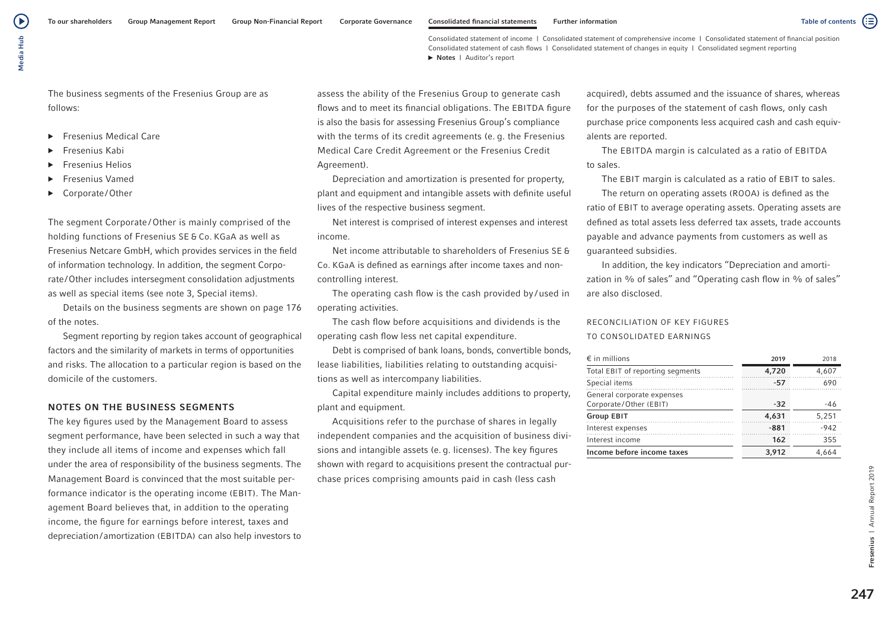(⊟) Table of contents

Consolidated statement of income | Consolidated statement of comprehensive income | Consolidated statement of financial position Consolidated statement of cash flows | Consolidated statement of changes in equity | Consolidated segment reporting Notes | Auditor's report

The business segments of the Fresenius Group are as follows:

- ▶ Fresenius Medical Care
- ▶ Fresenius Kabi
- ▶ Fresenius Helios
- ▶ Fresenius Vamed
- Corporate/Other

The segment Corporate / Other is mainly comprised of the holding functions of Fresenius SE & Co. KGaA as well as Fresenius Netcare GmbH, which provides services in the field of information technology. In addition, the segment Corporate/Other includes intersegment consolidation adjustments as well as special items (see note 3, Special items).

Details on the business segments are shown on page 176 of the notes.

Segment reporting by region takes account of geographical factors and the similarity of markets in terms of opportunities and risks. The allocation to a particular region is based on the domicile of the customers.

#### NOTES ON THE BUSINESS SEGMENTS

The key figures used by the Management Board to assess segment performance, have been selected in such a way that they include all items of income and expenses which fall under the area of responsibility of the business segments. The Management Board is convinced that the most suitable performance indicator is the operating income (EBIT). The Management Board believes that, in addition to the operating income, the figure for earnings before interest, taxes and depreciation/amortization (EBITDA) can also help investors to assess the ability of the Fresenius Group to generate cash flows and to meet its financial obligations. The EBITDA figure is also the basis for assessing Fresenius Group's compliance with the terms of its credit agreements (e. g. the Fresenius Medical Care Credit Agreement or the Fresenius Credit Agreement).

Depreciation and amortization is presented for property, plant and equipment and intangible assets with definite useful lives of the respective business segment.

Net interest is comprised of interest expenses and interest income.

Net income attributable to shareholders of Fresenius SE & Co. KGaA is defined as earnings after income taxes and noncontrolling interest.

The operating cash flow is the cash provided by / used in operating activities.

The cash flow before acquisitions and dividends is the operating cash flow less net capital expenditure.

Debt is comprised of bank loans, bonds, convertible bonds, lease liabilities, liabilities relating to outstanding acquisitions as well as intercompany liabilities.

Capital expenditure mainly includes additions to property, plant and equipment.

Acquisitions refer to the purchase of shares in legally independent companies and the acquisition of business divisions and intangible assets (e. g. licenses). The key figures shown with regard to acquisitions present the contractual purchase prices comprising amounts paid in cash (less cash

acquired), debts assumed and the issuance of shares, whereas for the purposes of the statement of cash flows, only cash purchase price components less acquired cash and cash equivalents are reported.

The EBITDA margin is calculated as a ratio of EBITDA to sales.

The EBIT margin is calculated as a ratio of EBIT to sales.

The return on operating assets (ROOA) is defined as the ratio of EBIT to average operating assets. Operating assets are defined as total assets less deferred tax assets, trade accounts payable and advance payments from customers as well as guaranteed subsidies.

In addition, the key indicators "Depreciation and amortization in % of sales" and "Operating cash flow in % of sales" are also disclosed.

### RECONCILIATION OF KEY FIGURES TO CONSOLIDATED EARNINGS

| $\epsilon$ in millions           | 2019   | 2018   |
|----------------------------------|--------|--------|
| Total EBIT of reporting segments | 4,720  | 4,607  |
| Special items                    | -57    | 690    |
| General corporate expenses       |        |        |
| Corporate/Other (EBIT)           | $-32$  | -46    |
| <b>Group EBIT</b>                | 4,631  | 5,251  |
| Interest expenses                | $-881$ | $-942$ |
| Interest income                  | 162    | 355    |
| Income before income taxes       | 3,912  | 4.664  |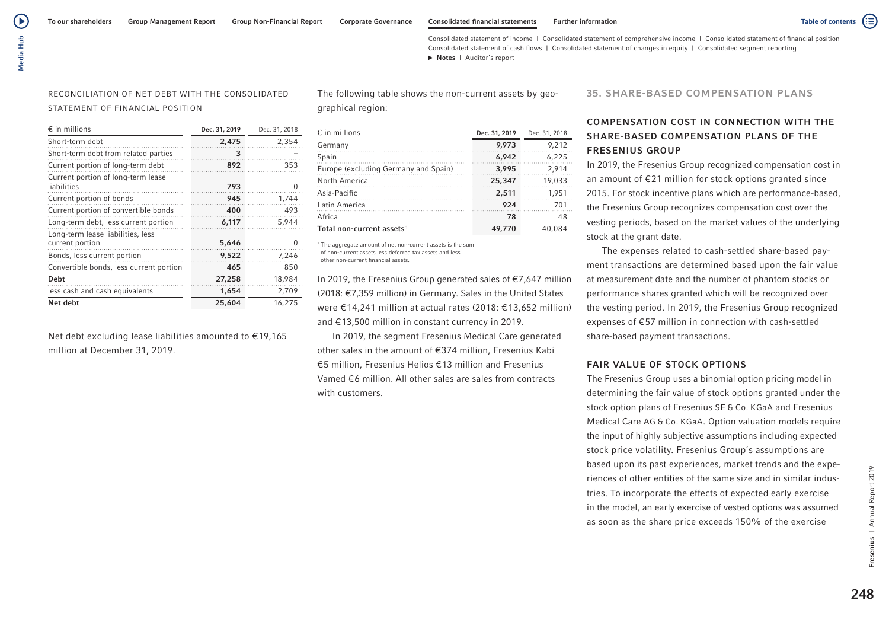### RECONCILIATION OF NET DEBT WITH THE CONSOLIDATED STATEMENT OF FINANCIAL POSITION

| $\epsilon$ in millions                               | Dec. 31, 2019 | Dec. 31, 2018 |
|------------------------------------------------------|---------------|---------------|
| Short-term debt                                      | 2,475         | 2,354         |
| Short-term debt from related parties                 | 3             |               |
| Current portion of long-term debt                    | 892           | 353           |
| Current portion of long-term lease<br>liabilities    | 793           | n             |
| Current portion of bonds                             | 945           | 1,744         |
| Current portion of convertible bonds                 | 400           | 493           |
| Long-term debt, less current portion                 | 6,117         | 5,944         |
| Long-term lease liabilities, less<br>current portion | 5,646         | O             |
| Bonds, less current portion                          | 9,522         | 7,246         |
| Convertible bonds, less current portion              | 465           | 850           |
| Debt                                                 | 27,258        | 18,984        |
| less cash and cash equivalents                       | 1.654         | 2,709         |
| Net debt                                             | 25,604        | 16,275        |

Net debt excluding lease liabilities amounted to €19,165 million at December 31, 2019.

The following table shows the non-current assets by geographical region:

| $\epsilon$ in millions                | Dec. 31, 2019 | Dec. 31, 2018 |
|---------------------------------------|---------------|---------------|
| Germany                               | 9.973         | 9.212         |
| Spain                                 | 6.942         | 6.225         |
| Europe (excluding Germany and Spain)  | 3.995         | 2.914         |
| North America                         | 25,347        | 19.033        |
| Asia-Pacific                          | 2,511         | 1,951         |
| Latin America                         | 924           | 701           |
| Africa                                | 78            | 48            |
| Total non-current assets <sup>1</sup> | 49,770        | 40.084        |

<sup>1</sup> The aggregate amount of net non-current assets is the sum of non-current assets less deferred tax assets and less other non-current financial assets.

In 2019, the Fresenius Group generated sales of €7,647 million (2018: €7,359 million) in Germany. Sales in the United States were €14,241 million at actual rates (2018: €13,652 million) and €13,500 million in constant currency in 2019.

In 2019, the segment Fresenius Medical Care generated other sales in the amount of €374 million, Fresenius Kabi €5 million, Fresenius Helios €13 million and Fresenius Vamed €6 million. All other sales are sales from contracts with customers.

### 35. SHARE-BASED COMPENSATION PLANS

# COMPENSATION COST IN CONNECTION WITH THE SHARE-BASED COMPENSATION PLANS OF THE FRESENIUS GROUP

In 2019, the Fresenius Group recognized compensation cost in an amount of €21 million for stock options granted since 2015. For stock incentive plans which are performance-based, the Fresenius Group recognizes compensation cost over the vesting periods, based on the market values of the underlying stock at the grant date.

The expenses related to cash-settled share-based payment transactions are determined based upon the fair value at measurement date and the number of phantom stocks or performance shares granted which will be recognized over the vesting period. In 2019, the Fresenius Group recognized expenses of €57 million in connection with cash-settled share-based payment transactions.

#### FAIR VALUE OF STOCK OPTIONS

The Fresenius Group uses a binomial option pricing model in determining the fair value of stock options granted under the stock option plans of Fresenius SE & Co. KGaA and Fresenius Medical Care AG & Co. KGaA. Option valuation models require the input of highly subjective assumptions including expected stock price volatility. Fresenius Group's assumptions are based upon its past experiences, market trends and the experiences of other entities of the same size and in similar industries. To incorporate the effects of expected early exercise in the model, an early exercise of vested options was assumed as soon as the share price exceeds 150% of the exercise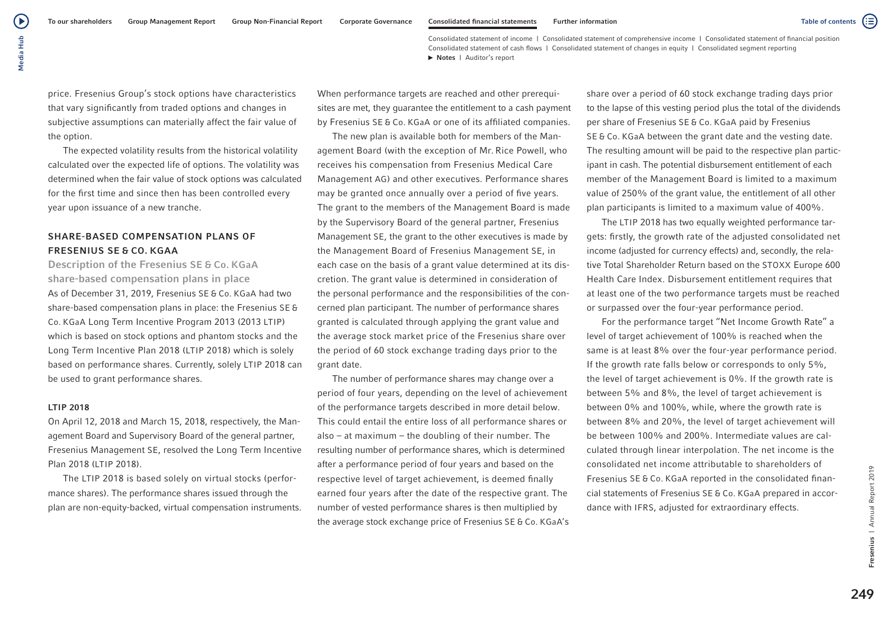$(\textbf{m})$ Table of contents

Consolidated statement of income | Consolidated statement of comprehensive income | Consolidated statement of financial position Consolidated statement of cash flows | Consolidated statement of changes in equity | Consolidated segment reporting Notes | Auditor's report

price. Fresenius Group's stock options have characteristics that vary significantly from traded options and changes in subjective assumptions can materially affect the fair value of the option.

The expected volatility results from the historical volatility calculated over the expected life of options. The volatility was determined when the fair value of stock options was calculated for the first time and since then has been controlled every year upon issuance of a new tranche.

### SHARE-BASED COMPENSATION PLANS OF FRESENIUS SE & CO. KGAA

Description of the Fresenius SE & Co. KGaA share-based compensation plans in place As of December 31, 2019, Fresenius SE & Co. KGaA had two share-based compensation plans in place: the Fresenius SE & Co. KGaA Long Term Incentive Program 2013 (2013 LTIP) which is based on stock options and phantom stocks and the Long Term Incentive Plan 2018 (LTIP 2018) which is solely based on performance shares. Currently, solely LTIP 2018 can be used to grant performance shares.

#### LTIP 2018

On April 12, 2018 and March 15, 2018, respectively, the Management Board and Supervisory Board of the general partner, Fresenius Management SE, resolved the Long Term Incentive Plan 2018 (LTIP 2018).

The LTIP 2018 is based solely on virtual stocks (performance shares). The performance shares issued through the plan are non-equity-backed, virtual compensation instruments. When performance targets are reached and other prerequisites are met, they guarantee the entitlement to a cash payment by Fresenius SE & Co. KGaA or one of its affiliated companies.

The new plan is available both for members of the Management Board (with the exception of Mr. Rice Powell, who receives his compensation from Fresenius Medical Care Management AG) and other executives. Performance shares may be granted once annually over a period of five years. The grant to the members of the Management Board is made by the Supervisory Board of the general partner, Fresenius Management SE, the grant to the other executives is made by the Management Board of Fresenius Management SE, in each case on the basis of a grant value determined at its discretion. The grant value is determined in consideration of the personal performance and the responsibilities of the concerned plan participant. The number of performance shares granted is calculated through applying the grant value and the average stock market price of the Fresenius share over the period of 60 stock exchange trading days prior to the grant date.

The number of performance shares may change over a period of four years, depending on the level of achievement of the performance targets described in more detail below. This could entail the entire loss of all performance shares or also  $-$  at maximum  $-$  the doubling of their number. The resulting number of performance shares, which is determined after a performance period of four years and based on the respective level of target achievement, is deemed finally earned four years after the date of the respective grant. The number of vested performance shares is then multiplied by the average stock exchange price of Fresenius SE & Co. KGaA's share over a period of 60 stock exchange trading days prior to the lapse of this vesting period plus the total of the dividends per share of Fresenius SE & Co. KGaA paid by Fresenius SE & Co. KGaA between the grant date and the vesting date. The resulting amount will be paid to the respective plan participant in cash. The potential disbursement entitlement of each member of the Management Board is limited to a maximum value of 250% of the grant value, the entitlement of all other plan participants is limited to a maximum value of 400%.

The LTIP 2018 has two equally weighted performance targets: firstly, the growth rate of the adjusted consolidated net income (adjusted for currency effects) and, secondly, the relative Total Shareholder Return based on the STOXX Europe 600 Health Care Index. Disbursement entitlement requires that at least one of the two performance targets must be reached or surpassed over the four-year performance period.

For the performance target "Net Income Growth Rate" a level of target achievement of 100% is reached when the same is at least 8% over the four-year performance period. If the growth rate falls below or corresponds to only 5%, the level of target achievement is 0%. If the growth rate is between 5% and 8%, the level of target achievement is between 0% and 100%, while, where the growth rate is between 8% and 20%, the level of target achievement will be between 100% and 200%. Intermediate values are calculated through linear interpolation. The net income is the consolidated net income attributable to shareholders of Fresenius SE & Co. KGaA reported in the consolidated financial statements of Fresenius SE & Co. KGaA prepared in accordance with IFRS, adjusted for extraordinary effects.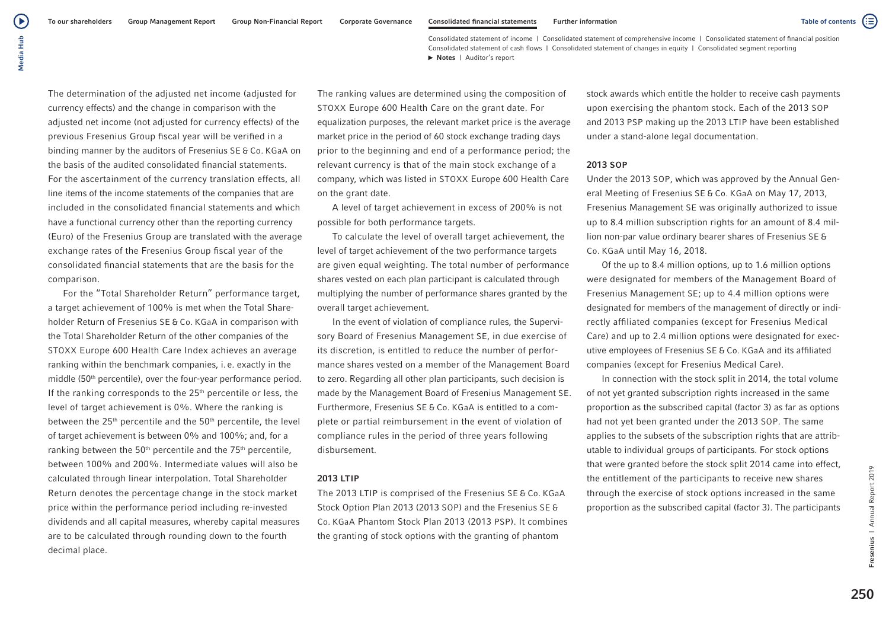The determination of the adjusted net income (adjusted for currency effects) and the change in comparison with the adjusted net income (not adjusted for currency effects) of the previous Fresenius Group fiscal year will be verified in a binding manner by the auditors of Fresenius SE & Co. KGaA on the basis of the audited consolidated financial statements. For the ascertainment of the currency translation effects, all line items of the income statements of the companies that are included in the consolidated financial statements and which have a functional currency other than the reporting currency (Euro) of the Fresenius Group are translated with the average exchange rates of the Fresenius Group fiscal year of the consolidated financial statements that are the basis for the comparison.

For the "Total Shareholder Return" performance target, a target achievement of 100% is met when the Total Shareholder Return of Fresenius SE & Co. KGaA in comparison with the Total Shareholder Return of the other companies of the STOXX Europe 600 Health Care Index achieves an average ranking within the benchmark companies, i. e. exactly in the middle (50<sup>th</sup> percentile), over the four-year performance period. If the ranking corresponds to the  $25<sup>th</sup>$  percentile or less, the level of target achievement is 0%. Where the ranking is between the  $25<sup>th</sup>$  percentile and the  $50<sup>th</sup>$  percentile, the level of target achievement is between 0% and 100%; and, for a ranking between the  $50<sup>th</sup>$  percentile and the  $75<sup>th</sup>$  percentile, between 100% and 200%. Intermediate values will also be calculated through linear interpolation. Total Shareholder Return denotes the percentage change in the stock market price within the performance period including re-invested dividends and all capital measures, whereby capital measures are to be calculated through rounding down to the fourth decimal place.

The ranking values are determined using the composition of STOXX Europe 600 Health Care on the grant date. For equalization purposes, the relevant market price is the average market price in the period of 60 stock exchange trading days prior to the beginning and end of a performance period; the relevant currency is that of the main stock exchange of a company, which was listed in STOXX Europe 600 Health Care on the grant date.

A level of target achievement in excess of 200% is not possible for both performance targets.

To calculate the level of overall target achievement, the level of target achievement of the two performance targets are given equal weighting. The total number of performance shares vested on each plan participant is calculated through multiplying the number of performance shares granted by the overall target achievement.

In the event of violation of compliance rules, the Supervisory Board of Fresenius Management SE, in due exercise of its discretion, is entitled to reduce the number of performance shares vested on a member of the Management Board to zero. Regarding all other plan participants, such decision is made by the Management Board of Fresenius Management SE. Furthermore, Fresenius SE & Co. KGaA is entitled to a complete or partial reimbursement in the event of violation of compliance rules in the period of three years following disbursement.

### 2013 LTIP

The 2013 LTIP is comprised of the Fresenius SE & Co. KGaA Stock Option Plan 2013 (2013 SOP) and the Fresenius SE & Co. KGaA Phantom Stock Plan 2013 (2013 PSP). It combines the granting of stock options with the granting of phantom

stock awards which entitle the holder to receive cash payments upon exercising the phantom stock. Each of the 2013 SOP and 2013 PSP making up the 2013 LTIP have been established under a stand-alone legal documentation.

### 2013 SOP

Under the 2013 SOP, which was approved by the Annual General Meeting of Fresenius SE & Co. KGaA on May 17, 2013, Fresenius Management SE was originally authorized to issue up to 8.4 million subscription rights for an amount of 8.4 million non-par value ordinary bearer shares of Fresenius SE & Co. KGaA until May 16, 2018.

Of the up to 8.4 million options, up to 1.6 million options were designated for members of the Management Board of Fresenius Management SE; up to 4.4 million options were designated for members of the management of directly or indirectly affiliated companies (except for Fresenius Medical Care) and up to 2.4 million options were designated for executive employees of Fresenius SE & Co. KGaA and its affiliated companies (except for Fresenius Medical Care).

In connection with the stock split in 2014, the total volume of not yet granted subscription rights increased in the same proportion as the subscribed capital (factor 3) as far as options had not yet been granted under the 2013 SOP. The same applies to the subsets of the subscription rights that are attributable to individual groups of participants. For stock options that were granted before the stock split 2014 came into effect, the entitlement of the participants to receive new shares through the exercise of stock options increased in the same proportion as the subscribed capital (factor 3). The participants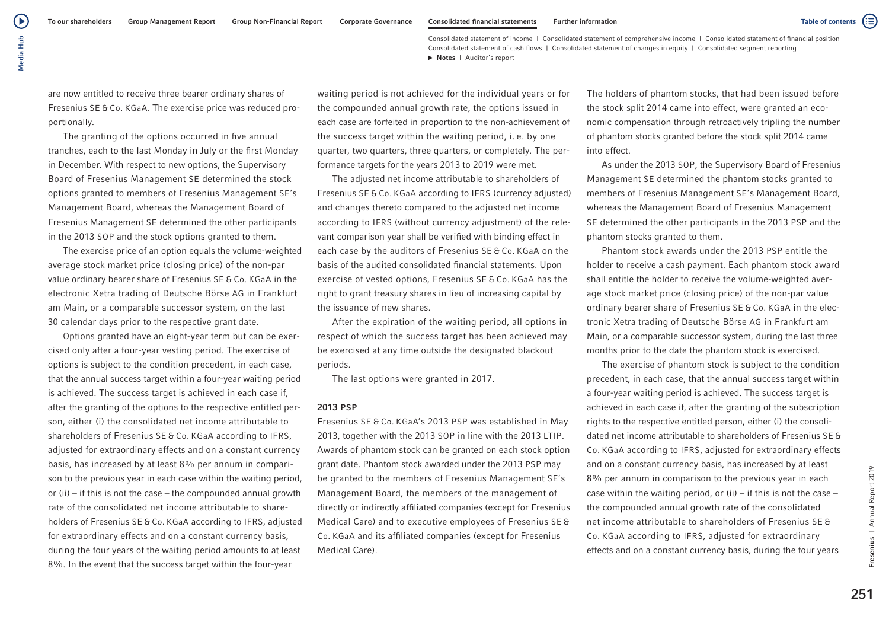are now entitled to receive three bearer ordinary shares of Fresenius SE & Co. KGaA. The exercise price was reduced proportionally.

The granting of the options occurred in five annual tranches, each to the last Monday in July or the first Monday in December. With respect to new options, the Supervisory Board of Fresenius Management SE determined the stock options granted to members of Fresenius Management SE's Management Board, whereas the Management Board of Fresenius Management SE determined the other participants in the 2013 SOP and the stock options granted to them.

The exercise price of an option equals the volume-weighted average stock market price (closing price) of the non-par value ordinary bearer share of Fresenius SE & Co. KGaA in the electronic Xetra trading of Deutsche Börse AG in Frankfurt am Main, or a comparable successor system, on the last 30 calendar days prior to the respective grant date.

Options granted have an eight-year term but can be exercised only after a four-year vesting period. The exercise of options is subject to the condition precedent, in each case, that the annual success target within a four-year waiting period is achieved. The success target is achieved in each case if, after the granting of the options to the respective entitled person, either (i) the consolidated net income attributable to shareholders of Fresenius SE & Co. KGaA according to IFRS, adjusted for extraordinary effects and on a constant currency basis, has increased by at least 8% per annum in comparison to the previous year in each case within the waiting period, or (ii) – if this is not the case – the compounded annual growth rate of the consolidated net income attributable to shareholders of Fresenius SE & Co. KGaA according to IFRS, adjusted for extraordinary effects and on a constant currency basis, during the four years of the waiting period amounts to at least 8%. In the event that the success target within the four-year

waiting period is not achieved for the individual years or for the compounded annual growth rate, the options issued in each case are forfeited in proportion to the non-achievement of the success target within the waiting period, i. e. by one quarter, two quarters, three quarters, or completely. The performance targets for the years 2013 to 2019 were met.

The adjusted net income attributable to shareholders of Fresenius SE & Co. KGaA according to IFRS (currency adjusted) and changes thereto compared to the adjusted net income according to IFRS (without currency adjustment) of the relevant comparison year shall be verified with binding effect in each case by the auditors of Fresenius SE & Co. KGaA on the basis of the audited consolidated financial statements. Upon exercise of vested options, Fresenius SE & Co. KGaA has the right to grant treasury shares in lieu of increasing capital by the issuance of new shares.

After the expiration of the waiting period, all options in respect of which the success target has been achieved may be exercised at any time outside the designated blackout periods.

The last options were granted in 2017.

### 2013 PSP

Fresenius SE & Co. KGaA's 2013 PSP was established in May 2013, together with the 2013 SOP in line with the 2013 LTIP. Awards of phantom stock can be granted on each stock option grant date. Phantom stock awarded under the 2013 PSP may be granted to the members of Fresenius Management SE's Management Board, the members of the management of directly or indirectly affiliated companies (except for Fresenius Medical Care) and to executive employees of Fresenius SE & Co. KGaA and its affiliated companies (except for Fresenius Medical Care).

The holders of phantom stocks, that had been issued before the stock split 2014 came into effect, were granted an economic compensation through retroactively tripling the number of phantom stocks granted before the stock split 2014 came into effect.

As under the 2013 SOP, the Supervisory Board of Fresenius Management SE determined the phantom stocks granted to members of Fresenius Management SE's Management Board, whereas the Management Board of Fresenius Management SE determined the other participants in the 2013 PSP and the phantom stocks granted to them.

Phantom stock awards under the 2013 PSP entitle the holder to receive a cash payment. Each phantom stock award shall entitle the holder to receive the volume-weighted average stock market price (closing price) of the non-par value ordinary bearer share of Fresenius SE & Co. KGaA in the electronic Xetra trading of Deutsche Börse AG in Frankfurt am Main, or a comparable successor system, during the last three months prior to the date the phantom stock is exercised.

The exercise of phantom stock is subject to the condition precedent, in each case, that the annual success target within a four-year waiting period is achieved. The success target is achieved in each case if, after the granting of the subscription rights to the respective entitled person, either (i) the consolidated net income attributable to shareholders of Fresenius SE & Co. KGaA according to IFRS, adjusted for extraordinary effects and on a constant currency basis, has increased by at least 8% per annum in comparison to the previous year in each case within the waiting period, or (ii) – if this is not the case – the compounded annual growth rate of the consolidated net income attributable to shareholders of Fresenius SE & Co. KGaA according to IFRS, adjusted for extraordinary effects and on a constant currency basis, during the four years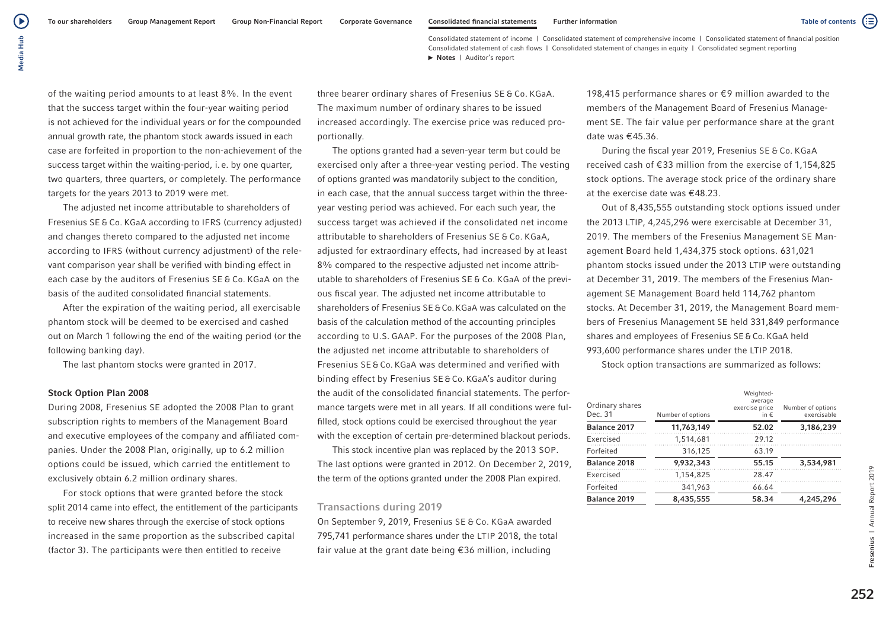of the waiting period amounts to at least 8%. In the event that the success target within the four-year waiting period is not achieved for the individual years or for the compounded annual growth rate, the phantom stock awards issued in each case are forfeited in proportion to the non-achievement of the success target within the waiting-period, i. e. by one quarter, two quarters, three quarters, or completely. The performance targets for the years 2013 to 2019 were met.

The adjusted net income attributable to shareholders of Fresenius SE & Co. KGaA according to IFRS (currency adjusted) and changes thereto compared to the adjusted net income according to IFRS (without currency adjustment) of the relevant comparison year shall be verified with binding effect in each case by the auditors of Fresenius SE & Co. KGaA on the basis of the audited consolidated financial statements.

After the expiration of the waiting period, all exercisable phantom stock will be deemed to be exercised and cashed out on March 1 following the end of the waiting period (or the following banking day).

The last phantom stocks were granted in 2017.

#### Stock Option Plan 2008

Media Hub

Media Hub

(▶

During 2008, Fresenius SE adopted the 2008 Plan to grant subscription rights to members of the Management Board and executive employees of the company and affiliated companies. Under the 2008 Plan, originally, up to 6.2 million options could be issued, which carried the entitlement to exclusively obtain 6.2 million ordinary shares.

For stock options that were granted before the stock split 2014 came into effect, the entitlement of the participants to receive new shares through the exercise of stock options increased in the same proportion as the subscribed capital (factor 3). The participants were then entitled to receive

three bearer ordinary shares of Fresenius SE & Co. KGaA. The maximum number of ordinary shares to be issued increased accordingly. The exercise price was reduced proportionally.

The options granted had a seven-year term but could be exercised only after a three-year vesting period. The vesting of options granted was mandatorily subject to the condition, in each case, that the annual success target within the threeyear vesting period was achieved. For each such year, the success target was achieved if the consolidated net income attributable to shareholders of Fresenius SE & Co. KGaA, adjusted for extraordinary effects, had increased by at least 8% compared to the respective adjusted net income attributable to shareholders of Fresenius SE & Co. KGaA of the previous fiscal year. The adjusted net income attributable to shareholders of Fresenius SE &Co.KGaA was calculated on the basis of the calculation method of the accounting principles according to U.S. GAAP. For the purposes of the 2008 Plan, the adjusted net income attributable to shareholders of Fresenius SE & Co. KGaA was determined and verified with binding effect by Fresenius SE & Co. KGaA's auditor during the audit of the consolidated financial statements. The performance targets were met in all years. If all conditions were fulfilled, stock options could be exercised throughout the year with the exception of certain pre-determined blackout periods.

This stock incentive plan was replaced by the 2013 SOP. The last options were granted in 2012. On December 2, 2019, the term of the options granted under the 2008 Plan expired.

#### Transactions during 2019

On September 9, 2019, Fresenius SE & Co. KGaA awarded 795,741 performance shares under the LTIP 2018, the total fair value at the grant date being €36 million, including

198,415 performance shares or €9 million awarded to the members of the Management Board of Fresenius Management SE. The fair value per performance share at the grant date was €45.36.

During the fiscal year 2019, Fresenius SE & Co. KGaA received cash of €33 million from the exercise of 1,154,825 stock options. The average stock price of the ordinary share at the exercise date was €48.23.

Out of 8,435,555 outstanding stock options issued under the 2013 LTIP, 4,245,296 were exercisable at December 31, 2019. The members of the Fresenius Management SE Management Board held 1,434,375 stock options. 631,021 phantom stocks issued under the 2013 LTIP were outstanding at December 31, 2019. The members of the Fresenius Management SE Management Board held 114,762 phantom stocks. At December 31, 2019, the Management Board members of Fresenius Management SE held 331,849 performance shares and employees of Fresenius SE & Co. KGaA held 993,600 performance shares under the LTIP 2018.

Stock option transactions are summarized as follows:

| Ordinary shares<br>Dec. 31 | Number of options | Weighted-<br>average<br>exercise price<br>in $\epsilon$ | Number of options<br>exercisable |
|----------------------------|-------------------|---------------------------------------------------------|----------------------------------|
| <b>Balance 2017</b>        | 11,763,149        | 52.02                                                   | 3,186,239                        |
| Exercised                  | 1,514,681         | 29.12                                                   |                                  |
| Forfeited                  | 316,125           | 63.19                                                   |                                  |
| Balance 2018               | 9.932.343         | 55.15                                                   | 3,534,981                        |
| Exercised                  | 1.154.825         | 28.47                                                   |                                  |
| Forfeited                  | 341,963           | 66.64                                                   |                                  |
| <b>Balance 2019</b>        | 8,435,555         | 58.34                                                   | 4,245,296                        |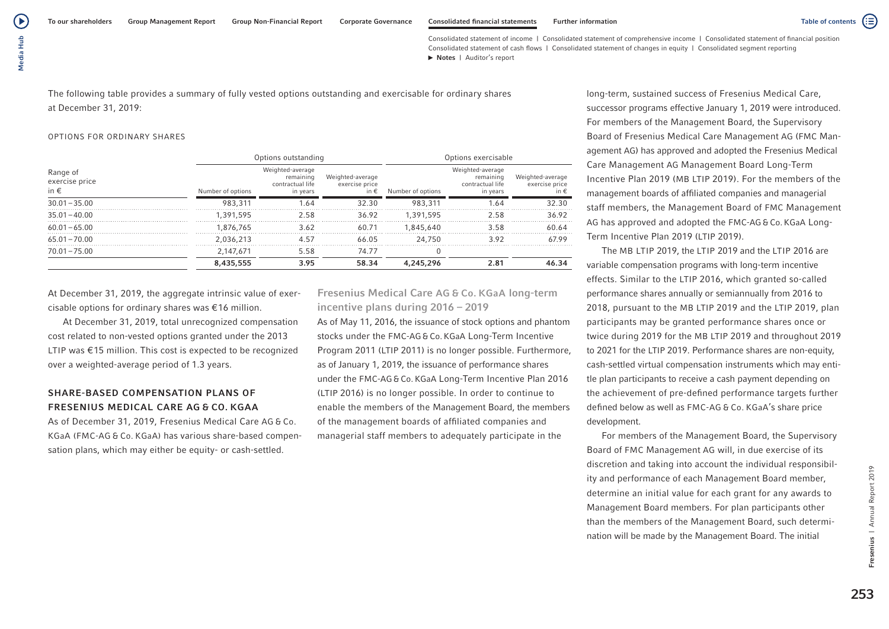(≘) Table of contents

Consolidated statement of income | Consolidated statement of comprehensive income | Consolidated statement of financial position Consolidated statement of cash flows | Consolidated statement of changes in equity | Consolidated segment reporting Notes | Auditor's report

The following table provides a summary of fully vested options outstanding and exercisable for ordinary shares at December 31, 2019:

#### OPTIONS FOR ORDINARY SHARES

|                                             | Options outstanding |                                                               |                                                     | Options exercisable |                                                               |                                                     |
|---------------------------------------------|---------------------|---------------------------------------------------------------|-----------------------------------------------------|---------------------|---------------------------------------------------------------|-----------------------------------------------------|
| Range of<br>exercise price<br>in $\epsilon$ | Number of options   | Weighted-average<br>remaining<br>contractual life<br>in years | Weighted-average<br>exercise price<br>in $\epsilon$ | Number of options   | Weighted-average<br>remaining<br>contractual life<br>in years | Weighted-average<br>exercise price<br>in $\epsilon$ |
| $30.01 - 35.00$                             | 983.311             | 1.64                                                          | 32.30                                               | 983.311             | 1.64                                                          | 32.30                                               |
| $35.01 - 40.00$                             | 1,391,595           | 2.58                                                          | 36.92                                               | 1.391.595           | 2.58                                                          | 36.92                                               |
| $60.01 - 65.00$                             | 1.876.765           | 3.62                                                          | 60.71                                               | 1.845.640           | 3.58                                                          | 60.64                                               |
| $65.01 - 70.00$                             | 2,036,213           | 4.57                                                          | 66.05                                               | 24,750              | 392                                                           | 6799                                                |
| $70.01 - 75.00$                             | 2,147,671           | 5.58                                                          | 74.77                                               |                     |                                                               |                                                     |
|                                             | 8,435,555           | 3.95                                                          | 58.34                                               | 4,245,296           | 2.81                                                          | 46.34                                               |

At December 31, 2019, the aggregate intrinsic value of exercisable options for ordinary shares was €16 million.

At December 31, 2019, total unrecognized compensation cost related to non-vested options granted under the 2013 LTIP was €15 million. This cost is expected to be recognized over a weighted-average period of 1.3 years.

# SHARE-BASED COMPENSATION PLANS OF FRESENIUS MEDICAL CARE AG & CO. KGAA

As of December 31, 2019, Fresenius Medical Care AG & Co. KGaA (FMC-AG & Co. KGaA) has various share-based compensation plans, which may either be equity- or cash-settled.

Fresenius Medical Care AG & Co. KGaA long-term incentive plans during 2016 – 2019

As of May 11, 2016, the issuance of stock options and phantom stocks under the FMC-AG & Co. KGaA Long-Term Incentive Program 2011 (LTIP 2011) is no longer possible. Furthermore, as of January 1, 2019, the issuance of performance shares under the FMC-AG & Co. KGaA Long-Term Incentive Plan 2016 (LTIP 2016) is no longer possible. In order to continue to enable the members of the Management Board, the members of the management boards of affiliated companies and managerial staff members to adequately participate in the

long-term, sustained success of Fresenius Medical Care, successor programs effective January 1, 2019 were introduced. For members of the Management Board, the Supervisory Board of Fresenius Medical Care Management AG (FMC Management AG) has approved and adopted the Fresenius Medical Care Management AG Management Board Long-Term Incentive Plan 2019 (MB LTIP 2019). For the members of the management boards of affiliated companies and managerial staff members, the Management Board of FMC Management AG has approved and adopted the FMC-AG & Co. KGaA Long-Term Incentive Plan 2019 (LTIP 2019).

The MB LTIP 2019, the LTIP 2019 and the LTIP 2016 are variable compensation programs with long-term incentive effects. Similar to the LTIP 2016, which granted so-called performance shares annually or semiannually from 2016 to 2018, pursuant to the MB LTIP 2019 and the LTIP 2019, plan participants may be granted performance shares once or twice during 2019 for the MB LTIP 2019 and throughout 2019 to 2021 for the LTIP 2019. Performance shares are non-equity, cash-settled virtual compensation instruments which may entitle plan participants to receive a cash payment depending on the achievement of pre-defined performance targets further defined below as well as FMC-AG & Co. KGaA's share price development.

For members of the Management Board, the Supervisory Board of FMC Management AG will, in due exercise of its discretion and taking into account the individual responsibility and performance of each Management Board member, determine an initial value for each grant for any awards to Management Board members. For plan participants other than the members of the Management Board, such determination will be made by the Management Board. The initial

253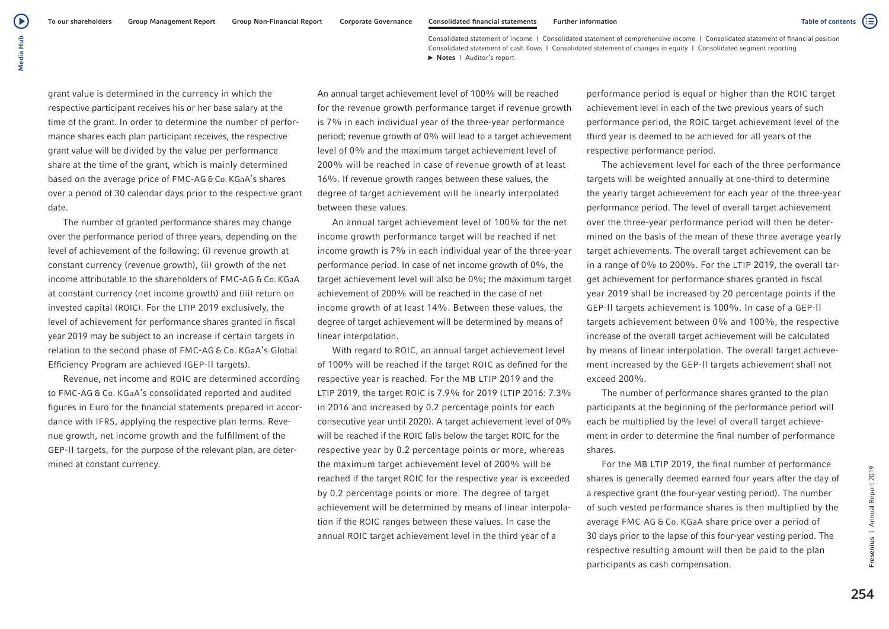grant value is determined in the currency in which the respective participant receives his or her base salary at the time of the grant. In order to determine the number of performance shares each plan participant receives, the respective grant value will be divided by the value per performance share at the time of the grant, which is mainly determined based on the average price of FMC-AG & Co. KGaA's shares over a period of 30 calendar days prior to the respective grant date.

The number of granted performance shares may change over the performance period of three years, depending on the level of achievement of the following: (i) revenue growth at constant currency (revenue growth), (ii) growth of the net income attributable to the shareholders of FMC-AG & Co. KGaA at constant currency (net income growth) and (iii) return on invested capital (ROIC). For the LTIP 2019 exclusively, the level of achievement for performance shares granted in fiscal year 2019 may be subject to an increase if certain targets in relation to the second phase of FMC-AG & Co. KGaA's Global Efficiency Program are achieved (GEP-II targets).

Revenue, net income and ROIC are determined according to FMC-AG & Co. KGaA's consolidated reported and audited figures in Euro for the financial statements prepared in accordance with IFRS, applying the respective plan terms. Revenue growth, net income growth and the fulfillment of the GEP-II targets, for the purpose of the relevant plan, are determined at constant currency.

An annual target achievement level of 100% will be reached for the revenue growth performance target if revenue growth is 7% in each individual year of the three-year performance period; revenue growth of 0% will lead to a target achievement level of 0% and the maximum target achievement level of 200% will be reached in case of revenue growth of at least 16%. If revenue growth ranges between these values, the degree of target achievement will be linearly interpolated between these values.

An annual target achievement level of 100% for the net income growth performance target will be reached if net income growth is 7% in each individual year of the three-year performance period. In case of net income growth of 0%, the target achievement level will also be 0%; the maximum target achievement of 200% will be reached in the case of net income growth of at least 14%. Between these values, the degree of target achievement will be determined by means of linear interpolation.

With regard to ROIC, an annual target achievement level of 100% will be reached if the target ROIC as defined for the respective year is reached. For the MB LTIP 2019 and the LTIP 2019, the target ROIC is 7.9% for 2019 (LTIP 2016: 7.3% in 2016 and increased by 0.2 percentage points for each consecutive year until 2020). A target achievement level of 0% will be reached if the ROIC falls below the target ROIC for the respective year by 0.2 percentage points or more, whereas the maximum target achievement level of 200% will be reached if the target ROIC for the respective year is exceeded by 0.2 percentage points or more. The degree of target achievement will be determined by means of linear interpolation if the ROIC ranges between these values. In case the annual ROIC target achievement level in the third year of a

performance period is equal or higher than the ROIC target achievement level in each of the two previous years of such performance period, the ROIC target achievement level of the third year is deemed to be achieved for all years of the respective performance period.

The achievement level for each of the three performance targets will be weighted annually at one-third to determine the yearly target achievement for each year of the three-year performance period. The level of overall target achievement over the three-year performance period will then be determined on the basis of the mean of these three average yearly target achievements. The overall target achievement can be in a range of 0% to 200%. For the LTIP 2019, the overall target achievement for performance shares granted in fiscal year 2019 shall be increased by 20 percentage points if the GEP-II targets achievement is 100%. In case of a GEP-II targets achievement between 0% and 100%, the respective increase of the overall target achievement will be calculated by means of linear interpolation. The overall target achievement increased by the GEP-II targets achievement shall not exceed 200%.

The number of performance shares granted to the plan participants at the beginning of the performance period will each be multiplied by the level of overall target achievement in order to determine the final number of performance shares.

For the MB LTIP 2019, the final number of performance shares is generally deemed earned four years after the day of a respective grant (the four-year vesting period). The number of such vested performance shares is then multiplied by the average FMC-AG & Co. KGaA share price over a period of 30 days prior to the lapse of this four-year vesting period. The respective resulting amount will then be paid to the plan participants as cash compensation.

| Annual Report 2019

Fresenius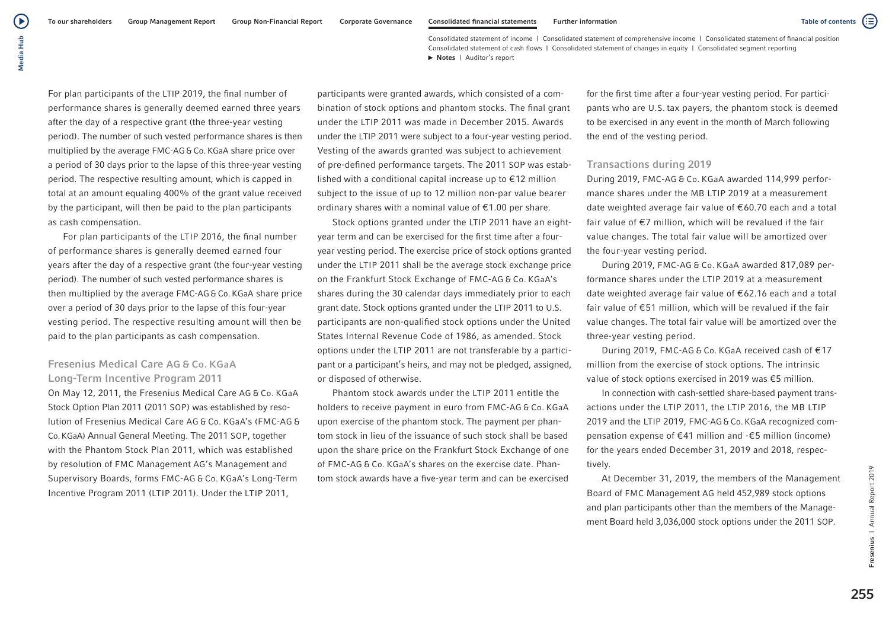$(\textbf{m})$ Table of contents

Consolidated statement of income | Consolidated statement of comprehensive income | Consolidated statement of financial position Consolidated statement of cash flows | Consolidated statement of changes in equity | Consolidated segment reporting Notes | Auditor's report

For plan participants of the LTIP 2019, the final number of performance shares is generally deemed earned three years after the day of a respective grant (the three-year vesting period). The number of such vested performance shares is then multiplied by the average FMC-AG & Co. KGaA share price over a period of 30 days prior to the lapse of this three-year vesting period. The respective resulting amount, which is capped in total at an amount equaling 400% of the grant value received by the participant, will then be paid to the plan participants as cash compensation.

For plan participants of the LTIP 2016, the final number of performance shares is generally deemed earned four years after the day of a respective grant (the four-year vesting period). The number of such vested performance shares is then multiplied by the average FMC-AG & Co. KGaA share price over a period of 30 days prior to the lapse of this four-year vesting period. The respective resulting amount will then be paid to the plan participants as cash compensation.

# Fresenius Medical Care AG & Co. KGaA Long-Term Incentive Program 2011

On May 12, 2011, the Fresenius Medical Care AG & Co. KGaA Stock Option Plan 2011 (2011 SOP) was established by resolution of Fresenius Medical Care AG & Co. KGaA's (FMC-AG & Co.KGaA) Annual General Meeting. The 2011 SOP, together with the Phantom Stock Plan 2011, which was established by resolution of FMC Management AG's Management and Supervisory Boards, forms FMC-AG & Co. KGaA's Long-Term Incentive Program 2011 (LTIP 2011). Under the LTIP 2011,

participants were granted awards, which consisted of a combination of stock options and phantom stocks. The final grant under the LTIP 2011 was made in December 2015. Awards under the LTIP 2011 were subject to a four-year vesting period. Vesting of the awards granted was subject to achievement of pre-defined performance targets. The 2011 SOP was established with a conditional capital increase up to €12 million subject to the issue of up to 12 million non-par value bearer ordinary shares with a nominal value of €1.00 per share.

Stock options granted under the LTIP 2011 have an eightyear term and can be exercised for the first time after a fouryear vesting period. The exercise price of stock options granted under the LTIP 2011 shall be the average stock exchange price on the Frankfurt Stock Exchange of FMC-AG & Co. KGaA's shares during the 30 calendar days immediately prior to each grant date. Stock options granted under the LTIP 2011 to U.S. participants are non-qualified stock options under the United States Internal Revenue Code of 1986, as amended. Stock options under the LTIP 2011 are not transferable by a participant or a participant's heirs, and may not be pledged, assigned, or disposed of otherwise.

Phantom stock awards under the LTIP 2011 entitle the holders to receive payment in euro from FMC-AG & Co. KGaA upon exercise of the phantom stock. The payment per phantom stock in lieu of the issuance of such stock shall be based upon the share price on the Frankfurt Stock Exchange of one of FMC-AG & Co. KGaA's shares on the exercise date. Phantom stock awards have a five-year term and can be exercised for the first time after a four-year vesting period. For participants who are U.S. tax payers, the phantom stock is deemed to be exercised in any event in the month of March following the end of the vesting period.

### Transactions during 2019

During 2019, FMC-AG & Co. KGaA awarded 114,999 performance shares under the MB LTIP 2019 at a measurement date weighted average fair value of €60.70 each and a total fair value of  $E$ 7 million, which will be revalued if the fair value changes. The total fair value will be amortized over the four-year vesting period.

During 2019, FMC-AG & Co. KGaA awarded 817,089 performance shares under the LTIP 2019 at a measurement date weighted average fair value of €62.16 each and a total fair value of  $E$ 51 million, which will be revalued if the fair value changes. The total fair value will be amortized over the three-year vesting period.

During 2019, FMC-AG & Co. KGaA received cash of €17 million from the exercise of stock options. The intrinsic value of stock options exercised in 2019 was €5 million.

In connection with cash-settled share-based payment transactions under the LTIP 2011, the LTIP 2016, the MB LTIP 2019 and the LTIP 2019, FMC-AG & Co. KGaA recognized compensation expense of €41 million and -€5 million (income) for the years ended December 31, 2019 and 2018, respectively.

At December 31, 2019, the members of the Management Board of FMC Management AG held 452,989 stock options and plan participants other than the members of the Management Board held 3,036,000 stock options under the 2011 SOP.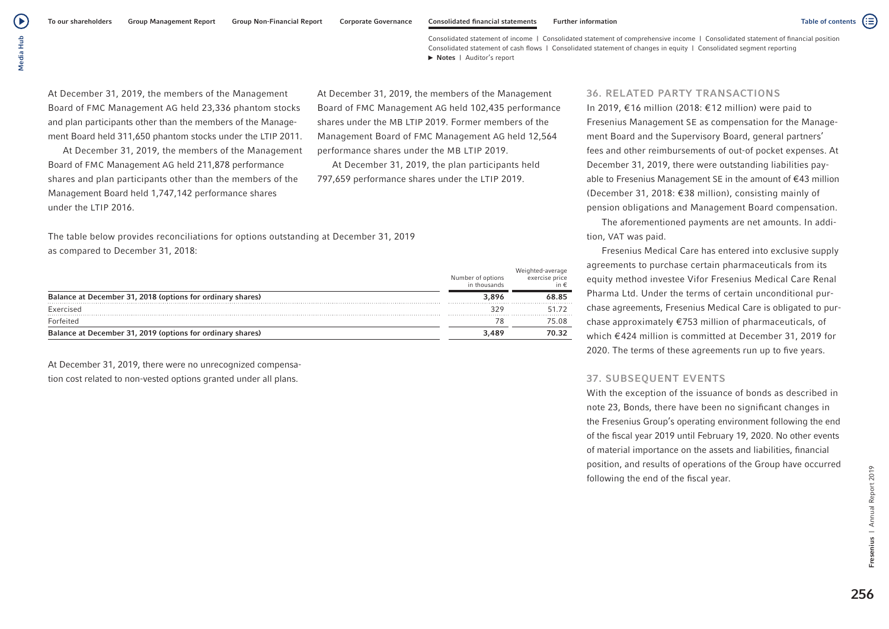⊜ Table of contents

Consolidated statement of income | Consolidated statement of comprehensive income | Consolidated statement of financial position Consolidated statement of cash flows | Consolidated statement of changes in equity | Consolidated segment reporting Notes | Auditor's report

At December 31, 2019, the members of the Management Board of FMC Management AG held 23,336 phantom stocks and plan participants other than the members of the Management Board held 311,650 phantom stocks under the LTIP 2011.

At December 31, 2019, the members of the Management Board of FMC Management AG held 211,878 performance shares and plan participants other than the members of the Management Board held 1,747,142 performance shares under the LTIP 2016.

At December 31, 2019, the members of the Management Board of FMC Management AG held 102,435 performance shares under the MB LTIP 2019. Former members of the Management Board of FMC Management AG held 12,564 performance shares under the MB LTIP 2019.

At December 31, 2019, the plan participants held 797,659 performance shares under the LTIP 2019.

The table below provides reconciliations for options outstanding at December 31, 2019 as compared to December 31, 2018:

|                                                            | Number of options<br>in thousands | Weighted-average<br>exercise price<br>in € |
|------------------------------------------------------------|-----------------------------------|--------------------------------------------|
| Balance at December 31, 2018 (options for ordinary shares) | 3,896                             | 68.85                                      |
| Exercised                                                  | 329                               | 51.72                                      |
| Forfeited                                                  | 78                                | 75.08                                      |
| Balance at December 31, 2019 (options for ordinary shares) | 3,489                             | 70.32                                      |

At December 31, 2019, there were no unrecognized compensation cost related to non-vested options granted under all plans.

Fresenius Management SE as compensation for the Management Board and the Supervisory Board, general partners' fees and other reimbursements of out-of pocket expenses. At

36. RELATED PARTY TRANSACTIONS

In 2019, €16 million (2018: €12 million) were paid to

December 31, 2019, there were outstanding liabilities payable to Fresenius Management SE in the amount of €43 million (December 31, 2018: €38 million), consisting mainly of pension obligations and Management Board compensation.

The aforementioned payments are net amounts. In addition, VAT was paid.

Fresenius Medical Care has entered into exclusive supply agreements to purchase certain pharmaceuticals from its equity method investee Vifor Fresenius Medical Care Renal Pharma Ltd. Under the terms of certain unconditional purchase agreements, Fresenius Medical Care is obligated to purchase approximately €753 million of pharmaceuticals, of which €424 million is committed at December 31, 2019 for 2020. The terms of these agreements run up to five years.

### 37. SUBSEQUENT EVENTS

With the exception of the issuance of bonds as described in note 23, Bonds, there have been no significant changes in the Fresenius Group's operating environment following the end of the fiscal year 2019 until February 19, 2020. No other events of material importance on the assets and liabilities, financial position, and results of operations of the Group have occurred following the end of the fiscal year.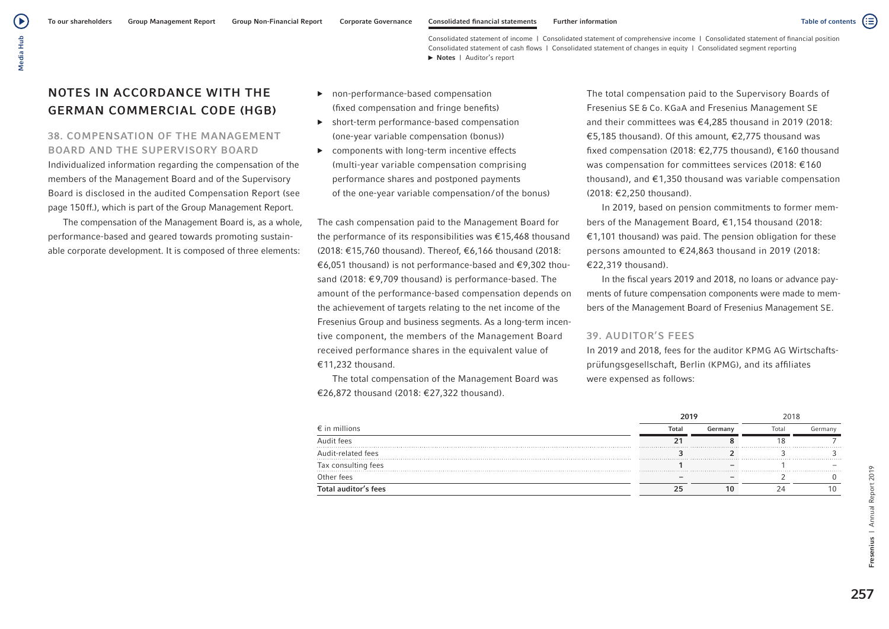$(\textbf{m})$ 

Consolidated statement of income | Consolidated statement of comprehensive income | Consolidated statement of financial position Consolidated statement of cash flows | Consolidated statement of changes in equity | Consolidated segment reporting Notes | Auditor's report

# NOTES IN ACCORDANCE WITH THE GERMAN COMMERCIAL CODE (HGB)

# 38. COMPENSATION OF THE MANAGEMENT BOARD AND THE SUPERVISORY BOARD

Individualized information regarding the compensation of the members of the Management Board and of the Supervisory Board is disclosed in the audited Compensation Report (see page 150ff.), which is part of the Group Management Report.

The compensation of the Management Board is, as a whole, performance-based and geared towards promoting sustainable corporate development. It is composed of three elements:

- ▶ non-performance-based compensation (fixed compensation and fringe benefits)
- ▶ short-term performance-based compensation (one-year variable compensation (bonus))
- ▶ components with long-term incentive effects (multi-year variable compensation comprising performance shares and postponed payments of the one-year variable compensation/of the bonus)

The cash compensation paid to the Management Board for the performance of its responsibilities was €15,468 thousand (2018: €15,760 thousand). Thereof, €6,166 thousand (2018: €6,051 thousand) is not performance-based and €9,302 thousand (2018: € 9,709 thousand) is performance-based. The amount of the performance-based compensation depends on the achievement of targets relating to the net income of the Fresenius Group and business segments. As a long-term incentive component, the members of the Management Board received performance shares in the equivalent value of €11,232 thousand.

The total compensation of the Management Board was €26,872 thousand (2018: €27,322 thousand).

The total compensation paid to the Supervisory Boards of Fresenius SE & Co. KGaA and Fresenius Management SE and their committees was €4,285 thousand in 2019 (2018: €5,185 thousand). Of this amount, €2,775 thousand was fixed compensation (2018: €2,775 thousand), €160 thousand was compensation for committees services (2018: €160 thousand), and €1,350 thousand was variable compensation (2018: €2,250 thousand).

In 2019, based on pension commitments to former members of the Management Board, €1,154 thousand (2018:  $€1,101$  thousand) was paid. The pension obligation for these persons amounted to €24,863 thousand in 2019 (2018: €22,319 thousand).

In the fiscal years 2019 and 2018, no loans or advance payments of future compensation components were made to members of the Management Board of Fresenius Management SE.

### 39. AUDITOR'S FEES

In 2019 and 2018, fees for the auditor KPMG AG Wirtschaftsprüfungsgesellschaft, Berlin (KPMG), and its affiliates were expensed as follows:

|                        | 2019  |         | 2018  |         |
|------------------------|-------|---------|-------|---------|
| $\epsilon$ in millions | Total | Germany | Total | Germany |
| Audit fees             |       |         |       |         |
| Audit-related fees     |       |         |       |         |
| Tax consulting fees    |       |         |       |         |
| Other fees             |       |         |       |         |
| Total auditor's fees   |       |         |       |         |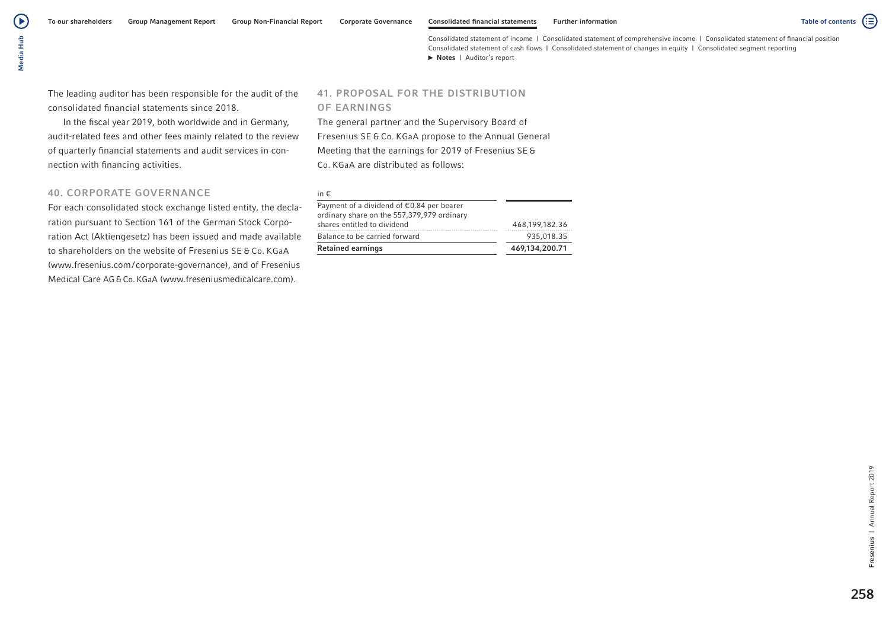▶ Notes | Auditor's report

Consolidated statement of income | Consolidated statement of comprehensive income | Consolidated statement of financial position

Consolidated statement of cash flows | Consolidated statement of changes in equity | Consolidated segment reporting

 $\textcircled{\scriptsize{}}$ Table of contents

Media Hub

Media Hub

 $(\blacktriangleright)$ 

# 41. PROPOSAL FOR THE DISTRIBUTION OF EARNINGS

In the fiscal year 2019, both worldwide and in Germany, audit-related fees and other fees mainly related to the review of quarterly financial statements and audit services in connection with financing activities.

The leading auditor has been responsible for the audit of the

The general partner and the Supervisory Board of Fresenius SE & Co. KGaA propose to the Annual General Meeting that the earnings for 2019 of Fresenius SE & Co. KGaA are distributed as follows:

### 40. CORPORATE GOVERNANCE

consolidated financial statements since 2018.

For each consolidated stock exchange listed entity, the declaration pursuant to Section 161 of the German Stock Corporation Act (Aktiengesetz) has been issued and made available to shareholders on the website of Fresenius SE & Co. KGaA (www.fresenius.com/corporate-governance), and of Fresenius Medical Care AG&Co.KGaA (www.freseniusmedicalcare.com).

### in €

| Payment of a dividend of $\epsilon$ 0.84 per bearer<br>ordinary share on the 557,379,979 ordinary |                |
|---------------------------------------------------------------------------------------------------|----------------|
| shares entitled to dividend                                                                       | 468,199,182.36 |
| Balance to be carried forward                                                                     | 935.018.35     |
| <b>Retained earnings</b>                                                                          | 469.134.200.71 |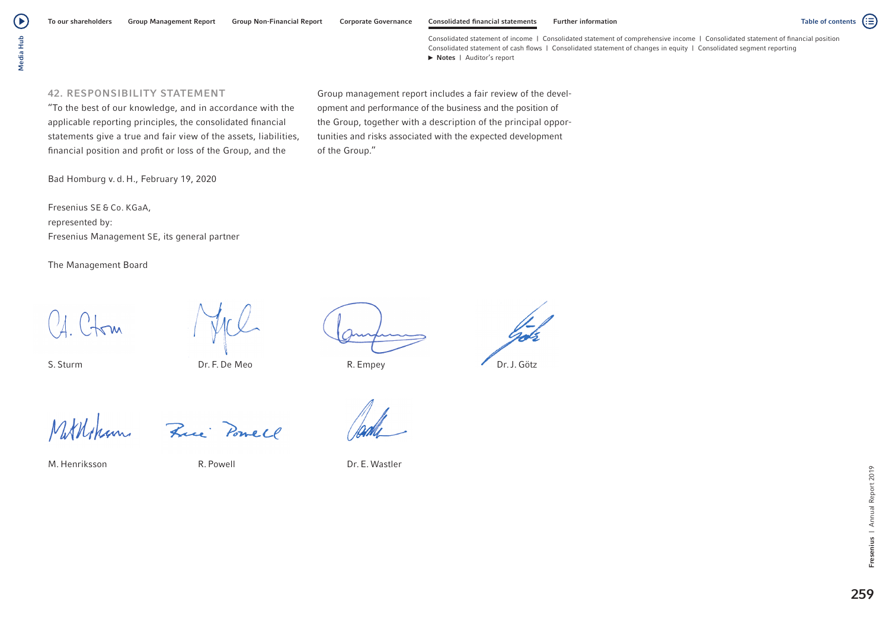$\textcircled{\scriptsize{}}$ Table of contents

Consolidated statement of income | Consolidated statement of comprehensive income | Consolidated statement of financial position Consolidated statement of cash flows | Consolidated statement of changes in equity | Consolidated segment reporting Notes | Auditor's report

### 42. RESPONSIBILITY STATEMENT

"To the best of our knowledge, and in accordance with the applicable reporting principles, the consolidated financial statements give a true and fair view of the assets, liabilities, financial position and profit or loss of the Group, and the

Group management report includes a fair review of the development and performance of the business and the position of the Group, together with a description of the principal opportunities and risks associated with the expected development of the Group."

Bad Homburg v. d. H., February 19, 2020

Fresenius SE & Co. KGaA, represented by: Fresenius Management SE, its general partner

The Management Board

S. Sturm Dr. F. De Meo R. Empey Dr.J. Götz



When Free Powell

M. Henriksson **R. Powell** R. Powell **Dr. E. Wastler**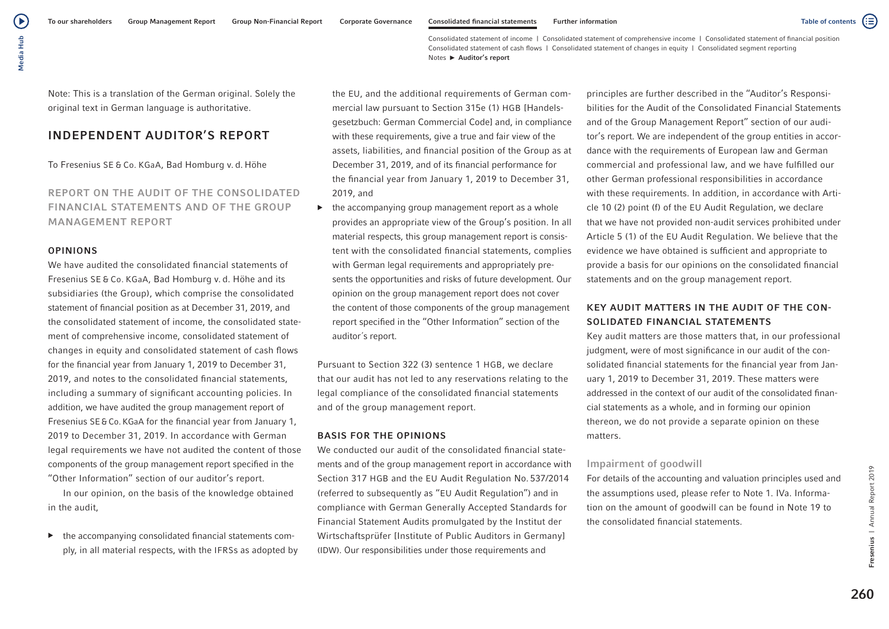$\textcircled{\scriptsize{}}$ 

Consolidated statement of income | Consolidated statement of comprehensive income | Consolidated statement of financial position Consolidated statement of cash flows | Consolidated statement of changes in equity | Consolidated segment reporting Notes ▶ Auditor's report

Note: This is a translation of the German original. Solely the original text in German language is authoritative.

# INDEPENDENT AUDITOR'S REPORT

To Fresenius SE & Co. KGaA, Bad Homburg v. d. Höhe

REPORT ON THE AUDIT OF THE CONSOLIDATED FINANCIAL STATEMENTS AND OF THE GROUP MANAGEMENT REPORT

#### OPINIONS

We have audited the consolidated financial statements of Fresenius SE & Co. KGaA, Bad Homburg v. d. Höhe and its subsidiaries (the Group), which comprise the consolidated statement of financial position as at December 31, 2019, and the consolidated statement of income, the consolidated statement of comprehensive income, consolidated statement of changes in equity and consolidated statement of cash flows for the financial year from January 1, 2019 to December 31, 2019, and notes to the consolidated financial statements, including a summary of significant accounting policies. In addition, we have audited the group management report of Fresenius SE&Co.KGaA for the financial year from January 1, 2019 to December 31, 2019. In accordance with German legal requirements we have not audited the content of those components of the group management report specified in the "Other Information" section of our auditor's report.

In our opinion, on the basis of the knowledge obtained in the audit,

 $\blacktriangleright$  the accompanying consolidated financial statements comply, in all material respects, with the IFRSs as adopted by the EU, and the additional requirements of German commercial law pursuant to Section 315e (1) HGB [Handelsgesetzbuch: German Commercial Code] and, in compliance with these requirements, give a true and fair view of the assets, liabilities, and financial position of the Group as at December 31, 2019, and of its financial performance for the financial year from January 1, 2019 to December 31, 2019, and

 $\blacktriangleright$  the accompanying group management report as a whole provides an appropriate view of the Group's position. In all material respects, this group management report is consistent with the consolidated financial statements, complies with German legal requirements and appropriately presents the opportunities and risks of future development. Our opinion on the group management report does not cover the content of those components of the group management report specified in the "Other Information" section of the auditor´s report.

Pursuant to Section 322 (3) sentence 1 HGB, we declare that our audit has not led to any reservations relating to the legal compliance of the consolidated financial statements and of the group management report.

### BASIS FOR THE OPINIONS

We conducted our audit of the consolidated financial statements and of the group management report in accordance with Section 317 HGB and the EU Audit Regulation No. 537/2014 (referred to subsequently as "EU Audit Regulation") and in compliance with German Generally Accepted Standards for Financial Statement Audits promulgated by the Institut der Wirtschaftsprüfer [Institute of Public Auditors in Germany] (IDW). Our responsibilities under those requirements and

principles are further described in the "Auditor's Responsibilities for the Audit of the Consolidated Financial Statements and of the Group Management Report" section of our auditor's report. We are independent of the group entities in accordance with the requirements of European law and German commercial and professional law, and we have fulfilled our other German professional responsibilities in accordance with these requirements. In addition, in accordance with Article 10 (2) point (f) of the EU Audit Regulation, we declare that we have not provided non-audit services prohibited under Article 5 (1) of the EU Audit Regulation. We believe that the evidence we have obtained is sufficient and appropriate to provide a basis for our opinions on the consolidated financial statements and on the group management report.

# KEY AUDIT MATTERS IN THE AUDIT OF THE CON-SOLIDATED FINANCIAL STATEMENTS

Key audit matters are those matters that, in our professional judgment, were of most significance in our audit of the consolidated financial statements for the financial year from January 1, 2019 to December 31, 2019. These matters were addressed in the context of our audit of the consolidated financial statements as a whole, and in forming our opinion thereon, we do not provide a separate opinion on these matters.

### Impairment of goodwill

For details of the accounting and valuation principles used and the assumptions used, please refer to Note 1. IVa. Information on the amount of goodwill can be found in Note 19 to the consolidated financial statements.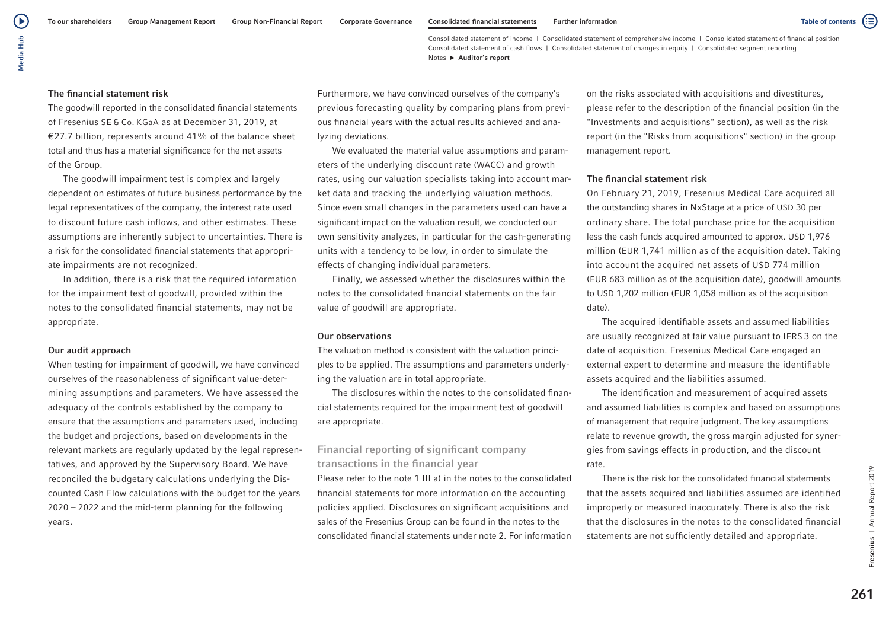(▶

 $(\textbf{m})$ 

Consolidated statement of income | Consolidated statement of comprehensive income | Consolidated statement of financial position Consolidated statement of cash flows | Consolidated statement of changes in equity | Consolidated segment reporting Notes ▶ Auditor's report

#### The financial statement risk

The goodwill reported in the consolidated financial statements of Fresenius SE & Co. KGaA as at December 31, 2019, at €27.7 billion, represents around 41% of the balance sheet total and thus has a material significance for the net assets of the Group.

The goodwill impairment test is complex and largely dependent on estimates of future business performance by the legal representatives of the company, the interest rate used to discount future cash inflows, and other estimates. These assumptions are inherently subject to uncertainties. There is a risk for the consolidated financial statements that appropriate impairments are not recognized.

In addition, there is a risk that the required information for the impairment test of goodwill, provided within the notes to the consolidated financial statements, may not be appropriate.

### Our audit approach

When testing for impairment of goodwill, we have convinced ourselves of the reasonableness of significant value-determining assumptions and parameters. We have assessed the adequacy of the controls established by the company to ensure that the assumptions and parameters used, including the budget and projections, based on developments in the relevant markets are regularly updated by the legal representatives, and approved by the Supervisory Board. We have reconciled the budgetary calculations underlying the Discounted Cash Flow calculations with the budget for the years 2020 – 2022 and the mid-term planning for the following years.

Furthermore, we have convinced ourselves of the company's previous forecasting quality by comparing plans from previous financial years with the actual results achieved and analyzing deviations.

We evaluated the material value assumptions and parameters of the underlying discount rate (WACC) and growth rates, using our valuation specialists taking into account market data and tracking the underlying valuation methods. Since even small changes in the parameters used can have a significant impact on the valuation result, we conducted our own sensitivity analyzes, in particular for the cash-generating units with a tendency to be low, in order to simulate the effects of changing individual parameters.

Finally, we assessed whether the disclosures within the notes to the consolidated financial statements on the fair value of goodwill are appropriate.

### Our observations

The valuation method is consistent with the valuation principles to be applied. The assumptions and parameters underlying the valuation are in total appropriate.

The disclosures within the notes to the consolidated financial statements required for the impairment test of goodwill are appropriate.

# Financial reporting of significant company transactions in the financial year

Please refer to the note 1 III a) in the notes to the consolidated financial statements for more information on the accounting policies applied. Disclosures on significant acquisitions and sales of the Fresenius Group can be found in the notes to the consolidated financial statements under note 2. For information

on the risks associated with acquisitions and divestitures, please refer to the description of the financial position (in the "Investments and acquisitions" section), as well as the risk report (in the "Risks from acquisitions" section) in the group management report.

### The financial statement risk

On February 21, 2019, Fresenius Medical Care acquired all the outstanding shares in NxStage at a price of USD 30 per ordinary share. The total purchase price for the acquisition less the cash funds acquired amounted to approx. USD 1,976 million (EUR 1,741 million as of the acquisition date). Taking into account the acquired net assets of USD 774 million (EUR 683 million as of the acquisition date), goodwill amounts to USD 1,202 million (EUR 1,058 million as of the acquisition date).

The acquired identifiable assets and assumed liabilities are usually recognized at fair value pursuant to IFRS 3 on the date of acquisition. Fresenius Medical Care engaged an external expert to determine and measure the identifiable assets acquired and the liabilities assumed.

The identification and measurement of acquired assets and assumed liabilities is complex and based on assumptions of management that require judgment. The key assumptions relate to revenue growth, the gross margin adjusted for synergies from savings effects in production, and the discount rate.

There is the risk for the consolidated financial statements that the assets acquired and liabilities assumed are identified improperly or measured inaccurately. There is also the risk that the disclosures in the notes to the consolidated financial statements are not sufficiently detailed and appropriate.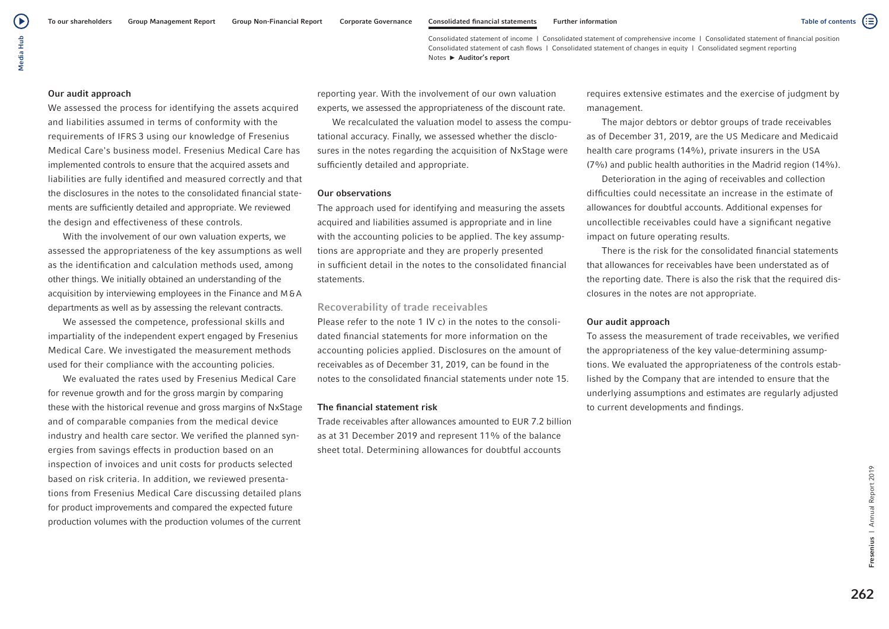#### Our audit approach

We assessed the process for identifying the assets acquired and liabilities assumed in terms of conformity with the requirements of IFRS 3 using our knowledge of Fresenius Medical Care's business model. Fresenius Medical Care has implemented controls to ensure that the acquired assets and liabilities are fully identified and measured correctly and that the disclosures in the notes to the consolidated financial statements are sufficiently detailed and appropriate. We reviewed the design and effectiveness of these controls.

With the involvement of our own valuation experts, we assessed the appropriateness of the key assumptions as well as the identification and calculation methods used, among other things. We initially obtained an understanding of the acquisition by interviewing employees in the Finance and M&A departments as well as by assessing the relevant contracts.

We assessed the competence, professional skills and impartiality of the independent expert engaged by Fresenius Medical Care. We investigated the measurement methods used for their compliance with the accounting policies.

We evaluated the rates used by Fresenius Medical Care for revenue growth and for the gross margin by comparing these with the historical revenue and gross margins of NxStage and of comparable companies from the medical device industry and health care sector. We verified the planned synergies from savings effects in production based on an inspection of invoices and unit costs for products selected based on risk criteria. In addition, we reviewed presentations from Fresenius Medical Care discussing detailed plans for product improvements and compared the expected future production volumes with the production volumes of the current

reporting year. With the involvement of our own valuation experts, we assessed the appropriateness of the discount rate.

We recalculated the valuation model to assess the computational accuracy. Finally, we assessed whether the disclosures in the notes regarding the acquisition of NxStage were sufficiently detailed and appropriate.

#### Our observations

The approach used for identifying and measuring the assets acquired and liabilities assumed is appropriate and in line with the accounting policies to be applied. The key assumptions are appropriate and they are properly presented in sufficient detail in the notes to the consolidated financial statements.

### Recoverability of trade receivables

Please refer to the note 1 IV c) in the notes to the consolidated financial statements for more information on the accounting policies applied. Disclosures on the amount of receivables as of December 31, 2019, can be found in the notes to the consolidated financial statements under note 15.

#### The financial statement risk

Trade receivables after allowances amounted to EUR 7.2 billion as at 31 December 2019 and represent 11% of the balance sheet total. Determining allowances for doubtful accounts

requires extensive estimates and the exercise of judgment by management.

The major debtors or debtor groups of trade receivables as of December 31, 2019, are the US Medicare and Medicaid health care programs (14%), private insurers in the USA (7%) and public health authorities in the Madrid region (14%).

Deterioration in the aging of receivables and collection difficulties could necessitate an increase in the estimate of allowances for doubtful accounts. Additional expenses for uncollectible receivables could have a significant negative impact on future operating results.

There is the risk for the consolidated financial statements that allowances for receivables have been understated as of the reporting date. There is also the risk that the required disclosures in the notes are not appropriate.

#### Our audit approach

To assess the measurement of trade receivables, we verified the appropriateness of the key value-determining assumptions. We evaluated the appropriateness of the controls established by the Company that are intended to ensure that the underlying assumptions and estimates are regularly adjusted to current developments and findings.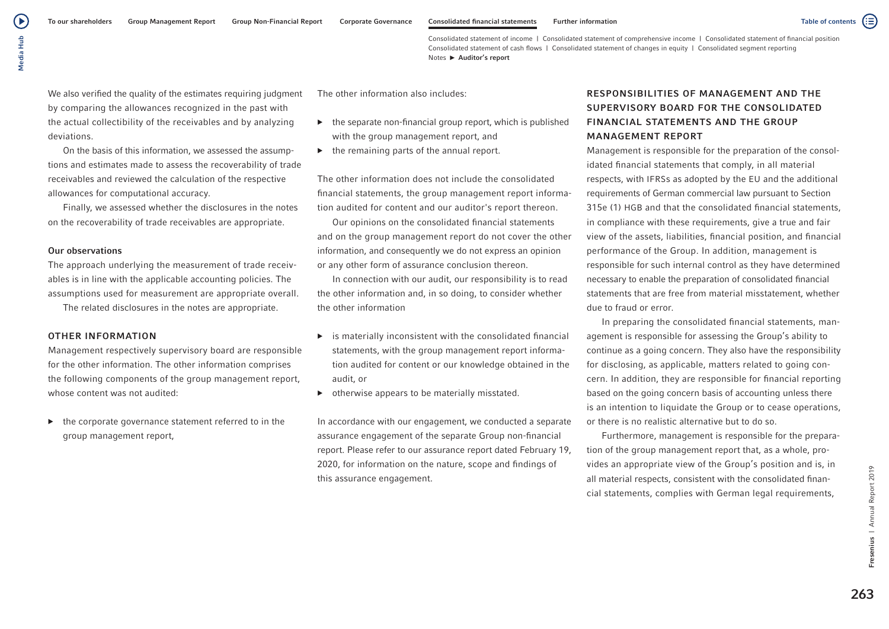$(\textbf{m})$ 

Consolidated statement of income | Consolidated statement of comprehensive income | Consolidated statement of financial position Consolidated statement of cash flows | Consolidated statement of changes in equity | Consolidated segment reporting Notes ▶ Auditor's report

The other information also includes:

- ▶ the separate non-financial group report, which is published with the group management report, and
- $\blacktriangleright$  the remaining parts of the annual report.

The other information does not include the consolidated financial statements, the group management report information audited for content and our auditor's report thereon.

Our opinions on the consolidated financial statements and on the group management report do not cover the other information, and consequently we do not express an opinion or any other form of assurance conclusion thereon.

In connection with our audit, our responsibility is to read the other information and, in so doing, to consider whether the other information

- $\triangleright$  is materially inconsistent with the consolidated financial statements, with the group management report information audited for content or our knowledge obtained in the audit, or
- ▶ otherwise appears to be materially misstated.

In accordance with our engagement, we conducted a separate assurance engagement of the separate Group non-financial report. Please refer to our assurance report dated February 19, 2020, for information on the nature, scope and findings of this assurance engagement.

# RESPONSIBILITIES OF MANAGEMENT AND THE SUPERVISORY BOARD FOR THE CONSOLIDATED FINANCIAL STATEMENTS AND THE GROUP MANAGEMENT REPORT

Management is responsible for the preparation of the consolidated financial statements that comply, in all material respects, with IFRSs as adopted by the EU and the additional requirements of German commercial law pursuant to Section 315e (1) HGB and that the consolidated financial statements, in compliance with these requirements, give a true and fair view of the assets, liabilities, financial position, and financial performance of the Group. In addition, management is responsible for such internal control as they have determined necessary to enable the preparation of consolidated financial statements that are free from material misstatement, whether due to fraud or error.

In preparing the consolidated financial statements, management is responsible for assessing the Group's ability to continue as a going concern. They also have the responsibility for disclosing, as applicable, matters related to going concern. In addition, they are responsible for financial reporting based on the going concern basis of accounting unless there is an intention to liquidate the Group or to cease operations, or there is no realistic alternative but to do so.

Furthermore, management is responsible for the preparation of the group management report that, as a whole, provides an appropriate view of the Group's position and is, in all material respects, consistent with the consolidated financial statements, complies with German legal requirements,

(▶ Media Hub Media Hub

> We also verified the quality of the estimates requiring judgment by comparing the allowances recognized in the past with the actual collectibility of the receivables and by analyzing deviations.

> On the basis of this information, we assessed the assumptions and estimates made to assess the recoverability of trade receivables and reviewed the calculation of the respective allowances for computational accuracy.

Finally, we assessed whether the disclosures in the notes on the recoverability of trade receivables are appropriate.

### Our observations

The approach underlying the measurement of trade receivables is in line with the applicable accounting policies. The assumptions used for measurement are appropriate overall.

The related disclosures in the notes are appropriate.

### OTHER INFORMATION

Management respectively supervisory board are responsible for the other information. The other information comprises the following components of the group management report, whose content was not audited:

▶ the corporate governance statement referred to in the group management report,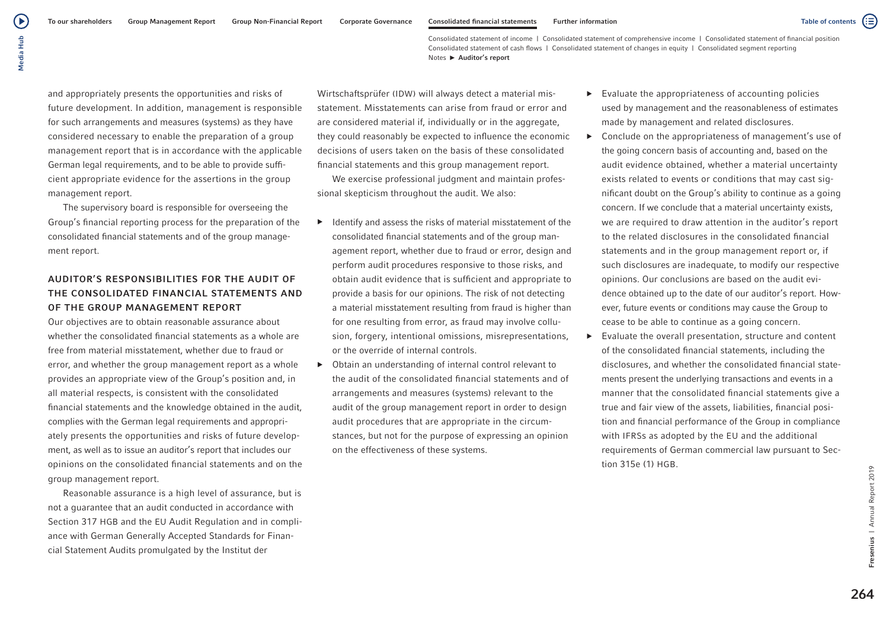$(\textbf{m})$ 

Consolidated statement of income | Consolidated statement of comprehensive income | Consolidated statement of financial position Consolidated statement of cash flows | Consolidated statement of changes in equity | Consolidated segment reporting Notes ▶ Auditor's report

and appropriately presents the opportunities and risks of future development. In addition, management is responsible for such arrangements and measures (systems) as they have considered necessary to enable the preparation of a group management report that is in accordance with the applicable German legal requirements, and to be able to provide sufficient appropriate evidence for the assertions in the group management report.

The supervisory board is responsible for overseeing the Group's financial reporting process for the preparation of the consolidated financial statements and of the group management report.

# AUDITOR'S RESPONSIBILITIES FOR THE AUDIT OF THE CONSOLIDATED FINANCIAL STATEMENTS AND OF THE GROUP MANAGEMENT REPORT

Our objectives are to obtain reasonable assurance about whether the consolidated financial statements as a whole are free from material misstatement, whether due to fraud or error, and whether the group management report as a whole provides an appropriate view of the Group's position and, in all material respects, is consistent with the consolidated financial statements and the knowledge obtained in the audit, complies with the German legal requirements and appropriately presents the opportunities and risks of future development, as well as to issue an auditor's report that includes our opinions on the consolidated financial statements and on the group management report.

Reasonable assurance is a high level of assurance, but is not a guarantee that an audit conducted in accordance with Section 317 HGB and the EU Audit Regulation and in compliance with German Generally Accepted Standards for Financial Statement Audits promulgated by the Institut der

Wirtschaftsprüfer (IDW) will always detect a material misstatement. Misstatements can arise from fraud or error and are considered material if, individually or in the aggregate, they could reasonably be expected to influence the economic decisions of users taken on the basis of these consolidated financial statements and this group management report.

We exercise professional judgment and maintain professional skepticism throughout the audit. We also:

- ▶ Identify and assess the risks of material misstatement of the consolidated financial statements and of the group management report, whether due to fraud or error, design and perform audit procedures responsive to those risks, and obtain audit evidence that is sufficient and appropriate to provide a basis for our opinions. The risk of not detecting a material misstatement resulting from fraud is higher than for one resulting from error, as fraud may involve collusion, forgery, intentional omissions, misrepresentations, or the override of internal controls.
- ▶ Obtain an understanding of internal control relevant to the audit of the consolidated financial statements and of arrangements and measures (systems) relevant to the audit of the group management report in order to design audit procedures that are appropriate in the circumstances, but not for the purpose of expressing an opinion on the effectiveness of these systems.
- $\blacktriangleright$  Evaluate the appropriateness of accounting policies used by management and the reasonableness of estimates made by management and related disclosures.
- Conclude on the appropriateness of management's use of the going concern basis of accounting and, based on the audit evidence obtained, whether a material uncertainty exists related to events or conditions that may cast significant doubt on the Group's ability to continue as a going concern. If we conclude that a material uncertainty exists, we are required to draw attention in the auditor's report to the related disclosures in the consolidated financial statements and in the group management report or, if such disclosures are inadequate, to modify our respective opinions. Our conclusions are based on the audit evidence obtained up to the date of our auditor's report. However, future events or conditions may cause the Group to cease to be able to continue as a going concern.
- ▶ Evaluate the overall presentation, structure and content of the consolidated financial statements, including the disclosures, and whether the consolidated financial statements present the underlying transactions and events in a manner that the consolidated financial statements give a true and fair view of the assets, liabilities, financial position and financial performance of the Group in compliance with IFRSs as adopted by the EU and the additional requirements of German commercial law pursuant to Section 315e (1) HGB.